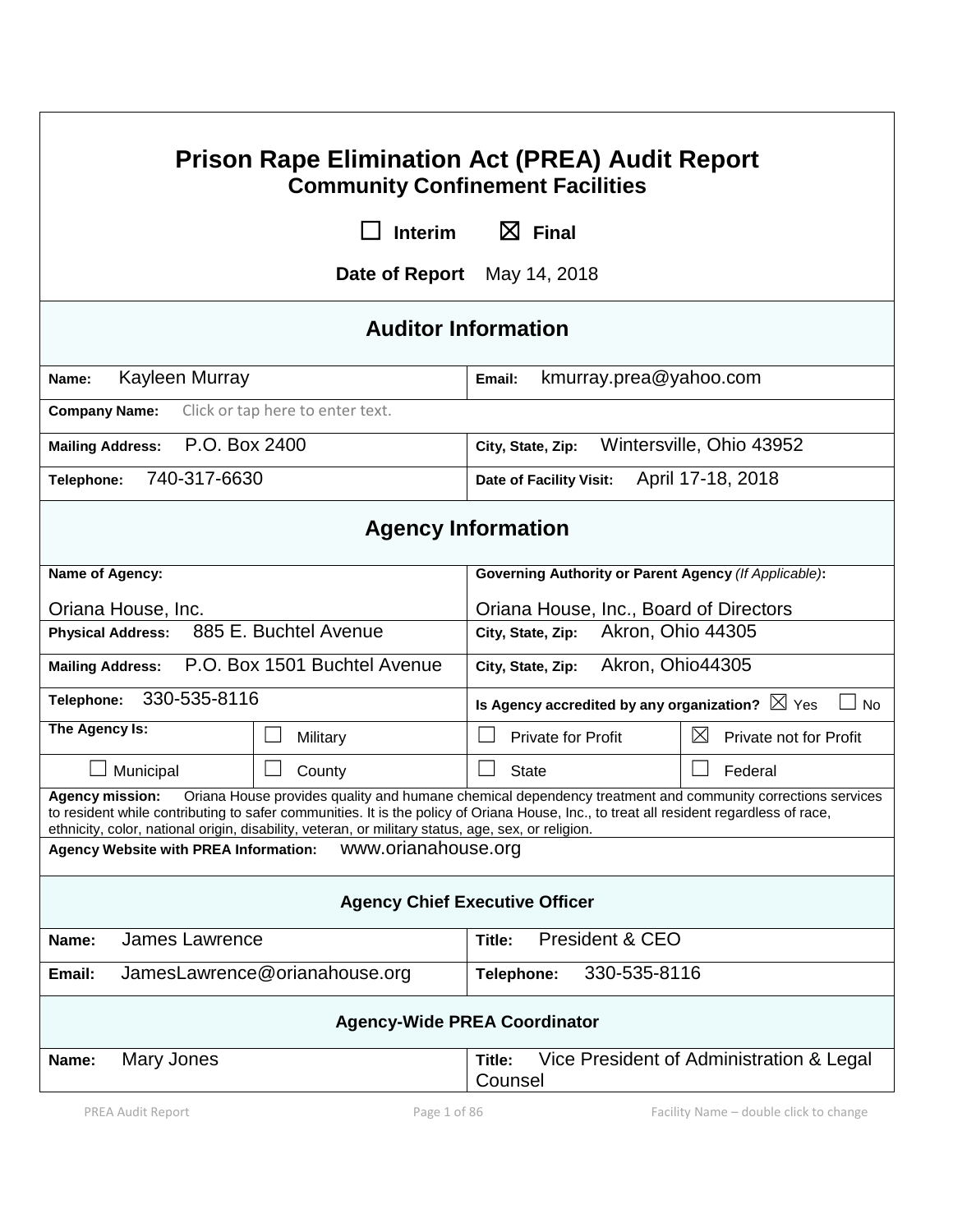| <b>Prison Rape Elimination Act (PREA) Audit Report</b><br><b>Community Confinement Facilities</b>                                                                                                                                                                                                                                                                                   |                                              |                                  |                                                           |                                          |  |  |
|-------------------------------------------------------------------------------------------------------------------------------------------------------------------------------------------------------------------------------------------------------------------------------------------------------------------------------------------------------------------------------------|----------------------------------------------|----------------------------------|-----------------------------------------------------------|------------------------------------------|--|--|
|                                                                                                                                                                                                                                                                                                                                                                                     |                                              | <b>Interim</b>                   | $\boxtimes$ Final                                         |                                          |  |  |
|                                                                                                                                                                                                                                                                                                                                                                                     |                                              |                                  | Date of Report May 14, 2018                               |                                          |  |  |
| <b>Auditor Information</b>                                                                                                                                                                                                                                                                                                                                                          |                                              |                                  |                                                           |                                          |  |  |
| Kayleen Murray<br>Name:                                                                                                                                                                                                                                                                                                                                                             |                                              |                                  | kmurray.prea@yahoo.com<br>Email:                          |                                          |  |  |
| <b>Company Name:</b>                                                                                                                                                                                                                                                                                                                                                                |                                              | Click or tap here to enter text. |                                                           |                                          |  |  |
| P.O. Box 2400<br><b>Mailing Address:</b>                                                                                                                                                                                                                                                                                                                                            |                                              |                                  | Wintersville, Ohio 43952<br>City, State, Zip:             |                                          |  |  |
| 740-317-6630<br>Telephone:                                                                                                                                                                                                                                                                                                                                                          |                                              |                                  | April 17-18, 2018<br>Date of Facility Visit:              |                                          |  |  |
|                                                                                                                                                                                                                                                                                                                                                                                     |                                              |                                  | <b>Agency Information</b>                                 |                                          |  |  |
| Name of Agency:                                                                                                                                                                                                                                                                                                                                                                     |                                              |                                  | Governing Authority or Parent Agency (If Applicable):     |                                          |  |  |
| Oriana House, Inc.                                                                                                                                                                                                                                                                                                                                                                  |                                              |                                  | Oriana House, Inc., Board of Directors                    |                                          |  |  |
| 885 E. Buchtel Avenue<br><b>Physical Address:</b>                                                                                                                                                                                                                                                                                                                                   |                                              |                                  | Akron, Ohio 44305<br>City, State, Zip:                    |                                          |  |  |
| <b>Mailing Address:</b>                                                                                                                                                                                                                                                                                                                                                             |                                              | P.O. Box 1501 Buchtel Avenue     | City, State, Zip:                                         | Akron, Ohio44305                         |  |  |
| Telephone:                                                                                                                                                                                                                                                                                                                                                                          | 330-535-8116                                 |                                  | Is Agency accredited by any organization? $\boxtimes$ Yes | $\Box$ No                                |  |  |
| The Agency Is:                                                                                                                                                                                                                                                                                                                                                                      |                                              | $\mathbf{L}$<br>Military         | <b>Private for Profit</b>                                 | $\boxtimes$<br>Private not for Profit    |  |  |
|                                                                                                                                                                                                                                                                                                                                                                                     | Municipal                                    | H<br>County                      | State                                                     | Federal                                  |  |  |
| Oriana House provides quality and humane chemical dependency treatment and community corrections services<br><b>Agency mission:</b><br>to resident while contributing to safer communities. It is the policy of Oriana House, Inc., to treat all resident regardless of race,<br>ethnicity, color, national origin, disability, veteran, or military status, age, sex, or religion. |                                              |                                  |                                                           |                                          |  |  |
|                                                                                                                                                                                                                                                                                                                                                                                     | <b>Agency Website with PREA Information:</b> | www.orianahouse.org              |                                                           |                                          |  |  |
| <b>Agency Chief Executive Officer</b>                                                                                                                                                                                                                                                                                                                                               |                                              |                                  |                                                           |                                          |  |  |
| <b>James Lawrence</b><br>Name:                                                                                                                                                                                                                                                                                                                                                      |                                              | President & CEO<br>Title:        |                                                           |                                          |  |  |
| Email:                                                                                                                                                                                                                                                                                                                                                                              |                                              | JamesLawrence@orianahouse.org    | 330-535-8116<br>Telephone:                                |                                          |  |  |
| <b>Agency-Wide PREA Coordinator</b>                                                                                                                                                                                                                                                                                                                                                 |                                              |                                  |                                                           |                                          |  |  |
| Name:                                                                                                                                                                                                                                                                                                                                                                               | Mary Jones                                   |                                  | Title:<br>Counsel                                         | Vice President of Administration & Legal |  |  |
|                                                                                                                                                                                                                                                                                                                                                                                     | PREA Audit Report                            | Page 1 of 86                     |                                                           | Facility Name - double click to change   |  |  |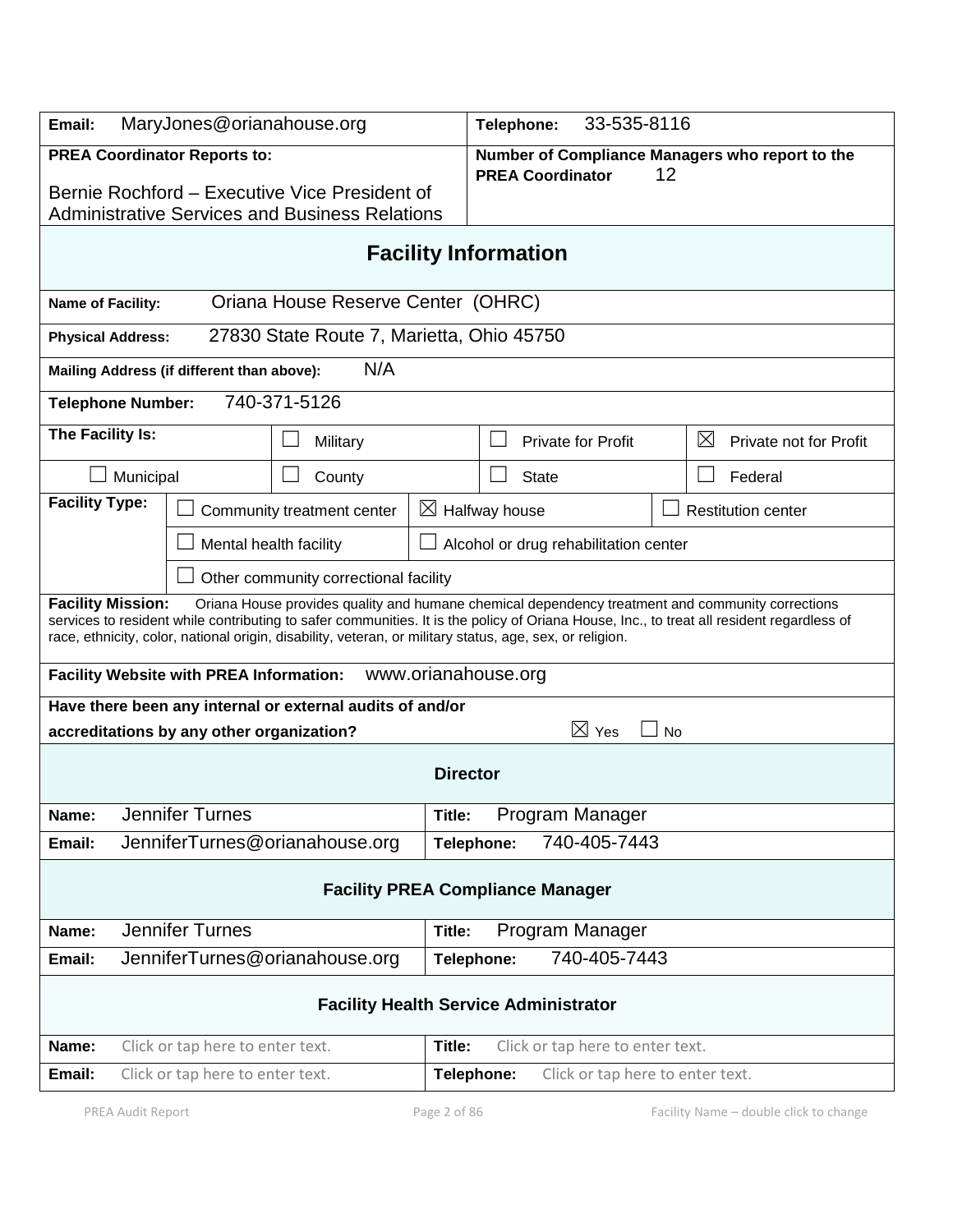| MaryJones@orianahouse.org<br>Email:                                                                                                                                                                                                                                                                                                                                                   |                                           |                 | 33-535-8116<br>Telephone:             |                                  |         |                                                 |  |
|---------------------------------------------------------------------------------------------------------------------------------------------------------------------------------------------------------------------------------------------------------------------------------------------------------------------------------------------------------------------------------------|-------------------------------------------|-----------------|---------------------------------------|----------------------------------|---------|-------------------------------------------------|--|
| <b>PREA Coordinator Reports to:</b><br>Bernie Rochford – Executive Vice President of<br><b>Administrative Services and Business Relations</b>                                                                                                                                                                                                                                         |                                           |                 |                                       | <b>PREA Coordinator</b>          | 12      | Number of Compliance Managers who report to the |  |
| <b>Facility Information</b>                                                                                                                                                                                                                                                                                                                                                           |                                           |                 |                                       |                                  |         |                                                 |  |
| Oriana House Reserve Center (OHRC)<br>Name of Facility:                                                                                                                                                                                                                                                                                                                               |                                           |                 |                                       |                                  |         |                                                 |  |
| <b>Physical Address:</b>                                                                                                                                                                                                                                                                                                                                                              | 27830 State Route 7, Marietta, Ohio 45750 |                 |                                       |                                  |         |                                                 |  |
| Mailing Address (if different than above):                                                                                                                                                                                                                                                                                                                                            | N/A                                       |                 |                                       |                                  |         |                                                 |  |
| 740-371-5126<br><b>Telephone Number:</b>                                                                                                                                                                                                                                                                                                                                              |                                           |                 |                                       |                                  |         |                                                 |  |
| The Facility Is:                                                                                                                                                                                                                                                                                                                                                                      | Military                                  |                 |                                       | <b>Private for Profit</b>        |         | $\boxtimes$<br>Private not for Profit           |  |
| Municipal                                                                                                                                                                                                                                                                                                                                                                             | County                                    |                 | <b>State</b>                          |                                  | Federal |                                                 |  |
| <b>Facility Type:</b>                                                                                                                                                                                                                                                                                                                                                                 | Community treatment center                | $\boxtimes$     | Halfway house                         |                                  |         | <b>Restitution center</b>                       |  |
| Mental health facility                                                                                                                                                                                                                                                                                                                                                                |                                           |                 | Alcohol or drug rehabilitation center |                                  |         |                                                 |  |
| Other community correctional facility                                                                                                                                                                                                                                                                                                                                                 |                                           |                 |                                       |                                  |         |                                                 |  |
| <b>Facility Mission:</b><br>Oriana House provides quality and humane chemical dependency treatment and community corrections<br>services to resident while contributing to safer communities. It is the policy of Oriana House, Inc., to treat all resident regardless of<br>race, ethnicity, color, national origin, disability, veteran, or military status, age, sex, or religion. |                                           |                 |                                       |                                  |         |                                                 |  |
| www.orianahouse.org<br><b>Facility Website with PREA Information:</b>                                                                                                                                                                                                                                                                                                                 |                                           |                 |                                       |                                  |         |                                                 |  |
| Have there been any internal or external audits of and/or                                                                                                                                                                                                                                                                                                                             |                                           |                 |                                       |                                  |         |                                                 |  |
| $\boxtimes$ Yes<br>accreditations by any other organization?<br><b>No</b>                                                                                                                                                                                                                                                                                                             |                                           |                 |                                       |                                  |         |                                                 |  |
|                                                                                                                                                                                                                                                                                                                                                                                       |                                           | <b>Director</b> |                                       |                                  |         |                                                 |  |
| <b>Jennifer Turnes</b><br>Name:                                                                                                                                                                                                                                                                                                                                                       |                                           | Title:          |                                       | Program Manager                  |         |                                                 |  |
| JenniferTurnes@orianahouse.org<br>Email:                                                                                                                                                                                                                                                                                                                                              |                                           | Telephone:      |                                       | 740-405-7443                     |         |                                                 |  |
| <b>Facility PREA Compliance Manager</b>                                                                                                                                                                                                                                                                                                                                               |                                           |                 |                                       |                                  |         |                                                 |  |
| <b>Jennifer Turnes</b><br>Name:                                                                                                                                                                                                                                                                                                                                                       |                                           | Title:          |                                       | Program Manager                  |         |                                                 |  |
| JenniferTurnes@orianahouse.org<br>Email:                                                                                                                                                                                                                                                                                                                                              |                                           |                 | Telephone:                            | 740-405-7443                     |         |                                                 |  |
| <b>Facility Health Service Administrator</b>                                                                                                                                                                                                                                                                                                                                          |                                           |                 |                                       |                                  |         |                                                 |  |
| Name:<br>Click or tap here to enter text.                                                                                                                                                                                                                                                                                                                                             |                                           | Title:          |                                       | Click or tap here to enter text. |         |                                                 |  |
| Email:<br>Click or tap here to enter text.                                                                                                                                                                                                                                                                                                                                            |                                           |                 | Telephone:                            | Click or tap here to enter text. |         |                                                 |  |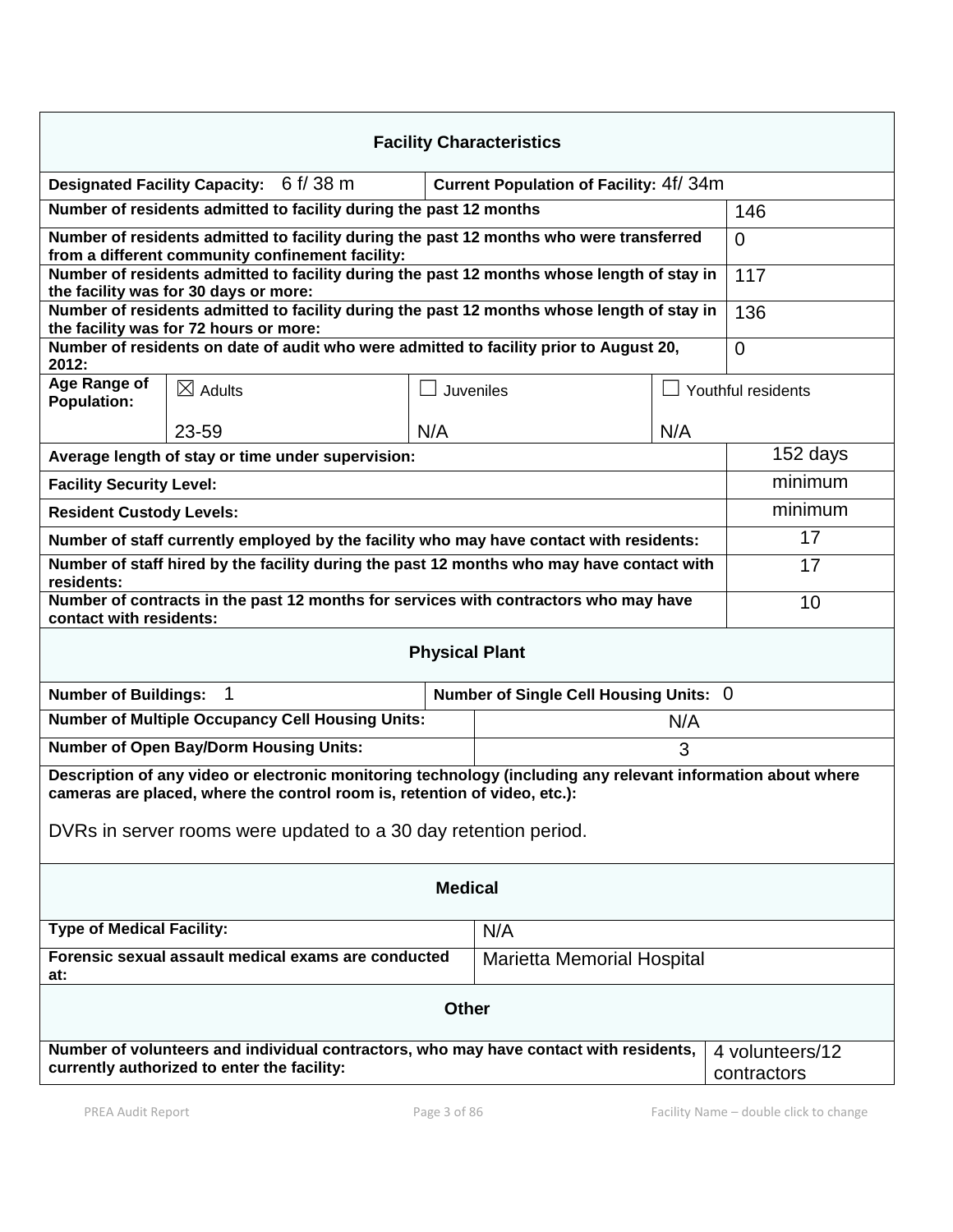| <b>Facility Characteristics</b>                                                                                                                                                                                                                              |                                                                                    |     |           |     |                    |  |  |
|--------------------------------------------------------------------------------------------------------------------------------------------------------------------------------------------------------------------------------------------------------------|------------------------------------------------------------------------------------|-----|-----------|-----|--------------------|--|--|
|                                                                                                                                                                                                                                                              | Designated Facility Capacity: 6 f/ 38 m<br>Current Population of Facility: 4f/ 34m |     |           |     |                    |  |  |
| Number of residents admitted to facility during the past 12 months                                                                                                                                                                                           | 146                                                                                |     |           |     |                    |  |  |
| Number of residents admitted to facility during the past 12 months who were transferred<br>from a different community confinement facility:                                                                                                                  | $\overline{0}$                                                                     |     |           |     |                    |  |  |
| Number of residents admitted to facility during the past 12 months whose length of stay in<br>the facility was for 30 days or more:                                                                                                                          | 117                                                                                |     |           |     |                    |  |  |
| Number of residents admitted to facility during the past 12 months whose length of stay in<br>the facility was for 72 hours or more:                                                                                                                         | 136                                                                                |     |           |     |                    |  |  |
| Number of residents on date of audit who were admitted to facility prior to August 20,<br>2012:                                                                                                                                                              | $\overline{0}$                                                                     |     |           |     |                    |  |  |
| Age Range of<br><b>Population:</b>                                                                                                                                                                                                                           | $\boxtimes$ Adults                                                                 |     | Juveniles |     | Youthful residents |  |  |
|                                                                                                                                                                                                                                                              | 23-59                                                                              | N/A |           | N/A |                    |  |  |
| Average length of stay or time under supervision:                                                                                                                                                                                                            |                                                                                    |     |           |     |                    |  |  |
| <b>Facility Security Level:</b>                                                                                                                                                                                                                              | minimum                                                                            |     |           |     |                    |  |  |
| <b>Resident Custody Levels:</b>                                                                                                                                                                                                                              | minimum                                                                            |     |           |     |                    |  |  |
| Number of staff currently employed by the facility who may have contact with residents:                                                                                                                                                                      | 17                                                                                 |     |           |     |                    |  |  |
| Number of staff hired by the facility during the past 12 months who may have contact with<br>residents:                                                                                                                                                      | 17                                                                                 |     |           |     |                    |  |  |
| Number of contracts in the past 12 months for services with contractors who may have<br>contact with residents:                                                                                                                                              | 10                                                                                 |     |           |     |                    |  |  |
| <b>Physical Plant</b>                                                                                                                                                                                                                                        |                                                                                    |     |           |     |                    |  |  |
| $\mathbf 1$<br><b>Number of Buildings:</b><br>Number of Single Cell Housing Units: 0                                                                                                                                                                         |                                                                                    |     |           |     |                    |  |  |
| <b>Number of Multiple Occupancy Cell Housing Units:</b><br>N/A                                                                                                                                                                                               |                                                                                    |     |           |     |                    |  |  |
| <b>Number of Open Bay/Dorm Housing Units:</b><br>3                                                                                                                                                                                                           |                                                                                    |     |           |     |                    |  |  |
| Description of any video or electronic monitoring technology (including any relevant information about where<br>cameras are placed, where the control room is, retention of video, etc.):<br>DVRs in server rooms were updated to a 30 day retention period. |                                                                                    |     |           |     |                    |  |  |
|                                                                                                                                                                                                                                                              |                                                                                    |     |           |     |                    |  |  |
| <b>Medical</b>                                                                                                                                                                                                                                               |                                                                                    |     |           |     |                    |  |  |
| <b>Type of Medical Facility:</b><br>N/A                                                                                                                                                                                                                      |                                                                                    |     |           |     |                    |  |  |
| Forensic sexual assault medical exams are conducted<br><b>Marietta Memorial Hospital</b><br>at:                                                                                                                                                              |                                                                                    |     |           |     |                    |  |  |
| <b>Other</b>                                                                                                                                                                                                                                                 |                                                                                    |     |           |     |                    |  |  |
| Number of volunteers and individual contractors, who may have contact with residents,<br>currently authorized to enter the facility:<br>contractors                                                                                                          |                                                                                    |     |           |     | 4 volunteers/12    |  |  |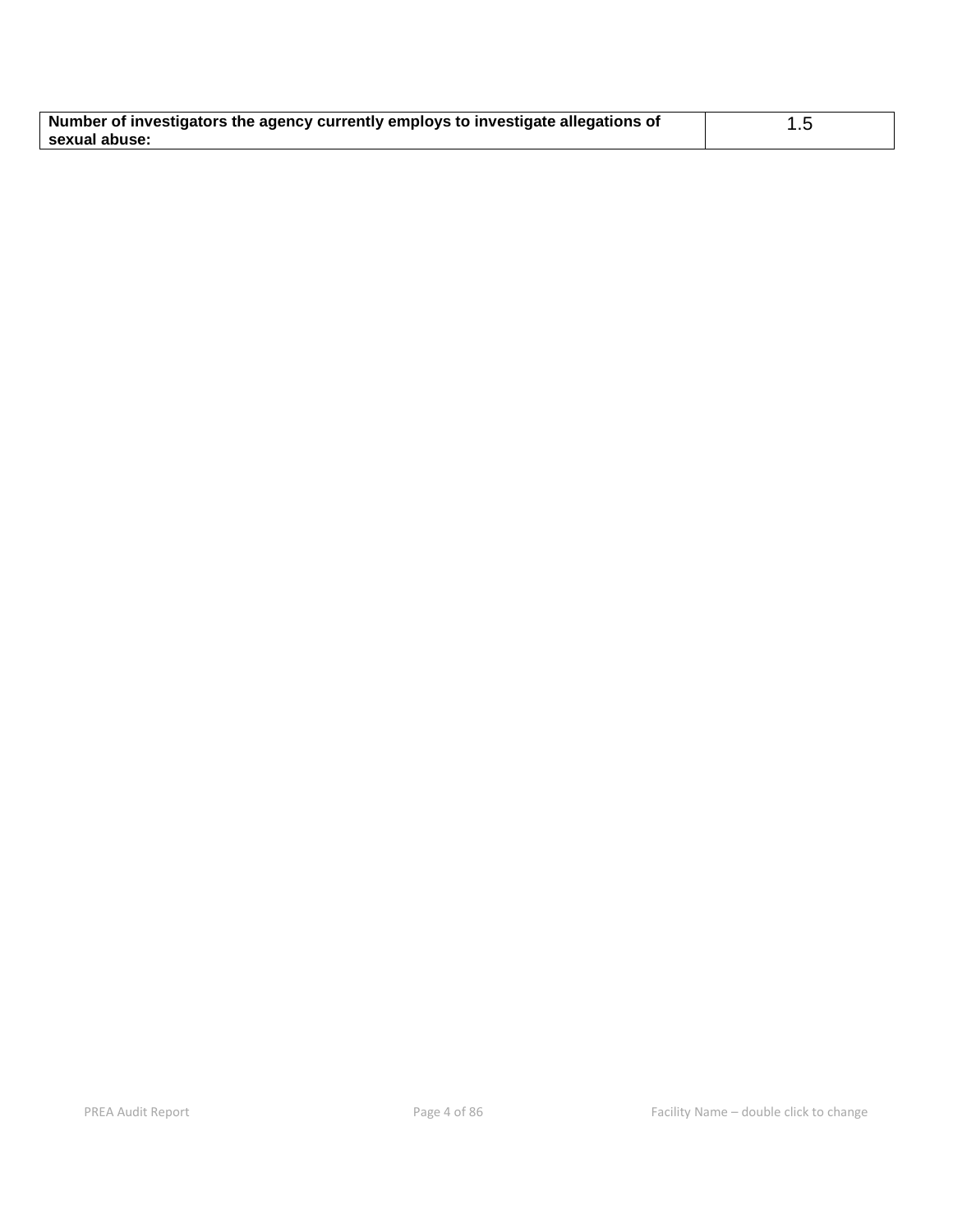| Number of investigators the agency currently employs to investigate allegations of |  |
|------------------------------------------------------------------------------------|--|
| sexual abuse:                                                                      |  |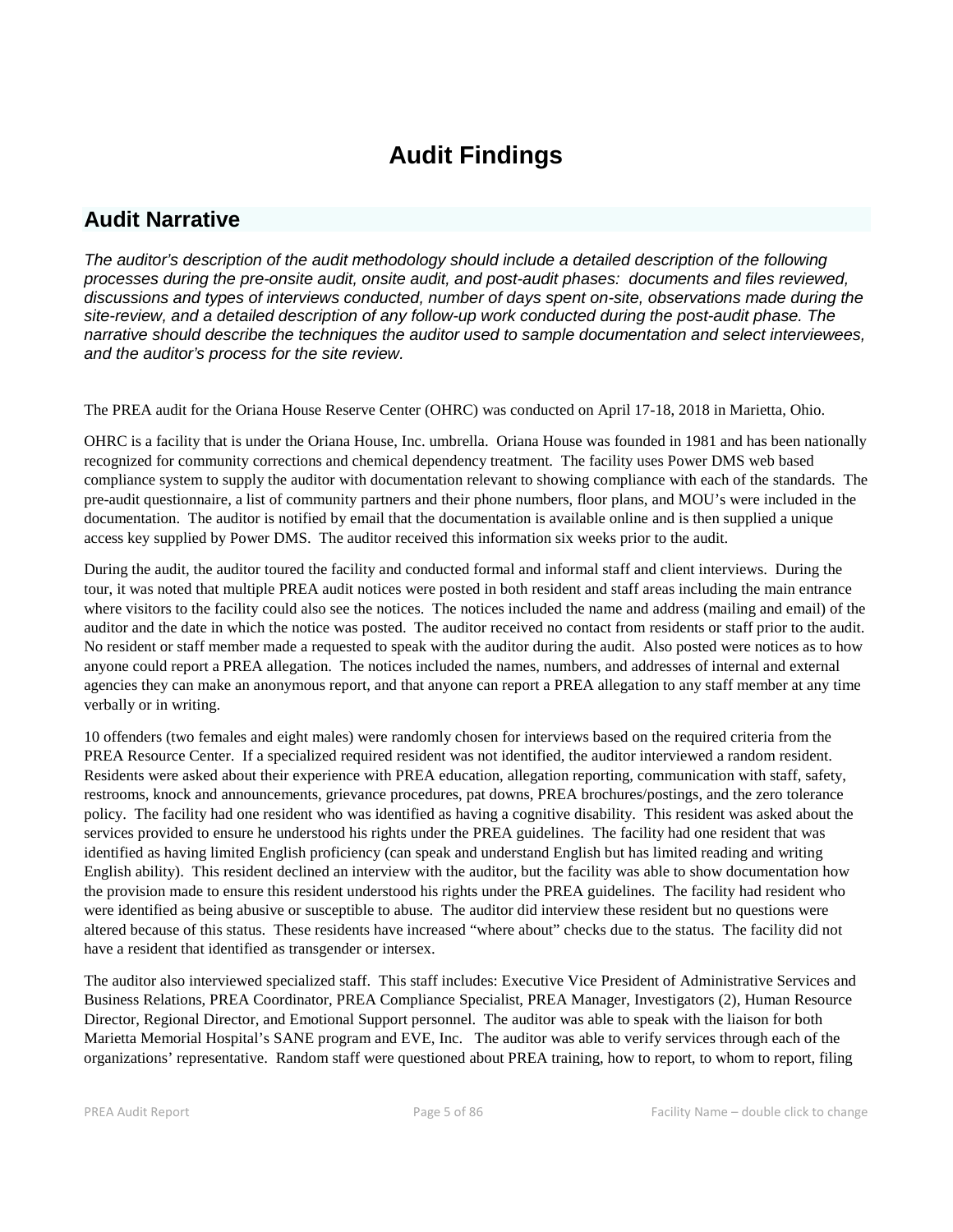# **Audit Findings**

# **Audit Narrative**

*The auditor's description of the audit methodology should include a detailed description of the following processes during the pre-onsite audit, onsite audit, and post-audit phases: documents and files reviewed, discussions and types of interviews conducted, number of days spent on-site, observations made during the site-review, and a detailed description of any follow-up work conducted during the post-audit phase. The narrative should describe the techniques the auditor used to sample documentation and select interviewees, and the auditor's process for the site review.*

The PREA audit for the Oriana House Reserve Center (OHRC) was conducted on April 17-18, 2018 in Marietta, Ohio.

OHRC is a facility that is under the Oriana House, Inc. umbrella. Oriana House was founded in 1981 and has been nationally recognized for community corrections and chemical dependency treatment. The facility uses Power DMS web based compliance system to supply the auditor with documentation relevant to showing compliance with each of the standards. The pre-audit questionnaire, a list of community partners and their phone numbers, floor plans, and MOU's were included in the documentation. The auditor is notified by email that the documentation is available online and is then supplied a unique access key supplied by Power DMS. The auditor received this information six weeks prior to the audit.

During the audit, the auditor toured the facility and conducted formal and informal staff and client interviews. During the tour, it was noted that multiple PREA audit notices were posted in both resident and staff areas including the main entrance where visitors to the facility could also see the notices. The notices included the name and address (mailing and email) of the auditor and the date in which the notice was posted. The auditor received no contact from residents or staff prior to the audit. No resident or staff member made a requested to speak with the auditor during the audit. Also posted were notices as to how anyone could report a PREA allegation. The notices included the names, numbers, and addresses of internal and external agencies they can make an anonymous report, and that anyone can report a PREA allegation to any staff member at any time verbally or in writing.

10 offenders (two females and eight males) were randomly chosen for interviews based on the required criteria from the PREA Resource Center. If a specialized required resident was not identified, the auditor interviewed a random resident. Residents were asked about their experience with PREA education, allegation reporting, communication with staff, safety, restrooms, knock and announcements, grievance procedures, pat downs, PREA brochures/postings, and the zero tolerance policy. The facility had one resident who was identified as having a cognitive disability. This resident was asked about the services provided to ensure he understood his rights under the PREA guidelines. The facility had one resident that was identified as having limited English proficiency (can speak and understand English but has limited reading and writing English ability). This resident declined an interview with the auditor, but the facility was able to show documentation how the provision made to ensure this resident understood his rights under the PREA guidelines. The facility had resident who were identified as being abusive or susceptible to abuse. The auditor did interview these resident but no questions were altered because of this status. These residents have increased "where about" checks due to the status. The facility did not have a resident that identified as transgender or intersex.

The auditor also interviewed specialized staff. This staff includes: Executive Vice President of Administrative Services and Business Relations, PREA Coordinator, PREA Compliance Specialist, PREA Manager, Investigators (2), Human Resource Director, Regional Director, and Emotional Support personnel. The auditor was able to speak with the liaison for both Marietta Memorial Hospital's SANE program and EVE, Inc. The auditor was able to verify services through each of the organizations' representative. Random staff were questioned about PREA training, how to report, to whom to report, filing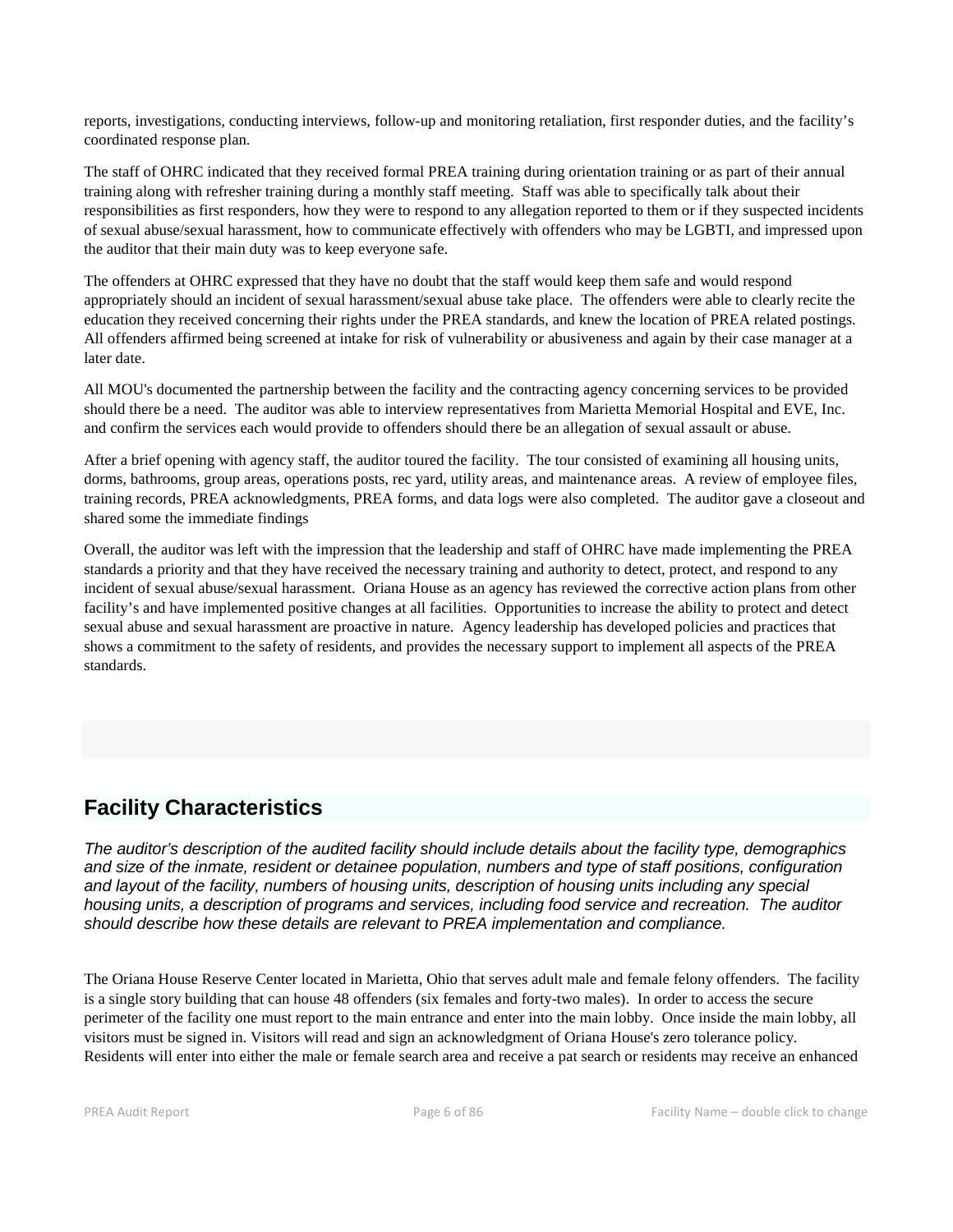reports, investigations, conducting interviews, follow-up and monitoring retaliation, first responder duties, and the facility's coordinated response plan.

The staff of OHRC indicated that they received formal PREA training during orientation training or as part of their annual training along with refresher training during a monthly staff meeting. Staff was able to specifically talk about their responsibilities as first responders, how they were to respond to any allegation reported to them or if they suspected incidents of sexual abuse/sexual harassment, how to communicate effectively with offenders who may be LGBTI, and impressed upon the auditor that their main duty was to keep everyone safe.

The offenders at OHRC expressed that they have no doubt that the staff would keep them safe and would respond appropriately should an incident of sexual harassment/sexual abuse take place. The offenders were able to clearly recite the education they received concerning their rights under the PREA standards, and knew the location of PREA related postings. All offenders affirmed being screened at intake for risk of vulnerability or abusiveness and again by their case manager at a later date.

All MOU's documented the partnership between the facility and the contracting agency concerning services to be provided should there be a need. The auditor was able to interview representatives from Marietta Memorial Hospital and EVE, Inc. and confirm the services each would provide to offenders should there be an allegation of sexual assault or abuse.

After a brief opening with agency staff, the auditor toured the facility. The tour consisted of examining all housing units, dorms, bathrooms, group areas, operations posts, rec yard, utility areas, and maintenance areas. A review of employee files, training records, PREA acknowledgments, PREA forms, and data logs were also completed. The auditor gave a closeout and shared some the immediate findings

Overall, the auditor was left with the impression that the leadership and staff of OHRC have made implementing the PREA standards a priority and that they have received the necessary training and authority to detect, protect, and respond to any incident of sexual abuse/sexual harassment. Oriana House as an agency has reviewed the corrective action plans from other facility's and have implemented positive changes at all facilities. Opportunities to increase the ability to protect and detect sexual abuse and sexual harassment are proactive in nature. Agency leadership has developed policies and practices that shows a commitment to the safety of residents, and provides the necessary support to implement all aspects of the PREA standards.

# **Facility Characteristics**

*The auditor's description of the audited facility should include details about the facility type, demographics and size of the inmate, resident or detainee population, numbers and type of staff positions, configuration and layout of the facility, numbers of housing units, description of housing units including any special housing units, a description of programs and services, including food service and recreation. The auditor should describe how these details are relevant to PREA implementation and compliance.*

The Oriana House Reserve Center located in Marietta, Ohio that serves adult male and female felony offenders. The facility is a single story building that can house 48 offenders (six females and forty-two males). In order to access the secure perimeter of the facility one must report to the main entrance and enter into the main lobby. Once inside the main lobby, all visitors must be signed in. Visitors will read and sign an acknowledgment of Oriana House's zero tolerance policy. Residents will enter into either the male or female search area and receive a pat search or residents may receive an enhanced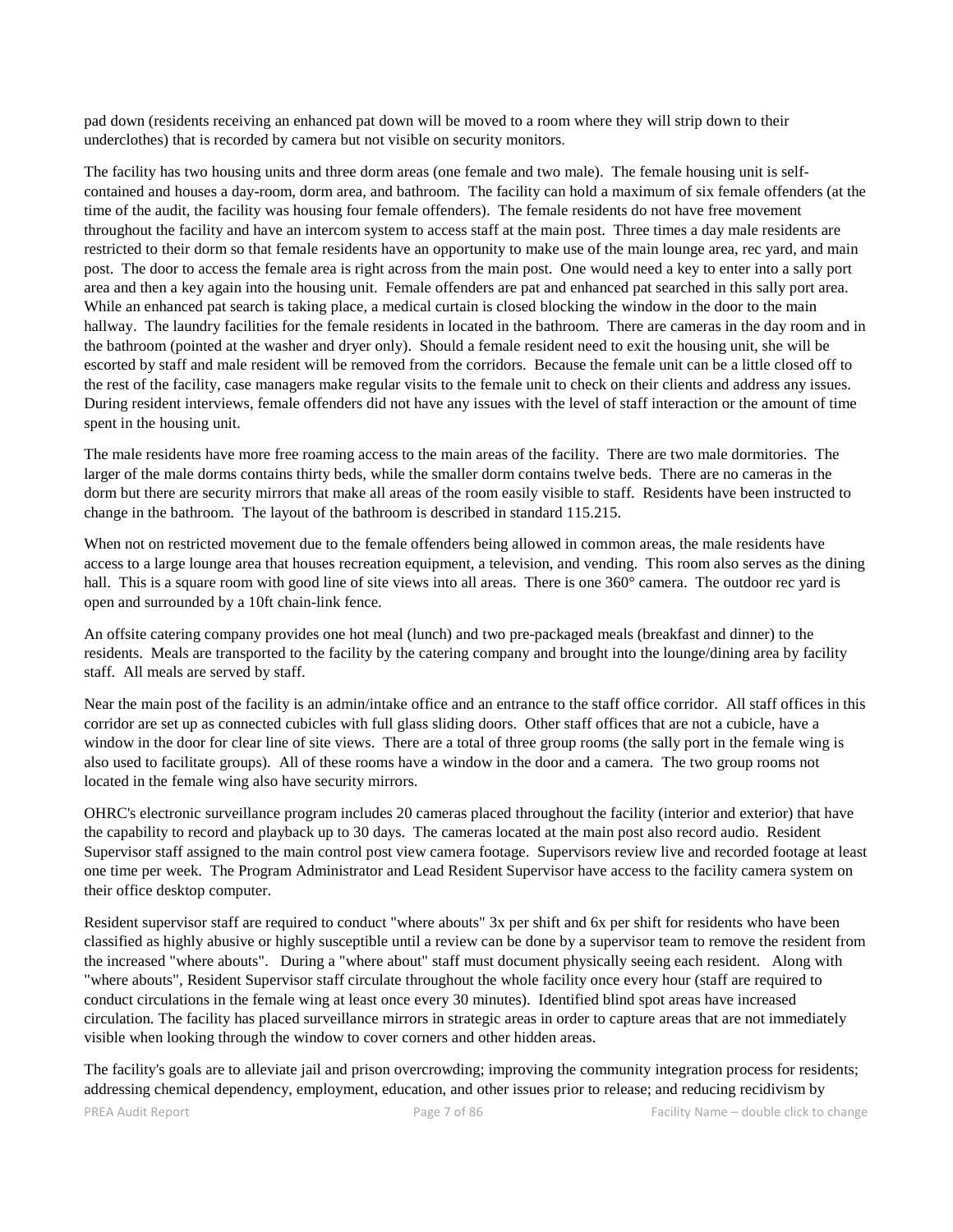pad down (residents receiving an enhanced pat down will be moved to a room where they will strip down to their underclothes) that is recorded by camera but not visible on security monitors.

The facility has two housing units and three dorm areas (one female and two male). The female housing unit is selfcontained and houses a day-room, dorm area, and bathroom. The facility can hold a maximum of six female offenders (at the time of the audit, the facility was housing four female offenders). The female residents do not have free movement throughout the facility and have an intercom system to access staff at the main post. Three times a day male residents are restricted to their dorm so that female residents have an opportunity to make use of the main lounge area, rec yard, and main post. The door to access the female area is right across from the main post. One would need a key to enter into a sally port area and then a key again into the housing unit. Female offenders are pat and enhanced pat searched in this sally port area. While an enhanced pat search is taking place, a medical curtain is closed blocking the window in the door to the main hallway. The laundry facilities for the female residents in located in the bathroom. There are cameras in the day room and in the bathroom (pointed at the washer and dryer only). Should a female resident need to exit the housing unit, she will be escorted by staff and male resident will be removed from the corridors. Because the female unit can be a little closed off to the rest of the facility, case managers make regular visits to the female unit to check on their clients and address any issues. During resident interviews, female offenders did not have any issues with the level of staff interaction or the amount of time spent in the housing unit.

The male residents have more free roaming access to the main areas of the facility. There are two male dormitories. The larger of the male dorms contains thirty beds, while the smaller dorm contains twelve beds. There are no cameras in the dorm but there are security mirrors that make all areas of the room easily visible to staff. Residents have been instructed to change in the bathroom. The layout of the bathroom is described in standard 115.215.

When not on restricted movement due to the female offenders being allowed in common areas, the male residents have access to a large lounge area that houses recreation equipment, a television, and vending. This room also serves as the dining hall. This is a square room with good line of site views into all areas. There is one 360° camera. The outdoor rec yard is open and surrounded by a 10ft chain-link fence.

An offsite catering company provides one hot meal (lunch) and two pre-packaged meals (breakfast and dinner) to the residents. Meals are transported to the facility by the catering company and brought into the lounge/dining area by facility staff. All meals are served by staff.

Near the main post of the facility is an admin/intake office and an entrance to the staff office corridor. All staff offices in this corridor are set up as connected cubicles with full glass sliding doors. Other staff offices that are not a cubicle, have a window in the door for clear line of site views. There are a total of three group rooms (the sally port in the female wing is also used to facilitate groups). All of these rooms have a window in the door and a camera. The two group rooms not located in the female wing also have security mirrors.

OHRC's electronic surveillance program includes 20 cameras placed throughout the facility (interior and exterior) that have the capability to record and playback up to 30 days. The cameras located at the main post also record audio. Resident Supervisor staff assigned to the main control post view camera footage. Supervisors review live and recorded footage at least one time per week. The Program Administrator and Lead Resident Supervisor have access to the facility camera system on their office desktop computer.

Resident supervisor staff are required to conduct "where abouts" 3x per shift and 6x per shift for residents who have been classified as highly abusive or highly susceptible until a review can be done by a supervisor team to remove the resident from the increased "where abouts". During a "where about" staff must document physically seeing each resident. Along with "where abouts", Resident Supervisor staff circulate throughout the whole facility once every hour (staff are required to conduct circulations in the female wing at least once every 30 minutes). Identified blind spot areas have increased circulation. The facility has placed surveillance mirrors in strategic areas in order to capture areas that are not immediately visible when looking through the window to cover corners and other hidden areas.

The facility's goals are to alleviate jail and prison overcrowding; improving the community integration process for residents; addressing chemical dependency, employment, education, and other issues prior to release; and reducing recidivism by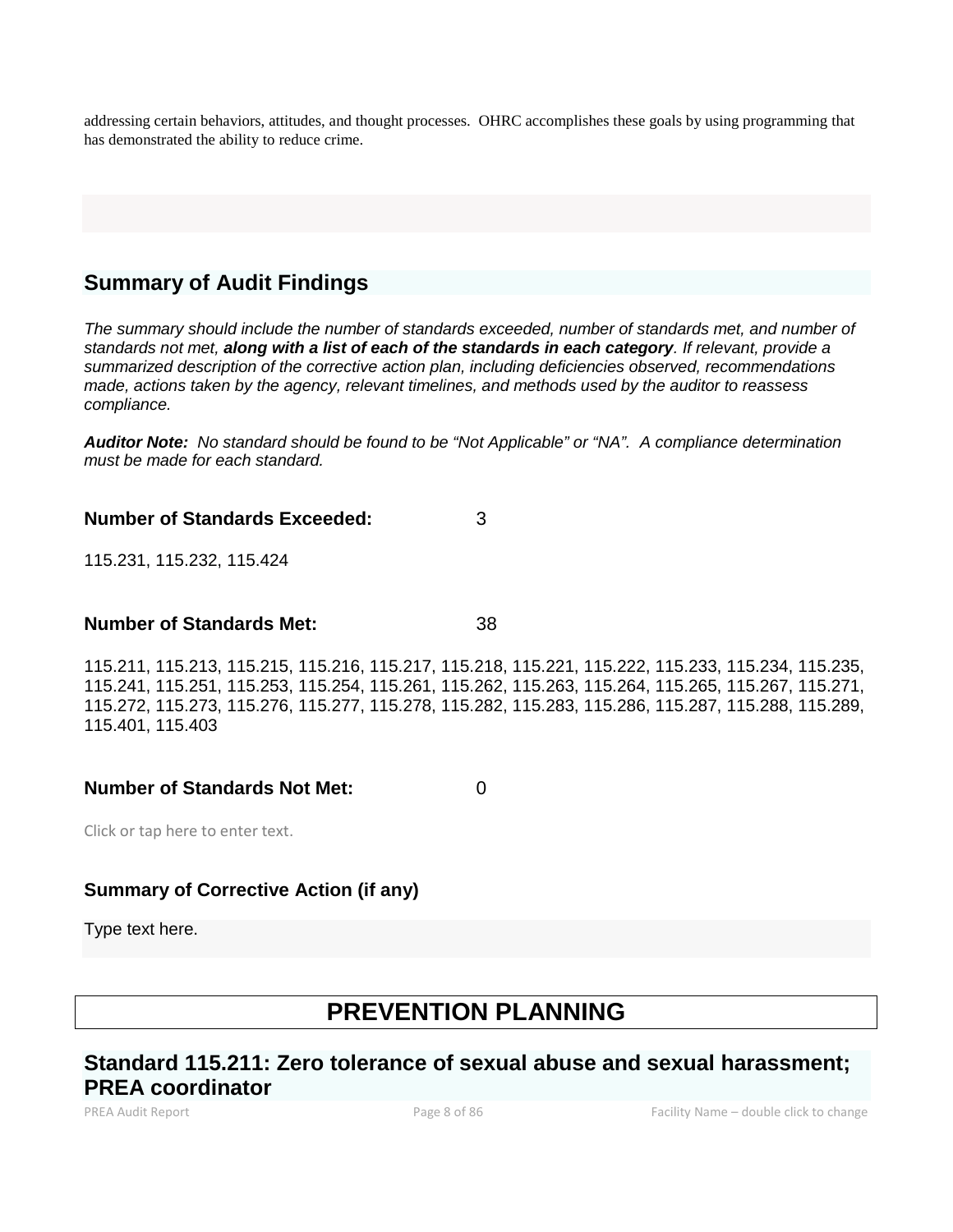addressing certain behaviors, attitudes, and thought processes. OHRC accomplishes these goals by using programming that has demonstrated the ability to reduce crime.

# **Summary of Audit Findings**

*The summary should include the number of standards exceeded, number of standards met, and number of standards not met, along with a list of each of the standards in each category. If relevant, provide a summarized description of the corrective action plan, including deficiencies observed, recommendations made, actions taken by the agency, relevant timelines, and methods used by the auditor to reassess compliance.*

*Auditor Note: No standard should be found to be "Not Applicable" or "NA". A compliance determination must be made for each standard.*

# **Number of Standards Exceeded:** 3

115.231, 115.232, 115.424

## **Number of Standards Met:** 38

115.211, 115.213, 115.215, 115.216, 115.217, 115.218, 115.221, 115.222, 115.233, 115.234, 115.235, 115.241, 115.251, 115.253, 115.254, 115.261, 115.262, 115.263, 115.264, 115.265, 115.267, 115.271, 115.272, 115.273, 115.276, 115.277, 115.278, 115.282, 115.283, 115.286, 115.287, 115.288, 115.289, 115.401, 115.403

**Number of Standards Not Met:** 0

Click or tap here to enter text.

# **Summary of Corrective Action (if any)**

Type text here.

# **PREVENTION PLANNING**

# **Standard 115.211: Zero tolerance of sexual abuse and sexual harassment; PREA coordinator**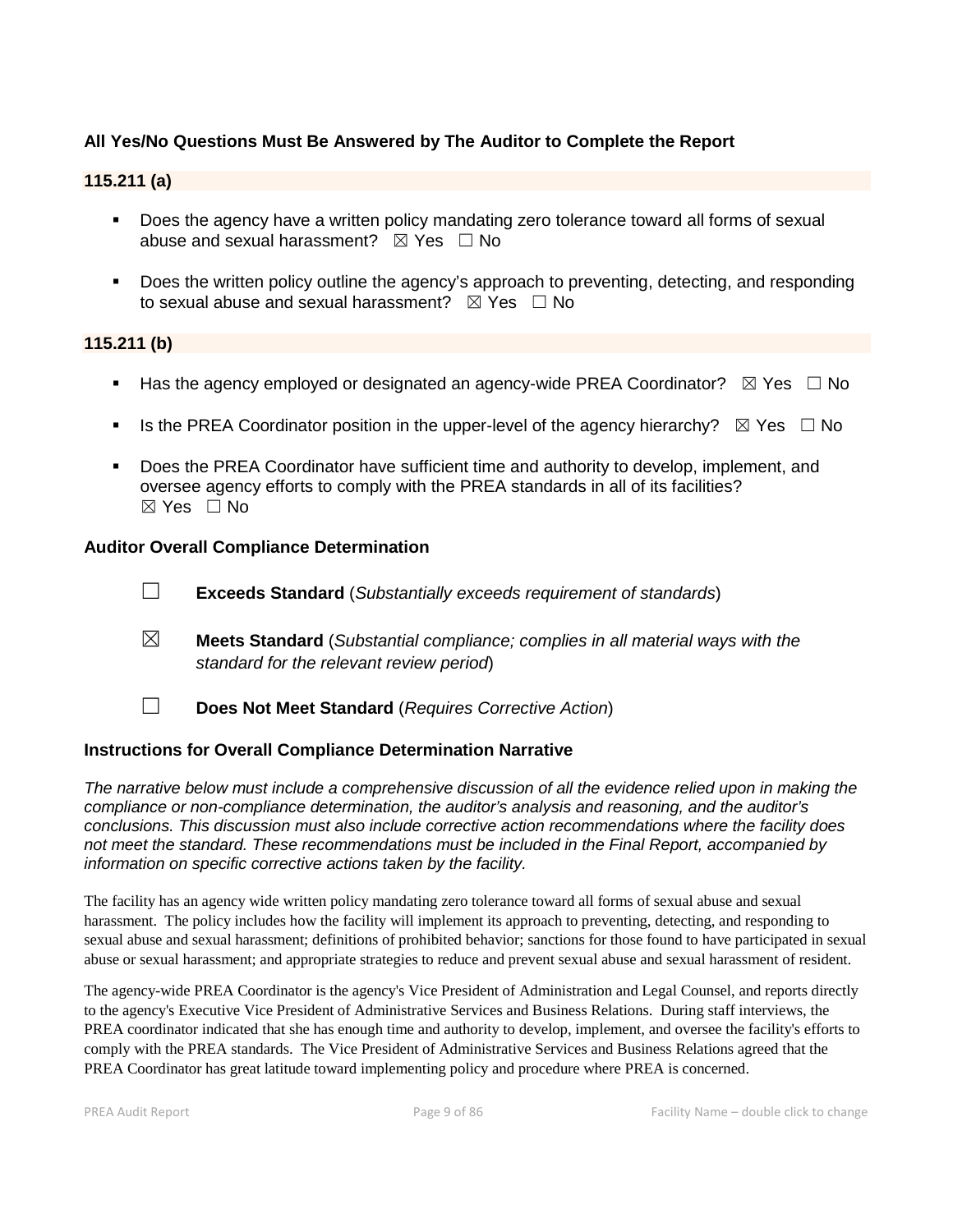# **All Yes/No Questions Must Be Answered by The Auditor to Complete the Report**

#### **115.211 (a)**

- **Does the agency have a written policy mandating zero tolerance toward all forms of sexual** abuse and sexual harassment?  $\boxtimes$  Yes  $\Box$  No
- **Does the written policy outline the agency's approach to preventing, detecting, and responding** to sexual abuse and sexual harassment?  $\boxtimes$  Yes  $\Box$  No

#### **115.211 (b)**

- **Has the agency employed or designated an agency-wide PREA Coordinator?**  $\boxtimes$  Yes  $\Box$  No
- Is the PREA Coordinator position in the upper-level of the agency hierarchy?  $\boxtimes$  Yes  $\Box$  No
- Does the PREA Coordinator have sufficient time and authority to develop, implement, and oversee agency efforts to comply with the PREA standards in all of its facilities? ☒ Yes ☐ No

#### **Auditor Overall Compliance Determination**

- ☐ **Exceeds Standard** (*Substantially exceeds requirement of standards*)
- ☒ **Meets Standard** (*Substantial compliance; complies in all material ways with the standard for the relevant review period*)
- ☐ **Does Not Meet Standard** (*Requires Corrective Action*)

#### **Instructions for Overall Compliance Determination Narrative**

*The narrative below must include a comprehensive discussion of all the evidence relied upon in making the compliance or non-compliance determination, the auditor's analysis and reasoning, and the auditor's conclusions. This discussion must also include corrective action recommendations where the facility does not meet the standard. These recommendations must be included in the Final Report, accompanied by information on specific corrective actions taken by the facility.*

The facility has an agency wide written policy mandating zero tolerance toward all forms of sexual abuse and sexual harassment. The policy includes how the facility will implement its approach to preventing, detecting, and responding to sexual abuse and sexual harassment; definitions of prohibited behavior; sanctions for those found to have participated in sexual abuse or sexual harassment; and appropriate strategies to reduce and prevent sexual abuse and sexual harassment of resident.

The agency-wide PREA Coordinator is the agency's Vice President of Administration and Legal Counsel, and reports directly to the agency's Executive Vice President of Administrative Services and Business Relations. During staff interviews, the PREA coordinator indicated that she has enough time and authority to develop, implement, and oversee the facility's efforts to comply with the PREA standards. The Vice President of Administrative Services and Business Relations agreed that the PREA Coordinator has great latitude toward implementing policy and procedure where PREA is concerned.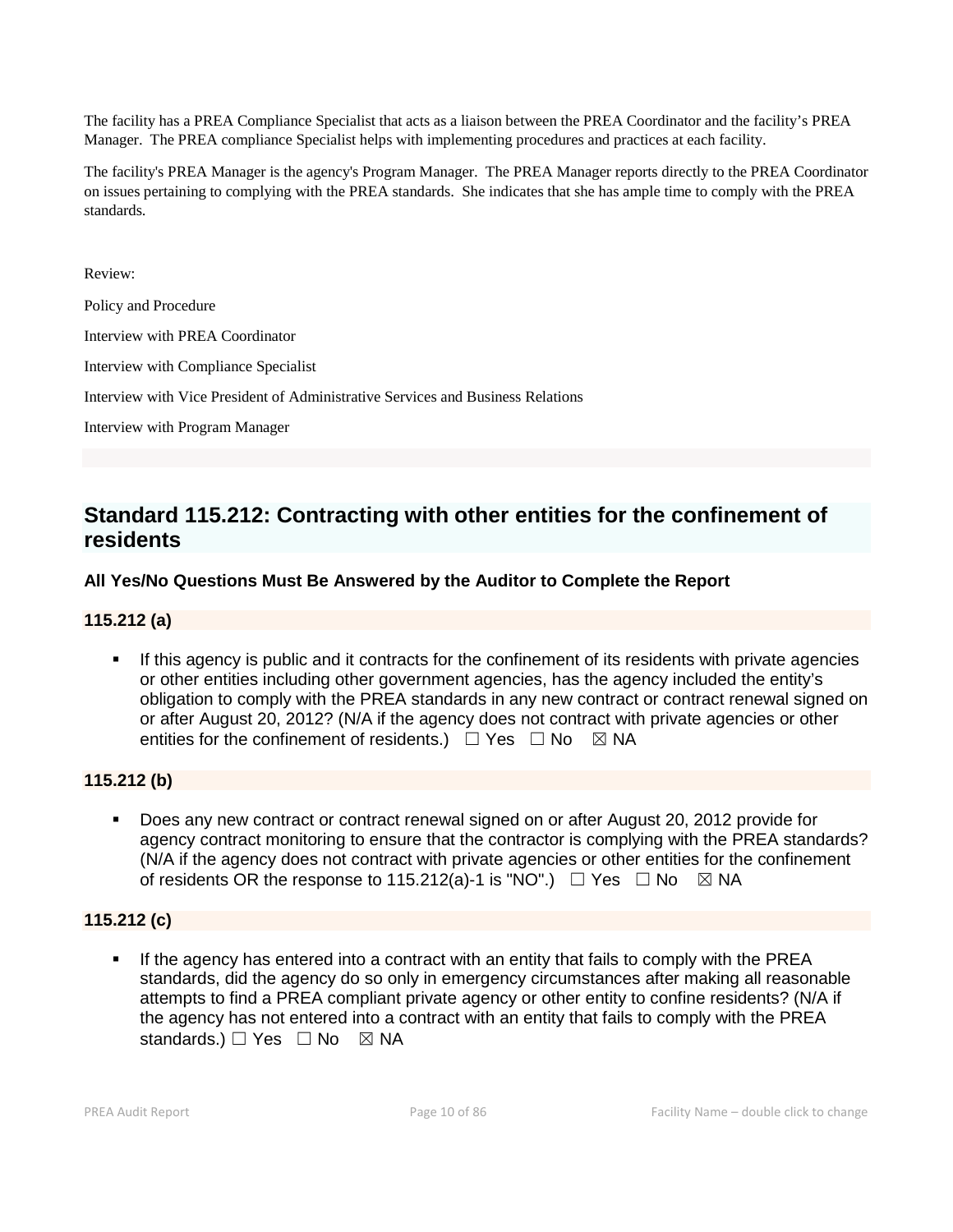The facility has a PREA Compliance Specialist that acts as a liaison between the PREA Coordinator and the facility's PREA Manager. The PREA compliance Specialist helps with implementing procedures and practices at each facility.

The facility's PREA Manager is the agency's Program Manager. The PREA Manager reports directly to the PREA Coordinator on issues pertaining to complying with the PREA standards. She indicates that she has ample time to comply with the PREA standards.

Review:

Policy and Procedure

Interview with PREA Coordinator

Interview with Compliance Specialist

Interview with Vice President of Administrative Services and Business Relations

Interview with Program Manager

# **Standard 115.212: Contracting with other entities for the confinement of residents**

## **All Yes/No Questions Must Be Answered by the Auditor to Complete the Report**

## **115.212 (a)**

 If this agency is public and it contracts for the confinement of its residents with private agencies or other entities including other government agencies, has the agency included the entity's obligation to comply with the PREA standards in any new contract or contract renewal signed on or after August 20, 2012? (N/A if the agency does not contract with private agencies or other entities for the confinement of residents.)  $\Box$  Yes  $\Box$  No  $\boxtimes$  NA

## **115.212 (b)**

 Does any new contract or contract renewal signed on or after August 20, 2012 provide for agency contract monitoring to ensure that the contractor is complying with the PREA standards? (N/A if the agency does not contract with private agencies or other entities for the confinement of residents OR the response to 115.212(a)-1 is "NO".)  $\Box$  Yes  $\Box$  No  $\boxtimes$  NA

## **115.212 (c)**

 If the agency has entered into a contract with an entity that fails to comply with the PREA standards, did the agency do so only in emergency circumstances after making all reasonable attempts to find a PREA compliant private agency or other entity to confine residents? (N/A if the agency has not entered into a contract with an entity that fails to comply with the PREA standards.)  $\Box$  Yes  $\Box$  No  $\boxtimes$  NA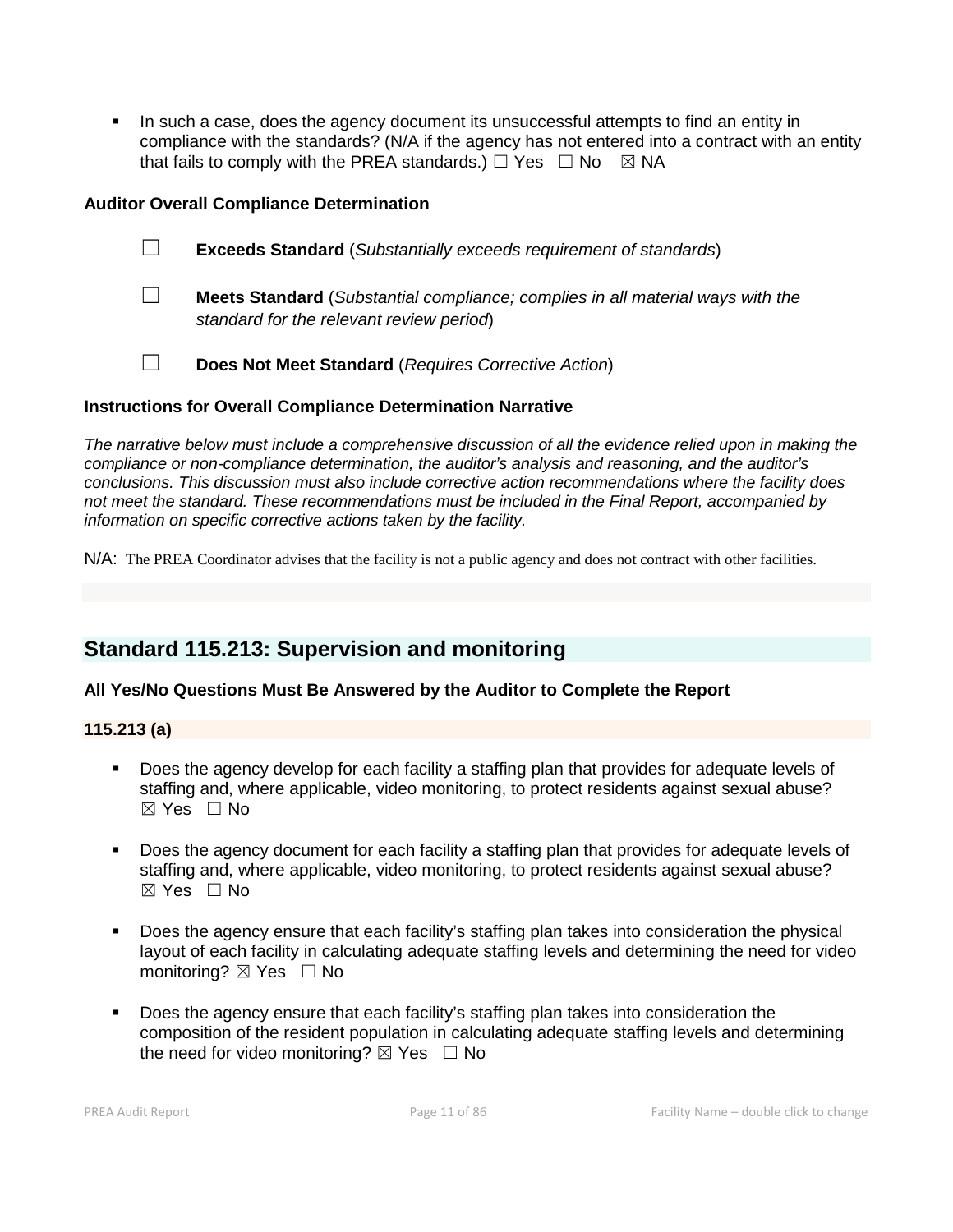In such a case, does the agency document its unsuccessful attempts to find an entity in compliance with the standards? (N/A if the agency has not entered into a contract with an entity that fails to comply with the PREA standards.)  $\Box$  Yes  $\Box$  No  $\boxtimes$  NA

## **Auditor Overall Compliance Determination**

- ☐ **Exceeds Standard** (*Substantially exceeds requirement of standards*)
- ☐ **Meets Standard** (*Substantial compliance; complies in all material ways with the standard for the relevant review period*)
- ☐ **Does Not Meet Standard** (*Requires Corrective Action*)

#### **Instructions for Overall Compliance Determination Narrative**

*The narrative below must include a comprehensive discussion of all the evidence relied upon in making the compliance or non-compliance determination, the auditor's analysis and reasoning, and the auditor's conclusions. This discussion must also include corrective action recommendations where the facility does not meet the standard. These recommendations must be included in the Final Report, accompanied by information on specific corrective actions taken by the facility.*

N/A: The PREA Coordinator advises that the facility is not a public agency and does not contract with other facilities.

# **Standard 115.213: Supervision and monitoring**

## **All Yes/No Questions Must Be Answered by the Auditor to Complete the Report**

#### **115.213 (a)**

- Does the agency develop for each facility a staffing plan that provides for adequate levels of staffing and, where applicable, video monitoring, to protect residents against sexual abuse?  $\boxtimes$  Yes  $\Box$  No
- Does the agency document for each facility a staffing plan that provides for adequate levels of staffing and, where applicable, video monitoring, to protect residents against sexual abuse? ☒ Yes ☐ No
- Does the agency ensure that each facility's staffing plan takes into consideration the physical layout of each facility in calculating adequate staffing levels and determining the need for video monitoring? ⊠ Yes □ No
- Does the agency ensure that each facility's staffing plan takes into consideration the composition of the resident population in calculating adequate staffing levels and determining the need for video monitoring?  $\boxtimes$  Yes  $\Box$  No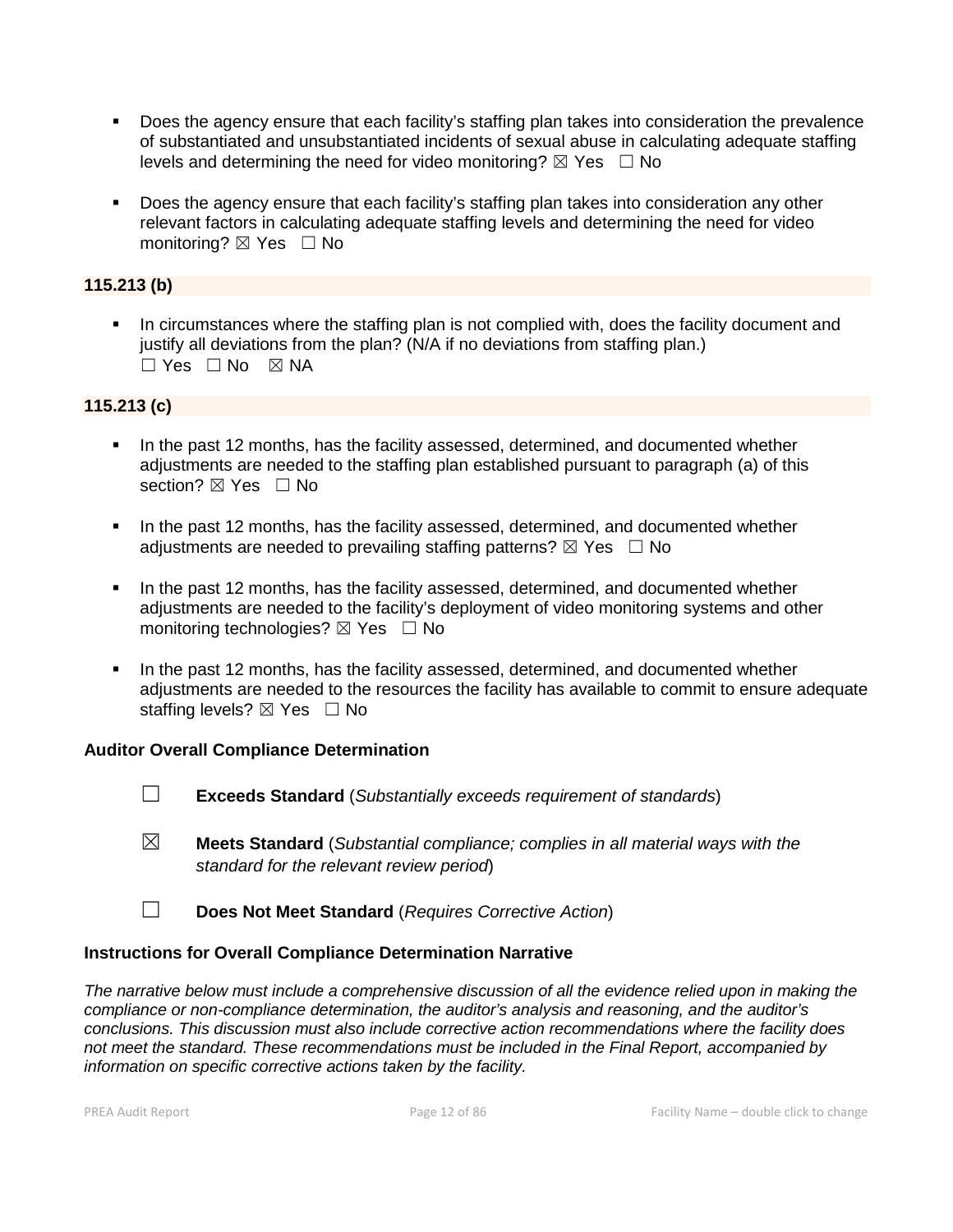- Does the agency ensure that each facility's staffing plan takes into consideration the prevalence of substantiated and unsubstantiated incidents of sexual abuse in calculating adequate staffing levels and determining the need for video monitoring?  $\boxtimes$  Yes  $\Box$  No
- Does the agency ensure that each facility's staffing plan takes into consideration any other relevant factors in calculating adequate staffing levels and determining the need for video monitoring? ⊠ Yes □ No

# **115.213 (b)**

 In circumstances where the staffing plan is not complied with, does the facility document and justify all deviations from the plan? (N/A if no deviations from staffing plan.)  $\Box$  Yes  $\Box$  No  $\boxtimes$  NA

## **115.213 (c)**

- In the past 12 months, has the facility assessed, determined, and documented whether adjustments are needed to the staffing plan established pursuant to paragraph (a) of this section? **⊠** Yes □ No
- In the past 12 months, has the facility assessed, determined, and documented whether adjustments are needed to prevailing staffing patterns?  $\boxtimes$  Yes  $\Box$  No
- In the past 12 months, has the facility assessed, determined, and documented whether adjustments are needed to the facility's deployment of video monitoring systems and other monitoring technologies? ⊠ Yes □ No
- In the past 12 months, has the facility assessed, determined, and documented whether adjustments are needed to the resources the facility has available to commit to ensure adequate staffing levels?  $\boxtimes$  Yes  $\Box$  No

# **Auditor Overall Compliance Determination**

- ☐ **Exceeds Standard** (*Substantially exceeds requirement of standards*)
- ☒ **Meets Standard** (*Substantial compliance; complies in all material ways with the standard for the relevant review period*)
- ☐ **Does Not Meet Standard** (*Requires Corrective Action*)

## **Instructions for Overall Compliance Determination Narrative**

*The narrative below must include a comprehensive discussion of all the evidence relied upon in making the compliance or non-compliance determination, the auditor's analysis and reasoning, and the auditor's conclusions. This discussion must also include corrective action recommendations where the facility does not meet the standard. These recommendations must be included in the Final Report, accompanied by information on specific corrective actions taken by the facility.*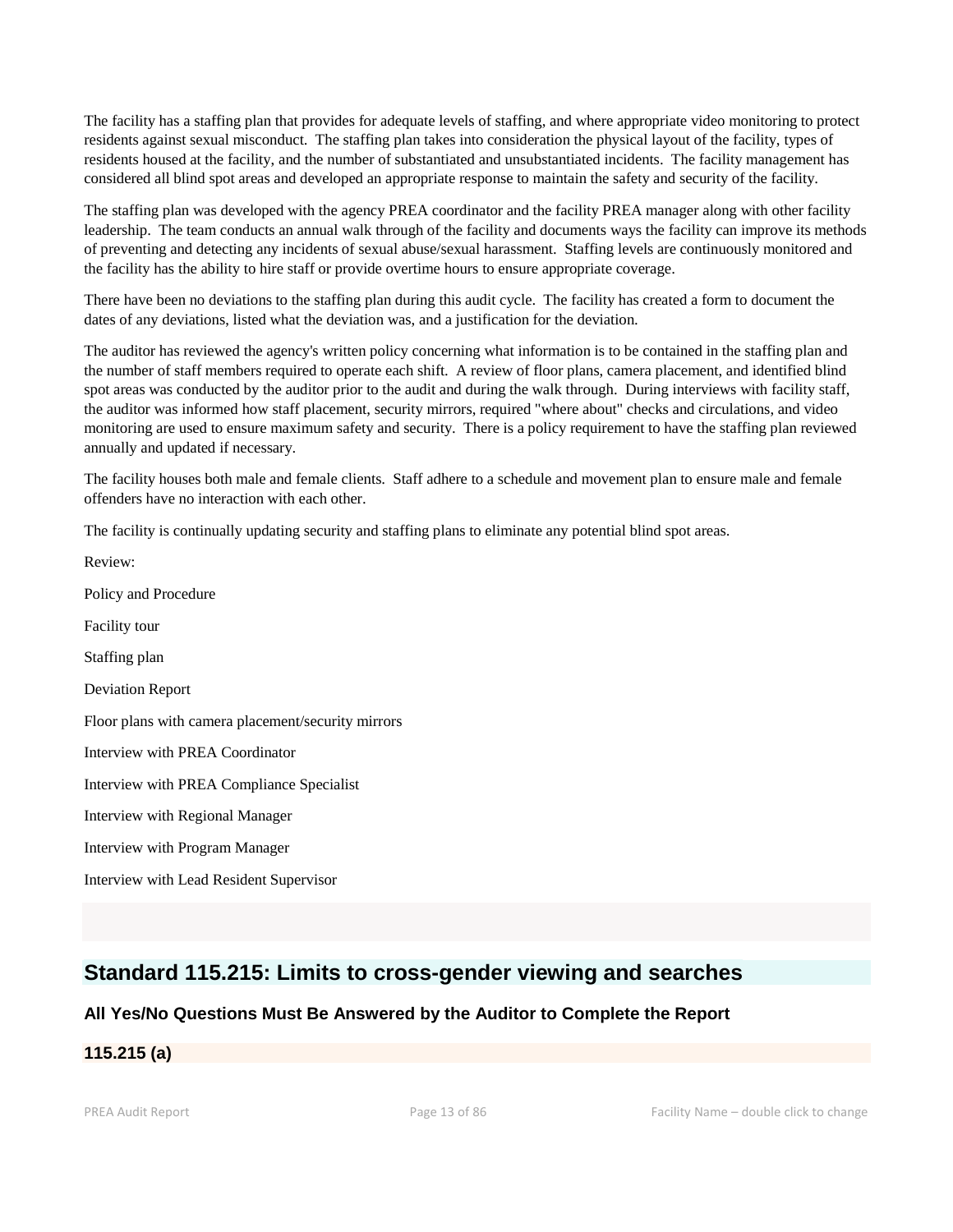The facility has a staffing plan that provides for adequate levels of staffing, and where appropriate video monitoring to protect residents against sexual misconduct. The staffing plan takes into consideration the physical layout of the facility, types of residents housed at the facility, and the number of substantiated and unsubstantiated incidents. The facility management has considered all blind spot areas and developed an appropriate response to maintain the safety and security of the facility.

The staffing plan was developed with the agency PREA coordinator and the facility PREA manager along with other facility leadership. The team conducts an annual walk through of the facility and documents ways the facility can improve its methods of preventing and detecting any incidents of sexual abuse/sexual harassment. Staffing levels are continuously monitored and the facility has the ability to hire staff or provide overtime hours to ensure appropriate coverage.

There have been no deviations to the staffing plan during this audit cycle. The facility has created a form to document the dates of any deviations, listed what the deviation was, and a justification for the deviation.

The auditor has reviewed the agency's written policy concerning what information is to be contained in the staffing plan and the number of staff members required to operate each shift. A review of floor plans, camera placement, and identified blind spot areas was conducted by the auditor prior to the audit and during the walk through. During interviews with facility staff, the auditor was informed how staff placement, security mirrors, required "where about" checks and circulations, and video monitoring are used to ensure maximum safety and security. There is a policy requirement to have the staffing plan reviewed annually and updated if necessary.

The facility houses both male and female clients. Staff adhere to a schedule and movement plan to ensure male and female offenders have no interaction with each other.

The facility is continually updating security and staffing plans to eliminate any potential blind spot areas.

Review: Policy and Procedure Facility tour Staffing plan Deviation Report Floor plans with camera placement/security mirrors Interview with PREA Coordinator Interview with PREA Compliance Specialist Interview with Regional Manager Interview with Program Manager Interview with Lead Resident Supervisor

# **Standard 115.215: Limits to cross-gender viewing and searches**

## **All Yes/No Questions Must Be Answered by the Auditor to Complete the Report**

# **115.215 (a)**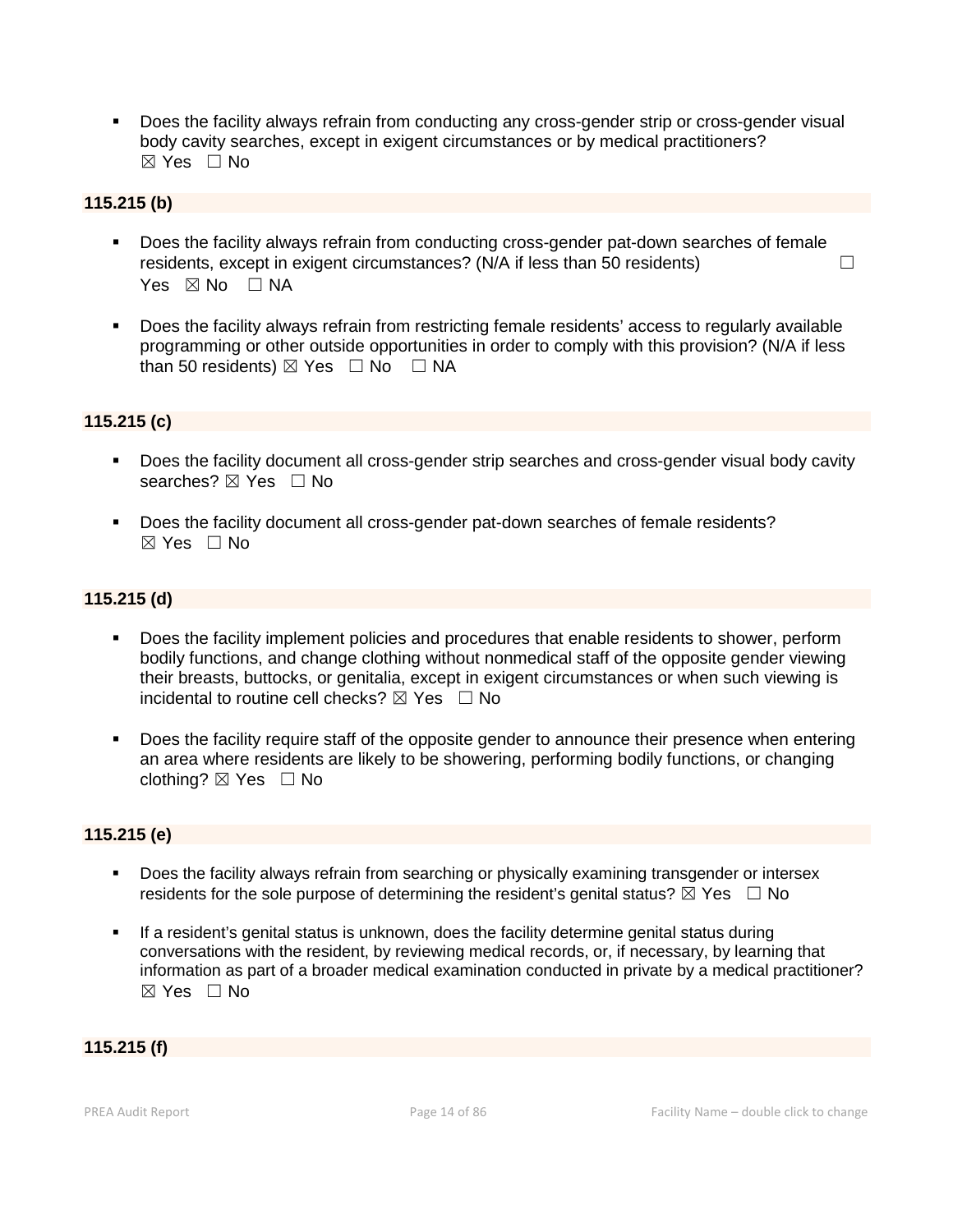Does the facility always refrain from conducting any cross-gender strip or cross-gender visual body cavity searches, except in exigent circumstances or by medical practitioners?  $\boxtimes$  Yes  $\Box$  No

#### **115.215 (b)**

- Does the facility always refrain from conducting cross-gender pat-down searches of female residents, except in exigent circumstances? ( $N/A$  if less than 50 residents)  $\Box$ Yes  $\boxtimes$  No  $\Box$  NA
- Does the facility always refrain from restricting female residents' access to regularly available programming or other outside opportunities in order to comply with this provision? (N/A if less than 50 residents)  $\boxtimes$  Yes  $\Box$  No  $\Box$  NA

#### **115.215 (c)**

- Does the facility document all cross-gender strip searches and cross-gender visual body cavity searches?  $\boxtimes$  Yes  $\Box$  No
- Does the facility document all cross-gender pat-down searches of female residents?  $\boxtimes$  Yes  $\Box$  No

#### **115.215 (d)**

- Does the facility implement policies and procedures that enable residents to shower, perform bodily functions, and change clothing without nonmedical staff of the opposite gender viewing their breasts, buttocks, or genitalia, except in exigent circumstances or when such viewing is incidental to routine cell checks?  $\boxtimes$  Yes  $\Box$  No
- Does the facility require staff of the opposite gender to announce their presence when entering an area where residents are likely to be showering, performing bodily functions, or changing clothing? ☒ Yes ☐ No

#### **115.215 (e)**

- Does the facility always refrain from searching or physically examining transgender or intersex residents for the sole purpose of determining the resident's genital status?  $\boxtimes$  Yes  $\Box$  No
- **If a resident's genital status is unknown, does the facility determine genital status during** conversations with the resident, by reviewing medical records, or, if necessary, by learning that information as part of a broader medical examination conducted in private by a medical practitioner? ☒ Yes ☐ No

## **115.215 (f)**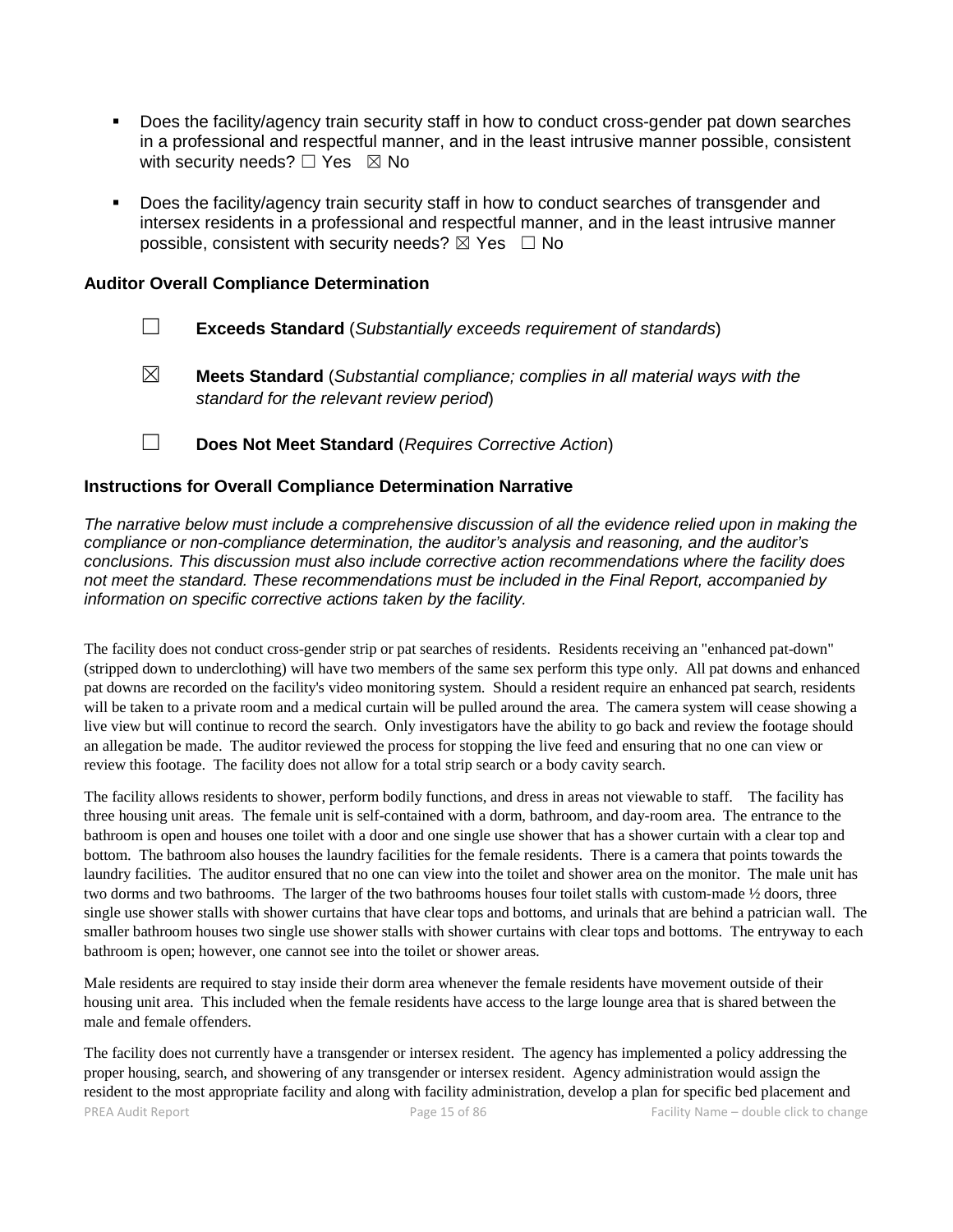- Does the facility/agency train security staff in how to conduct cross-gender pat down searches in a professional and respectful manner, and in the least intrusive manner possible, consistent with security needs?  $\Box$  Yes  $\boxtimes$  No
- Does the facility/agency train security staff in how to conduct searches of transgender and intersex residents in a professional and respectful manner, and in the least intrusive manner possible, consistent with security needs?  $\boxtimes$  Yes  $\Box$  No

#### **Auditor Overall Compliance Determination**

- ☐ **Exceeds Standard** (*Substantially exceeds requirement of standards*)
- ☒ **Meets Standard** (*Substantial compliance; complies in all material ways with the standard for the relevant review period*)
- ☐ **Does Not Meet Standard** (*Requires Corrective Action*)

#### **Instructions for Overall Compliance Determination Narrative**

*The narrative below must include a comprehensive discussion of all the evidence relied upon in making the compliance or non-compliance determination, the auditor's analysis and reasoning, and the auditor's conclusions. This discussion must also include corrective action recommendations where the facility does not meet the standard. These recommendations must be included in the Final Report, accompanied by information on specific corrective actions taken by the facility.*

The facility does not conduct cross-gender strip or pat searches of residents. Residents receiving an "enhanced pat-down" (stripped down to underclothing) will have two members of the same sex perform this type only. All pat downs and enhanced pat downs are recorded on the facility's video monitoring system. Should a resident require an enhanced pat search, residents will be taken to a private room and a medical curtain will be pulled around the area. The camera system will cease showing a live view but will continue to record the search. Only investigators have the ability to go back and review the footage should an allegation be made. The auditor reviewed the process for stopping the live feed and ensuring that no one can view or review this footage. The facility does not allow for a total strip search or a body cavity search.

The facility allows residents to shower, perform bodily functions, and dress in areas not viewable to staff. The facility has three housing unit areas. The female unit is self-contained with a dorm, bathroom, and day-room area. The entrance to the bathroom is open and houses one toilet with a door and one single use shower that has a shower curtain with a clear top and bottom. The bathroom also houses the laundry facilities for the female residents. There is a camera that points towards the laundry facilities. The auditor ensured that no one can view into the toilet and shower area on the monitor. The male unit has two dorms and two bathrooms. The larger of the two bathrooms houses four toilet stalls with custom-made ½ doors, three single use shower stalls with shower curtains that have clear tops and bottoms, and urinals that are behind a patrician wall. The smaller bathroom houses two single use shower stalls with shower curtains with clear tops and bottoms. The entryway to each bathroom is open; however, one cannot see into the toilet or shower areas.

Male residents are required to stay inside their dorm area whenever the female residents have movement outside of their housing unit area. This included when the female residents have access to the large lounge area that is shared between the male and female offenders.

PREA Audit Report **Page 15 of 86** Facility Name – double click to change 15 of 86 Facility Name – double click to change The facility does not currently have a transgender or intersex resident. The agency has implemented a policy addressing the proper housing, search, and showering of any transgender or intersex resident. Agency administration would assign the resident to the most appropriate facility and along with facility administration, develop a plan for specific bed placement and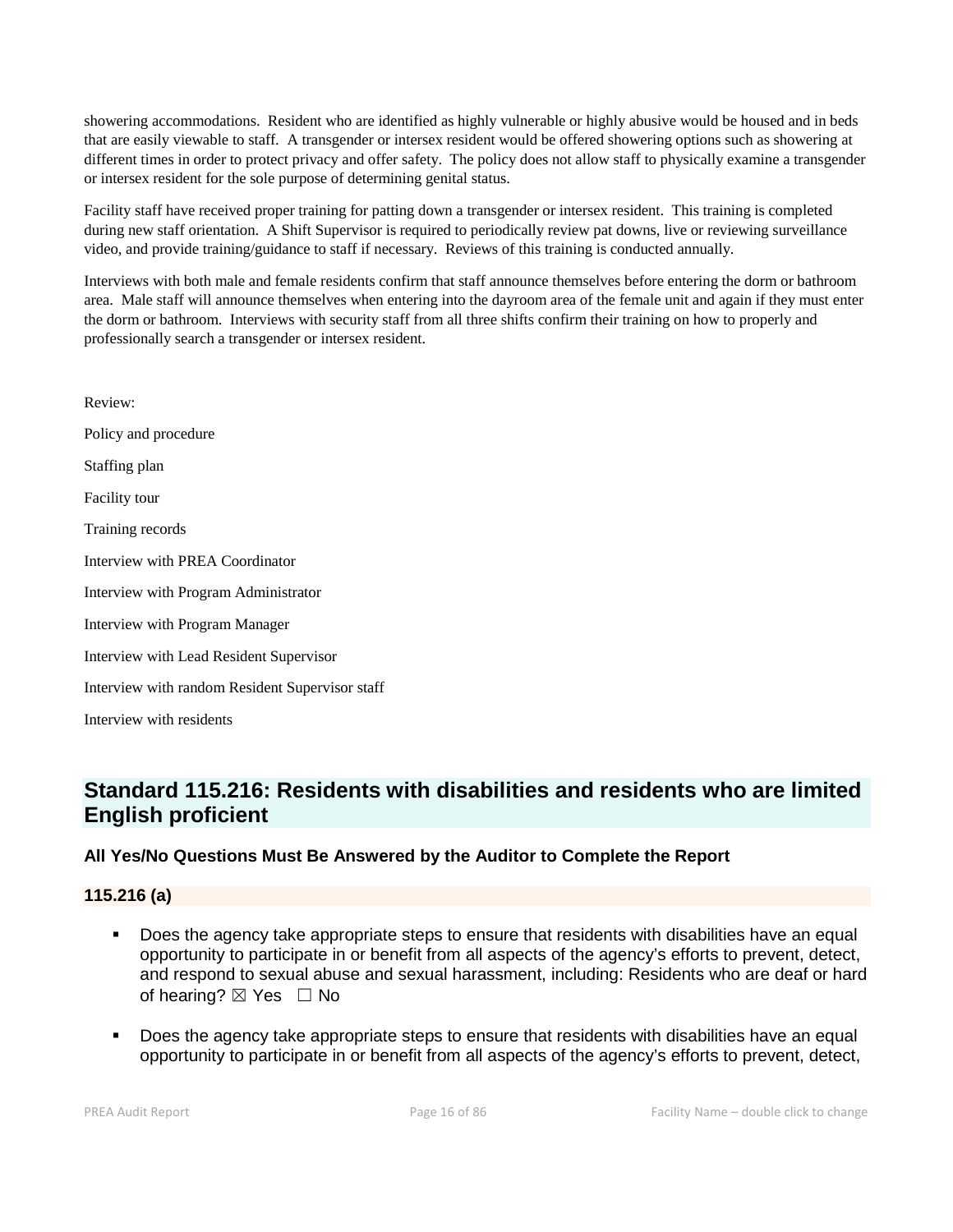showering accommodations. Resident who are identified as highly vulnerable or highly abusive would be housed and in beds that are easily viewable to staff. A transgender or intersex resident would be offered showering options such as showering at different times in order to protect privacy and offer safety. The policy does not allow staff to physically examine a transgender or intersex resident for the sole purpose of determining genital status.

Facility staff have received proper training for patting down a transgender or intersex resident. This training is completed during new staff orientation. A Shift Supervisor is required to periodically review pat downs, live or reviewing surveillance video, and provide training/guidance to staff if necessary. Reviews of this training is conducted annually.

Interviews with both male and female residents confirm that staff announce themselves before entering the dorm or bathroom area. Male staff will announce themselves when entering into the dayroom area of the female unit and again if they must enter the dorm or bathroom. Interviews with security staff from all three shifts confirm their training on how to properly and professionally search a transgender or intersex resident.

Review: Policy and procedure Staffing plan Facility tour Training records Interview with PREA Coordinator Interview with Program Administrator Interview with Program Manager Interview with Lead Resident Supervisor Interview with random Resident Supervisor staff Interview with residents

# **Standard 115.216: Residents with disabilities and residents who are limited English proficient**

## **All Yes/No Questions Must Be Answered by the Auditor to Complete the Report**

## **115.216 (a)**

- Does the agency take appropriate steps to ensure that residents with disabilities have an equal opportunity to participate in or benefit from all aspects of the agency's efforts to prevent, detect, and respond to sexual abuse and sexual harassment, including: Residents who are deaf or hard of hearing? ⊠ Yes □ No
- Does the agency take appropriate steps to ensure that residents with disabilities have an equal opportunity to participate in or benefit from all aspects of the agency's efforts to prevent, detect,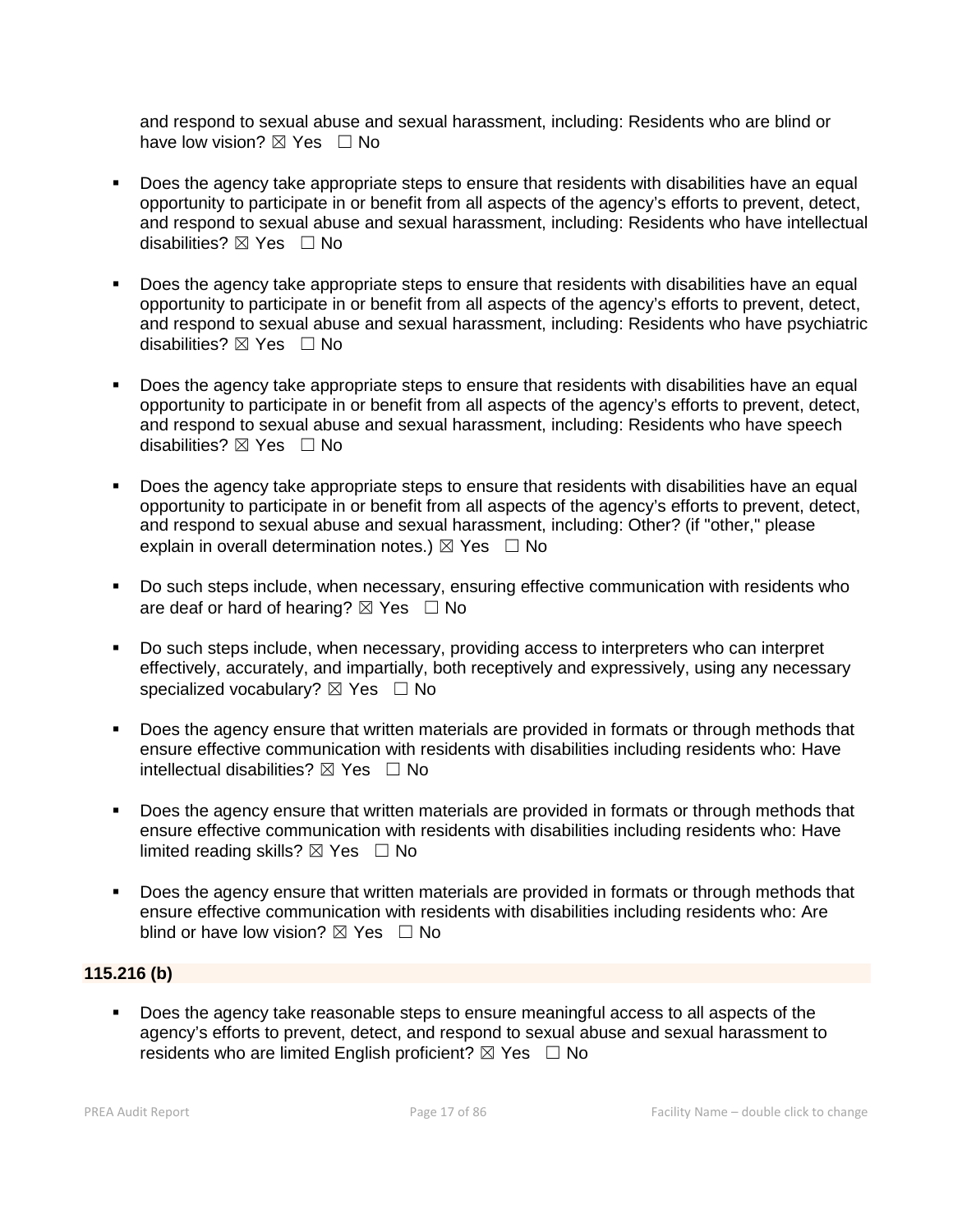and respond to sexual abuse and sexual harassment, including: Residents who are blind or have low vision?  $\boxtimes$  Yes  $\Box$  No

- Does the agency take appropriate steps to ensure that residents with disabilities have an equal opportunity to participate in or benefit from all aspects of the agency's efforts to prevent, detect, and respond to sexual abuse and sexual harassment, including: Residents who have intellectual disabilities?  $\boxtimes$  Yes  $\Box$  No
- Does the agency take appropriate steps to ensure that residents with disabilities have an equal opportunity to participate in or benefit from all aspects of the agency's efforts to prevent, detect, and respond to sexual abuse and sexual harassment, including: Residents who have psychiatric disabilities?  $\boxtimes$  Yes  $\Box$  No
- Does the agency take appropriate steps to ensure that residents with disabilities have an equal opportunity to participate in or benefit from all aspects of the agency's efforts to prevent, detect, and respond to sexual abuse and sexual harassment, including: Residents who have speech disabilities?  $\boxtimes$  Yes  $\Box$  No
- Does the agency take appropriate steps to ensure that residents with disabilities have an equal opportunity to participate in or benefit from all aspects of the agency's efforts to prevent, detect, and respond to sexual abuse and sexual harassment, including: Other? (if "other," please explain in overall determination notes.)  $\boxtimes$  Yes  $\Box$  No
- Do such steps include, when necessary, ensuring effective communication with residents who are deaf or hard of hearing?  $\boxtimes$  Yes  $\Box$  No
- Do such steps include, when necessary, providing access to interpreters who can interpret effectively, accurately, and impartially, both receptively and expressively, using any necessary specialized vocabulary?  $\boxtimes$  Yes  $\Box$  No
- Does the agency ensure that written materials are provided in formats or through methods that ensure effective communication with residents with disabilities including residents who: Have intellectual disabilities?  $\boxtimes$  Yes  $\Box$  No
- Does the agency ensure that written materials are provided in formats or through methods that ensure effective communication with residents with disabilities including residents who: Have limited reading skills?  $\boxtimes$  Yes  $\Box$  No
- Does the agency ensure that written materials are provided in formats or through methods that ensure effective communication with residents with disabilities including residents who: Are blind or have low vision?  $\boxtimes$  Yes  $\Box$  No

## **115.216 (b)**

 Does the agency take reasonable steps to ensure meaningful access to all aspects of the agency's efforts to prevent, detect, and respond to sexual abuse and sexual harassment to residents who are limited English proficient?  $\boxtimes$  Yes  $\Box$  No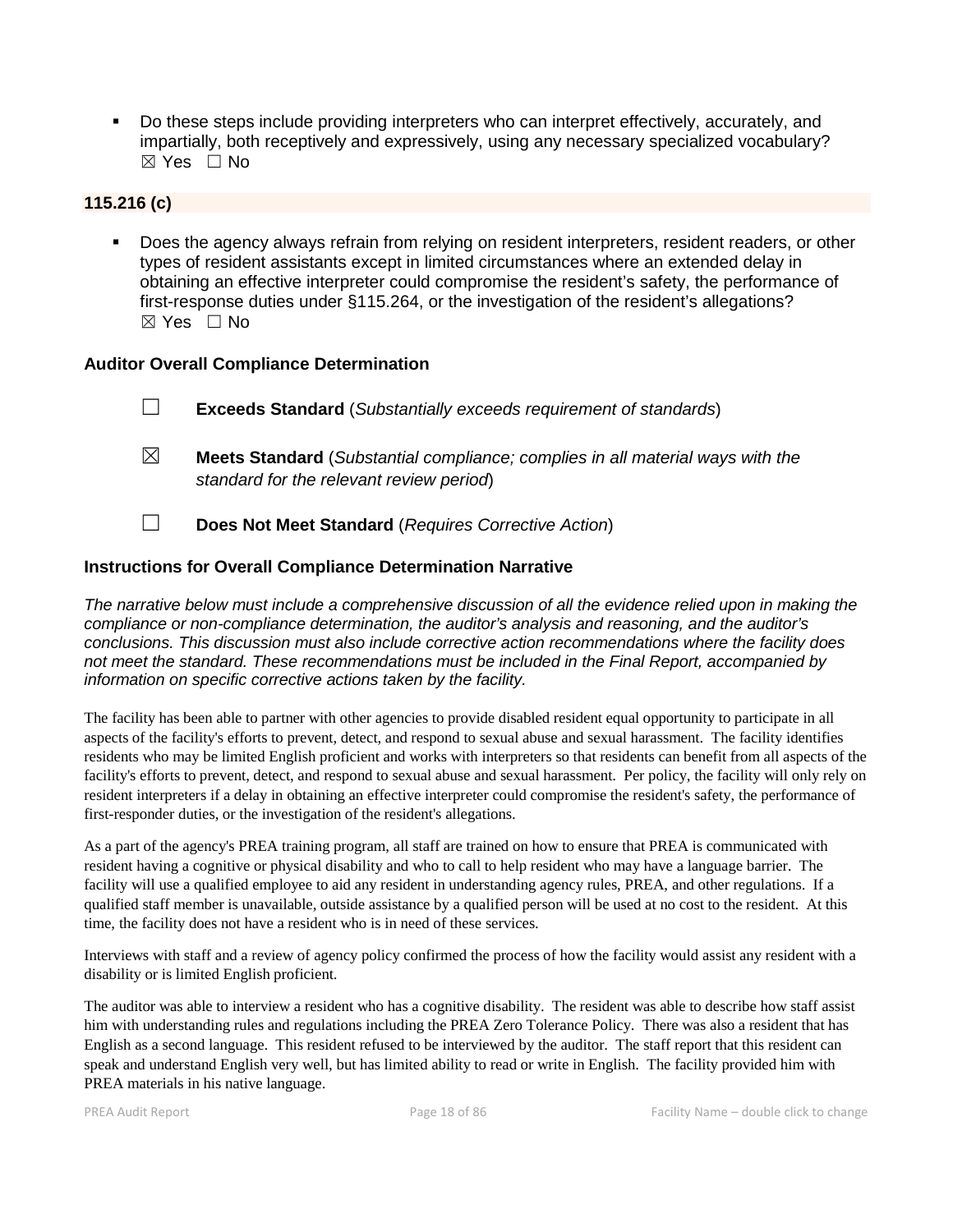Do these steps include providing interpreters who can interpret effectively, accurately, and impartially, both receptively and expressively, using any necessary specialized vocabulary?  $\boxtimes$  Yes  $\Box$  No

#### **115.216 (c)**

 Does the agency always refrain from relying on resident interpreters, resident readers, or other types of resident assistants except in limited circumstances where an extended delay in obtaining an effective interpreter could compromise the resident's safety, the performance of first-response duties under §115.264, or the investigation of the resident's allegations?  $\boxtimes$  Yes  $\Box$  No

#### **Auditor Overall Compliance Determination**

- ☐ **Exceeds Standard** (*Substantially exceeds requirement of standards*)
- ☒ **Meets Standard** (*Substantial compliance; complies in all material ways with the standard for the relevant review period*)
- ☐ **Does Not Meet Standard** (*Requires Corrective Action*)

## **Instructions for Overall Compliance Determination Narrative**

*The narrative below must include a comprehensive discussion of all the evidence relied upon in making the compliance or non-compliance determination, the auditor's analysis and reasoning, and the auditor's conclusions. This discussion must also include corrective action recommendations where the facility does not meet the standard. These recommendations must be included in the Final Report, accompanied by information on specific corrective actions taken by the facility.*

The facility has been able to partner with other agencies to provide disabled resident equal opportunity to participate in all aspects of the facility's efforts to prevent, detect, and respond to sexual abuse and sexual harassment. The facility identifies residents who may be limited English proficient and works with interpreters so that residents can benefit from all aspects of the facility's efforts to prevent, detect, and respond to sexual abuse and sexual harassment. Per policy, the facility will only rely on resident interpreters if a delay in obtaining an effective interpreter could compromise the resident's safety, the performance of first-responder duties, or the investigation of the resident's allegations.

As a part of the agency's PREA training program, all staff are trained on how to ensure that PREA is communicated with resident having a cognitive or physical disability and who to call to help resident who may have a language barrier. The facility will use a qualified employee to aid any resident in understanding agency rules, PREA, and other regulations. If a qualified staff member is unavailable, outside assistance by a qualified person will be used at no cost to the resident. At this time, the facility does not have a resident who is in need of these services.

Interviews with staff and a review of agency policy confirmed the process of how the facility would assist any resident with a disability or is limited English proficient.

The auditor was able to interview a resident who has a cognitive disability. The resident was able to describe how staff assist him with understanding rules and regulations including the PREA Zero Tolerance Policy. There was also a resident that has English as a second language. This resident refused to be interviewed by the auditor. The staff report that this resident can speak and understand English very well, but has limited ability to read or write in English. The facility provided him with PREA materials in his native language.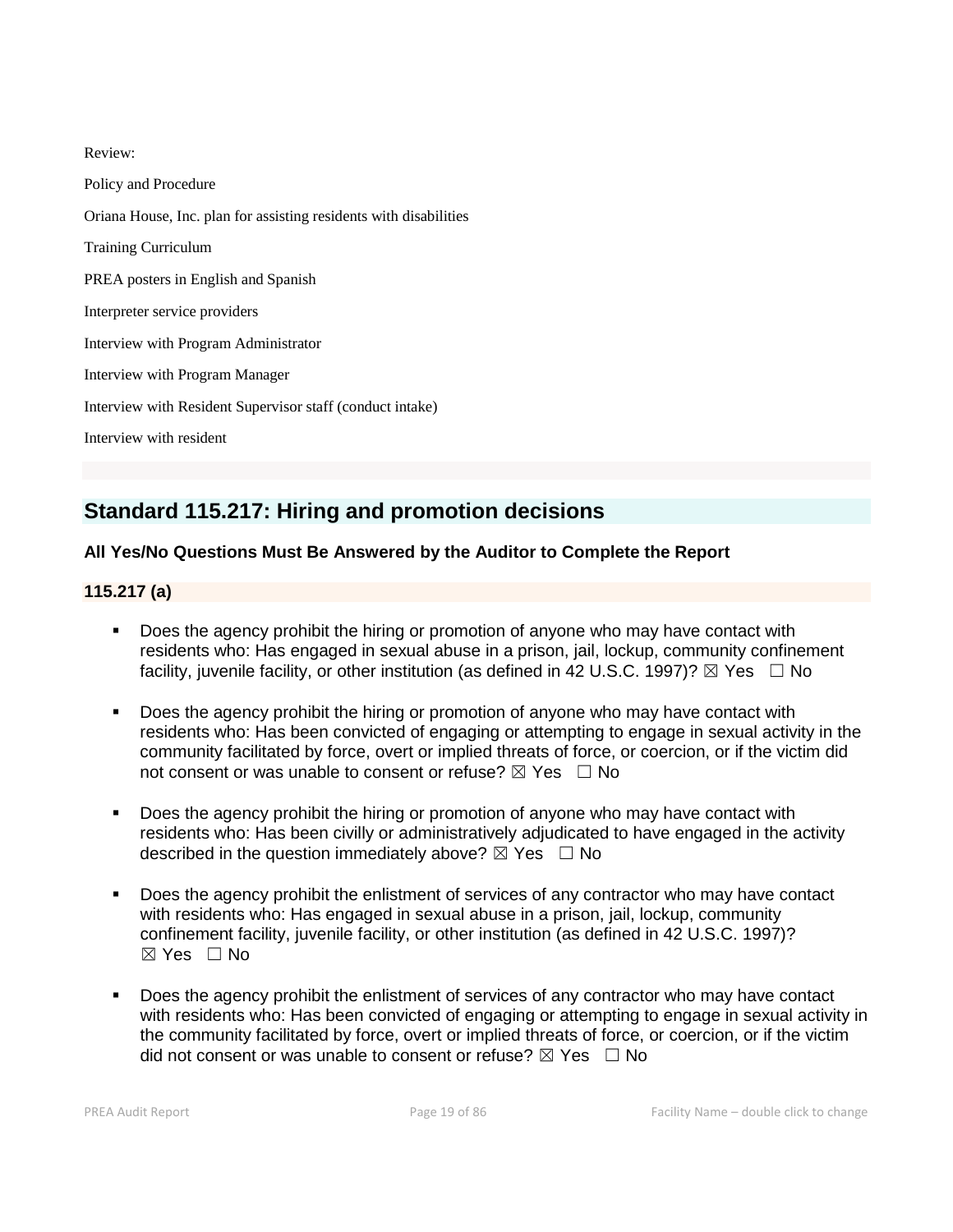Review: Policy and Procedure Oriana House, Inc. plan for assisting residents with disabilities Training Curriculum PREA posters in English and Spanish Interpreter service providers Interview with Program Administrator Interview with Program Manager Interview with Resident Supervisor staff (conduct intake) Interview with resident

# **Standard 115.217: Hiring and promotion decisions**

# **All Yes/No Questions Must Be Answered by the Auditor to Complete the Report**

# **115.217 (a)**

- Does the agency prohibit the hiring or promotion of anyone who may have contact with residents who: Has engaged in sexual abuse in a prison, jail, lockup, community confinement facility, juvenile facility, or other institution (as defined in 42 U.S.C. 1997)?  $\boxtimes$  Yes  $\Box$  No
- Does the agency prohibit the hiring or promotion of anyone who may have contact with residents who: Has been convicted of engaging or attempting to engage in sexual activity in the community facilitated by force, overt or implied threats of force, or coercion, or if the victim did not consent or was unable to consent or refuse?  $\boxtimes$  Yes  $\Box$  No
- Does the agency prohibit the hiring or promotion of anyone who may have contact with residents who: Has been civilly or administratively adjudicated to have engaged in the activity described in the question immediately above?  $\boxtimes$  Yes  $\Box$  No
- Does the agency prohibit the enlistment of services of any contractor who may have contact with residents who: Has engaged in sexual abuse in a prison, jail, lockup, community confinement facility, juvenile facility, or other institution (as defined in 42 U.S.C. 1997)?  $\boxtimes$  Yes  $\Box$  No
- Does the agency prohibit the enlistment of services of any contractor who may have contact with residents who: Has been convicted of engaging or attempting to engage in sexual activity in the community facilitated by force, overt or implied threats of force, or coercion, or if the victim did not consent or was unable to consent or refuse?  $\boxtimes$  Yes  $\Box$  No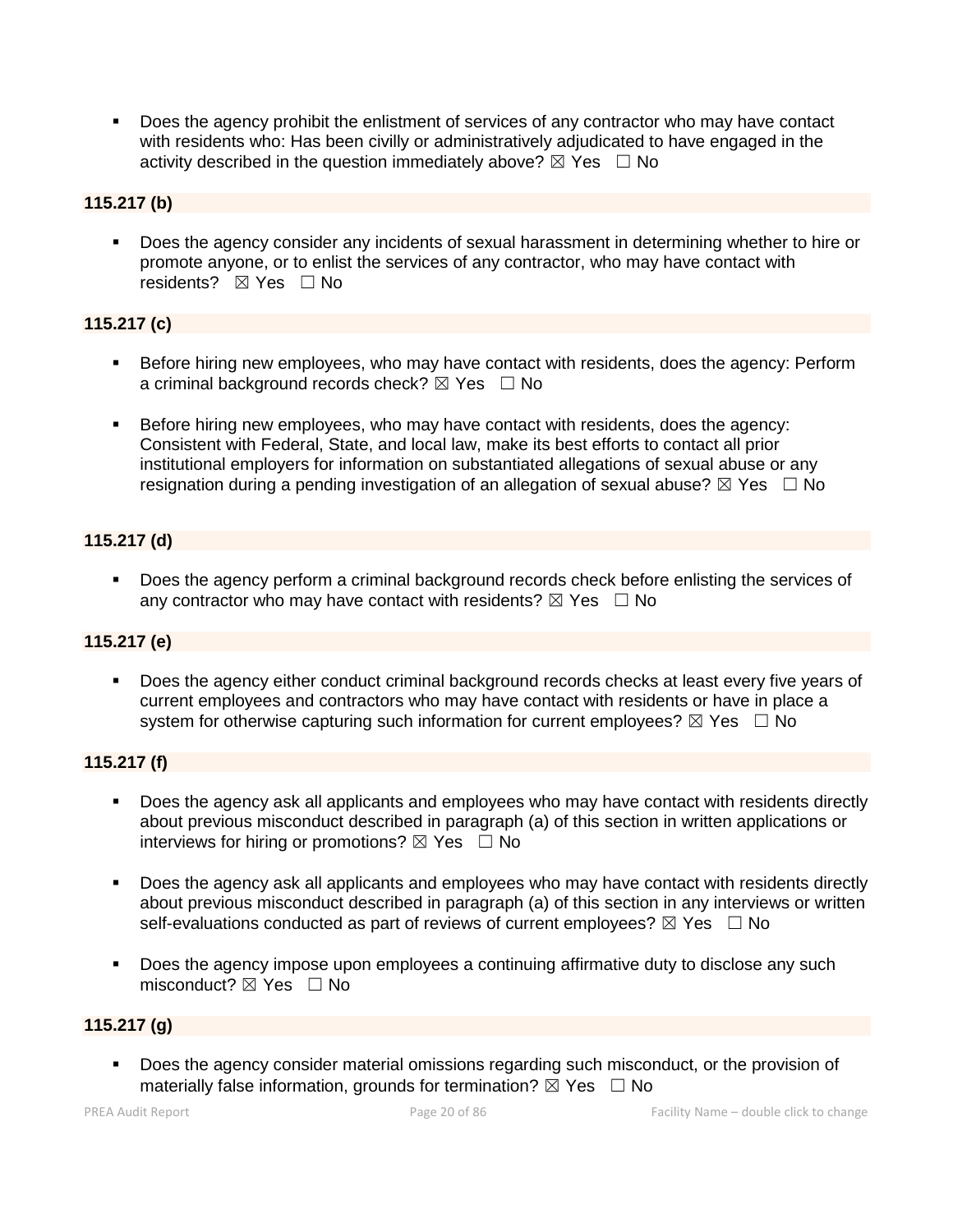Does the agency prohibit the enlistment of services of any contractor who may have contact with residents who: Has been civilly or administratively adjudicated to have engaged in the activity described in the question immediately above?  $\boxtimes$  Yes  $\Box$  No

# **115.217 (b)**

 Does the agency consider any incidents of sexual harassment in determining whether to hire or promote anyone, or to enlist the services of any contractor, who may have contact with residents? ⊠ Yes □ No

# **115.217 (c)**

- Before hiring new employees, who may have contact with residents, does the agency: Perform a criminal background records check?  $\boxtimes$  Yes  $\Box$  No
- Before hiring new employees, who may have contact with residents, does the agency: Consistent with Federal, State, and local law, make its best efforts to contact all prior institutional employers for information on substantiated allegations of sexual abuse or any resignation during a pending investigation of an allegation of sexual abuse?  $\boxtimes$  Yes  $\Box$  No

# **115.217 (d)**

Does the agency perform a criminal background records check before enlisting the services of any contractor who may have contact with residents?  $\boxtimes$  Yes  $\Box$  No

# **115.217 (e)**

 Does the agency either conduct criminal background records checks at least every five years of current employees and contractors who may have contact with residents or have in place a system for otherwise capturing such information for current employees?  $\boxtimes$  Yes  $\Box$  No

## **115.217 (f)**

- Does the agency ask all applicants and employees who may have contact with residents directly about previous misconduct described in paragraph (a) of this section in written applications or interviews for hiring or promotions?  $\boxtimes$  Yes  $\Box$  No
- Does the agency ask all applicants and employees who may have contact with residents directly about previous misconduct described in paragraph (a) of this section in any interviews or written self-evaluations conducted as part of reviews of current employees?  $\boxtimes$  Yes  $\Box$  No
- Does the agency impose upon employees a continuing affirmative duty to disclose any such misconduct?  $\boxtimes$  Yes  $\Box$  No

## **115.217 (g)**

 Does the agency consider material omissions regarding such misconduct, or the provision of materially false information, grounds for termination?  $\boxtimes$  Yes  $\Box$  No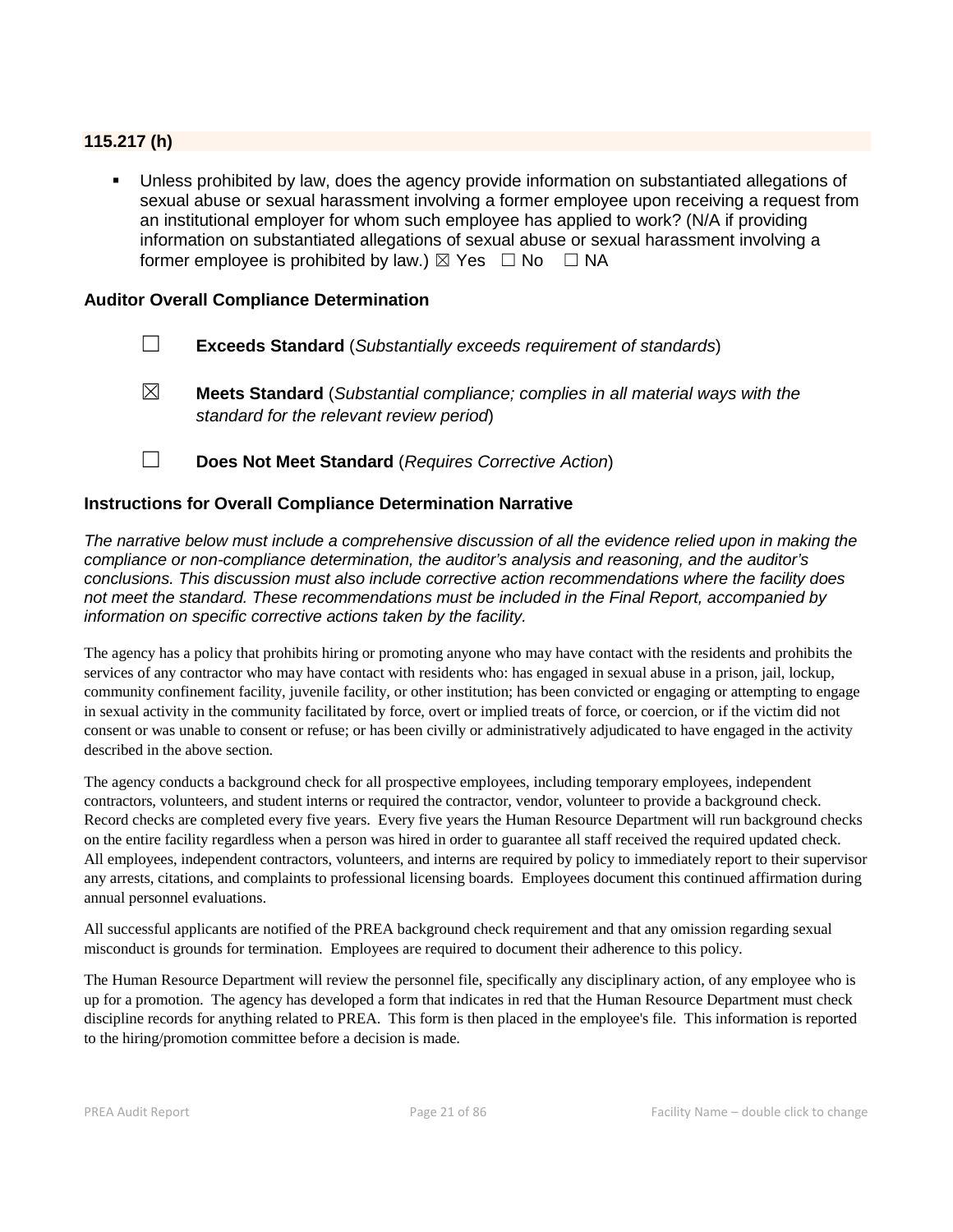# **115.217 (h)**

 Unless prohibited by law, does the agency provide information on substantiated allegations of sexual abuse or sexual harassment involving a former employee upon receiving a request from an institutional employer for whom such employee has applied to work? (N/A if providing information on substantiated allegations of sexual abuse or sexual harassment involving a former employee is prohibited by law.)  $\boxtimes$  Yes  $\Box$  No  $\Box$  NA

#### **Auditor Overall Compliance Determination**

- ☐ **Exceeds Standard** (*Substantially exceeds requirement of standards*)
- ☒ **Meets Standard** (*Substantial compliance; complies in all material ways with the standard for the relevant review period*)
- ☐ **Does Not Meet Standard** (*Requires Corrective Action*)

#### **Instructions for Overall Compliance Determination Narrative**

*The narrative below must include a comprehensive discussion of all the evidence relied upon in making the compliance or non-compliance determination, the auditor's analysis and reasoning, and the auditor's conclusions. This discussion must also include corrective action recommendations where the facility does not meet the standard. These recommendations must be included in the Final Report, accompanied by information on specific corrective actions taken by the facility.*

The agency has a policy that prohibits hiring or promoting anyone who may have contact with the residents and prohibits the services of any contractor who may have contact with residents who: has engaged in sexual abuse in a prison, jail, lockup, community confinement facility, juvenile facility, or other institution; has been convicted or engaging or attempting to engage in sexual activity in the community facilitated by force, overt or implied treats of force, or coercion, or if the victim did not consent or was unable to consent or refuse; or has been civilly or administratively adjudicated to have engaged in the activity described in the above section.

The agency conducts a background check for all prospective employees, including temporary employees, independent contractors, volunteers, and student interns or required the contractor, vendor, volunteer to provide a background check. Record checks are completed every five years. Every five years the Human Resource Department will run background checks on the entire facility regardless when a person was hired in order to guarantee all staff received the required updated check. All employees, independent contractors, volunteers, and interns are required by policy to immediately report to their supervisor any arrests, citations, and complaints to professional licensing boards. Employees document this continued affirmation during annual personnel evaluations.

All successful applicants are notified of the PREA background check requirement and that any omission regarding sexual misconduct is grounds for termination. Employees are required to document their adherence to this policy.

The Human Resource Department will review the personnel file, specifically any disciplinary action, of any employee who is up for a promotion. The agency has developed a form that indicates in red that the Human Resource Department must check discipline records for anything related to PREA. This form is then placed in the employee's file. This information is reported to the hiring/promotion committee before a decision is made.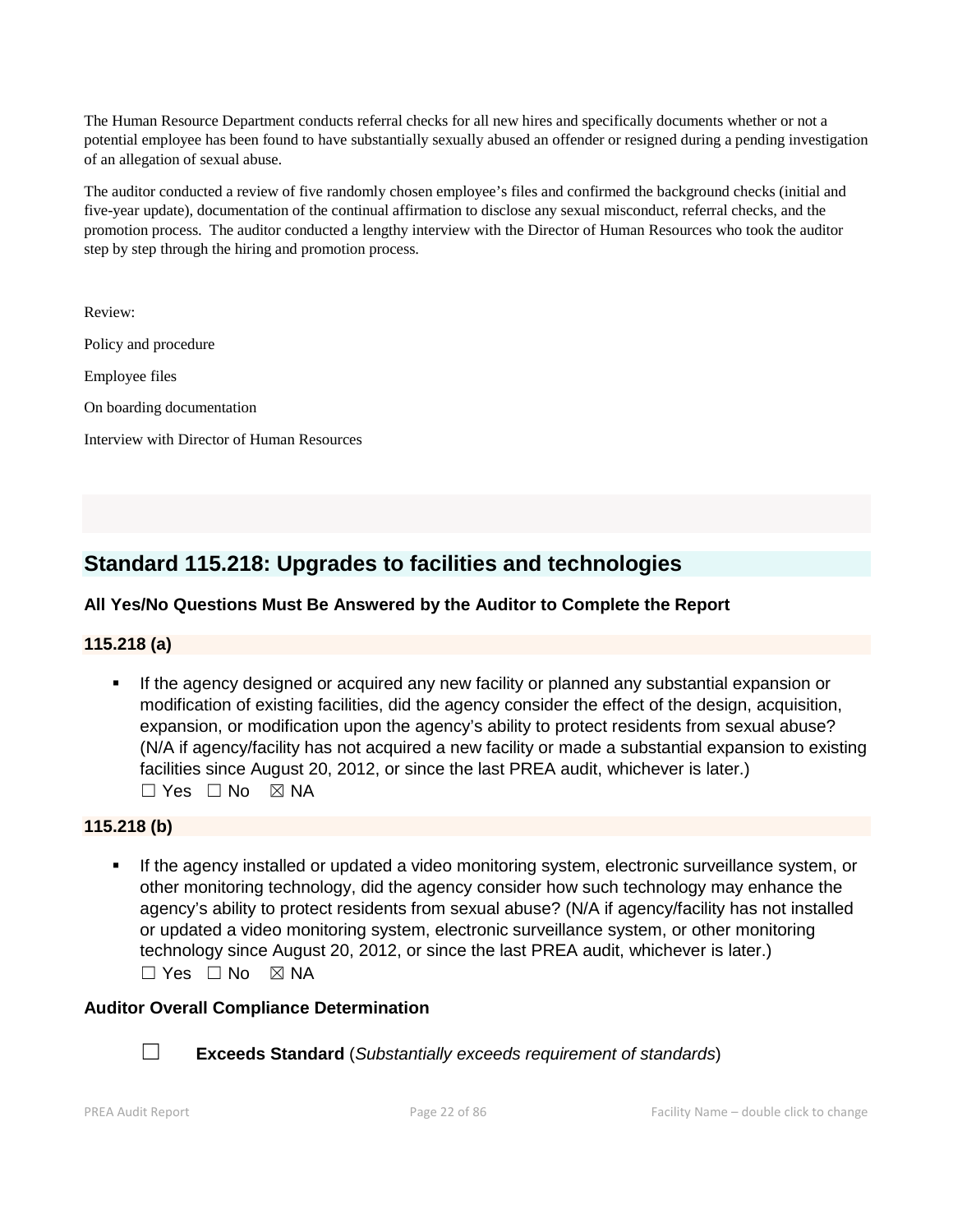The Human Resource Department conducts referral checks for all new hires and specifically documents whether or not a potential employee has been found to have substantially sexually abused an offender or resigned during a pending investigation of an allegation of sexual abuse.

The auditor conducted a review of five randomly chosen employee's files and confirmed the background checks (initial and five-year update), documentation of the continual affirmation to disclose any sexual misconduct, referral checks, and the promotion process. The auditor conducted a lengthy interview with the Director of Human Resources who took the auditor step by step through the hiring and promotion process.

Review:

Policy and procedure

Employee files

On boarding documentation

Interview with Director of Human Resources

# **Standard 115.218: Upgrades to facilities and technologies**

# **All Yes/No Questions Must Be Answered by the Auditor to Complete the Report**

## **115.218 (a)**

 If the agency designed or acquired any new facility or planned any substantial expansion or modification of existing facilities, did the agency consider the effect of the design, acquisition, expansion, or modification upon the agency's ability to protect residents from sexual abuse? (N/A if agency/facility has not acquired a new facility or made a substantial expansion to existing facilities since August 20, 2012, or since the last PREA audit, whichever is later.)  $\Box$  Yes  $\Box$  No  $\boxtimes$  NA

## **115.218 (b)**

 If the agency installed or updated a video monitoring system, electronic surveillance system, or other monitoring technology, did the agency consider how such technology may enhance the agency's ability to protect residents from sexual abuse? (N/A if agency/facility has not installed or updated a video monitoring system, electronic surveillance system, or other monitoring technology since August 20, 2012, or since the last PREA audit, whichever is later.)  $\Box$  Yes  $\Box$  No  $\boxtimes$  NA

#### **Auditor Overall Compliance Determination**



☐ **Exceeds Standard** (*Substantially exceeds requirement of standards*)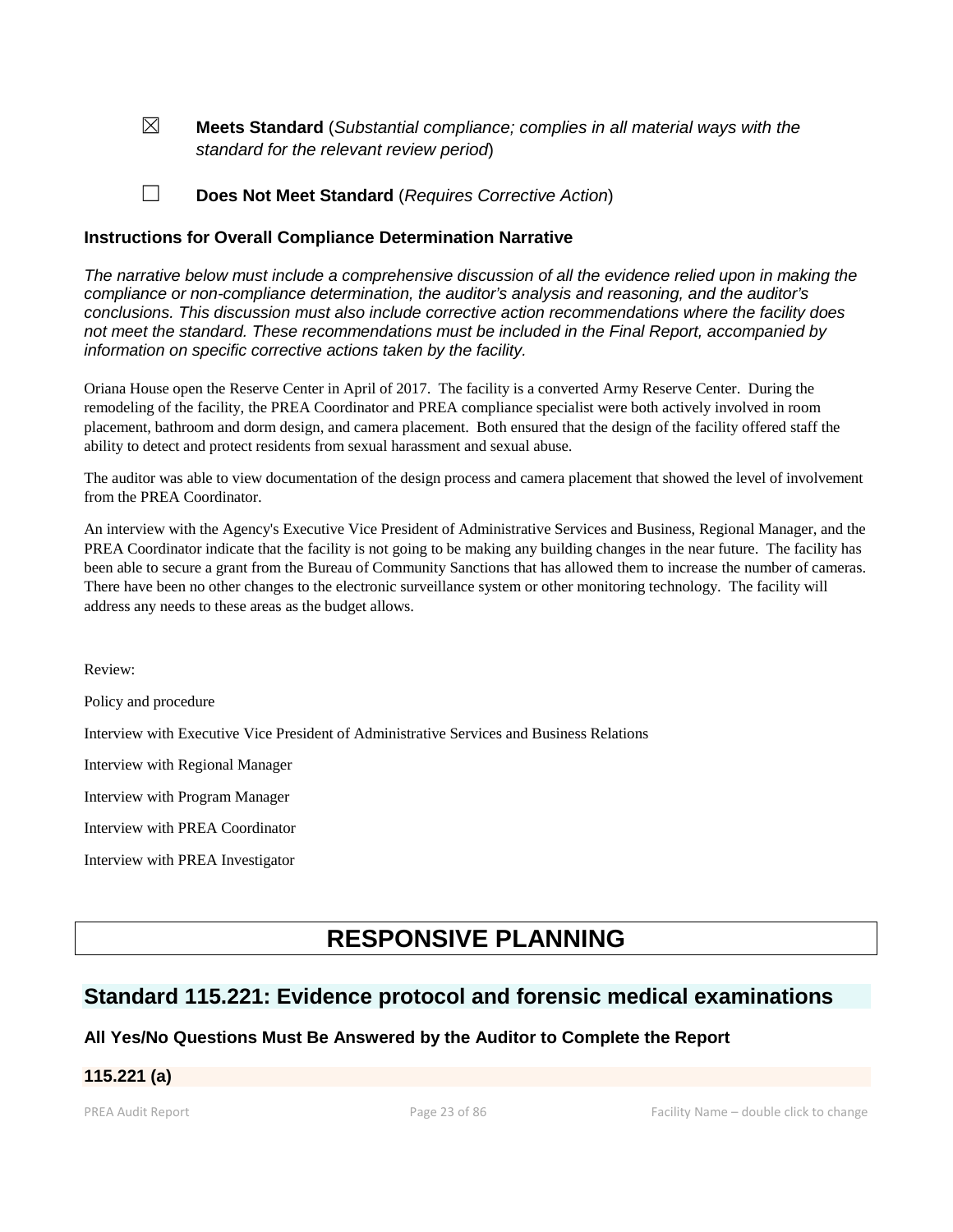☒ **Meets Standard** (*Substantial compliance; complies in all material ways with the standard for the relevant review period*)

☐ **Does Not Meet Standard** (*Requires Corrective Action*)

#### **Instructions for Overall Compliance Determination Narrative**

*The narrative below must include a comprehensive discussion of all the evidence relied upon in making the compliance or non-compliance determination, the auditor's analysis and reasoning, and the auditor's conclusions. This discussion must also include corrective action recommendations where the facility does not meet the standard. These recommendations must be included in the Final Report, accompanied by information on specific corrective actions taken by the facility.*

Oriana House open the Reserve Center in April of 2017. The facility is a converted Army Reserve Center. During the remodeling of the facility, the PREA Coordinator and PREA compliance specialist were both actively involved in room placement, bathroom and dorm design, and camera placement. Both ensured that the design of the facility offered staff the ability to detect and protect residents from sexual harassment and sexual abuse.

The auditor was able to view documentation of the design process and camera placement that showed the level of involvement from the PREA Coordinator.

An interview with the Agency's Executive Vice President of Administrative Services and Business, Regional Manager, and the PREA Coordinator indicate that the facility is not going to be making any building changes in the near future. The facility has been able to secure a grant from the Bureau of Community Sanctions that has allowed them to increase the number of cameras. There have been no other changes to the electronic surveillance system or other monitoring technology. The facility will address any needs to these areas as the budget allows.

Review:

Policy and procedure

Interview with Executive Vice President of Administrative Services and Business Relations

Interview with Regional Manager

Interview with Program Manager

Interview with PREA Coordinator

Interview with PREA Investigator

# **RESPONSIVE PLANNING**

# **Standard 115.221: Evidence protocol and forensic medical examinations**

## **All Yes/No Questions Must Be Answered by the Auditor to Complete the Report**

## **115.221 (a)**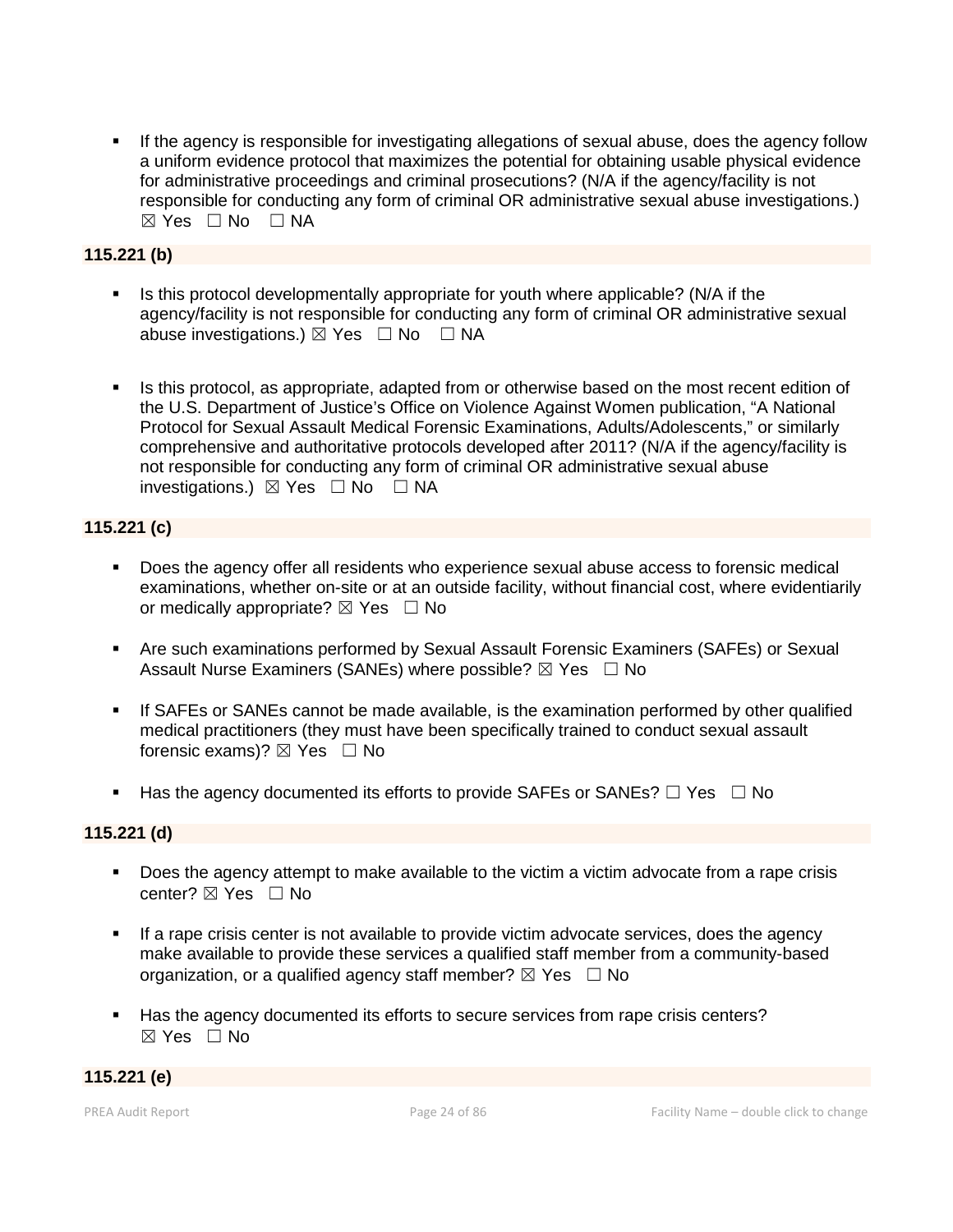If the agency is responsible for investigating allegations of sexual abuse, does the agency follow a uniform evidence protocol that maximizes the potential for obtaining usable physical evidence for administrative proceedings and criminal prosecutions? (N/A if the agency/facility is not responsible for conducting any form of criminal OR administrative sexual abuse investigations.)  $\boxtimes$  Yes  $\Box$  No  $\Box$  NA

## **115.221 (b)**

- Is this protocol developmentally appropriate for youth where applicable? (N/A if the agency/facility is not responsible for conducting any form of criminal OR administrative sexual abuse investigations.)  $\boxtimes$  Yes  $\Box$  No  $\Box$  NA
- Is this protocol, as appropriate, adapted from or otherwise based on the most recent edition of the U.S. Department of Justice's Office on Violence Against Women publication, "A National Protocol for Sexual Assault Medical Forensic Examinations, Adults/Adolescents," or similarly comprehensive and authoritative protocols developed after 2011? (N/A if the agency/facility is not responsible for conducting any form of criminal OR administrative sexual abuse investigations.)  $\boxtimes$  Yes  $\Box$  No  $\Box$  NA

## **115.221 (c)**

- Does the agency offer all residents who experience sexual abuse access to forensic medical examinations, whether on-site or at an outside facility, without financial cost, where evidentiarily or medically appropriate?  $\boxtimes$  Yes  $\Box$  No
- Are such examinations performed by Sexual Assault Forensic Examiners (SAFEs) or Sexual Assault Nurse Examiners (SANEs) where possible?  $\boxtimes$  Yes  $\Box$  No
- If SAFEs or SANEs cannot be made available, is the examination performed by other qualified medical practitioners (they must have been specifically trained to conduct sexual assault forensic exams)?  $\boxtimes$  Yes  $\Box$  No
- Has the agency documented its efforts to provide SAFEs or SANEs?  $\Box$  Yes  $\Box$  No

## **115.221 (d)**

- Does the agency attempt to make available to the victim a victim advocate from a rape crisis center?  $\boxtimes$  Yes  $\Box$  No
- If a rape crisis center is not available to provide victim advocate services, does the agency make available to provide these services a qualified staff member from a community-based organization, or a qualified agency staff member?  $\boxtimes$  Yes  $\Box$  No
- Has the agency documented its efforts to secure services from rape crisis centers?  $\boxtimes$  Yes  $\Box$  No

#### **115.221 (e)**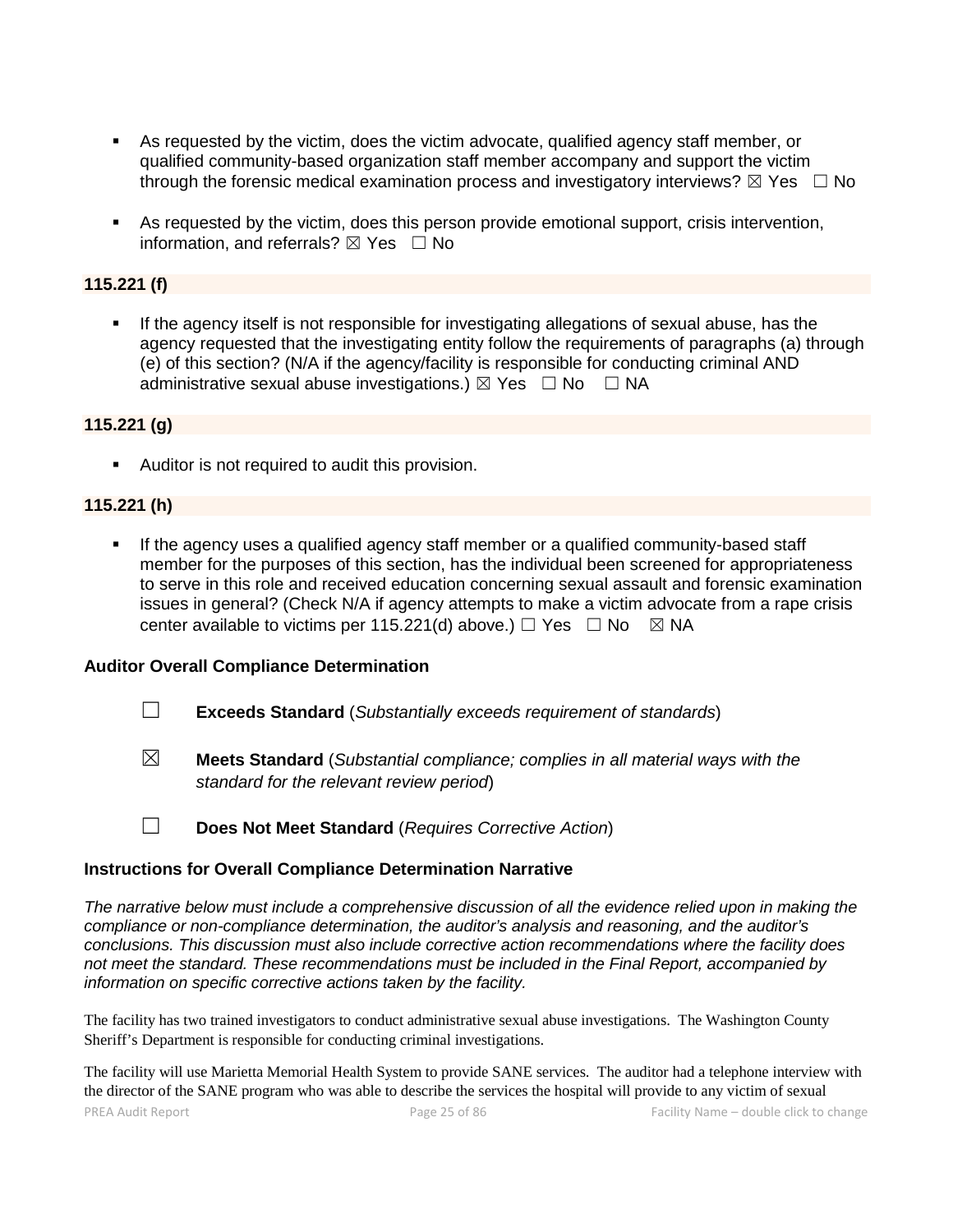- As requested by the victim, does the victim advocate, qualified agency staff member, or qualified community-based organization staff member accompany and support the victim through the forensic medical examination process and investigatory interviews?  $\boxtimes$  Yes  $\Box$  No
- As requested by the victim, does this person provide emotional support, crisis intervention, information, and referrals?  $\boxtimes$  Yes  $\Box$  No

# **115.221 (f)**

 If the agency itself is not responsible for investigating allegations of sexual abuse, has the agency requested that the investigating entity follow the requirements of paragraphs (a) through (e) of this section? (N/A if the agency/facility is responsible for conducting criminal AND administrative sexual abuse investigations.)  $\boxtimes$  Yes  $\Box$  No  $\Box$  NA

#### **115.221 (g)**

Auditor is not required to audit this provision.

## **115.221 (h)**

 If the agency uses a qualified agency staff member or a qualified community-based staff member for the purposes of this section, has the individual been screened for appropriateness to serve in this role and received education concerning sexual assault and forensic examination issues in general? (Check N/A if agency attempts to make a victim advocate from a rape crisis center available to victims per 115.221(d) above.)  $\Box$  Yes  $\Box$  No  $\boxtimes$  NA

#### **Auditor Overall Compliance Determination**

- ☐ **Exceeds Standard** (*Substantially exceeds requirement of standards*)
- ☒ **Meets Standard** (*Substantial compliance; complies in all material ways with the standard for the relevant review period*)
- ☐ **Does Not Meet Standard** (*Requires Corrective Action*)

#### **Instructions for Overall Compliance Determination Narrative**

*The narrative below must include a comprehensive discussion of all the evidence relied upon in making the compliance or non-compliance determination, the auditor's analysis and reasoning, and the auditor's conclusions. This discussion must also include corrective action recommendations where the facility does not meet the standard. These recommendations must be included in the Final Report, accompanied by information on specific corrective actions taken by the facility.*

The facility has two trained investigators to conduct administrative sexual abuse investigations. The Washington County Sheriff's Department is responsible for conducting criminal investigations.

The facility will use Marietta Memorial Health System to provide SANE services. The auditor had a telephone interview with the director of the SANE program who was able to describe the services the hospital will provide to any victim of sexual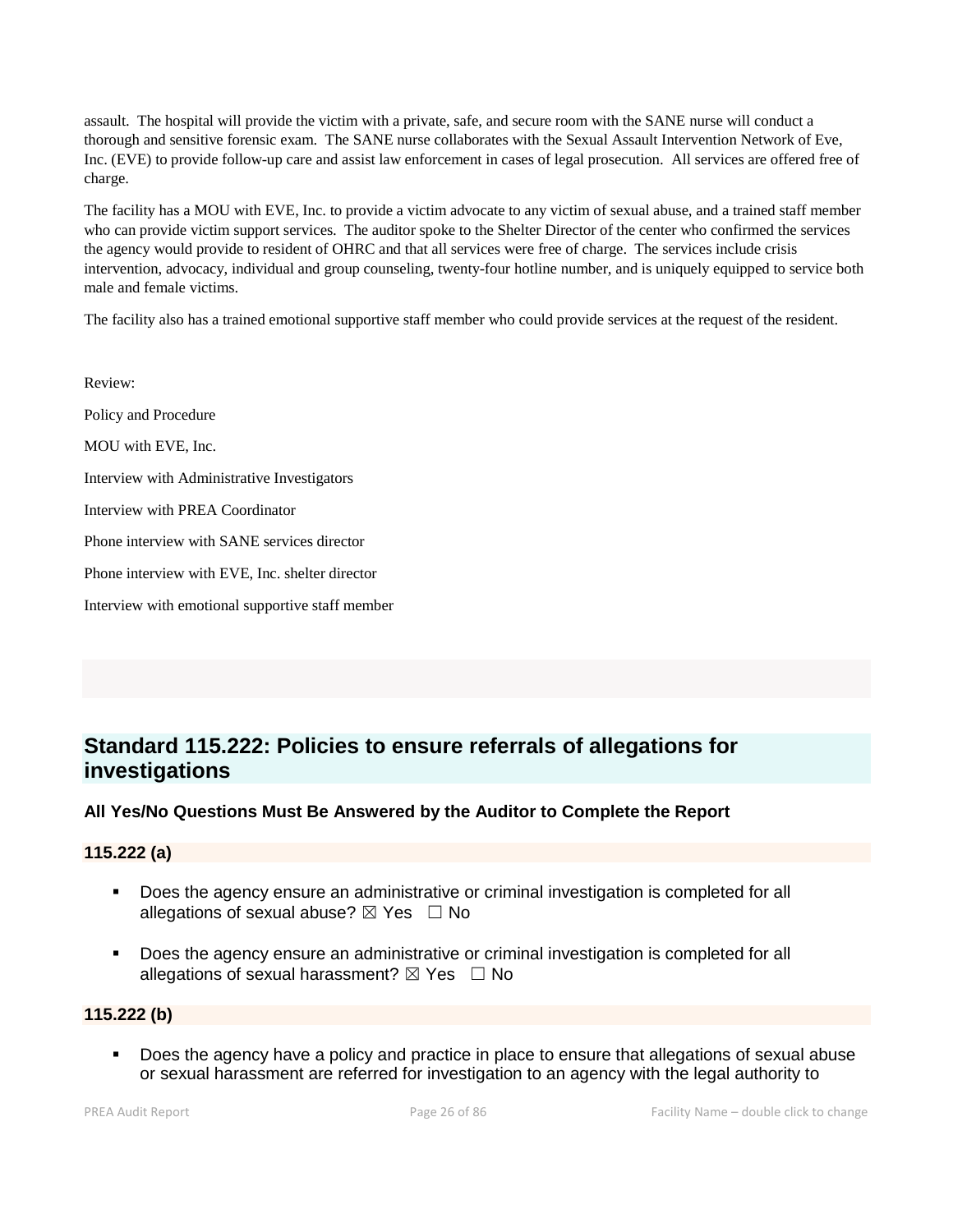assault. The hospital will provide the victim with a private, safe, and secure room with the SANE nurse will conduct a thorough and sensitive forensic exam. The SANE nurse collaborates with the Sexual Assault Intervention Network of Eve, Inc. (EVE) to provide follow-up care and assist law enforcement in cases of legal prosecution. All services are offered free of charge.

The facility has a MOU with EVE, Inc. to provide a victim advocate to any victim of sexual abuse, and a trained staff member who can provide victim support services. The auditor spoke to the Shelter Director of the center who confirmed the services the agency would provide to resident of OHRC and that all services were free of charge. The services include crisis intervention, advocacy, individual and group counseling, twenty-four hotline number, and is uniquely equipped to service both male and female victims.

The facility also has a trained emotional supportive staff member who could provide services at the request of the resident.

Review: Policy and Procedure MOU with EVE, Inc. Interview with Administrative Investigators Interview with PREA Coordinator Phone interview with SANE services director Phone interview with EVE, Inc. shelter director Interview with emotional supportive staff member

# **Standard 115.222: Policies to ensure referrals of allegations for investigations**

## **All Yes/No Questions Must Be Answered by the Auditor to Complete the Report**

#### **115.222 (a)**

- **Does the agency ensure an administrative or criminal investigation is completed for all** allegations of sexual abuse?  $\boxtimes$  Yes  $\Box$  No
- Does the agency ensure an administrative or criminal investigation is completed for all allegations of sexual harassment?  $\boxtimes$  Yes  $\Box$  No

#### **115.222 (b)**

 Does the agency have a policy and practice in place to ensure that allegations of sexual abuse or sexual harassment are referred for investigation to an agency with the legal authority to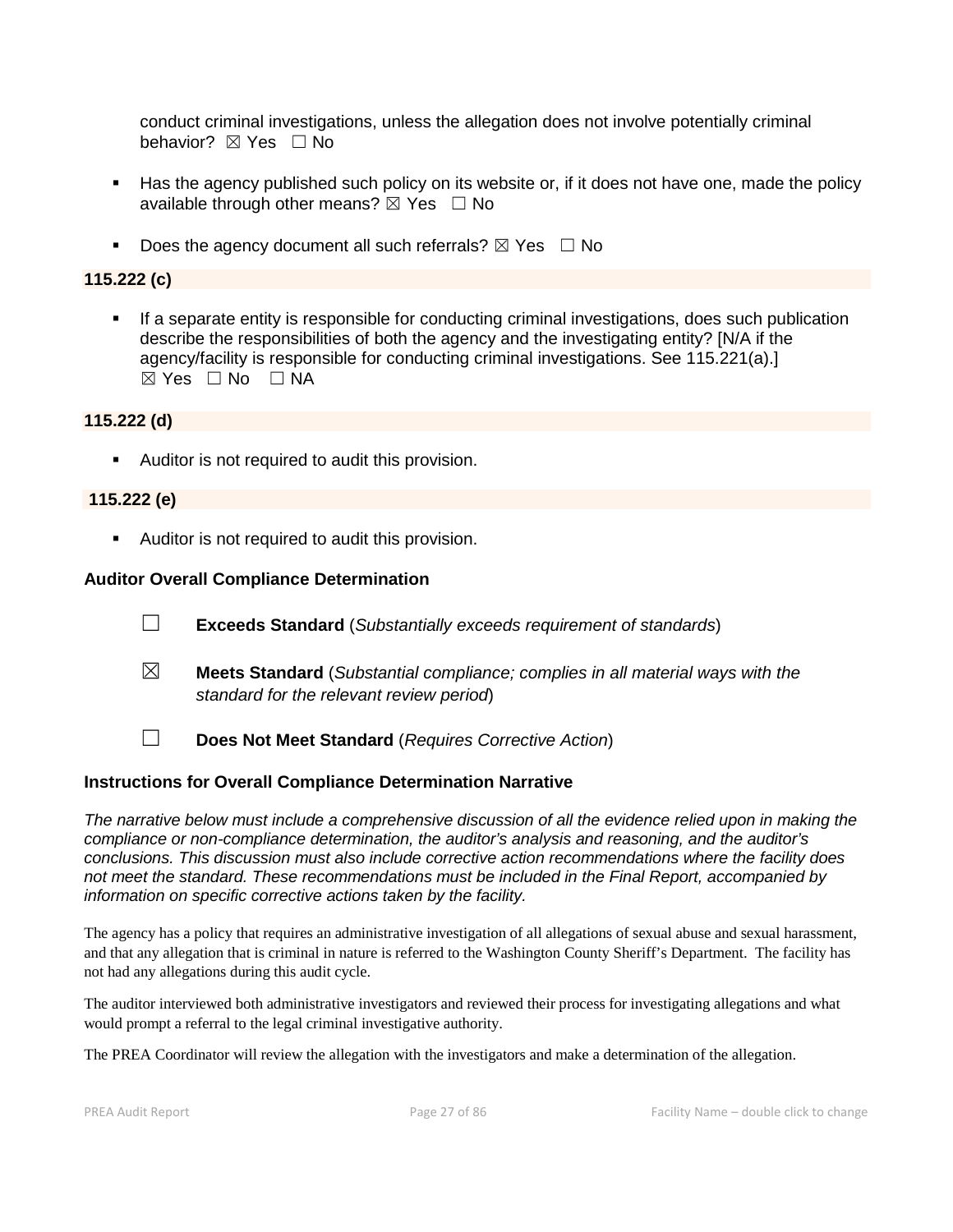conduct criminal investigations, unless the allegation does not involve potentially criminal behavior? **⊠** Yes □ No

- Has the agency published such policy on its website or, if it does not have one, made the policy available through other means?  $\boxtimes$  Yes  $\Box$  No
- Does the agency document all such referrals?  $\boxtimes$  Yes  $\Box$  No

# **115.222 (c)**

 If a separate entity is responsible for conducting criminal investigations, does such publication describe the responsibilities of both the agency and the investigating entity? [N/A if the agency/facility is responsible for conducting criminal investigations. See 115.221(a).]  $\boxtimes$  Yes  $\Box$  No  $\Box$  NA

## **115.222 (d)**

**Auditor is not required to audit this provision.** 

## **115.222 (e)**

**Auditor is not required to audit this provision.** 

#### **Auditor Overall Compliance Determination**

- ☐ **Exceeds Standard** (*Substantially exceeds requirement of standards*)
- ☒ **Meets Standard** (*Substantial compliance; complies in all material ways with the standard for the relevant review period*)
- ☐ **Does Not Meet Standard** (*Requires Corrective Action*)

## **Instructions for Overall Compliance Determination Narrative**

*The narrative below must include a comprehensive discussion of all the evidence relied upon in making the compliance or non-compliance determination, the auditor's analysis and reasoning, and the auditor's conclusions. This discussion must also include corrective action recommendations where the facility does not meet the standard. These recommendations must be included in the Final Report, accompanied by information on specific corrective actions taken by the facility.*

The agency has a policy that requires an administrative investigation of all allegations of sexual abuse and sexual harassment, and that any allegation that is criminal in nature is referred to the Washington County Sheriff's Department. The facility has not had any allegations during this audit cycle.

The auditor interviewed both administrative investigators and reviewed their process for investigating allegations and what would prompt a referral to the legal criminal investigative authority.

The PREA Coordinator will review the allegation with the investigators and make a determination of the allegation.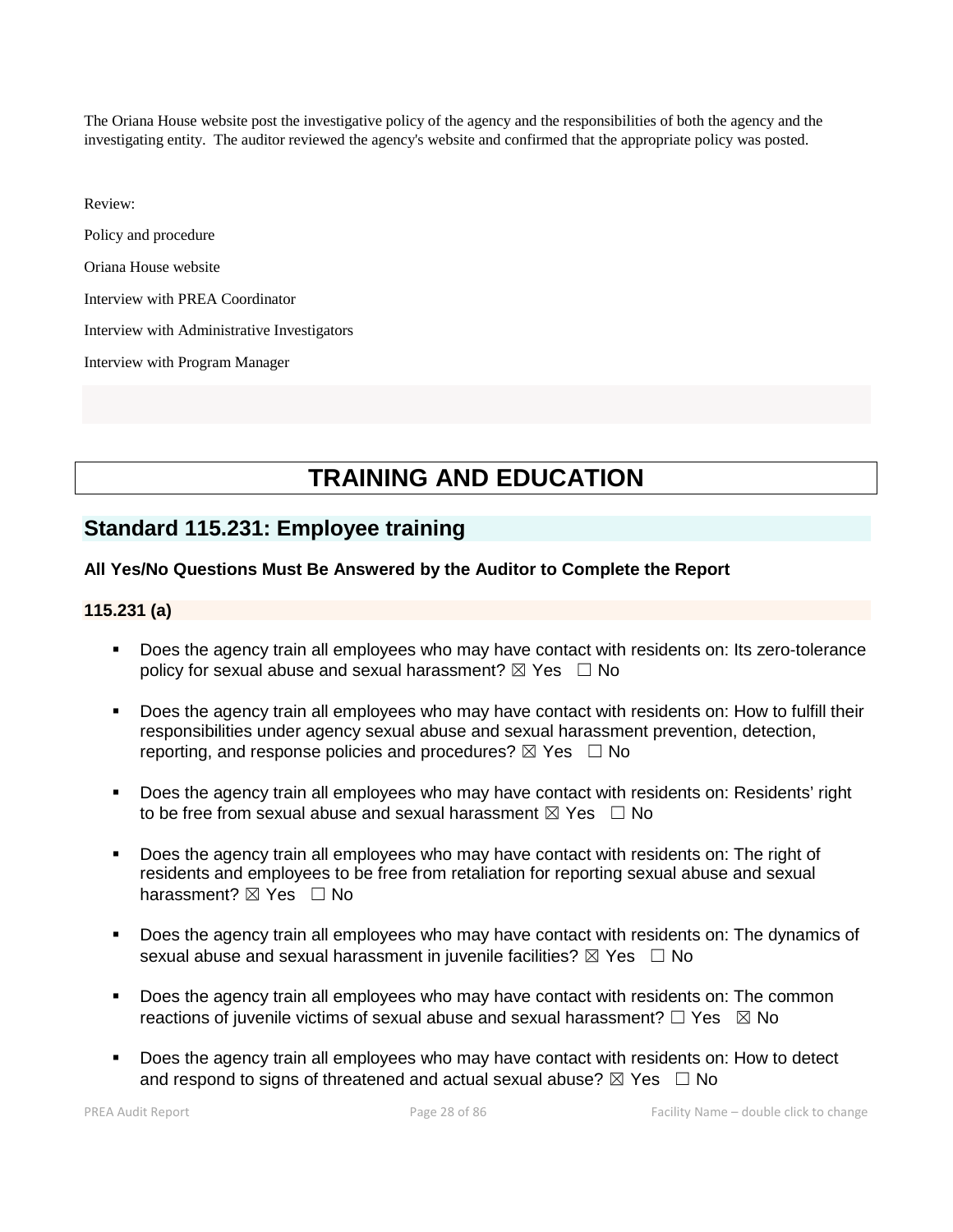The Oriana House website post the investigative policy of the agency and the responsibilities of both the agency and the investigating entity. The auditor reviewed the agency's website and confirmed that the appropriate policy was posted.

Review:

Policy and procedure

Oriana House website

Interview with PREA Coordinator

Interview with Administrative Investigators

Interview with Program Manager

# **TRAINING AND EDUCATION**

# **Standard 115.231: Employee training**

#### **All Yes/No Questions Must Be Answered by the Auditor to Complete the Report**

#### **115.231 (a)**

- Does the agency train all employees who may have contact with residents on: Its zero-tolerance policy for sexual abuse and sexual harassment?  $\boxtimes$  Yes  $\Box$  No
- Does the agency train all employees who may have contact with residents on: How to fulfill their responsibilities under agency sexual abuse and sexual harassment prevention, detection, reporting, and response policies and procedures?  $\boxtimes$  Yes  $\Box$  No
- Does the agency train all employees who may have contact with residents on: Residents' right to be free from sexual abuse and sexual harassment  $\boxtimes$  Yes  $\Box$  No
- Does the agency train all employees who may have contact with residents on: The right of residents and employees to be free from retaliation for reporting sexual abuse and sexual harassment? ⊠ Yes □ No
- Does the agency train all employees who may have contact with residents on: The dynamics of sexual abuse and sexual harassment in juvenile facilities?  $\boxtimes$  Yes  $\Box$  No
- Does the agency train all employees who may have contact with residents on: The common reactions of juvenile victims of sexual abuse and sexual harassment?  $\Box$  Yes  $\boxtimes$  No
- Does the agency train all employees who may have contact with residents on: How to detect and respond to signs of threatened and actual sexual abuse?  $\boxtimes$  Yes  $\Box$  No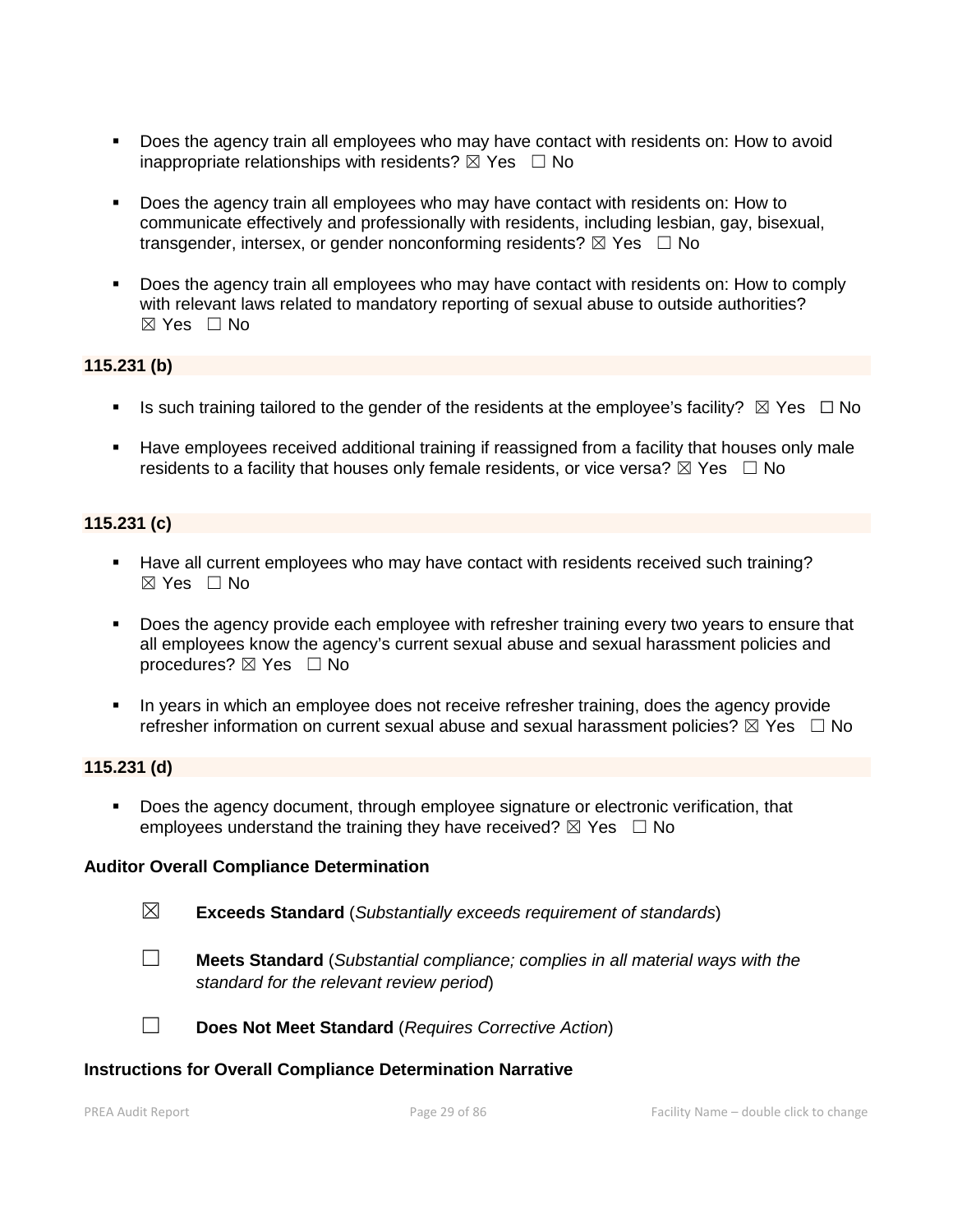- Does the agency train all employees who may have contact with residents on: How to avoid inappropriate relationships with residents?  $\boxtimes$  Yes  $\Box$  No
- Does the agency train all employees who may have contact with residents on: How to communicate effectively and professionally with residents, including lesbian, gay, bisexual, transgender, intersex, or gender nonconforming residents?  $\boxtimes$  Yes  $\Box$  No
- Does the agency train all employees who may have contact with residents on: How to comply with relevant laws related to mandatory reporting of sexual abuse to outside authorities?  $\boxtimes$  Yes  $\Box$  No

#### **115.231 (b)**

- Is such training tailored to the gender of the residents at the employee's facility?  $\boxtimes$  Yes  $\Box$  No
- Have employees received additional training if reassigned from a facility that houses only male residents to a facility that houses only female residents, or vice versa?  $\boxtimes$  Yes  $\Box$  No

## **115.231 (c)**

- Have all current employees who may have contact with residents received such training?  $\boxtimes$  Yes  $\Box$  No
- Does the agency provide each employee with refresher training every two years to ensure that all employees know the agency's current sexual abuse and sexual harassment policies and procedures?  $\boxtimes$  Yes  $\Box$  No
- In years in which an employee does not receive refresher training, does the agency provide refresher information on current sexual abuse and sexual harassment policies?  $\boxtimes$  Yes  $\Box$  No

#### **115.231 (d)**

 Does the agency document, through employee signature or electronic verification, that employees understand the training they have received?  $\boxtimes$  Yes  $\Box$  No

#### **Auditor Overall Compliance Determination**

- ☒ **Exceeds Standard** (*Substantially exceeds requirement of standards*)
- ☐ **Meets Standard** (*Substantial compliance; complies in all material ways with the standard for the relevant review period*)
- ☐ **Does Not Meet Standard** (*Requires Corrective Action*)

#### **Instructions for Overall Compliance Determination Narrative**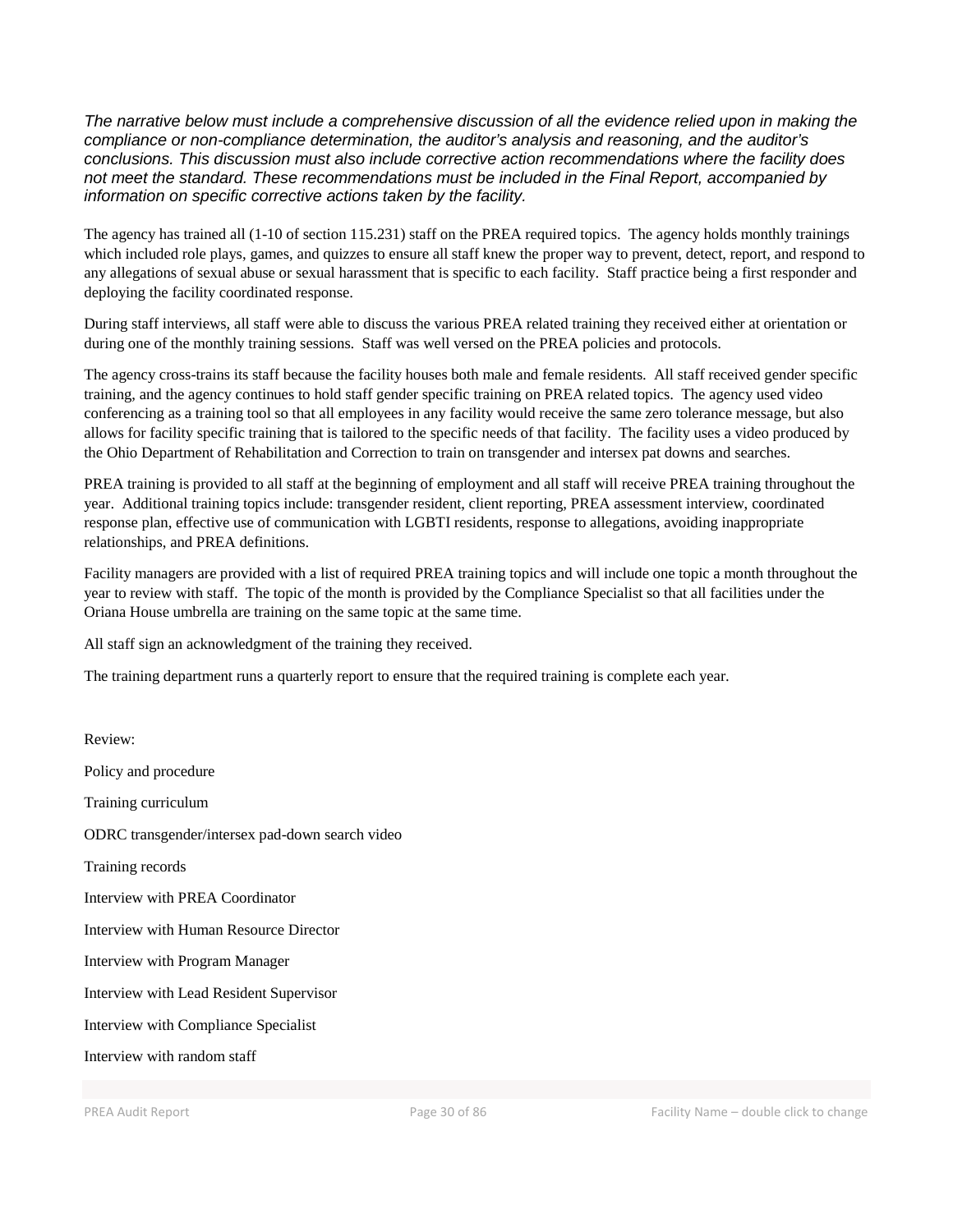*The narrative below must include a comprehensive discussion of all the evidence relied upon in making the compliance or non-compliance determination, the auditor's analysis and reasoning, and the auditor's conclusions. This discussion must also include corrective action recommendations where the facility does not meet the standard. These recommendations must be included in the Final Report, accompanied by information on specific corrective actions taken by the facility.*

The agency has trained all (1-10 of section 115.231) staff on the PREA required topics. The agency holds monthly trainings which included role plays, games, and quizzes to ensure all staff knew the proper way to prevent, detect, report, and respond to any allegations of sexual abuse or sexual harassment that is specific to each facility. Staff practice being a first responder and deploying the facility coordinated response.

During staff interviews, all staff were able to discuss the various PREA related training they received either at orientation or during one of the monthly training sessions. Staff was well versed on the PREA policies and protocols.

The agency cross-trains its staff because the facility houses both male and female residents. All staff received gender specific training, and the agency continues to hold staff gender specific training on PREA related topics. The agency used video conferencing as a training tool so that all employees in any facility would receive the same zero tolerance message, but also allows for facility specific training that is tailored to the specific needs of that facility. The facility uses a video produced by the Ohio Department of Rehabilitation and Correction to train on transgender and intersex pat downs and searches.

PREA training is provided to all staff at the beginning of employment and all staff will receive PREA training throughout the year. Additional training topics include: transgender resident, client reporting, PREA assessment interview, coordinated response plan, effective use of communication with LGBTI residents, response to allegations, avoiding inappropriate relationships, and PREA definitions.

Facility managers are provided with a list of required PREA training topics and will include one topic a month throughout the year to review with staff. The topic of the month is provided by the Compliance Specialist so that all facilities under the Oriana House umbrella are training on the same topic at the same time.

All staff sign an acknowledgment of the training they received.

The training department runs a quarterly report to ensure that the required training is complete each year.

Review: Policy and procedure Training curriculum ODRC transgender/intersex pad-down search video Training records Interview with PREA Coordinator Interview with Human Resource Director Interview with Program Manager Interview with Lead Resident Supervisor Interview with Compliance Specialist Interview with random staff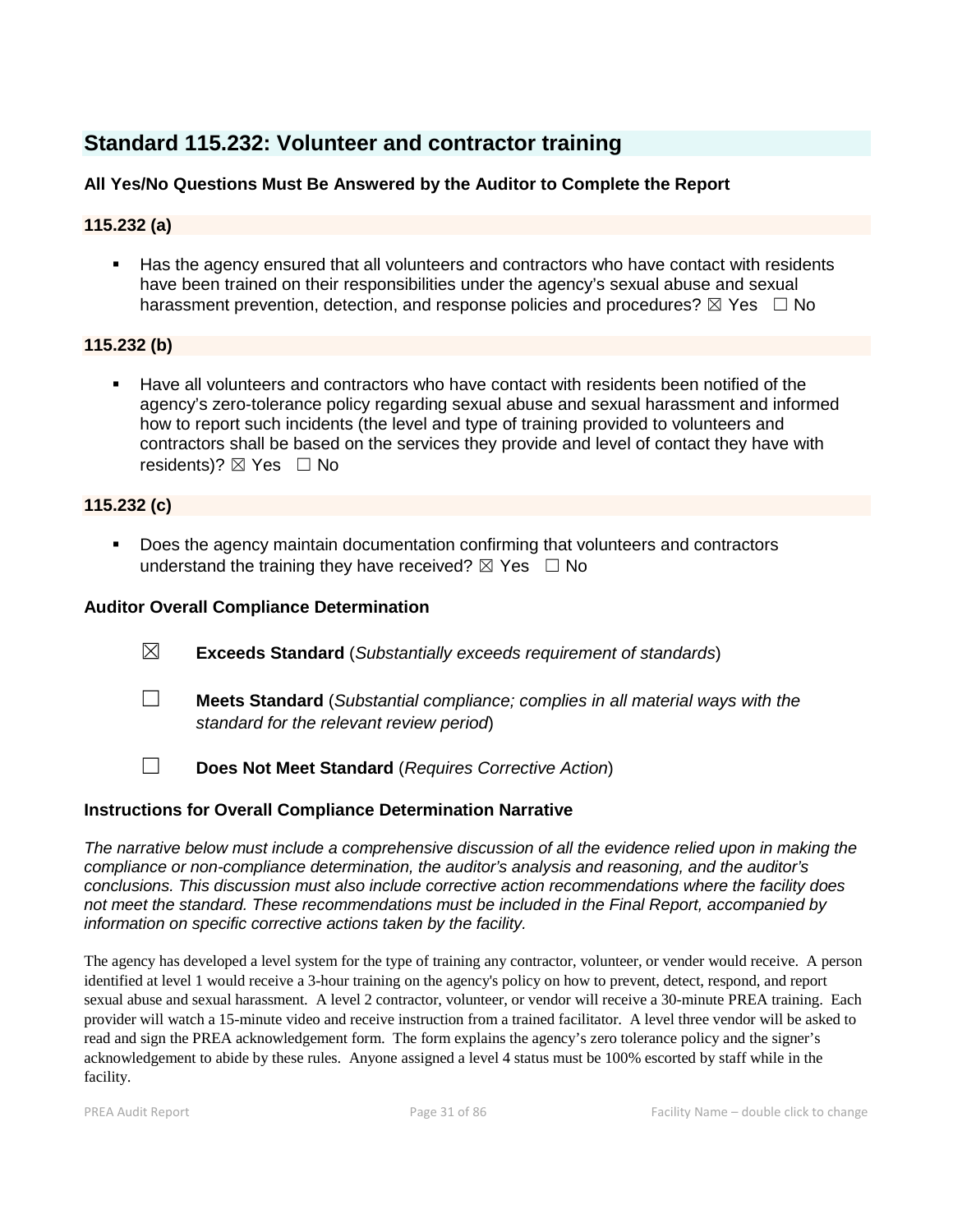# **Standard 115.232: Volunteer and contractor training**

# **All Yes/No Questions Must Be Answered by the Auditor to Complete the Report**

# **115.232 (a)**

Has the agency ensured that all volunteers and contractors who have contact with residents have been trained on their responsibilities under the agency's sexual abuse and sexual harassment prevention, detection, and response policies and procedures?  $\boxtimes$  Yes  $\Box$  No

# **115.232 (b)**

 Have all volunteers and contractors who have contact with residents been notified of the agency's zero-tolerance policy regarding sexual abuse and sexual harassment and informed how to report such incidents (the level and type of training provided to volunteers and contractors shall be based on the services they provide and level of contact they have with residents)?  $\boxtimes$  Yes  $\Box$  No

# **115.232 (c)**

 Does the agency maintain documentation confirming that volunteers and contractors understand the training they have received?  $\boxtimes$  Yes  $\Box$  No

# **Auditor Overall Compliance Determination**

- ☒ **Exceeds Standard** (*Substantially exceeds requirement of standards*)
- ☐ **Meets Standard** (*Substantial compliance; complies in all material ways with the standard for the relevant review period*)
- ☐ **Does Not Meet Standard** (*Requires Corrective Action*)

## **Instructions for Overall Compliance Determination Narrative**

*The narrative below must include a comprehensive discussion of all the evidence relied upon in making the compliance or non-compliance determination, the auditor's analysis and reasoning, and the auditor's conclusions. This discussion must also include corrective action recommendations where the facility does not meet the standard. These recommendations must be included in the Final Report, accompanied by information on specific corrective actions taken by the facility.*

The agency has developed a level system for the type of training any contractor, volunteer, or vender would receive. A person identified at level 1 would receive a 3-hour training on the agency's policy on how to prevent, detect, respond, and report sexual abuse and sexual harassment. A level 2 contractor, volunteer, or vendor will receive a 30-minute PREA training. Each provider will watch a 15-minute video and receive instruction from a trained facilitator. A level three vendor will be asked to read and sign the PREA acknowledgement form. The form explains the agency's zero tolerance policy and the signer's acknowledgement to abide by these rules. Anyone assigned a level 4 status must be 100% escorted by staff while in the facility.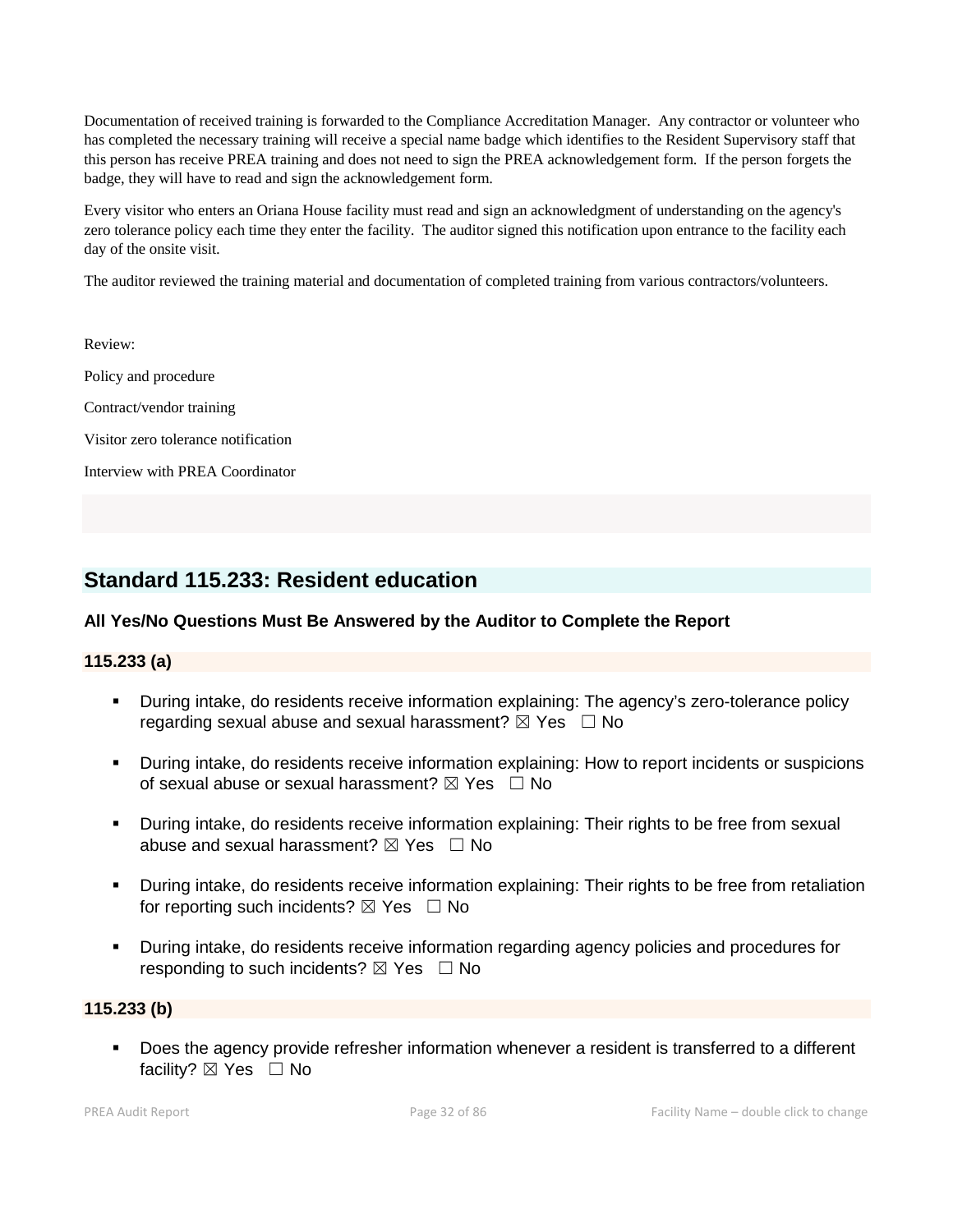Documentation of received training is forwarded to the Compliance Accreditation Manager. Any contractor or volunteer who has completed the necessary training will receive a special name badge which identifies to the Resident Supervisory staff that this person has receive PREA training and does not need to sign the PREA acknowledgement form. If the person forgets the badge, they will have to read and sign the acknowledgement form.

Every visitor who enters an Oriana House facility must read and sign an acknowledgment of understanding on the agency's zero tolerance policy each time they enter the facility. The auditor signed this notification upon entrance to the facility each day of the onsite visit.

The auditor reviewed the training material and documentation of completed training from various contractors/volunteers.

Review: Policy and procedure Contract/vendor training Visitor zero tolerance notification Interview with PREA Coordinator

# **Standard 115.233: Resident education**

## **All Yes/No Questions Must Be Answered by the Auditor to Complete the Report**

#### **115.233 (a)**

- During intake, do residents receive information explaining: The agency's zero-tolerance policy regarding sexual abuse and sexual harassment?  $\boxtimes$  Yes  $\Box$  No
- During intake, do residents receive information explaining: How to report incidents or suspicions of sexual abuse or sexual harassment?  $\boxtimes$  Yes  $\Box$  No
- During intake, do residents receive information explaining: Their rights to be free from sexual abuse and sexual harassment?  $\boxtimes$  Yes  $\Box$  No
- During intake, do residents receive information explaining: Their rights to be free from retaliation for reporting such incidents?  $\boxtimes$  Yes  $\Box$  No
- During intake, do residents receive information regarding agency policies and procedures for responding to such incidents?  $\boxtimes$  Yes  $\Box$  No

## **115.233 (b)**

 Does the agency provide refresher information whenever a resident is transferred to a different facility? ⊠ Yes □ No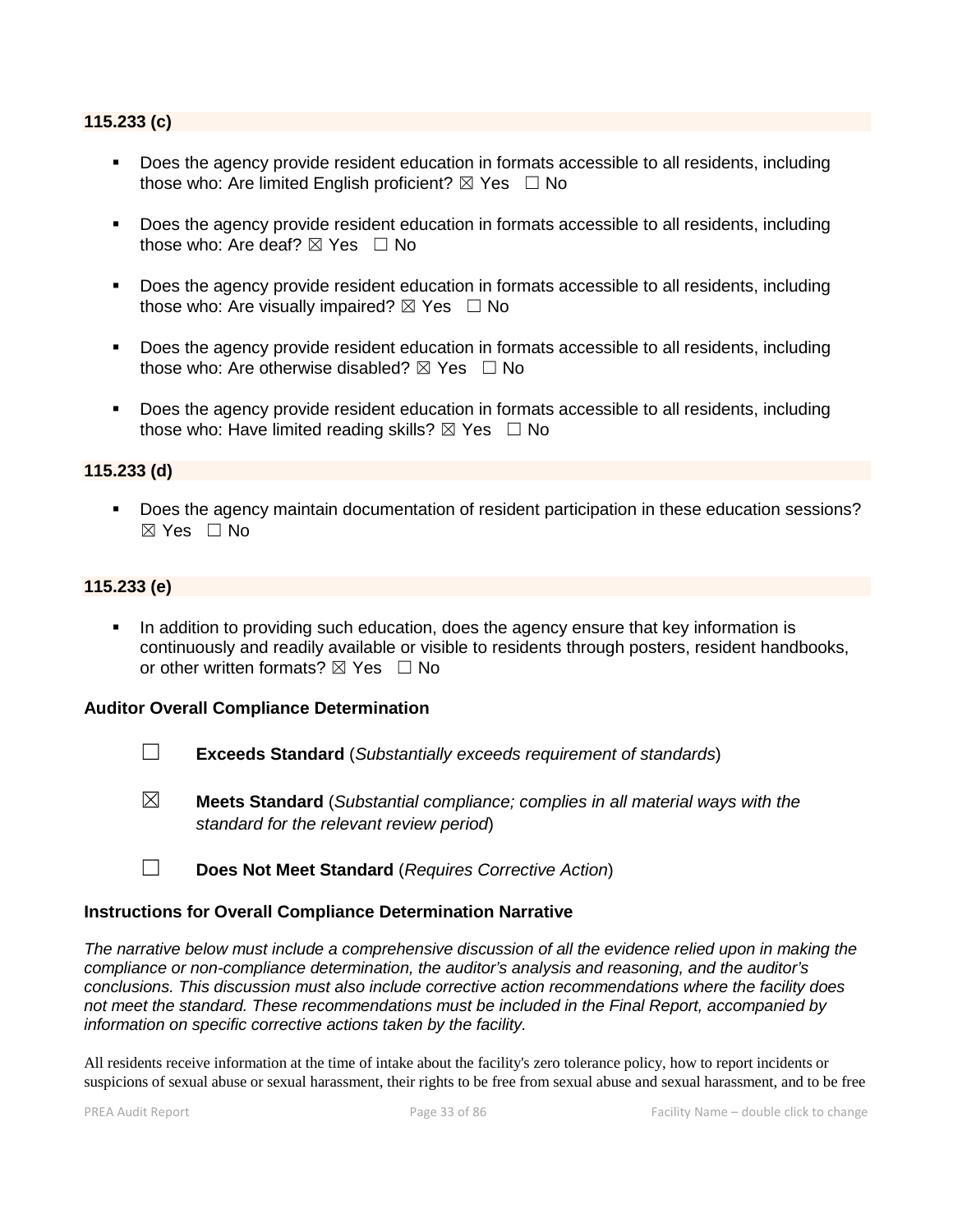#### **115.233 (c)**

- Does the agency provide resident education in formats accessible to all residents, including those who: Are limited English proficient?  $\boxtimes$  Yes  $\Box$  No
- Does the agency provide resident education in formats accessible to all residents, including those who: Are deaf?  $\boxtimes$  Yes  $\Box$  No
- Does the agency provide resident education in formats accessible to all residents, including those who: Are visually impaired?  $\boxtimes$  Yes  $\Box$  No
- Does the agency provide resident education in formats accessible to all residents, including those who: Are otherwise disabled?  $\boxtimes$  Yes  $\Box$  No
- Does the agency provide resident education in formats accessible to all residents, including those who: Have limited reading skills?  $\boxtimes$  Yes  $\Box$  No

#### **115.233 (d)**

 Does the agency maintain documentation of resident participation in these education sessions?  $\boxtimes$  Yes  $\Box$  No

#### **115.233 (e)**

In addition to providing such education, does the agency ensure that key information is continuously and readily available or visible to residents through posters, resident handbooks, or other written formats?  $\boxtimes$  Yes  $\Box$  No

#### **Auditor Overall Compliance Determination**

- ☐ **Exceeds Standard** (*Substantially exceeds requirement of standards*)
- ☒ **Meets Standard** (*Substantial compliance; complies in all material ways with the standard for the relevant review period*)
- ☐ **Does Not Meet Standard** (*Requires Corrective Action*)

#### **Instructions for Overall Compliance Determination Narrative**

*The narrative below must include a comprehensive discussion of all the evidence relied upon in making the compliance or non-compliance determination, the auditor's analysis and reasoning, and the auditor's conclusions. This discussion must also include corrective action recommendations where the facility does not meet the standard. These recommendations must be included in the Final Report, accompanied by information on specific corrective actions taken by the facility.*

All residents receive information at the time of intake about the facility's zero tolerance policy, how to report incidents or suspicions of sexual abuse or sexual harassment, their rights to be free from sexual abuse and sexual harassment, and to be free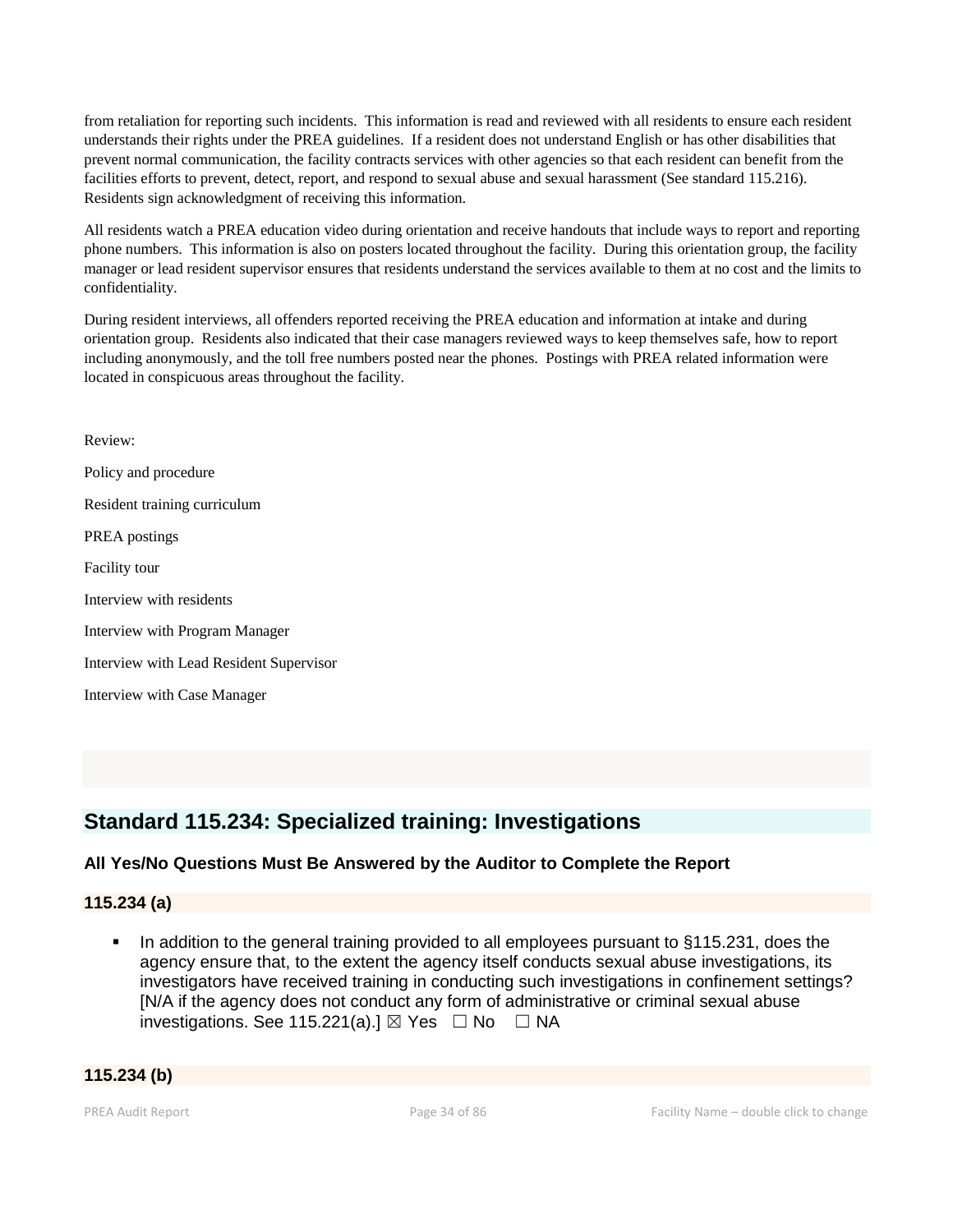from retaliation for reporting such incidents. This information is read and reviewed with all residents to ensure each resident understands their rights under the PREA guidelines. If a resident does not understand English or has other disabilities that prevent normal communication, the facility contracts services with other agencies so that each resident can benefit from the facilities efforts to prevent, detect, report, and respond to sexual abuse and sexual harassment (See standard 115.216). Residents sign acknowledgment of receiving this information.

All residents watch a PREA education video during orientation and receive handouts that include ways to report and reporting phone numbers. This information is also on posters located throughout the facility. During this orientation group, the facility manager or lead resident supervisor ensures that residents understand the services available to them at no cost and the limits to confidentiality.

During resident interviews, all offenders reported receiving the PREA education and information at intake and during orientation group. Residents also indicated that their case managers reviewed ways to keep themselves safe, how to report including anonymously, and the toll free numbers posted near the phones. Postings with PREA related information were located in conspicuous areas throughout the facility.

Review: Policy and procedure Resident training curriculum PREA postings Facility tour Interview with residents Interview with Program Manager Interview with Lead Resident Supervisor Interview with Case Manager

# **Standard 115.234: Specialized training: Investigations**

# **All Yes/No Questions Must Be Answered by the Auditor to Complete the Report**

## **115.234 (a)**

 In addition to the general training provided to all employees pursuant to §115.231, does the agency ensure that, to the extent the agency itself conducts sexual abuse investigations, its investigators have received training in conducting such investigations in confinement settings? [N/A if the agency does not conduct any form of administrative or criminal sexual abuse investigations. See 115.221(a).]  $\boxtimes$  Yes  $\Box$  No  $\Box$  NA

#### **115.234 (b)**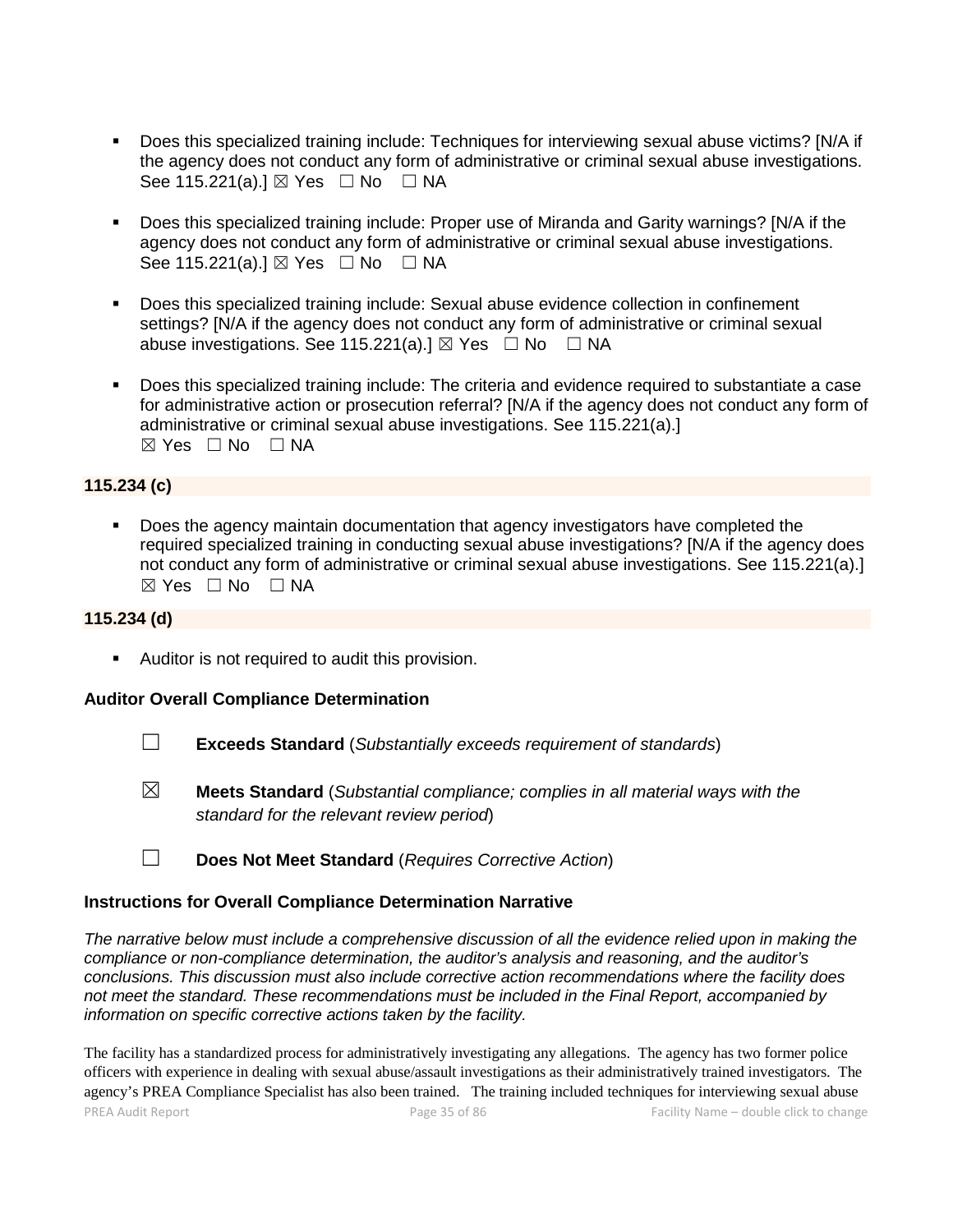- Does this specialized training include: Techniques for interviewing sexual abuse victims? [N/A if the agency does not conduct any form of administrative or criminal sexual abuse investigations. See 115.221(a).] ⊠ Yes □ No □ NA
- Does this specialized training include: Proper use of Miranda and Garity warnings? [N/A if the agency does not conduct any form of administrative or criminal sexual abuse investigations. See 115.221(a).] ⊠ Yes □ No □ NA
- Does this specialized training include: Sexual abuse evidence collection in confinement settings? [N/A if the agency does not conduct any form of administrative or criminal sexual abuse investigations. See 115.221(a).]  $\boxtimes$  Yes  $\Box$  No  $\Box$  NA
- Does this specialized training include: The criteria and evidence required to substantiate a case for administrative action or prosecution referral? [N/A if the agency does not conduct any form of administrative or criminal sexual abuse investigations. See 115.221(a).]  $\boxtimes$  Yes  $\Box$  No  $\Box$  NA

## **115.234 (c)**

 Does the agency maintain documentation that agency investigators have completed the required specialized training in conducting sexual abuse investigations? [N/A if the agency does not conduct any form of administrative or criminal sexual abuse investigations. See 115.221(a).]  $\boxtimes$  Yes  $\Box$  No  $\Box$  NA

## **115.234 (d)**

**Auditor is not required to audit this provision.** 

#### **Auditor Overall Compliance Determination**

- ☐ **Exceeds Standard** (*Substantially exceeds requirement of standards*)
- ☒ **Meets Standard** (*Substantial compliance; complies in all material ways with the standard for the relevant review period*)
- ☐ **Does Not Meet Standard** (*Requires Corrective Action*)

#### **Instructions for Overall Compliance Determination Narrative**

*The narrative below must include a comprehensive discussion of all the evidence relied upon in making the compliance or non-compliance determination, the auditor's analysis and reasoning, and the auditor's conclusions. This discussion must also include corrective action recommendations where the facility does not meet the standard. These recommendations must be included in the Final Report, accompanied by information on specific corrective actions taken by the facility.*

PREA Audit Report **Page 35 of 86** Facility Name – double click to change The facility has a standardized process for administratively investigating any allegations. The agency has two former police officers with experience in dealing with sexual abuse/assault investigations as their administratively trained investigators. The agency's PREA Compliance Specialist has also been trained. The training included techniques for interviewing sexual abuse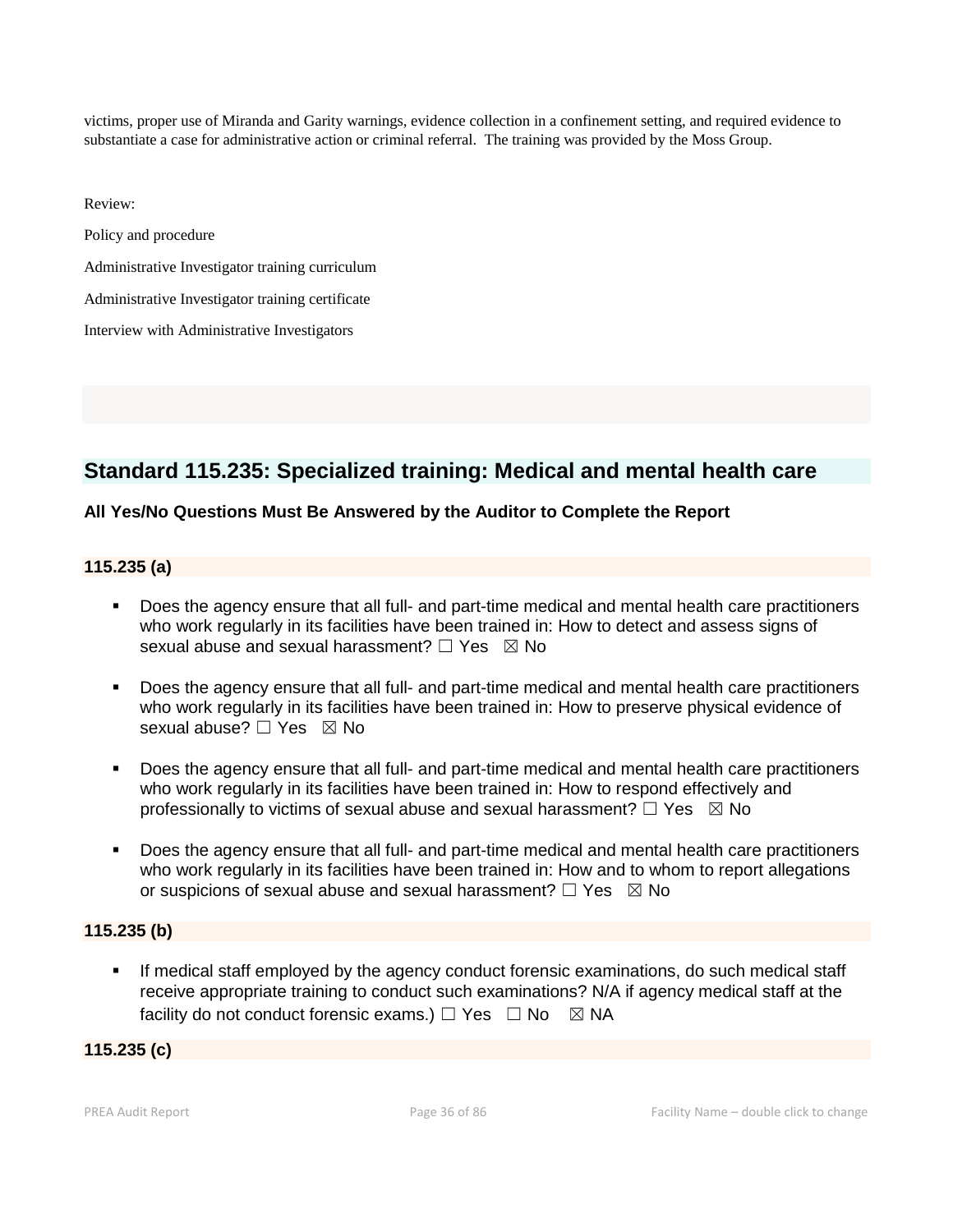victims, proper use of Miranda and Garity warnings, evidence collection in a confinement setting, and required evidence to substantiate a case for administrative action or criminal referral. The training was provided by the Moss Group.

Review:

Policy and procedure

Administrative Investigator training curriculum

Administrative Investigator training certificate

Interview with Administrative Investigators

# **Standard 115.235: Specialized training: Medical and mental health care**

## **All Yes/No Questions Must Be Answered by the Auditor to Complete the Report**

#### **115.235 (a)**

- Does the agency ensure that all full- and part-time medical and mental health care practitioners who work regularly in its facilities have been trained in: How to detect and assess signs of sexual abuse and sexual harassment?  $\Box$  Yes  $\boxtimes$  No
- Does the agency ensure that all full- and part-time medical and mental health care practitioners who work regularly in its facilities have been trained in: How to preserve physical evidence of sexual abuse? □ Yes ⊠ No
- Does the agency ensure that all full- and part-time medical and mental health care practitioners who work regularly in its facilities have been trained in: How to respond effectively and professionally to victims of sexual abuse and sexual harassment?  $\Box$  Yes  $\boxtimes$  No
- Does the agency ensure that all full- and part-time medical and mental health care practitioners who work regularly in its facilities have been trained in: How and to whom to report allegations or suspicions of sexual abuse and sexual harassment?  $\Box$  Yes  $\boxtimes$  No

#### **115.235 (b)**

 If medical staff employed by the agency conduct forensic examinations, do such medical staff receive appropriate training to conduct such examinations? N/A if agency medical staff at the facility do not conduct forensic exams.)  $\Box$  Yes  $\Box$  No  $\boxtimes$  NA

## **115.235 (c)**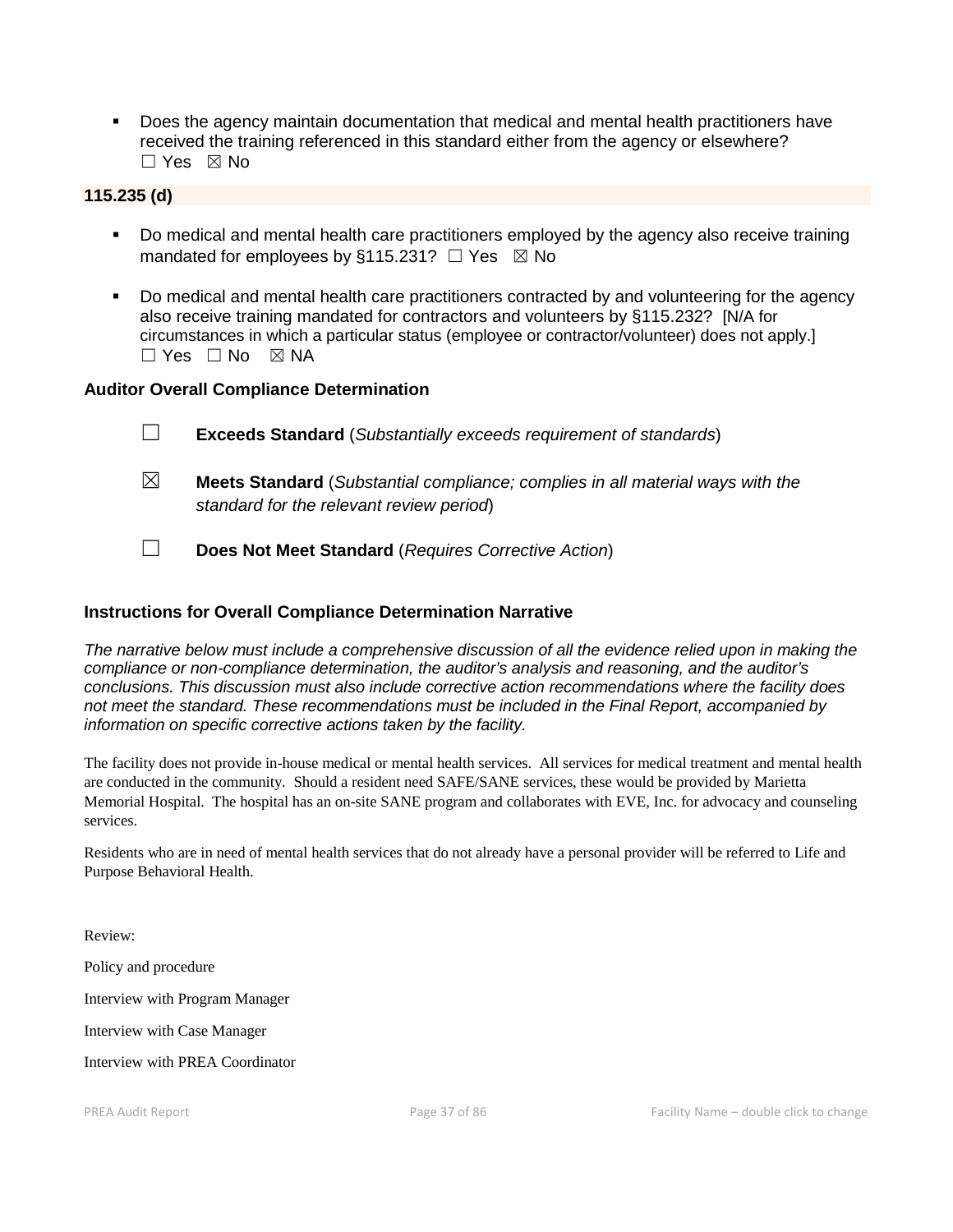Does the agency maintain documentation that medical and mental health practitioners have received the training referenced in this standard either from the agency or elsewhere? ☐ Yes ☒ No

# **115.235 (d)**

- Do medical and mental health care practitioners employed by the agency also receive training mandated for employees by §115.231?  $\Box$  Yes  $\boxtimes$  No
- Do medical and mental health care practitioners contracted by and volunteering for the agency also receive training mandated for contractors and volunteers by §115.232? [N/A for circumstances in which a particular status (employee or contractor/volunteer) does not apply.]  $\Box$  Yes  $\Box$  No  $\boxtimes$  NA

#### **Auditor Overall Compliance Determination**

- ☐ **Exceeds Standard** (*Substantially exceeds requirement of standards*) ☒ **Meets Standard** (*Substantial compliance; complies in all material ways with the standard for the relevant review period*)
- ☐ **Does Not Meet Standard** (*Requires Corrective Action*)

## **Instructions for Overall Compliance Determination Narrative**

*The narrative below must include a comprehensive discussion of all the evidence relied upon in making the compliance or non-compliance determination, the auditor's analysis and reasoning, and the auditor's conclusions. This discussion must also include corrective action recommendations where the facility does not meet the standard. These recommendations must be included in the Final Report, accompanied by information on specific corrective actions taken by the facility.*

The facility does not provide in-house medical or mental health services. All services for medical treatment and mental health are conducted in the community. Should a resident need SAFE/SANE services, these would be provided by Marietta Memorial Hospital. The hospital has an on-site SANE program and collaborates with EVE, Inc. for advocacy and counseling services.

Residents who are in need of mental health services that do not already have a personal provider will be referred to Life and Purpose Behavioral Health.

Review:

Policy and procedure

Interview with Program Manager

Interview with Case Manager

Interview with PREA Coordinator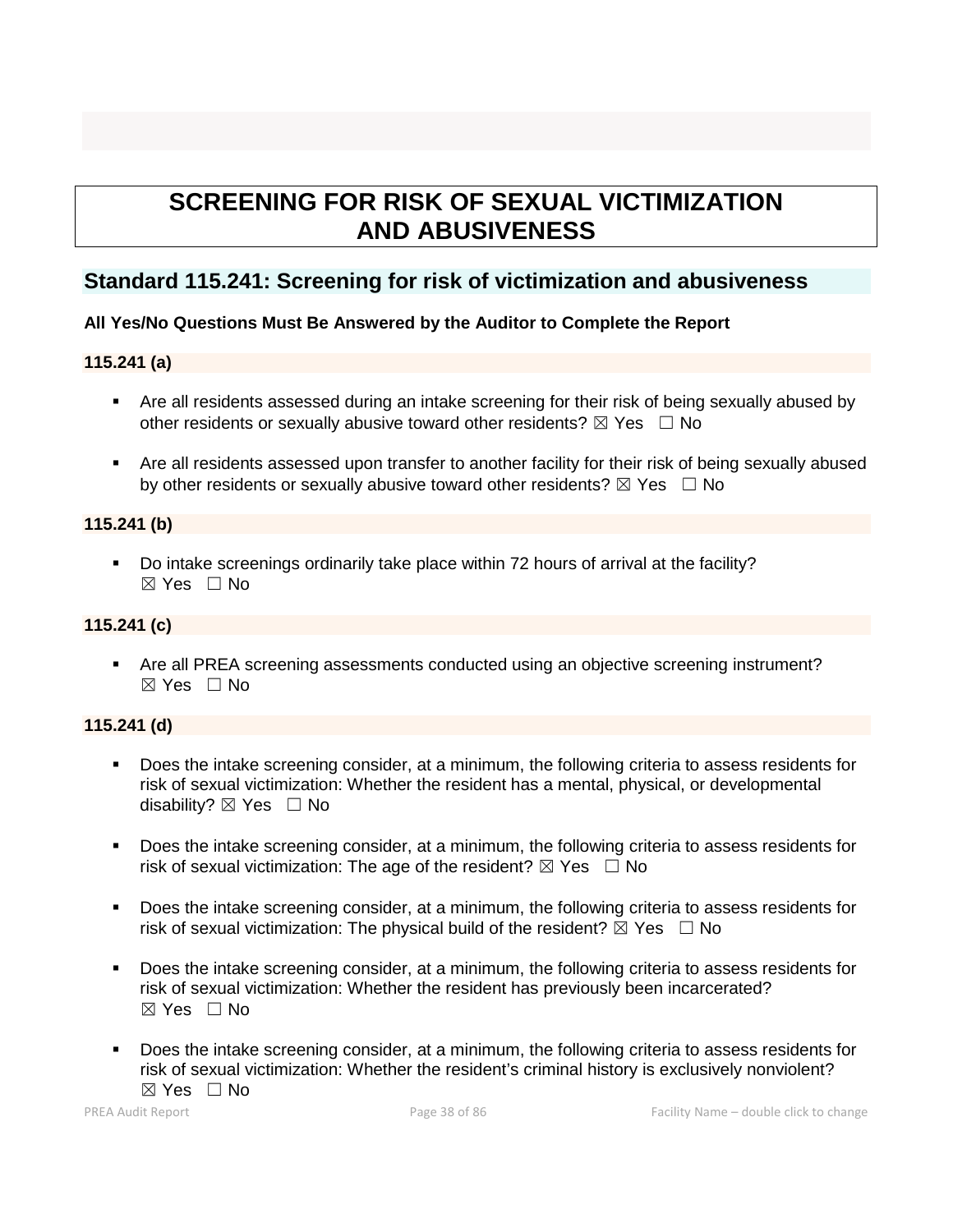# **SCREENING FOR RISK OF SEXUAL VICTIMIZATION AND ABUSIVENESS**

# **Standard 115.241: Screening for risk of victimization and abusiveness**

# **All Yes/No Questions Must Be Answered by the Auditor to Complete the Report**

# **115.241 (a)**

- Are all residents assessed during an intake screening for their risk of being sexually abused by other residents or sexually abusive toward other residents?  $\boxtimes$  Yes  $\Box$  No
- Are all residents assessed upon transfer to another facility for their risk of being sexually abused by other residents or sexually abusive toward other residents?  $\boxtimes$  Yes  $\Box$  No

# **115.241 (b)**

 Do intake screenings ordinarily take place within 72 hours of arrival at the facility?  $\boxtimes$  Yes  $\Box$  No

# **115.241 (c)**

 Are all PREA screening assessments conducted using an objective screening instrument?  $\boxtimes$  Yes  $\Box$  No

# **115.241 (d)**

- Does the intake screening consider, at a minimum, the following criteria to assess residents for risk of sexual victimization: Whether the resident has a mental, physical, or developmental disability?  $\boxtimes$  Yes  $\Box$  No
- Does the intake screening consider, at a minimum, the following criteria to assess residents for risk of sexual victimization: The age of the resident?  $\boxtimes$  Yes  $\Box$  No
- Does the intake screening consider, at a minimum, the following criteria to assess residents for risk of sexual victimization: The physical build of the resident?  $\boxtimes$  Yes  $\Box$  No
- Does the intake screening consider, at a minimum, the following criteria to assess residents for risk of sexual victimization: Whether the resident has previously been incarcerated?  $\boxtimes$  Yes  $\Box$  No
- Does the intake screening consider, at a minimum, the following criteria to assess residents for risk of sexual victimization: Whether the resident's criminal history is exclusively nonviolent?  $\boxtimes$  Yes  $\Box$  No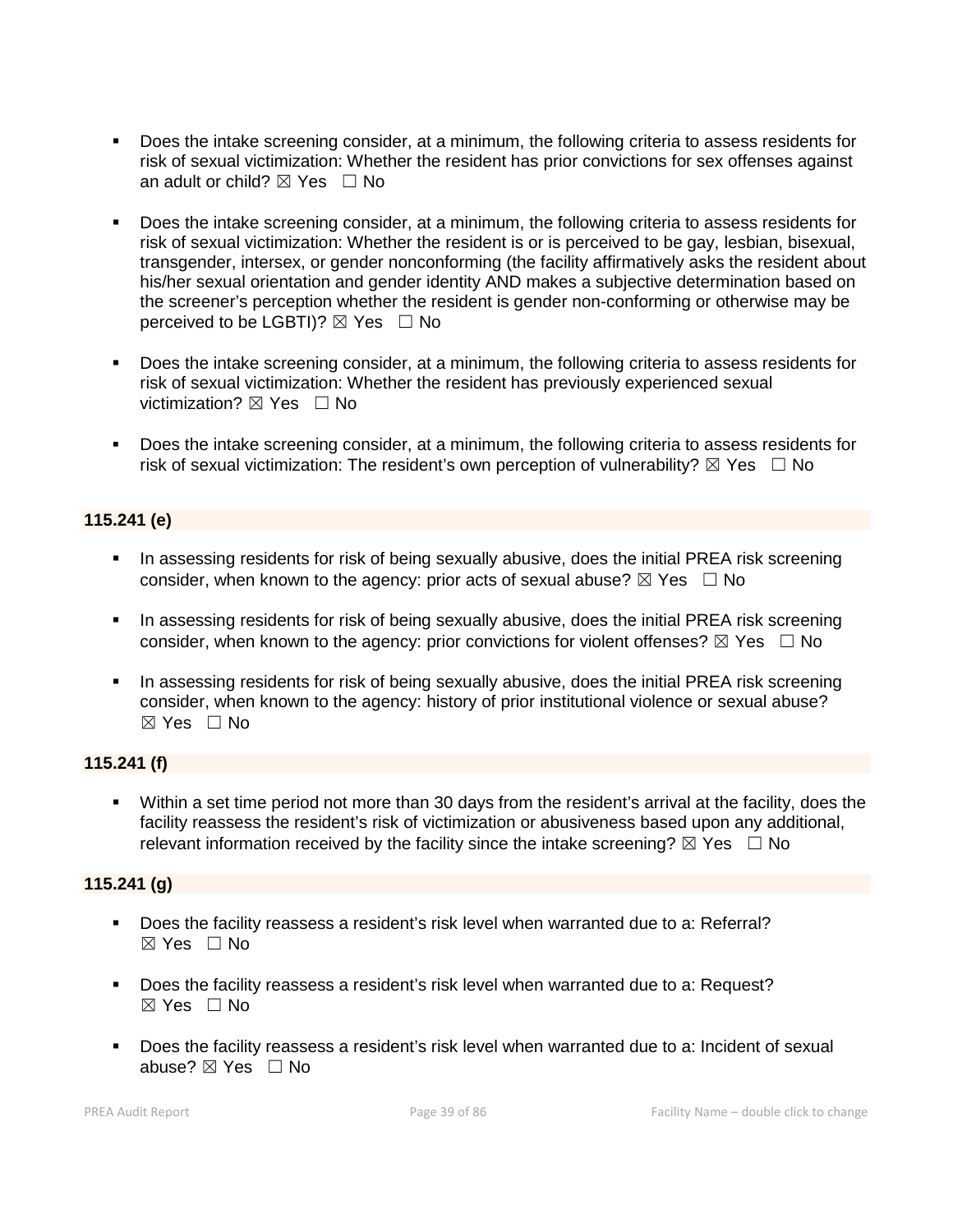- Does the intake screening consider, at a minimum, the following criteria to assess residents for risk of sexual victimization: Whether the resident has prior convictions for sex offenses against an adult or child?  $\boxtimes$  Yes  $\Box$  No
- Does the intake screening consider, at a minimum, the following criteria to assess residents for risk of sexual victimization: Whether the resident is or is perceived to be gay, lesbian, bisexual, transgender, intersex, or gender nonconforming (the facility affirmatively asks the resident about his/her sexual orientation and gender identity AND makes a subjective determination based on the screener's perception whether the resident is gender non-conforming or otherwise may be perceived to be LGBTI)?  $\boxtimes$  Yes  $\Box$  No
- Does the intake screening consider, at a minimum, the following criteria to assess residents for risk of sexual victimization: Whether the resident has previously experienced sexual victimization?  $\boxtimes$  Yes  $\Box$  No
- Does the intake screening consider, at a minimum, the following criteria to assess residents for risk of sexual victimization: The resident's own perception of vulnerability?  $\boxtimes$  Yes  $\Box$  No

# **115.241 (e)**

- **IF In assessing residents for risk of being sexually abusive, does the initial PREA risk screening** consider, when known to the agency: prior acts of sexual abuse?  $\boxtimes$  Yes  $\Box$  No
- **IF In assessing residents for risk of being sexually abusive, does the initial PREA risk screening** consider, when known to the agency: prior convictions for violent offenses?  $\boxtimes$  Yes  $\Box$  No
- In assessing residents for risk of being sexually abusive, does the initial PREA risk screening consider, when known to the agency: history of prior institutional violence or sexual abuse?  $\boxtimes$  Yes  $\Box$  No

# **115.241 (f)**

 Within a set time period not more than 30 days from the resident's arrival at the facility, does the facility reassess the resident's risk of victimization or abusiveness based upon any additional, relevant information received by the facility since the intake screening?  $\boxtimes$  Yes  $\Box$  No

# **115.241 (g)**

- Does the facility reassess a resident's risk level when warranted due to a: Referral? ☒ Yes ☐ No
- Does the facility reassess a resident's risk level when warranted due to a: Request?  $\boxtimes$  Yes  $\Box$  No
- **Does the facility reassess a resident's risk level when warranted due to a: Incident of sexual** abuse?  $\boxtimes$  Yes  $\Box$  No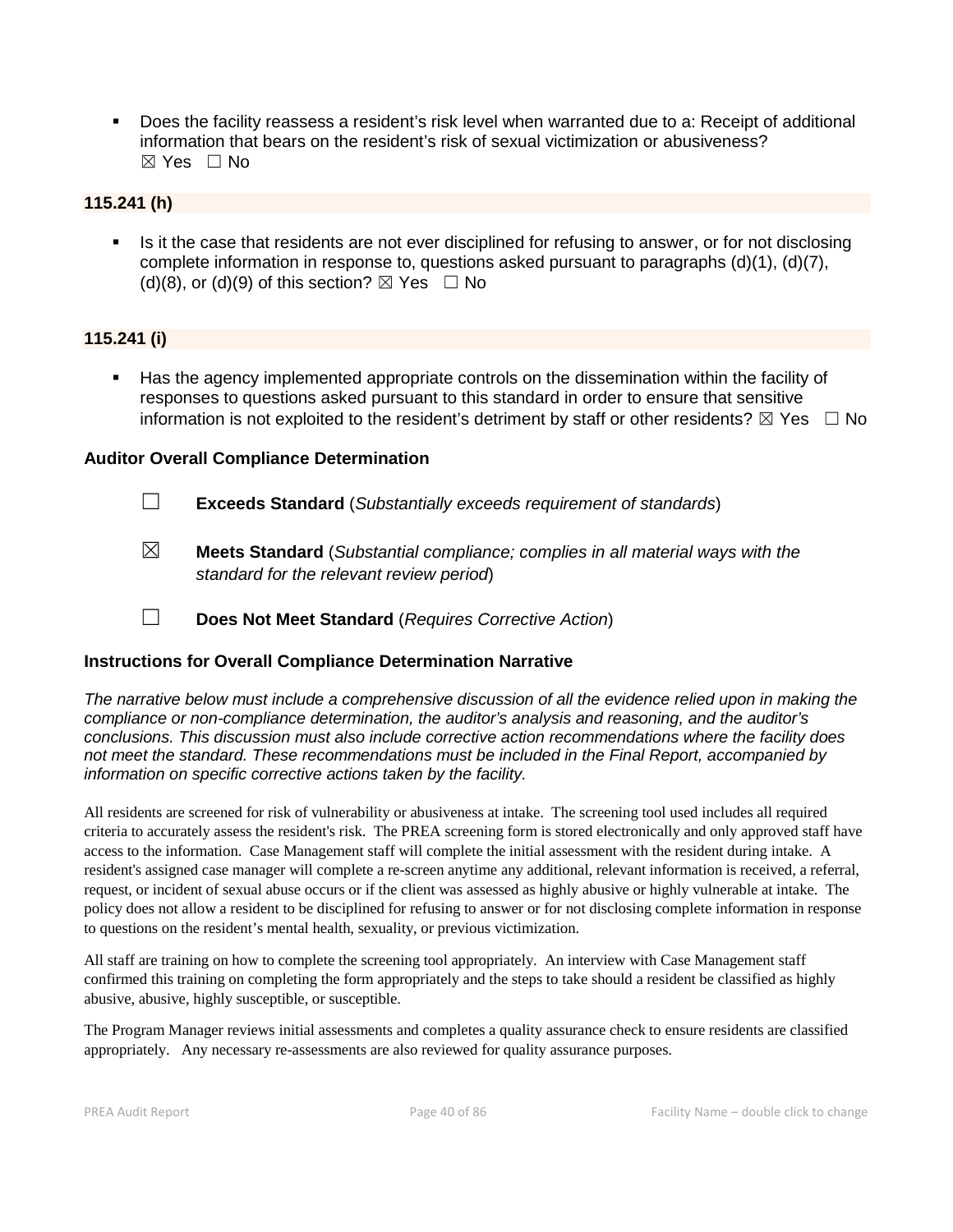Does the facility reassess a resident's risk level when warranted due to a: Receipt of additional information that bears on the resident's risk of sexual victimization or abusiveness?  $\boxtimes$  Yes  $\Box$  No

#### **115.241 (h)**

 Is it the case that residents are not ever disciplined for refusing to answer, or for not disclosing complete information in response to, questions asked pursuant to paragraphs (d)(1), (d)(7), (d)(8), or (d)(9) of this section?  $\boxtimes$  Yes  $\Box$  No

#### **115.241 (i)**

 Has the agency implemented appropriate controls on the dissemination within the facility of responses to questions asked pursuant to this standard in order to ensure that sensitive information is not exploited to the resident's detriment by staff or other residents?  $\boxtimes$  Yes  $\Box$  No

#### **Auditor Overall Compliance Determination**

- ☐ **Exceeds Standard** (*Substantially exceeds requirement of standards*)
- ☒ **Meets Standard** (*Substantial compliance; complies in all material ways with the standard for the relevant review period*)
- ☐ **Does Not Meet Standard** (*Requires Corrective Action*)

# **Instructions for Overall Compliance Determination Narrative**

*The narrative below must include a comprehensive discussion of all the evidence relied upon in making the compliance or non-compliance determination, the auditor's analysis and reasoning, and the auditor's conclusions. This discussion must also include corrective action recommendations where the facility does not meet the standard. These recommendations must be included in the Final Report, accompanied by information on specific corrective actions taken by the facility.*

All residents are screened for risk of vulnerability or abusiveness at intake. The screening tool used includes all required criteria to accurately assess the resident's risk. The PREA screening form is stored electronically and only approved staff have access to the information. Case Management staff will complete the initial assessment with the resident during intake. A resident's assigned case manager will complete a re-screen anytime any additional, relevant information is received, a referral, request, or incident of sexual abuse occurs or if the client was assessed as highly abusive or highly vulnerable at intake. The policy does not allow a resident to be disciplined for refusing to answer or for not disclosing complete information in response to questions on the resident's mental health, sexuality, or previous victimization.

All staff are training on how to complete the screening tool appropriately. An interview with Case Management staff confirmed this training on completing the form appropriately and the steps to take should a resident be classified as highly abusive, abusive, highly susceptible, or susceptible.

The Program Manager reviews initial assessments and completes a quality assurance check to ensure residents are classified appropriately. Any necessary re-assessments are also reviewed for quality assurance purposes.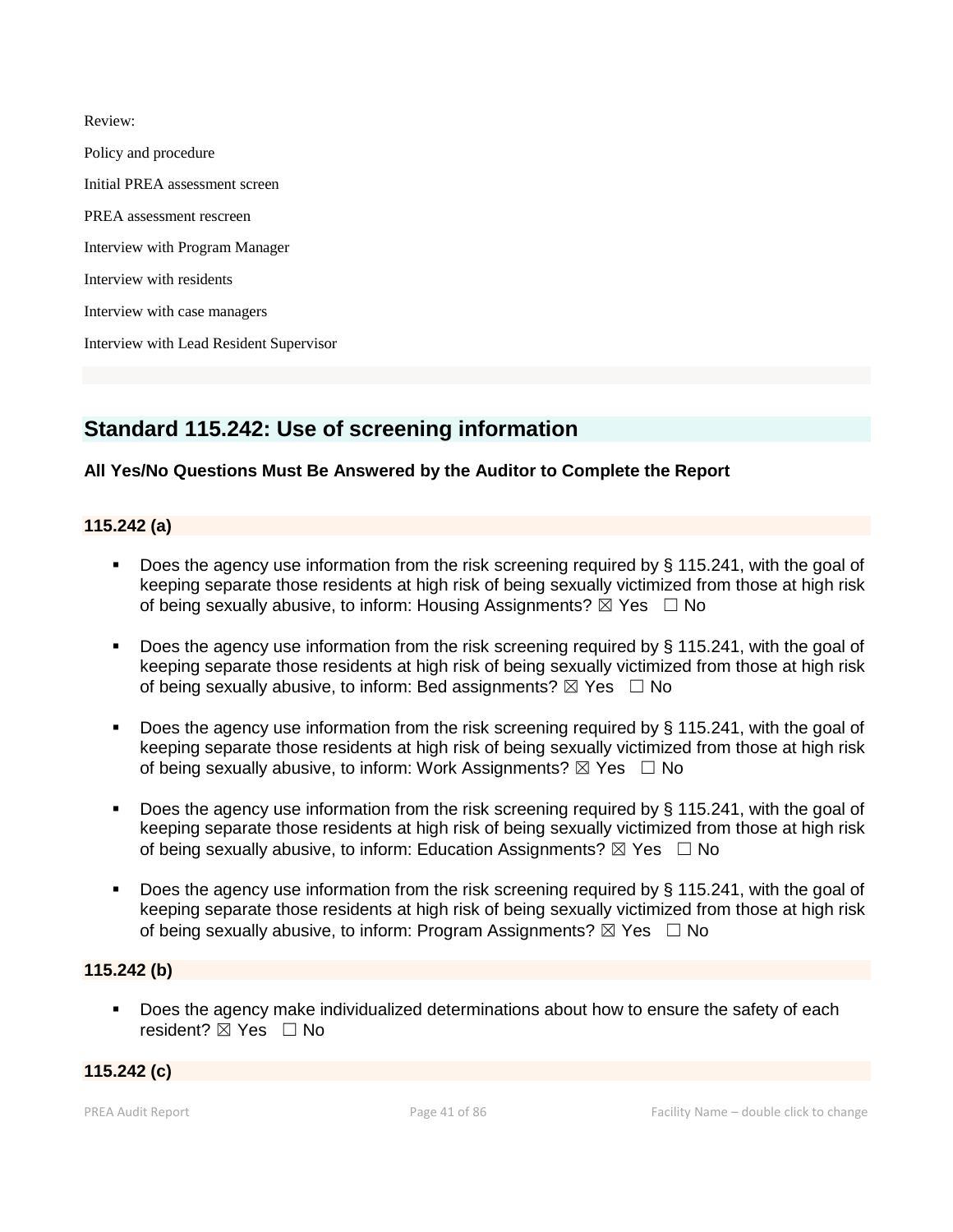Review:

Policy and procedure Initial PREA assessment screen PREA assessment rescreen Interview with Program Manager Interview with residents Interview with case managers Interview with Lead Resident Supervisor

# **Standard 115.242: Use of screening information**

# **All Yes/No Questions Must Be Answered by the Auditor to Complete the Report**

# **115.242 (a)**

- Does the agency use information from the risk screening required by § 115.241, with the goal of keeping separate those residents at high risk of being sexually victimized from those at high risk of being sexually abusive, to inform: Housing Assignments?  $\boxtimes$  Yes  $\Box$  No
- Does the agency use information from the risk screening required by § 115.241, with the goal of keeping separate those residents at high risk of being sexually victimized from those at high risk of being sexually abusive, to inform: Bed assignments?  $\boxtimes$  Yes  $\Box$  No
- Does the agency use information from the risk screening required by § 115.241, with the goal of keeping separate those residents at high risk of being sexually victimized from those at high risk of being sexually abusive, to inform: Work Assignments?  $\boxtimes$  Yes  $\Box$  No
- Does the agency use information from the risk screening required by § 115.241, with the goal of keeping separate those residents at high risk of being sexually victimized from those at high risk of being sexually abusive, to inform: Education Assignments?  $\boxtimes$  Yes  $\Box$  No
- Does the agency use information from the risk screening required by § 115.241, with the goal of keeping separate those residents at high risk of being sexually victimized from those at high risk of being sexually abusive, to inform: Program Assignments?  $\boxtimes$  Yes  $\Box$  No

# **115.242 (b)**

 Does the agency make individualized determinations about how to ensure the safety of each resident? **⊠** Yes □ No

#### **115.242 (c)**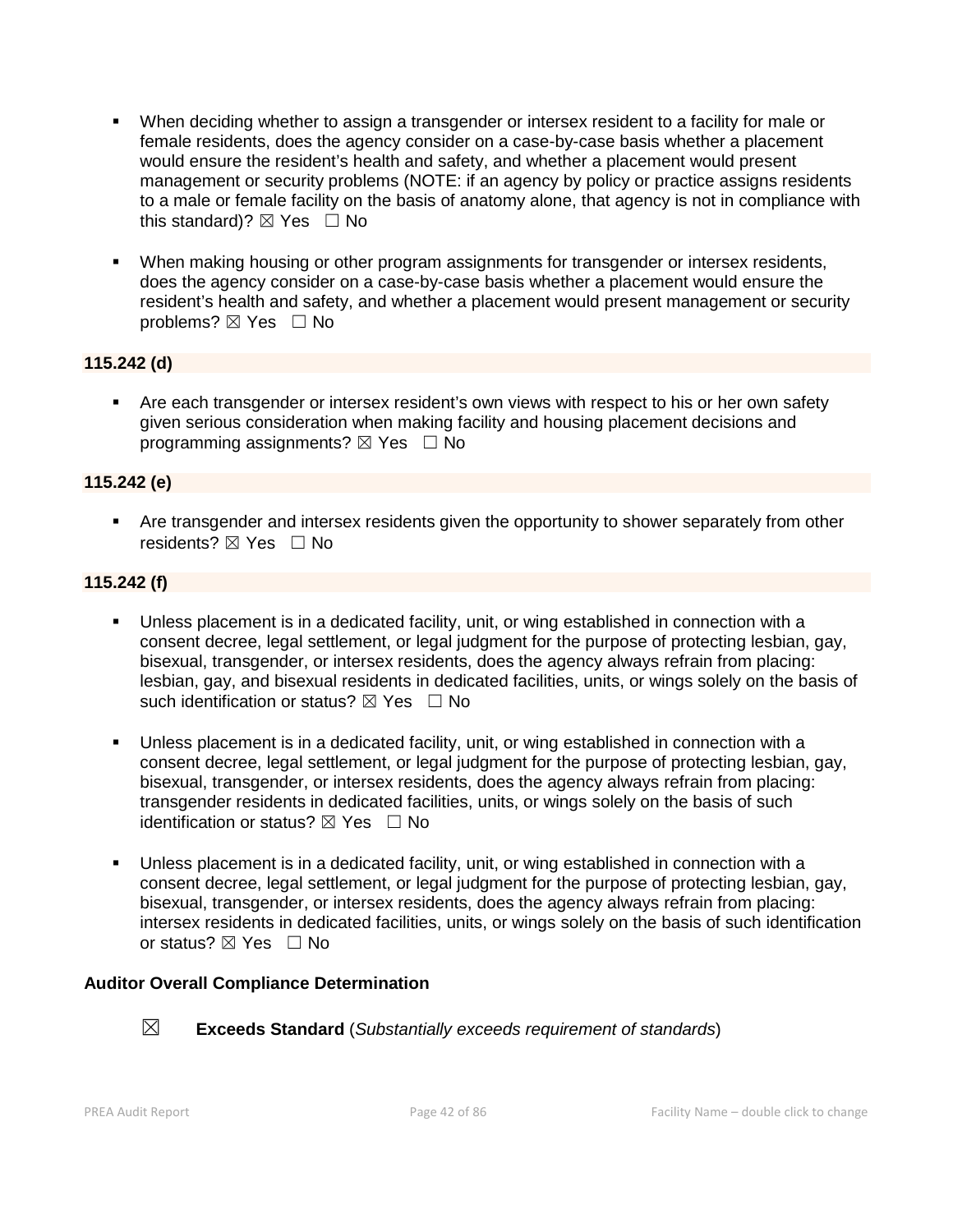- When deciding whether to assign a transgender or intersex resident to a facility for male or female residents, does the agency consider on a case-by-case basis whether a placement would ensure the resident's health and safety, and whether a placement would present management or security problems (NOTE: if an agency by policy or practice assigns residents to a male or female facility on the basis of anatomy alone, that agency is not in compliance with this standard)?  $\boxtimes$  Yes  $\Box$  No
- When making housing or other program assignments for transgender or intersex residents, does the agency consider on a case-by-case basis whether a placement would ensure the resident's health and safety, and whether a placement would present management or security problems? ⊠ Yes □ No

# **115.242 (d)**

 Are each transgender or intersex resident's own views with respect to his or her own safety given serious consideration when making facility and housing placement decisions and programming assignments?  $\boxtimes$  Yes  $\Box$  No

#### **115.242 (e)**

 Are transgender and intersex residents given the opportunity to shower separately from other residents? ⊠ Yes □ No

#### **115.242 (f)**

- Unless placement is in a dedicated facility, unit, or wing established in connection with a consent decree, legal settlement, or legal judgment for the purpose of protecting lesbian, gay, bisexual, transgender, or intersex residents, does the agency always refrain from placing: lesbian, gay, and bisexual residents in dedicated facilities, units, or wings solely on the basis of such identification or status?  $\boxtimes$  Yes  $\Box$  No
- Unless placement is in a dedicated facility, unit, or wing established in connection with a consent decree, legal settlement, or legal judgment for the purpose of protecting lesbian, gay, bisexual, transgender, or intersex residents, does the agency always refrain from placing: transgender residents in dedicated facilities, units, or wings solely on the basis of such identification or status?  $\boxtimes$  Yes  $\Box$  No
- Unless placement is in a dedicated facility, unit, or wing established in connection with a consent decree, legal settlement, or legal judgment for the purpose of protecting lesbian, gay, bisexual, transgender, or intersex residents, does the agency always refrain from placing: intersex residents in dedicated facilities, units, or wings solely on the basis of such identification or status? ⊠ Yes □ No

#### **Auditor Overall Compliance Determination**



☒ **Exceeds Standard** (*Substantially exceeds requirement of standards*)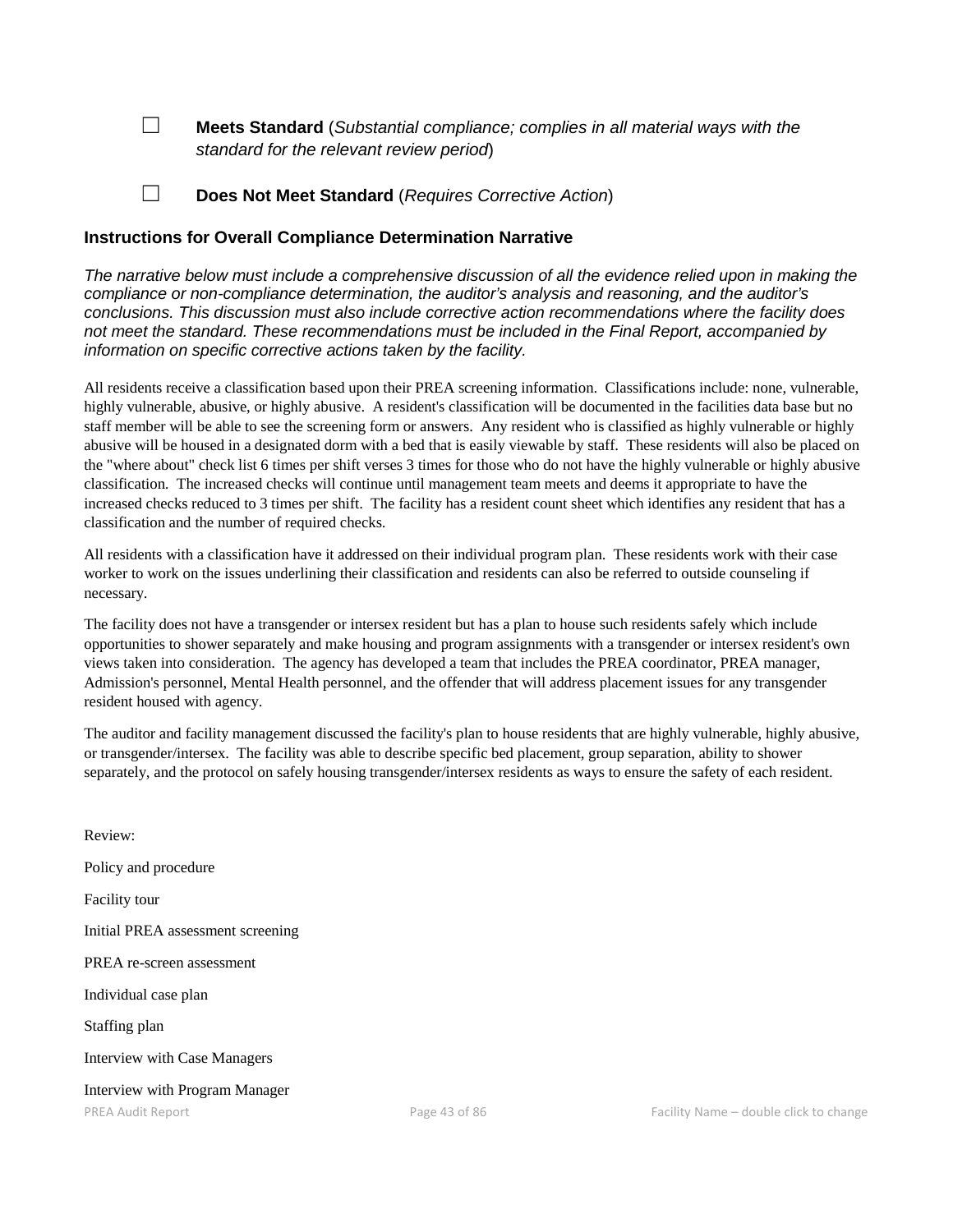☐ **Meets Standard** (*Substantial compliance; complies in all material ways with the standard for the relevant review period*)

☐ **Does Not Meet Standard** (*Requires Corrective Action*)

#### **Instructions for Overall Compliance Determination Narrative**

*The narrative below must include a comprehensive discussion of all the evidence relied upon in making the compliance or non-compliance determination, the auditor's analysis and reasoning, and the auditor's conclusions. This discussion must also include corrective action recommendations where the facility does not meet the standard. These recommendations must be included in the Final Report, accompanied by information on specific corrective actions taken by the facility.*

All residents receive a classification based upon their PREA screening information. Classifications include: none, vulnerable, highly vulnerable, abusive, or highly abusive. A resident's classification will be documented in the facilities data base but no staff member will be able to see the screening form or answers. Any resident who is classified as highly vulnerable or highly abusive will be housed in a designated dorm with a bed that is easily viewable by staff. These residents will also be placed on the "where about" check list 6 times per shift verses 3 times for those who do not have the highly vulnerable or highly abusive classification. The increased checks will continue until management team meets and deems it appropriate to have the increased checks reduced to 3 times per shift. The facility has a resident count sheet which identifies any resident that has a classification and the number of required checks.

All residents with a classification have it addressed on their individual program plan. These residents work with their case worker to work on the issues underlining their classification and residents can also be referred to outside counseling if necessary.

The facility does not have a transgender or intersex resident but has a plan to house such residents safely which include opportunities to shower separately and make housing and program assignments with a transgender or intersex resident's own views taken into consideration. The agency has developed a team that includes the PREA coordinator, PREA manager, Admission's personnel, Mental Health personnel, and the offender that will address placement issues for any transgender resident housed with agency.

The auditor and facility management discussed the facility's plan to house residents that are highly vulnerable, highly abusive, or transgender/intersex. The facility was able to describe specific bed placement, group separation, ability to shower separately, and the protocol on safely housing transgender/intersex residents as ways to ensure the safety of each resident.

| Review:                           |  |  |
|-----------------------------------|--|--|
| Policy and procedure              |  |  |
| Facility tour                     |  |  |
| Initial PREA assessment screening |  |  |
| PREA re-screen assessment         |  |  |
| Individual case plan              |  |  |
| Staffing plan                     |  |  |
| Interview with Case Managers      |  |  |
| Interview with Program Manager    |  |  |
| <b>PREA Audit Report</b>          |  |  |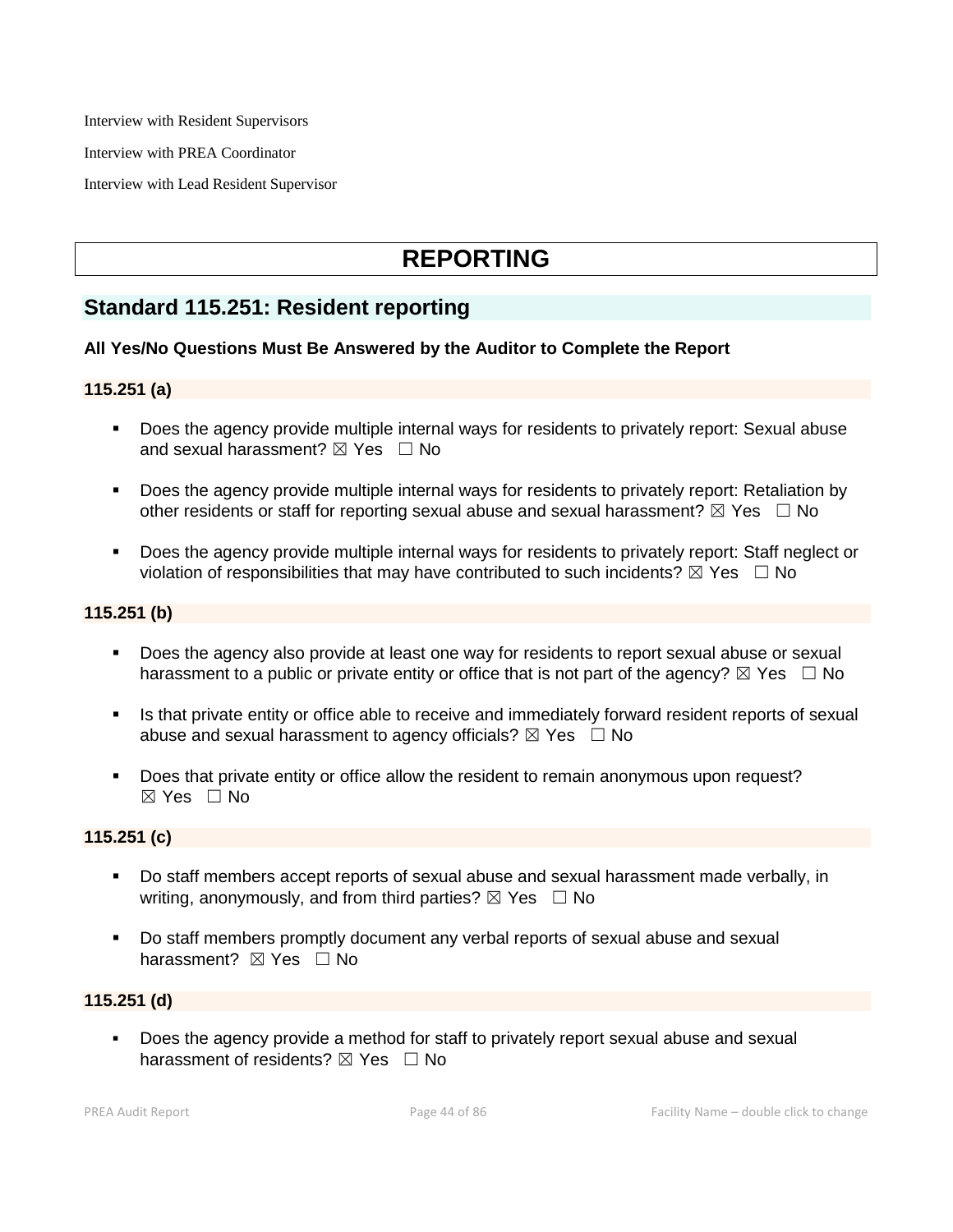Interview with Resident Supervisors

Interview with PREA Coordinator

Interview with Lead Resident Supervisor

# **REPORTING**

# **Standard 115.251: Resident reporting**

#### **All Yes/No Questions Must Be Answered by the Auditor to Complete the Report**

#### **115.251 (a)**

- Does the agency provide multiple internal ways for residents to privately report: Sexual abuse and sexual harassment?  $\boxtimes$  Yes  $\Box$  No
- Does the agency provide multiple internal ways for residents to privately report: Retaliation by other residents or staff for reporting sexual abuse and sexual harassment?  $\boxtimes$  Yes  $\Box$  No
- Does the agency provide multiple internal ways for residents to privately report: Staff neglect or violation of responsibilities that may have contributed to such incidents?  $\boxtimes$  Yes  $\Box$  No

#### **115.251 (b)**

- Does the agency also provide at least one way for residents to report sexual abuse or sexual harassment to a public or private entity or office that is not part of the agency?  $\boxtimes$  Yes  $\Box$  No
- Is that private entity or office able to receive and immediately forward resident reports of sexual abuse and sexual harassment to agency officials?  $\boxtimes$  Yes  $\Box$  No
- Does that private entity or office allow the resident to remain anonymous upon request? ☒ Yes ☐ No

#### **115.251 (c)**

- Do staff members accept reports of sexual abuse and sexual harassment made verbally, in writing, anonymously, and from third parties?  $\boxtimes$  Yes  $\Box$  No
- Do staff members promptly document any verbal reports of sexual abuse and sexual harassment? ⊠ Yes □ No

# **115.251 (d)**

 Does the agency provide a method for staff to privately report sexual abuse and sexual harassment of residents?  $\boxtimes$  Yes  $\Box$  No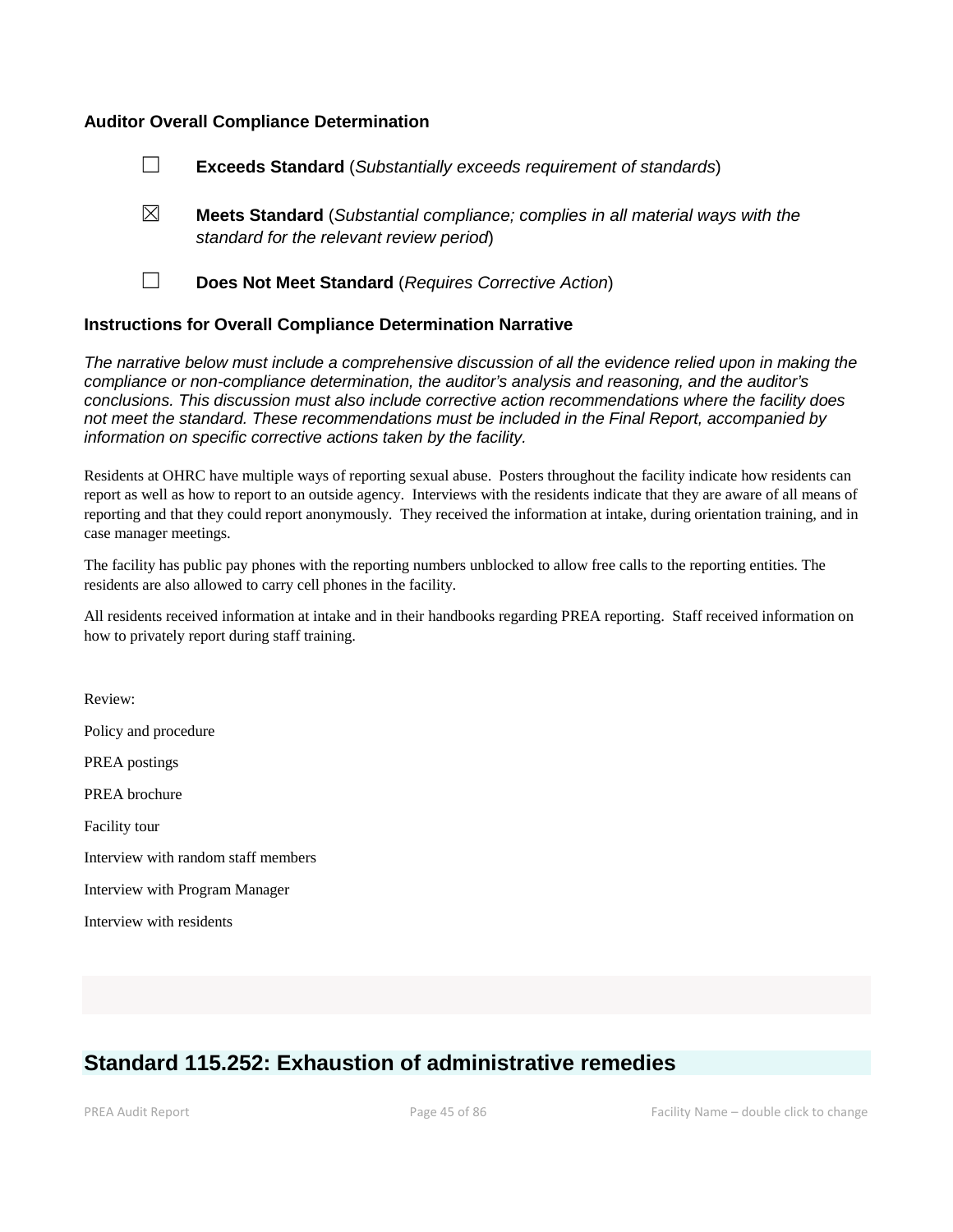#### **Auditor Overall Compliance Determination**



- ☒ **Meets Standard** (*Substantial compliance; complies in all material ways with the standard for the relevant review period*)
- 

☐ **Does Not Meet Standard** (*Requires Corrective Action*)

#### **Instructions for Overall Compliance Determination Narrative**

*The narrative below must include a comprehensive discussion of all the evidence relied upon in making the compliance or non-compliance determination, the auditor's analysis and reasoning, and the auditor's conclusions. This discussion must also include corrective action recommendations where the facility does not meet the standard. These recommendations must be included in the Final Report, accompanied by information on specific corrective actions taken by the facility.*

Residents at OHRC have multiple ways of reporting sexual abuse. Posters throughout the facility indicate how residents can report as well as how to report to an outside agency. Interviews with the residents indicate that they are aware of all means of reporting and that they could report anonymously. They received the information at intake, during orientation training, and in case manager meetings.

The facility has public pay phones with the reporting numbers unblocked to allow free calls to the reporting entities. The residents are also allowed to carry cell phones in the facility.

All residents received information at intake and in their handbooks regarding PREA reporting. Staff received information on how to privately report during staff training.

Review: Policy and procedure PREA postings PREA brochure Facility tour Interview with random staff members Interview with Program Manager Interview with residents

# **Standard 115.252: Exhaustion of administrative remedies**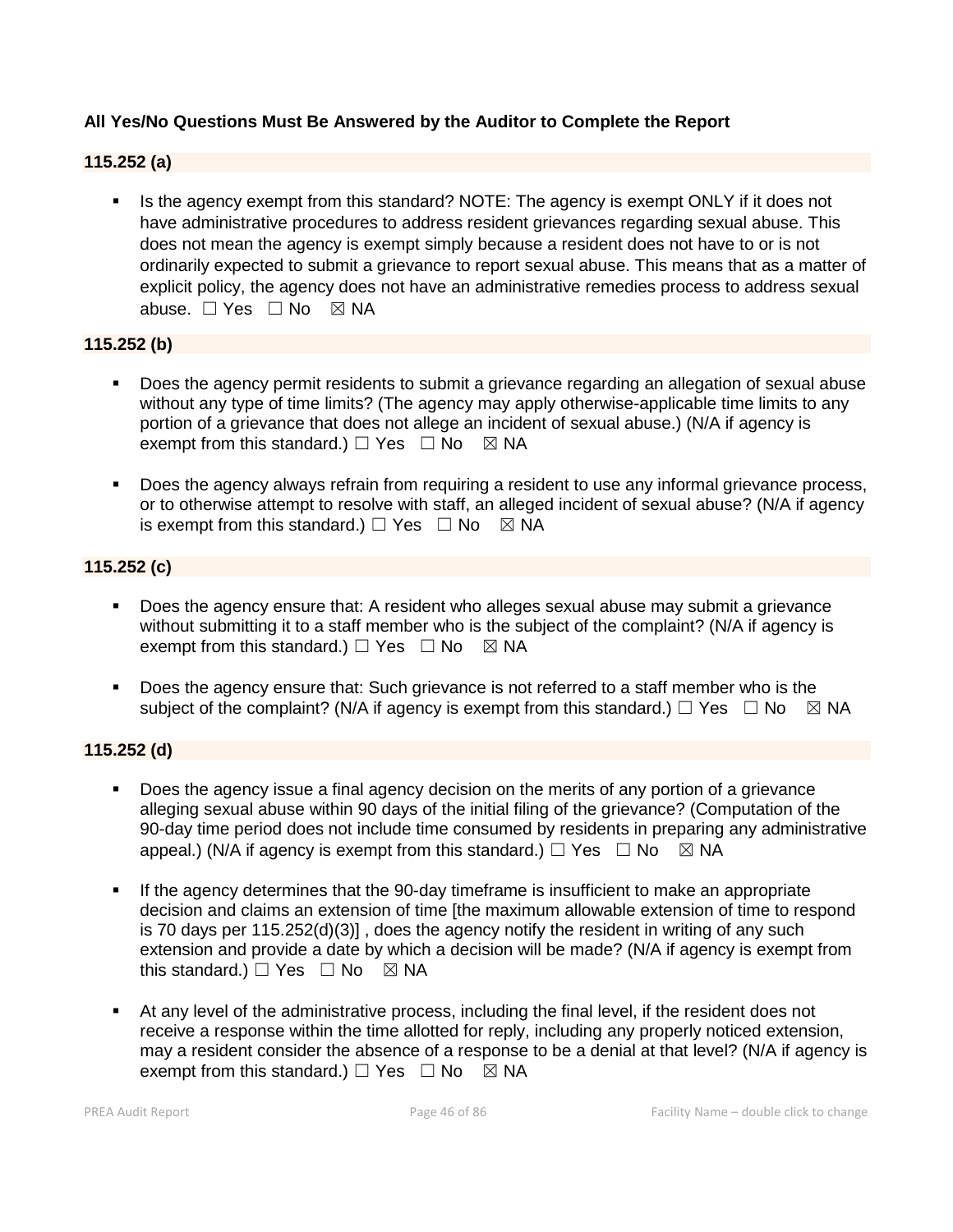# **All Yes/No Questions Must Be Answered by the Auditor to Complete the Report**

# **115.252 (a)**

Is the agency exempt from this standard? NOTE: The agency is exempt ONLY if it does not have administrative procedures to address resident grievances regarding sexual abuse. This does not mean the agency is exempt simply because a resident does not have to or is not ordinarily expected to submit a grievance to report sexual abuse. This means that as a matter of explicit policy, the agency does not have an administrative remedies process to address sexual abuse. □ Yes □ No ⊠ NA

#### **115.252 (b)**

- Does the agency permit residents to submit a grievance regarding an allegation of sexual abuse without any type of time limits? (The agency may apply otherwise-applicable time limits to any portion of a grievance that does not allege an incident of sexual abuse.) (N/A if agency is exempt from this standard.)  $\Box$  Yes  $\Box$  No  $\boxtimes$  NA
- Does the agency always refrain from requiring a resident to use any informal grievance process, or to otherwise attempt to resolve with staff, an alleged incident of sexual abuse? (N/A if agency is exempt from this standard.)  $\Box$  Yes  $\Box$  No  $\boxtimes$  NA

## **115.252 (c)**

- Does the agency ensure that: A resident who alleges sexual abuse may submit a grievance without submitting it to a staff member who is the subject of the complaint? (N/A if agency is exempt from this standard.)  $\Box$  Yes  $\Box$  No  $\boxtimes$  NA
- Does the agency ensure that: Such grievance is not referred to a staff member who is the subject of the complaint? (N/A if agency is exempt from this standard.)  $\Box$  Yes  $\Box$  No  $\boxtimes$  NA

#### **115.252 (d)**

- Does the agency issue a final agency decision on the merits of any portion of a grievance alleging sexual abuse within 90 days of the initial filing of the grievance? (Computation of the 90-day time period does not include time consumed by residents in preparing any administrative appeal.) (N/A if agency is exempt from this standard.)  $\Box$  Yes  $\Box$  No  $\boxtimes$  NA
- If the agency determines that the 90-day timeframe is insufficient to make an appropriate decision and claims an extension of time [the maximum allowable extension of time to respond is 70 days per 115.252(d)(3)] , does the agency notify the resident in writing of any such extension and provide a date by which a decision will be made? (N/A if agency is exempt from this standard.)  $\Box$  Yes  $\Box$  No  $\boxtimes$  NA
- At any level of the administrative process, including the final level, if the resident does not receive a response within the time allotted for reply, including any properly noticed extension, may a resident consider the absence of a response to be a denial at that level? (N/A if agency is exempt from this standard.)  $\Box$  Yes  $\Box$  No  $\boxtimes$  NA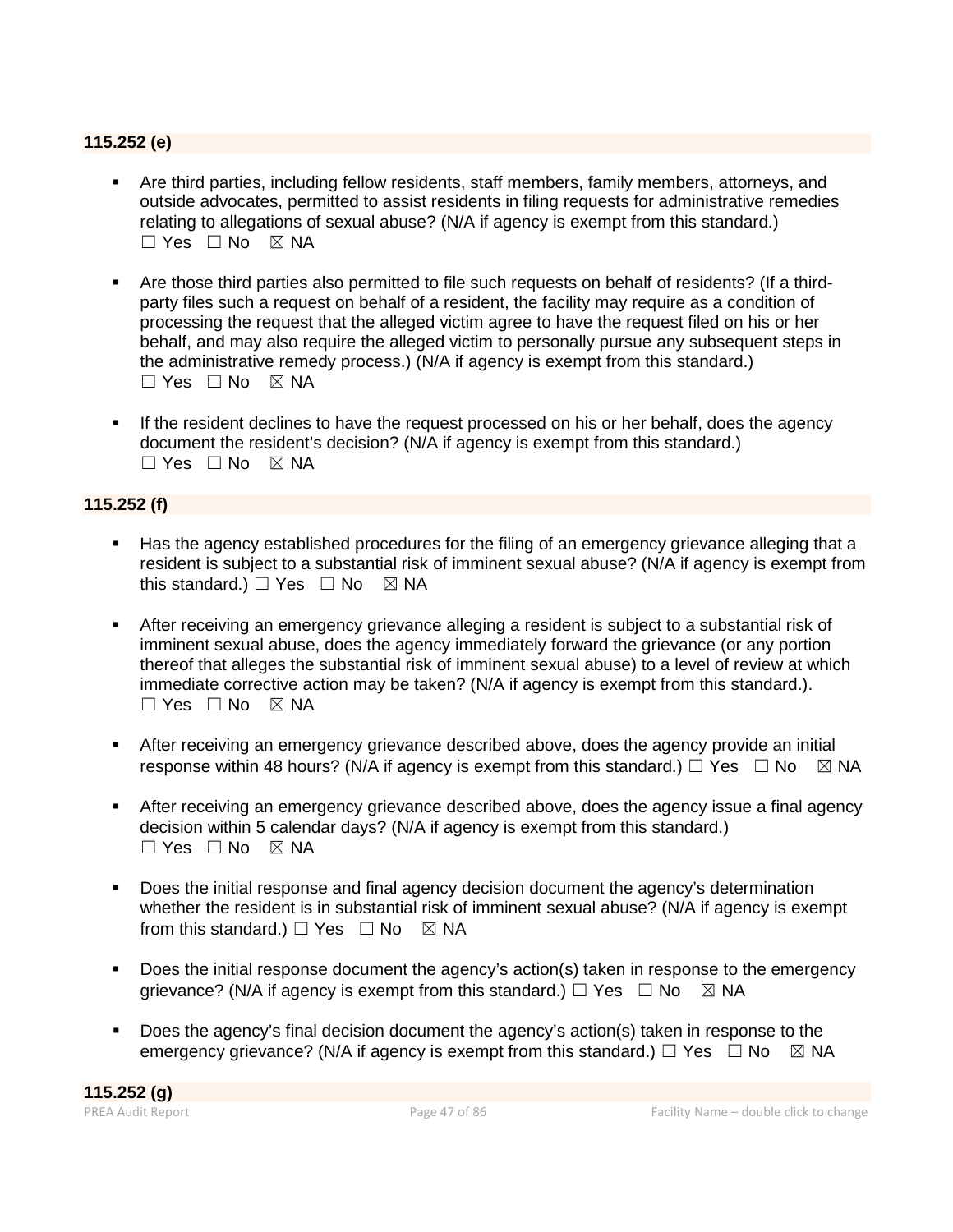# **115.252 (e)**

- Are third parties, including fellow residents, staff members, family members, attorneys, and outside advocates, permitted to assist residents in filing requests for administrative remedies relating to allegations of sexual abuse? (N/A if agency is exempt from this standard.)  $\Box$  Yes  $\Box$  No  $\boxtimes$  NA
- Are those third parties also permitted to file such requests on behalf of residents? (If a thirdparty files such a request on behalf of a resident, the facility may require as a condition of processing the request that the alleged victim agree to have the request filed on his or her behalf, and may also require the alleged victim to personally pursue any subsequent steps in the administrative remedy process.) (N/A if agency is exempt from this standard.)  $\Box$  Yes  $\Box$  No  $\boxtimes$  NA
- If the resident declines to have the request processed on his or her behalf, does the agency document the resident's decision? (N/A if agency is exempt from this standard.)  $\Box$  Yes  $\Box$  No  $\boxtimes$  NA

# **115.252 (f)**

- Has the agency established procedures for the filing of an emergency grievance alleging that a resident is subject to a substantial risk of imminent sexual abuse? (N/A if agency is exempt from this standard.)  $\Box$  Yes  $\Box$  No  $\boxtimes$  NA
- After receiving an emergency grievance alleging a resident is subject to a substantial risk of imminent sexual abuse, does the agency immediately forward the grievance (or any portion thereof that alleges the substantial risk of imminent sexual abuse) to a level of review at which immediate corrective action may be taken? (N/A if agency is exempt from this standard.).  $\Box$  Yes  $\Box$  No  $\boxtimes$  NA
- After receiving an emergency grievance described above, does the agency provide an initial response within 48 hours? (N/A if agency is exempt from this standard.)  $\Box$  Yes  $\Box$  No  $\boxtimes$  NA
- After receiving an emergency grievance described above, does the agency issue a final agency decision within 5 calendar days? (N/A if agency is exempt from this standard.)  $\Box$  Yes  $\Box$  No  $\boxtimes$  NA
- Does the initial response and final agency decision document the agency's determination whether the resident is in substantial risk of imminent sexual abuse? (N/A if agency is exempt from this standard.)  $\Box$  Yes  $\Box$  No  $\boxtimes$  NA
- Does the initial response document the agency's action(s) taken in response to the emergency grievance? (N/A if agency is exempt from this standard.)  $\Box$  Yes  $\Box$  No  $\boxtimes$  NA
- Does the agency's final decision document the agency's action(s) taken in response to the emergency grievance? (N/A if agency is exempt from this standard.)  $\Box$  Yes  $\Box$  No  $\boxtimes$  NA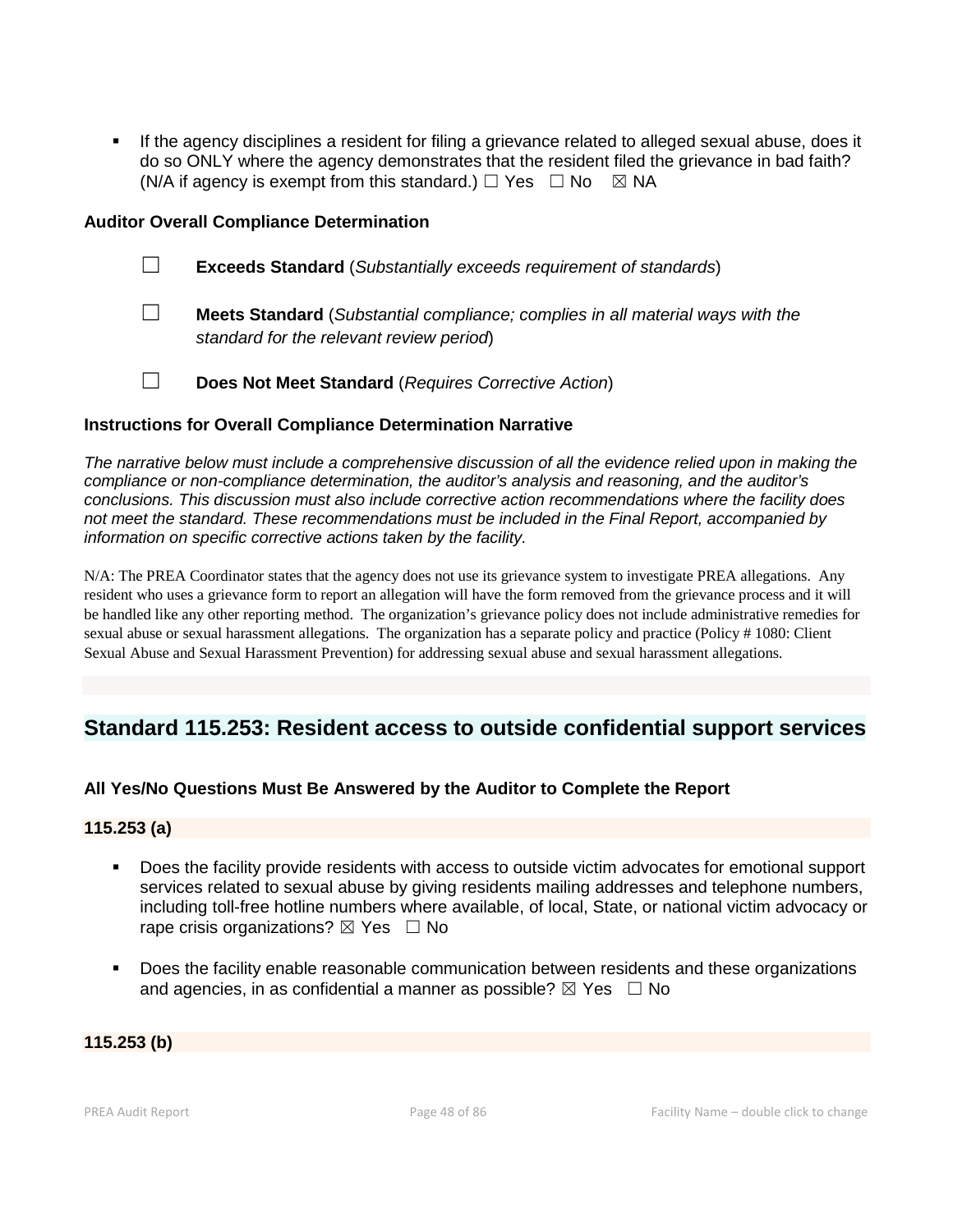If the agency disciplines a resident for filing a grievance related to alleged sexual abuse, does it do so ONLY where the agency demonstrates that the resident filed the grievance in bad faith? (N/A if agency is exempt from this standard.)  $\Box$  Yes  $\Box$  No  $\boxtimes$  NA

#### **Auditor Overall Compliance Determination**

- ☐ **Exceeds Standard** (*Substantially exceeds requirement of standards*)
- ☐ **Meets Standard** (*Substantial compliance; complies in all material ways with the standard for the relevant review period*)
- ☐ **Does Not Meet Standard** (*Requires Corrective Action*)

#### **Instructions for Overall Compliance Determination Narrative**

*The narrative below must include a comprehensive discussion of all the evidence relied upon in making the compliance or non-compliance determination, the auditor's analysis and reasoning, and the auditor's conclusions. This discussion must also include corrective action recommendations where the facility does not meet the standard. These recommendations must be included in the Final Report, accompanied by information on specific corrective actions taken by the facility.*

N/A: The PREA Coordinator states that the agency does not use its grievance system to investigate PREA allegations. Any resident who uses a grievance form to report an allegation will have the form removed from the grievance process and it will be handled like any other reporting method. The organization's grievance policy does not include administrative remedies for sexual abuse or sexual harassment allegations. The organization has a separate policy and practice (Policy # 1080: Client Sexual Abuse and Sexual Harassment Prevention) for addressing sexual abuse and sexual harassment allegations.

# **Standard 115.253: Resident access to outside confidential support services**

# **All Yes/No Questions Must Be Answered by the Auditor to Complete the Report**

#### **115.253 (a)**

- Does the facility provide residents with access to outside victim advocates for emotional support services related to sexual abuse by giving residents mailing addresses and telephone numbers, including toll-free hotline numbers where available, of local, State, or national victim advocacy or rape crisis organizations?  $\boxtimes$  Yes  $\Box$  No
- Does the facility enable reasonable communication between residents and these organizations and agencies, in as confidential a manner as possible?  $\boxtimes$  Yes  $\Box$  No

#### **115.253 (b)**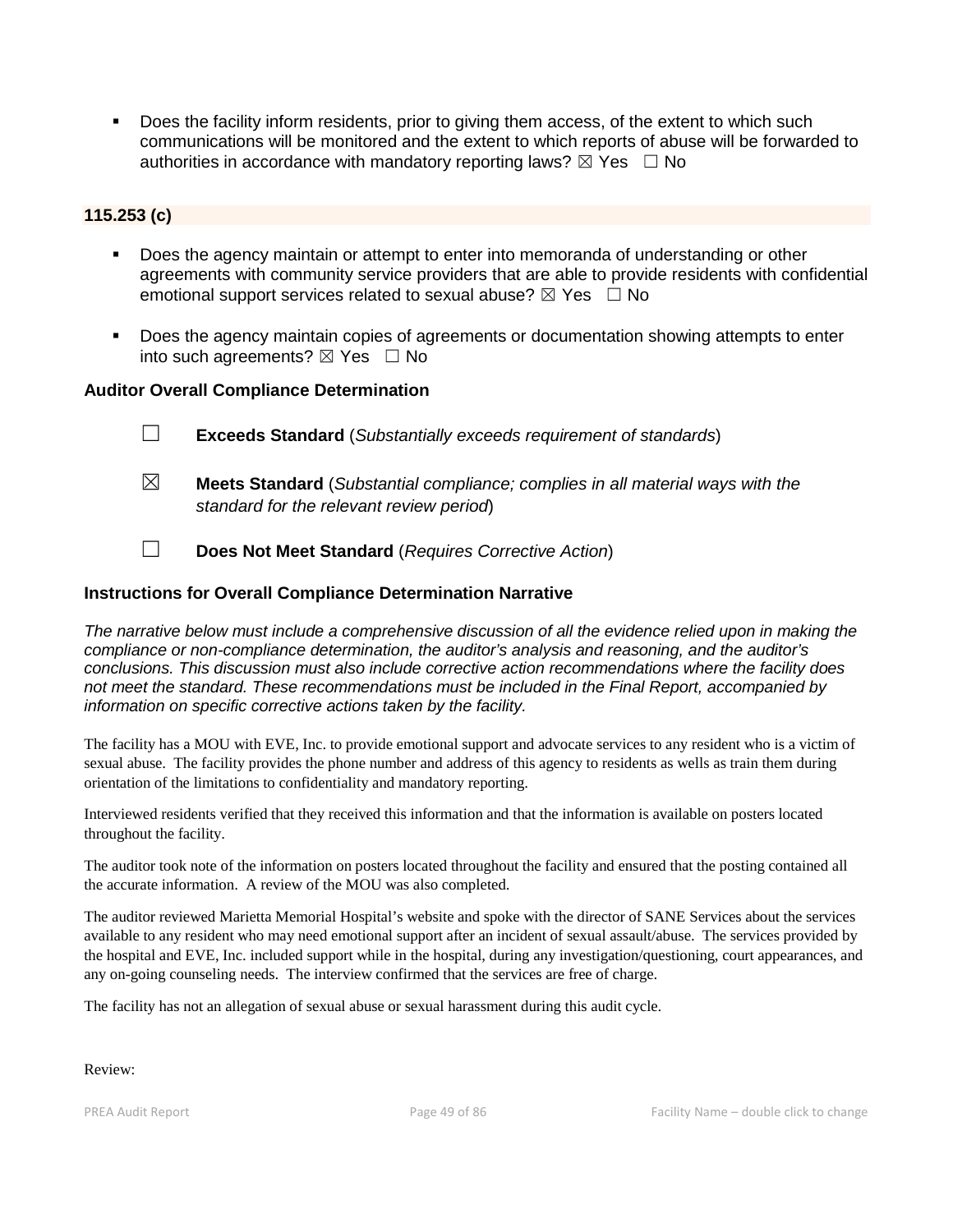Does the facility inform residents, prior to giving them access, of the extent to which such communications will be monitored and the extent to which reports of abuse will be forwarded to authorities in accordance with mandatory reporting laws?  $\boxtimes$  Yes  $\Box$  No

# **115.253 (c)**

- **Does the agency maintain or attempt to enter into memoranda of understanding or other** agreements with community service providers that are able to provide residents with confidential emotional support services related to sexual abuse?  $\boxtimes$  Yes  $\Box$  No
- Does the agency maintain copies of agreements or documentation showing attempts to enter into such agreements?  $\boxtimes$  Yes  $\Box$  No

# **Auditor Overall Compliance Determination**

- ☐ **Exceeds Standard** (*Substantially exceeds requirement of standards*)
- ☒ **Meets Standard** (*Substantial compliance; complies in all material ways with the standard for the relevant review period*)
- ☐ **Does Not Meet Standard** (*Requires Corrective Action*)

#### **Instructions for Overall Compliance Determination Narrative**

*The narrative below must include a comprehensive discussion of all the evidence relied upon in making the compliance or non-compliance determination, the auditor's analysis and reasoning, and the auditor's conclusions. This discussion must also include corrective action recommendations where the facility does not meet the standard. These recommendations must be included in the Final Report, accompanied by information on specific corrective actions taken by the facility.*

The facility has a MOU with EVE, Inc. to provide emotional support and advocate services to any resident who is a victim of sexual abuse. The facility provides the phone number and address of this agency to residents as wells as train them during orientation of the limitations to confidentiality and mandatory reporting.

Interviewed residents verified that they received this information and that the information is available on posters located throughout the facility.

The auditor took note of the information on posters located throughout the facility and ensured that the posting contained all the accurate information. A review of the MOU was also completed.

The auditor reviewed Marietta Memorial Hospital's website and spoke with the director of SANE Services about the services available to any resident who may need emotional support after an incident of sexual assault/abuse. The services provided by the hospital and EVE, Inc. included support while in the hospital, during any investigation/questioning, court appearances, and any on-going counseling needs. The interview confirmed that the services are free of charge.

The facility has not an allegation of sexual abuse or sexual harassment during this audit cycle.

#### Review: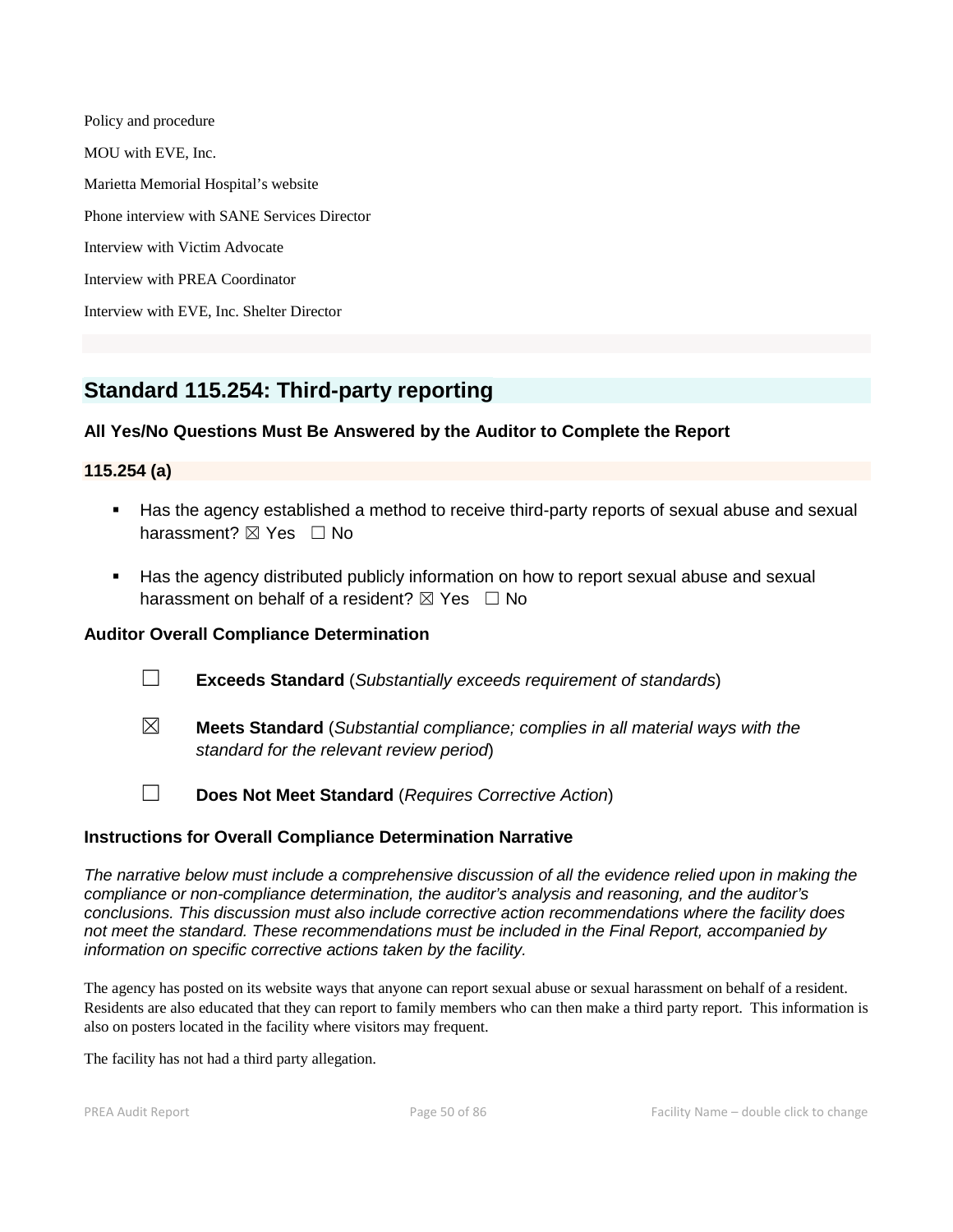Policy and procedure MOU with EVE, Inc. Marietta Memorial Hospital's website Phone interview with SANE Services Director Interview with Victim Advocate Interview with PREA Coordinator Interview with EVE, Inc. Shelter Director

# **Standard 115.254: Third-party reporting**

# **All Yes/No Questions Must Be Answered by the Auditor to Complete the Report**

# **115.254 (a)**

- Has the agency established a method to receive third-party reports of sexual abuse and sexual harassment? ⊠ Yes □ No
- Has the agency distributed publicly information on how to report sexual abuse and sexual harassment on behalf of a resident?  $\boxtimes$  Yes  $\Box$  No

# **Auditor Overall Compliance Determination**

- ☐ **Exceeds Standard** (*Substantially exceeds requirement of standards*)
- ☒ **Meets Standard** (*Substantial compliance; complies in all material ways with the standard for the relevant review period*)
- 
- ☐ **Does Not Meet Standard** (*Requires Corrective Action*)

# **Instructions for Overall Compliance Determination Narrative**

*The narrative below must include a comprehensive discussion of all the evidence relied upon in making the compliance or non-compliance determination, the auditor's analysis and reasoning, and the auditor's conclusions. This discussion must also include corrective action recommendations where the facility does not meet the standard. These recommendations must be included in the Final Report, accompanied by information on specific corrective actions taken by the facility.*

The agency has posted on its website ways that anyone can report sexual abuse or sexual harassment on behalf of a resident. Residents are also educated that they can report to family members who can then make a third party report. This information is also on posters located in the facility where visitors may frequent.

The facility has not had a third party allegation.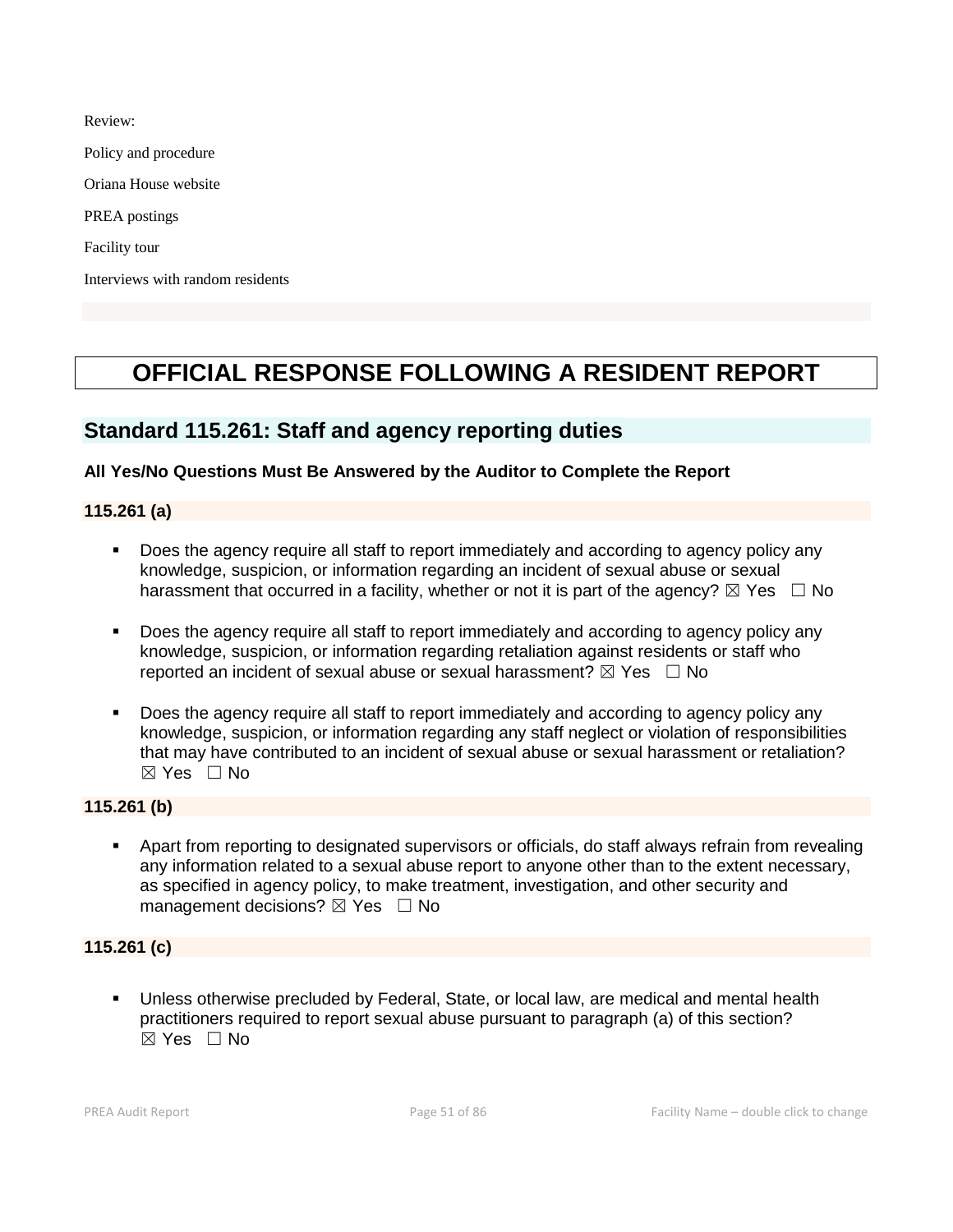Review:

Policy and procedure

Oriana House website

PREA postings

Facility tour

Interviews with random residents

# **OFFICIAL RESPONSE FOLLOWING A RESIDENT REPORT**

# **Standard 115.261: Staff and agency reporting duties**

# **All Yes/No Questions Must Be Answered by the Auditor to Complete the Report**

#### **115.261 (a)**

- Does the agency require all staff to report immediately and according to agency policy any knowledge, suspicion, or information regarding an incident of sexual abuse or sexual harassment that occurred in a facility, whether or not it is part of the agency?  $\boxtimes$  Yes  $\Box$  No
- Does the agency require all staff to report immediately and according to agency policy any knowledge, suspicion, or information regarding retaliation against residents or staff who reported an incident of sexual abuse or sexual harassment?  $\boxtimes$  Yes  $\Box$  No
- Does the agency require all staff to report immediately and according to agency policy any knowledge, suspicion, or information regarding any staff neglect or violation of responsibilities that may have contributed to an incident of sexual abuse or sexual harassment or retaliation?  $\boxtimes$  Yes  $\Box$  No

# **115.261 (b)**

 Apart from reporting to designated supervisors or officials, do staff always refrain from revealing any information related to a sexual abuse report to anyone other than to the extent necessary, as specified in agency policy, to make treatment, investigation, and other security and management decisions?  $\boxtimes$  Yes  $\Box$  No

# **115.261 (c)**

 Unless otherwise precluded by Federal, State, or local law, are medical and mental health practitioners required to report sexual abuse pursuant to paragraph (a) of this section?  $\boxtimes$  Yes  $\Box$  No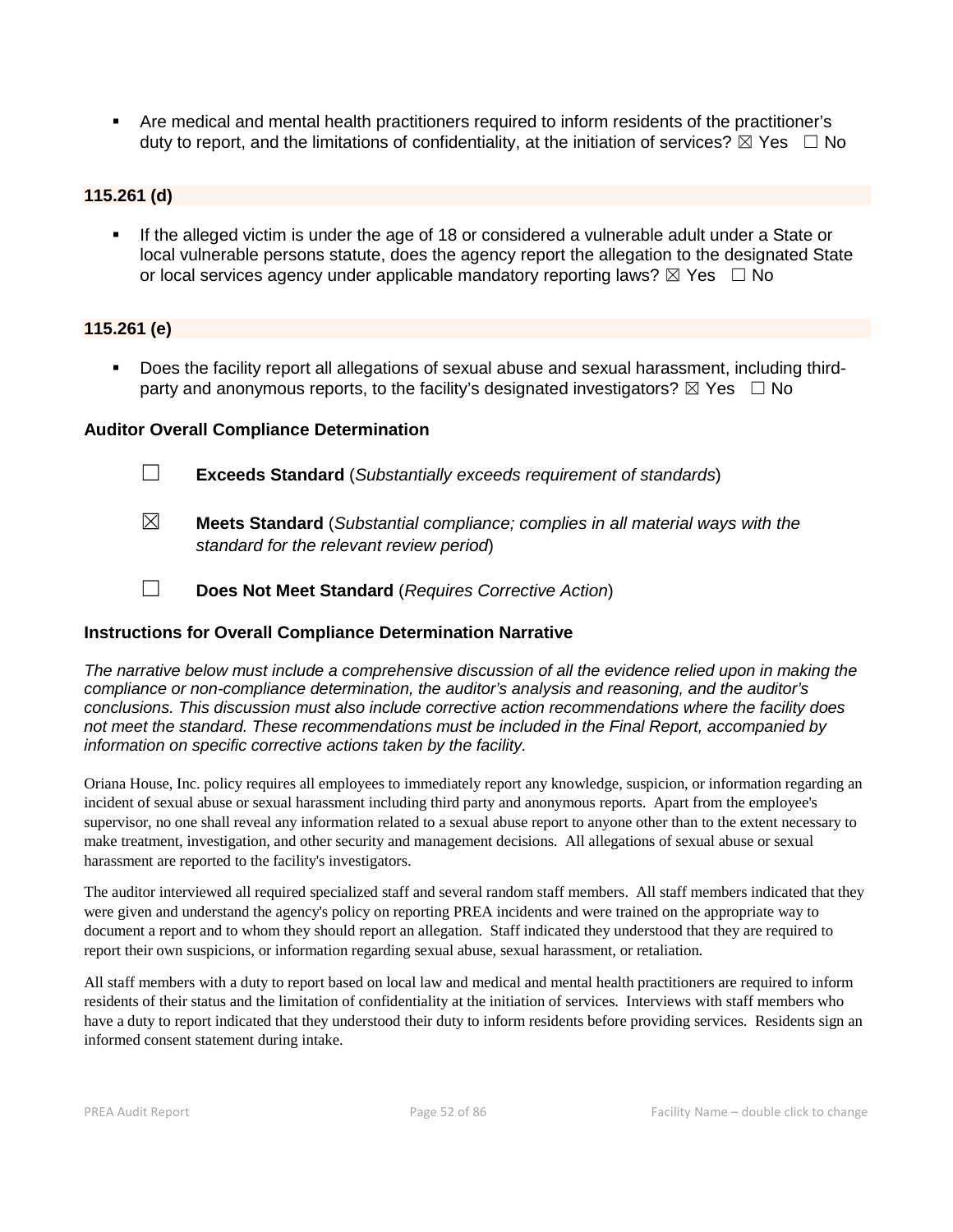Are medical and mental health practitioners required to inform residents of the practitioner's duty to report, and the limitations of confidentiality, at the initiation of services?  $\boxtimes$  Yes  $\Box$  No

# **115.261 (d)**

 If the alleged victim is under the age of 18 or considered a vulnerable adult under a State or local vulnerable persons statute, does the agency report the allegation to the designated State or local services agency under applicable mandatory reporting laws?  $\boxtimes$  Yes  $\Box$  No

#### **115.261 (e)**

 Does the facility report all allegations of sexual abuse and sexual harassment, including thirdparty and anonymous reports, to the facility's designated investigators?  $\boxtimes$  Yes  $\Box$  No

#### **Auditor Overall Compliance Determination**

- ☐ **Exceeds Standard** (*Substantially exceeds requirement of standards*)
- ☒ **Meets Standard** (*Substantial compliance; complies in all material ways with the standard for the relevant review period*)
- ☐ **Does Not Meet Standard** (*Requires Corrective Action*)

# **Instructions for Overall Compliance Determination Narrative**

*The narrative below must include a comprehensive discussion of all the evidence relied upon in making the compliance or non-compliance determination, the auditor's analysis and reasoning, and the auditor's conclusions. This discussion must also include corrective action recommendations where the facility does not meet the standard. These recommendations must be included in the Final Report, accompanied by information on specific corrective actions taken by the facility.*

Oriana House, Inc. policy requires all employees to immediately report any knowledge, suspicion, or information regarding an incident of sexual abuse or sexual harassment including third party and anonymous reports. Apart from the employee's supervisor, no one shall reveal any information related to a sexual abuse report to anyone other than to the extent necessary to make treatment, investigation, and other security and management decisions. All allegations of sexual abuse or sexual harassment are reported to the facility's investigators.

The auditor interviewed all required specialized staff and several random staff members. All staff members indicated that they were given and understand the agency's policy on reporting PREA incidents and were trained on the appropriate way to document a report and to whom they should report an allegation. Staff indicated they understood that they are required to report their own suspicions, or information regarding sexual abuse, sexual harassment, or retaliation.

All staff members with a duty to report based on local law and medical and mental health practitioners are required to inform residents of their status and the limitation of confidentiality at the initiation of services. Interviews with staff members who have a duty to report indicated that they understood their duty to inform residents before providing services. Residents sign an informed consent statement during intake.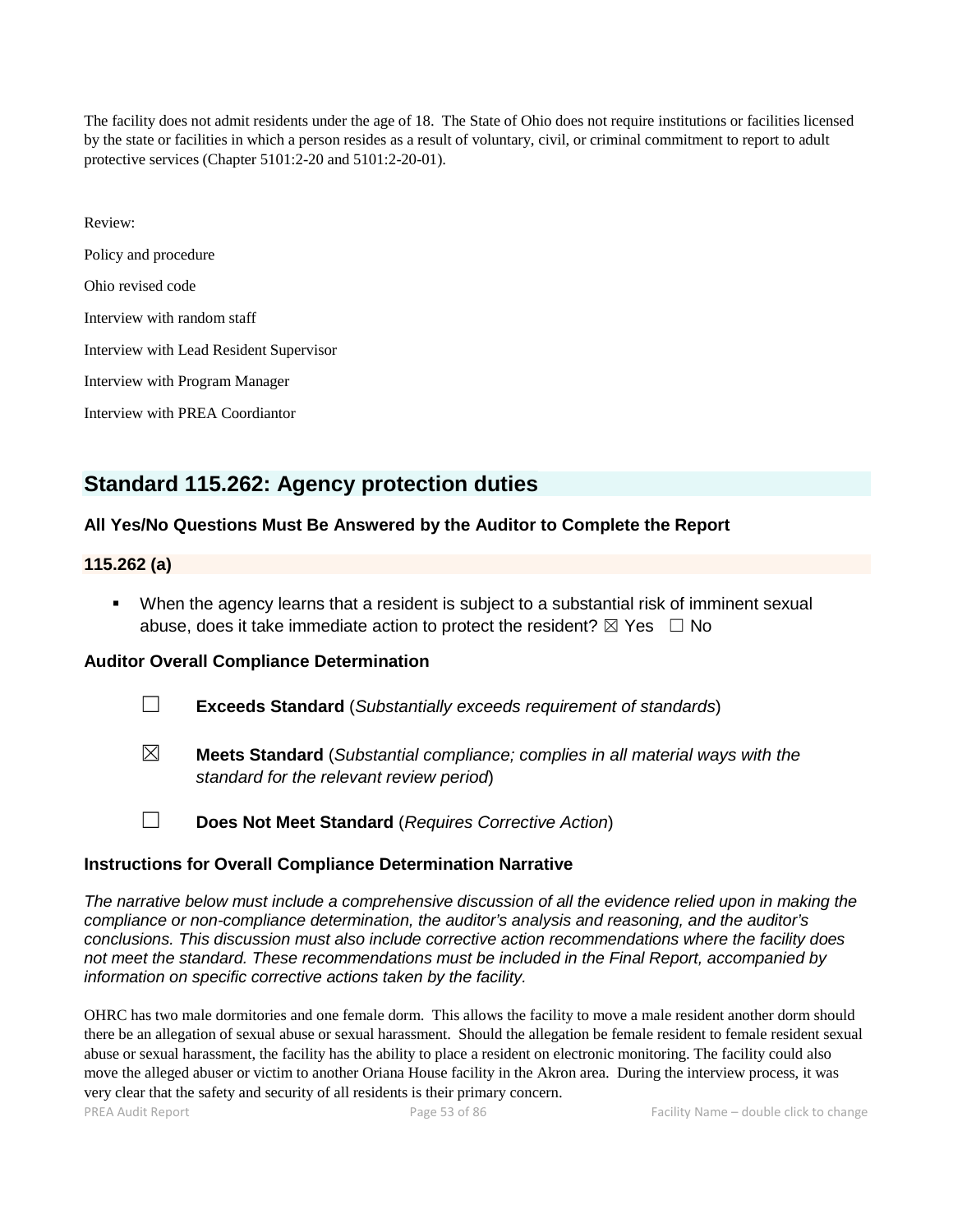The facility does not admit residents under the age of 18. The State of Ohio does not require institutions or facilities licensed by the state or facilities in which a person resides as a result of voluntary, civil, or criminal commitment to report to adult protective services (Chapter 5101:2-20 and 5101:2-20-01).

| Review:                                 |
|-----------------------------------------|
| Policy and procedure                    |
| Ohio revised code                       |
| Interview with random staff             |
| Interview with Lead Resident Supervisor |
| Interview with Program Manager          |
| Interview with PREA Coordiantor         |

# **Standard 115.262: Agency protection duties**

# **All Yes/No Questions Must Be Answered by the Auditor to Complete the Report**

#### **115.262 (a)**

 When the agency learns that a resident is subject to a substantial risk of imminent sexual abuse, does it take immediate action to protect the resident?  $\boxtimes$  Yes  $\Box$  No

# **Auditor Overall Compliance Determination**

- ☐ **Exceeds Standard** (*Substantially exceeds requirement of standards*)
- ☒ **Meets Standard** (*Substantial compliance; complies in all material ways with the standard for the relevant review period*)
- ☐ **Does Not Meet Standard** (*Requires Corrective Action*)

#### **Instructions for Overall Compliance Determination Narrative**

*The narrative below must include a comprehensive discussion of all the evidence relied upon in making the compliance or non-compliance determination, the auditor's analysis and reasoning, and the auditor's conclusions. This discussion must also include corrective action recommendations where the facility does not meet the standard. These recommendations must be included in the Final Report, accompanied by information on specific corrective actions taken by the facility.*

OHRC has two male dormitories and one female dorm. This allows the facility to move a male resident another dorm should there be an allegation of sexual abuse or sexual harassment. Should the allegation be female resident to female resident sexual abuse or sexual harassment, the facility has the ability to place a resident on electronic monitoring. The facility could also move the alleged abuser or victim to another Oriana House facility in the Akron area. During the interview process, it was very clear that the safety and security of all residents is their primary concern.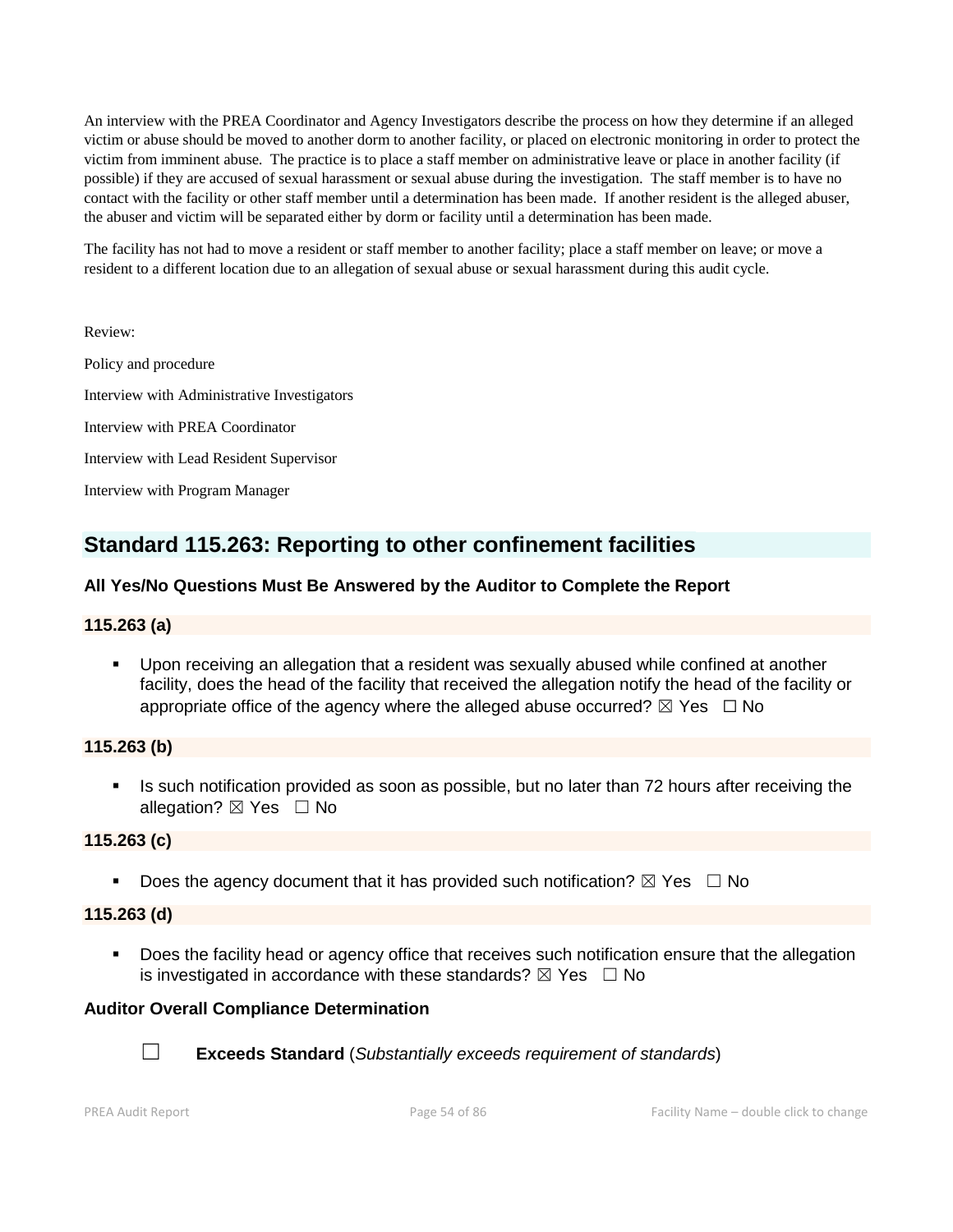An interview with the PREA Coordinator and Agency Investigators describe the process on how they determine if an alleged victim or abuse should be moved to another dorm to another facility, or placed on electronic monitoring in order to protect the victim from imminent abuse. The practice is to place a staff member on administrative leave or place in another facility (if possible) if they are accused of sexual harassment or sexual abuse during the investigation. The staff member is to have no contact with the facility or other staff member until a determination has been made. If another resident is the alleged abuser, the abuser and victim will be separated either by dorm or facility until a determination has been made.

The facility has not had to move a resident or staff member to another facility; place a staff member on leave; or move a resident to a different location due to an allegation of sexual abuse or sexual harassment during this audit cycle.

Review:

Policy and procedure Interview with Administrative Investigators Interview with PREA Coordinator Interview with Lead Resident Supervisor Interview with Program Manager

# **Standard 115.263: Reporting to other confinement facilities**

# **All Yes/No Questions Must Be Answered by the Auditor to Complete the Report**

# **115.263 (a)**

 Upon receiving an allegation that a resident was sexually abused while confined at another facility, does the head of the facility that received the allegation notify the head of the facility or appropriate office of the agency where the alleged abuse occurred?  $\boxtimes$  Yes  $\Box$  No

# **115.263 (b)**

Is such notification provided as soon as possible, but no later than 72 hours after receiving the allegation?  $\boxtimes$  Yes  $\Box$  No

# **115.263 (c)**

Does the agency document that it has provided such notification?  $\boxtimes$  Yes  $\Box$  No

# **115.263 (d)**

**Does the facility head or agency office that receives such notification ensure that the allegation** is investigated in accordance with these standards?  $\boxtimes$  Yes  $\Box$  No

# **Auditor Overall Compliance Determination**



☐ **Exceeds Standard** (*Substantially exceeds requirement of standards*)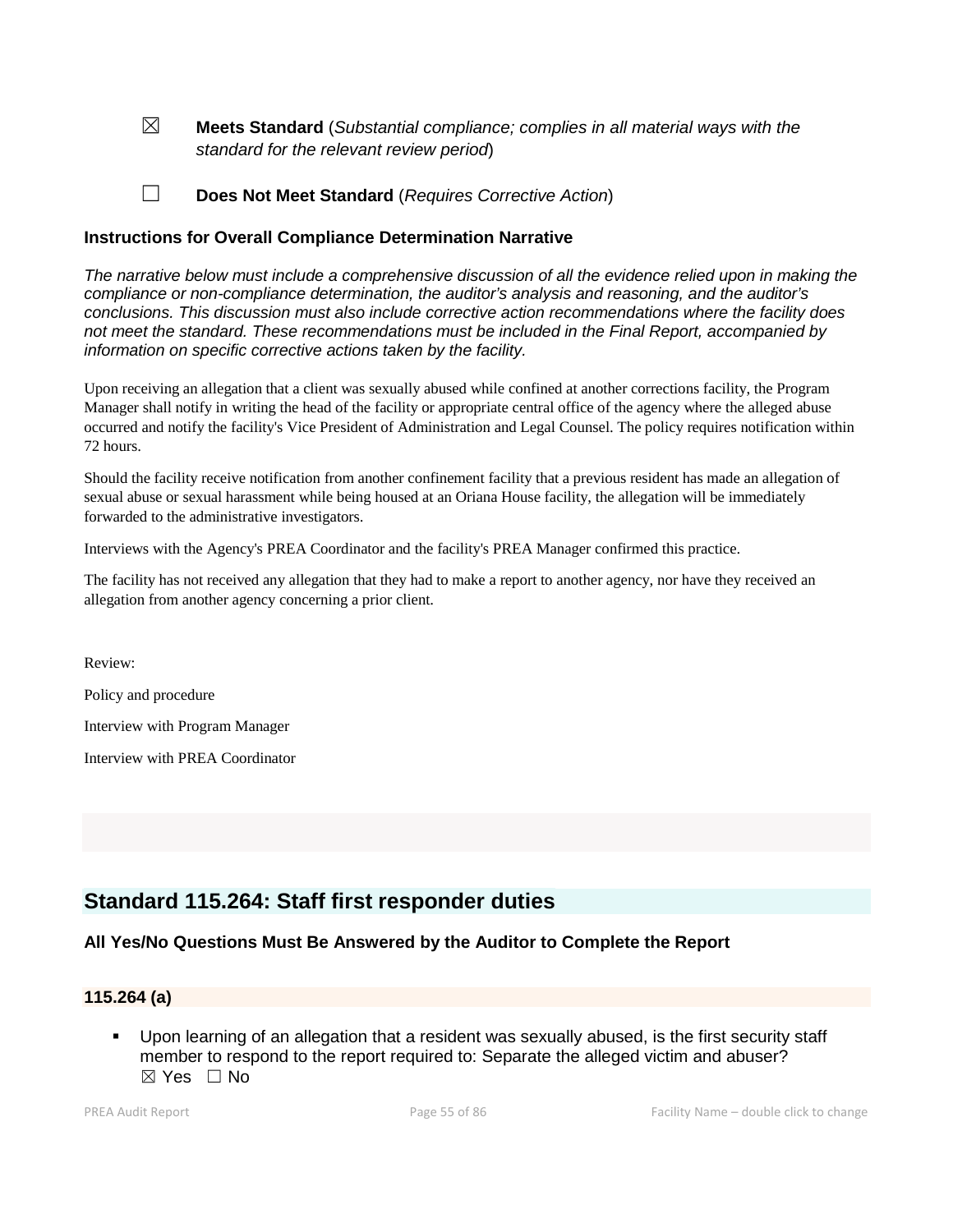☒ **Meets Standard** (*Substantial compliance; complies in all material ways with the standard for the relevant review period*)

☐ **Does Not Meet Standard** (*Requires Corrective Action*)

#### **Instructions for Overall Compliance Determination Narrative**

*The narrative below must include a comprehensive discussion of all the evidence relied upon in making the compliance or non-compliance determination, the auditor's analysis and reasoning, and the auditor's conclusions. This discussion must also include corrective action recommendations where the facility does not meet the standard. These recommendations must be included in the Final Report, accompanied by information on specific corrective actions taken by the facility.*

Upon receiving an allegation that a client was sexually abused while confined at another corrections facility, the Program Manager shall notify in writing the head of the facility or appropriate central office of the agency where the alleged abuse occurred and notify the facility's Vice President of Administration and Legal Counsel. The policy requires notification within 72 hours.

Should the facility receive notification from another confinement facility that a previous resident has made an allegation of sexual abuse or sexual harassment while being housed at an Oriana House facility, the allegation will be immediately forwarded to the administrative investigators.

Interviews with the Agency's PREA Coordinator and the facility's PREA Manager confirmed this practice.

The facility has not received any allegation that they had to make a report to another agency, nor have they received an allegation from another agency concerning a prior client.

Review:

Policy and procedure

Interview with Program Manager

Interview with PREA Coordinator

# **Standard 115.264: Staff first responder duties**

#### **All Yes/No Questions Must Be Answered by the Auditor to Complete the Report**

#### **115.264 (a)**

 Upon learning of an allegation that a resident was sexually abused, is the first security staff member to respond to the report required to: Separate the alleged victim and abuser?  $\boxtimes$  Yes  $\Box$  No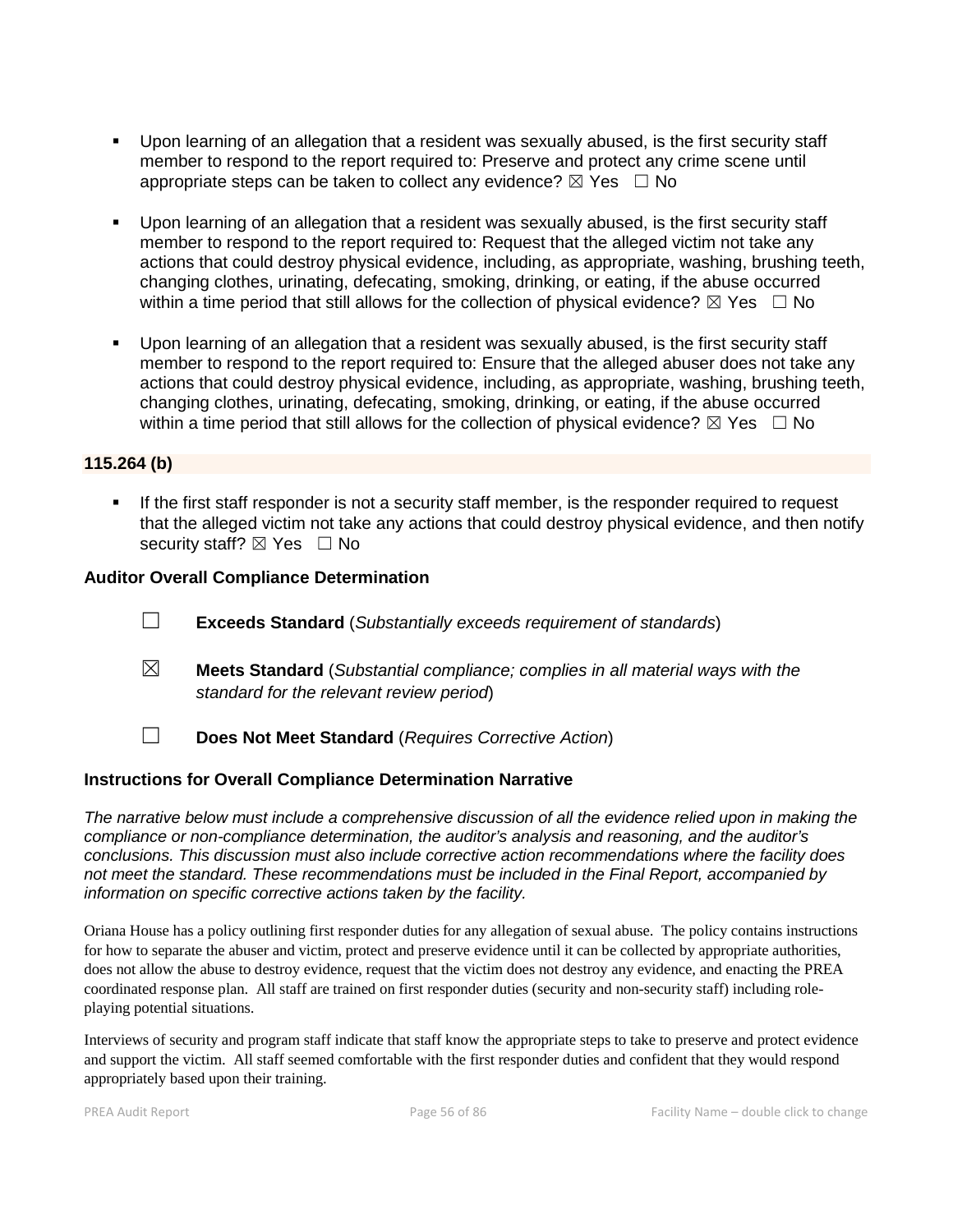- Upon learning of an allegation that a resident was sexually abused, is the first security staff member to respond to the report required to: Preserve and protect any crime scene until appropriate steps can be taken to collect any evidence?  $\boxtimes$  Yes  $\Box$  No
- Upon learning of an allegation that a resident was sexually abused, is the first security staff member to respond to the report required to: Request that the alleged victim not take any actions that could destroy physical evidence, including, as appropriate, washing, brushing teeth, changing clothes, urinating, defecating, smoking, drinking, or eating, if the abuse occurred within a time period that still allows for the collection of physical evidence?  $\boxtimes$  Yes  $\Box$  No
- Upon learning of an allegation that a resident was sexually abused, is the first security staff member to respond to the report required to: Ensure that the alleged abuser does not take any actions that could destroy physical evidence, including, as appropriate, washing, brushing teeth, changing clothes, urinating, defecating, smoking, drinking, or eating, if the abuse occurred within a time period that still allows for the collection of physical evidence?  $\boxtimes$  Yes  $\Box$  No

#### **115.264 (b)**

If the first staff responder is not a security staff member, is the responder required to request that the alleged victim not take any actions that could destroy physical evidence, and then notify security staff?  $\boxtimes$  Yes  $\Box$  No

#### **Auditor Overall Compliance Determination**

- ☐ **Exceeds Standard** (*Substantially exceeds requirement of standards*)
- ☒ **Meets Standard** (*Substantial compliance; complies in all material ways with the standard for the relevant review period*)
- ☐ **Does Not Meet Standard** (*Requires Corrective Action*)

#### **Instructions for Overall Compliance Determination Narrative**

*The narrative below must include a comprehensive discussion of all the evidence relied upon in making the compliance or non-compliance determination, the auditor's analysis and reasoning, and the auditor's conclusions. This discussion must also include corrective action recommendations where the facility does not meet the standard. These recommendations must be included in the Final Report, accompanied by information on specific corrective actions taken by the facility.*

Oriana House has a policy outlining first responder duties for any allegation of sexual abuse. The policy contains instructions for how to separate the abuser and victim, protect and preserve evidence until it can be collected by appropriate authorities, does not allow the abuse to destroy evidence, request that the victim does not destroy any evidence, and enacting the PREA coordinated response plan. All staff are trained on first responder duties (security and non-security staff) including roleplaying potential situations.

Interviews of security and program staff indicate that staff know the appropriate steps to take to preserve and protect evidence and support the victim. All staff seemed comfortable with the first responder duties and confident that they would respond appropriately based upon their training.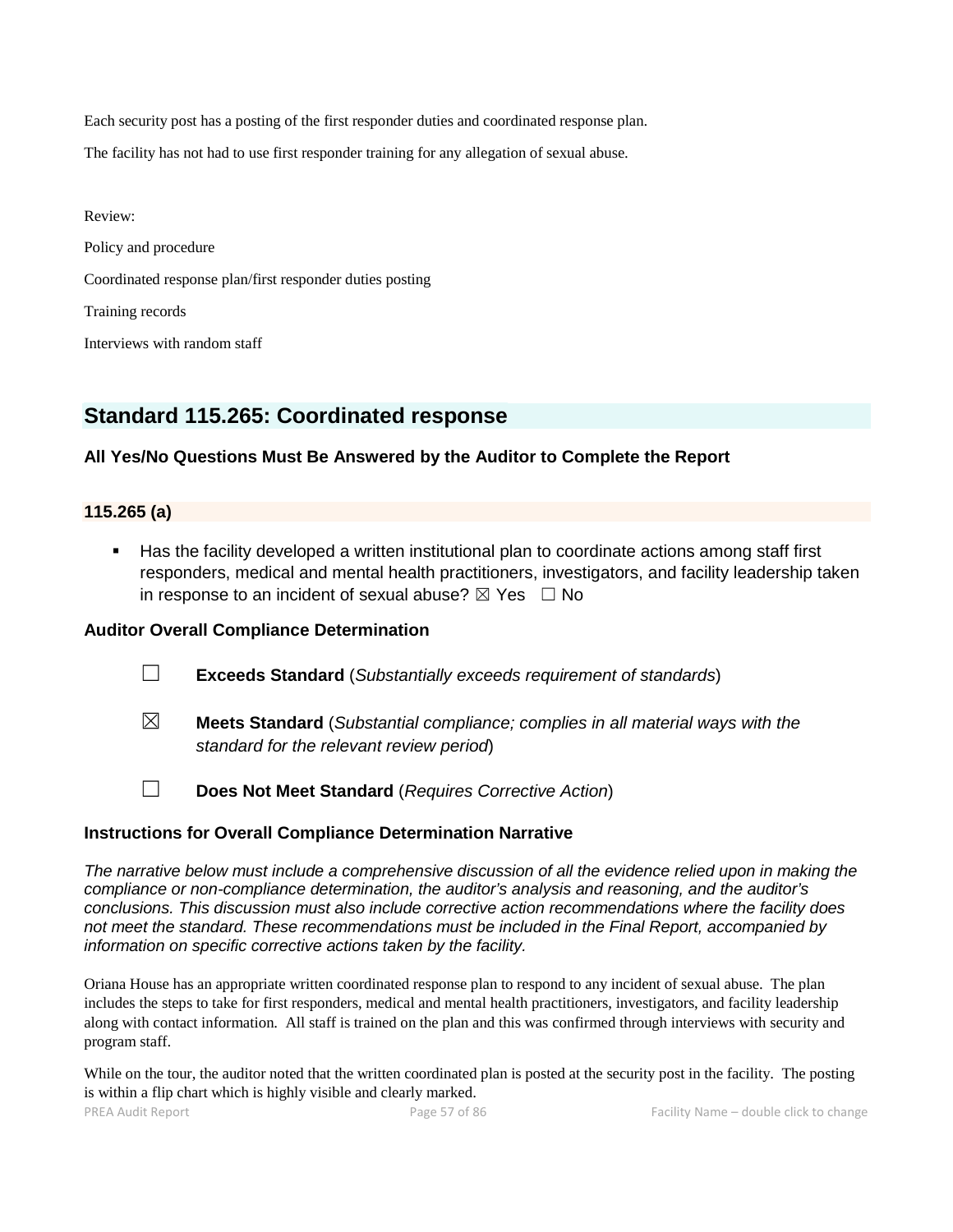Each security post has a posting of the first responder duties and coordinated response plan.

The facility has not had to use first responder training for any allegation of sexual abuse.

Review: Policy and procedure Coordinated response plan/first responder duties posting Training records Interviews with random staff

# **Standard 115.265: Coordinated response**

# **All Yes/No Questions Must Be Answered by the Auditor to Complete the Report**

#### **115.265 (a)**

 Has the facility developed a written institutional plan to coordinate actions among staff first responders, medical and mental health practitioners, investigators, and facility leadership taken in response to an incident of sexual abuse?  $\boxtimes$  Yes  $\Box$  No

#### **Auditor Overall Compliance Determination**

- ☐ **Exceeds Standard** (*Substantially exceeds requirement of standards*)
- ☒ **Meets Standard** (*Substantial compliance; complies in all material ways with the standard for the relevant review period*)
- ☐ **Does Not Meet Standard** (*Requires Corrective Action*)

# **Instructions for Overall Compliance Determination Narrative**

*The narrative below must include a comprehensive discussion of all the evidence relied upon in making the compliance or non-compliance determination, the auditor's analysis and reasoning, and the auditor's conclusions. This discussion must also include corrective action recommendations where the facility does not meet the standard. These recommendations must be included in the Final Report, accompanied by information on specific corrective actions taken by the facility.*

Oriana House has an appropriate written coordinated response plan to respond to any incident of sexual abuse. The plan includes the steps to take for first responders, medical and mental health practitioners, investigators, and facility leadership along with contact information. All staff is trained on the plan and this was confirmed through interviews with security and program staff.

While on the tour, the auditor noted that the written coordinated plan is posted at the security post in the facility. The posting is within a flip chart which is highly visible and clearly marked.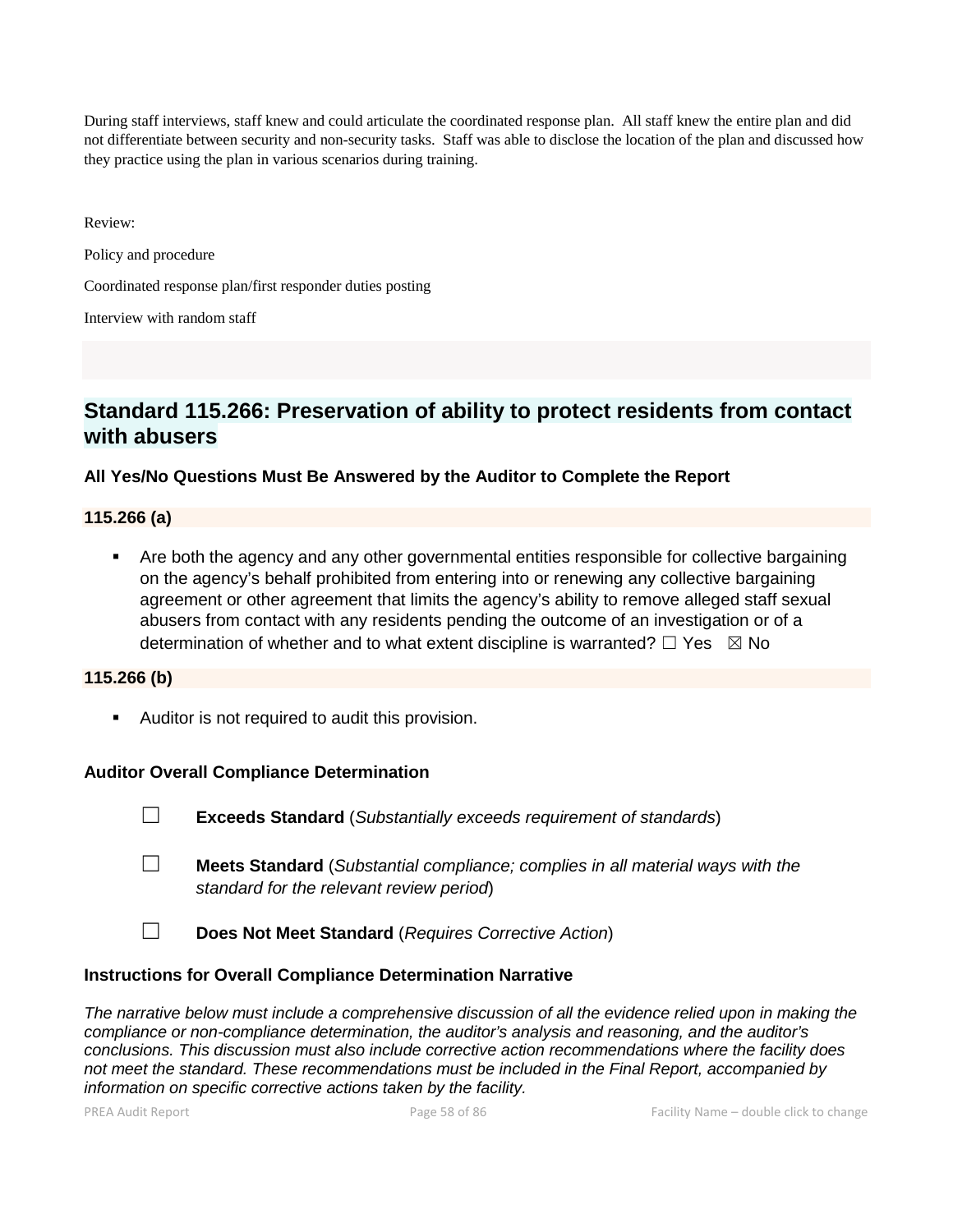During staff interviews, staff knew and could articulate the coordinated response plan. All staff knew the entire plan and did not differentiate between security and non-security tasks. Staff was able to disclose the location of the plan and discussed how they practice using the plan in various scenarios during training.

Review:

Policy and procedure

Coordinated response plan/first responder duties posting

Interview with random staff

# **Standard 115.266: Preservation of ability to protect residents from contact with abusers**

# **All Yes/No Questions Must Be Answered by the Auditor to Complete the Report**

#### **115.266 (a)**

 Are both the agency and any other governmental entities responsible for collective bargaining on the agency's behalf prohibited from entering into or renewing any collective bargaining agreement or other agreement that limits the agency's ability to remove alleged staff sexual abusers from contact with any residents pending the outcome of an investigation or of a determination of whether and to what extent discipline is warranted?  $\Box$  Yes  $\boxtimes$  No

# **115.266 (b)**

**Auditor is not required to audit this provision.** 

# **Auditor Overall Compliance Determination**

- ☐ **Exceeds Standard** (*Substantially exceeds requirement of standards*)
- ☐ **Meets Standard** (*Substantial compliance; complies in all material ways with the standard for the relevant review period*)
- ☐ **Does Not Meet Standard** (*Requires Corrective Action*)

# **Instructions for Overall Compliance Determination Narrative**

*The narrative below must include a comprehensive discussion of all the evidence relied upon in making the compliance or non-compliance determination, the auditor's analysis and reasoning, and the auditor's conclusions. This discussion must also include corrective action recommendations where the facility does not meet the standard. These recommendations must be included in the Final Report, accompanied by information on specific corrective actions taken by the facility.*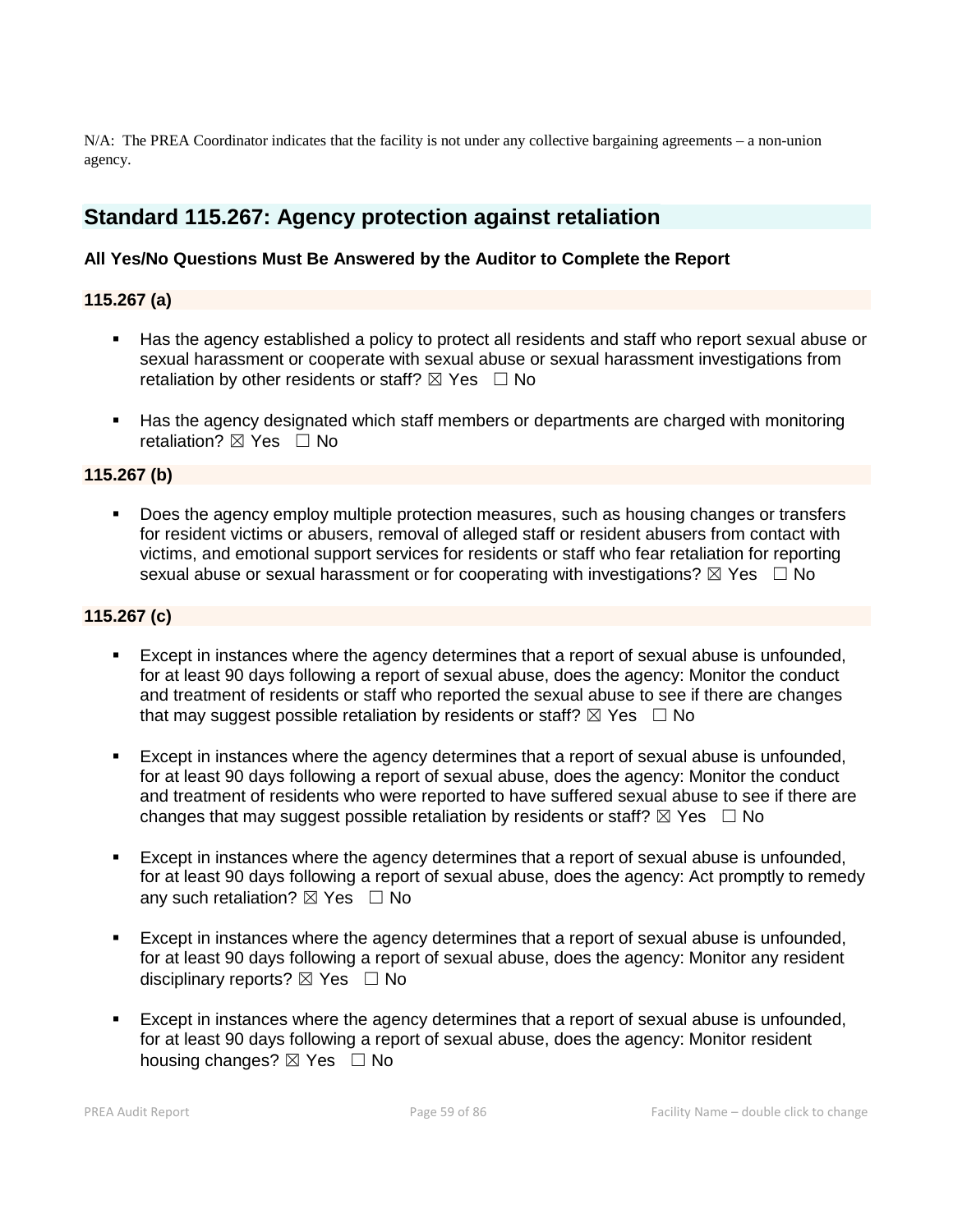N/A: The PREA Coordinator indicates that the facility is not under any collective bargaining agreements – a non-union agency.

# **Standard 115.267: Agency protection against retaliation**

# **All Yes/No Questions Must Be Answered by the Auditor to Complete the Report**

**115.267 (a)**

- Has the agency established a policy to protect all residents and staff who report sexual abuse or sexual harassment or cooperate with sexual abuse or sexual harassment investigations from retaliation by other residents or staff?  $\boxtimes$  Yes  $\Box$  No
- Has the agency designated which staff members or departments are charged with monitoring retaliation? **⊠** Yes □ No

## **115.267 (b)**

 Does the agency employ multiple protection measures, such as housing changes or transfers for resident victims or abusers, removal of alleged staff or resident abusers from contact with victims, and emotional support services for residents or staff who fear retaliation for reporting sexual abuse or sexual harassment or for cooperating with investigations?  $\boxtimes$  Yes  $\Box$  No

## **115.267 (c)**

- Except in instances where the agency determines that a report of sexual abuse is unfounded, for at least 90 days following a report of sexual abuse, does the agency: Monitor the conduct and treatment of residents or staff who reported the sexual abuse to see if there are changes that may suggest possible retaliation by residents or staff?  $\boxtimes$  Yes  $\Box$  No
- Except in instances where the agency determines that a report of sexual abuse is unfounded, for at least 90 days following a report of sexual abuse, does the agency: Monitor the conduct and treatment of residents who were reported to have suffered sexual abuse to see if there are changes that may suggest possible retaliation by residents or staff?  $\boxtimes$  Yes  $\Box$  No
- Except in instances where the agency determines that a report of sexual abuse is unfounded, for at least 90 days following a report of sexual abuse, does the agency: Act promptly to remedy any such retaliation?  $\boxtimes$  Yes  $\Box$  No
- Except in instances where the agency determines that a report of sexual abuse is unfounded, for at least 90 days following a report of sexual abuse, does the agency: Monitor any resident disciplinary reports?  $\boxtimes$  Yes  $\Box$  No
- Except in instances where the agency determines that a report of sexual abuse is unfounded, for at least 90 days following a report of sexual abuse, does the agency: Monitor resident housing changes?  $\boxtimes$  Yes  $\Box$  No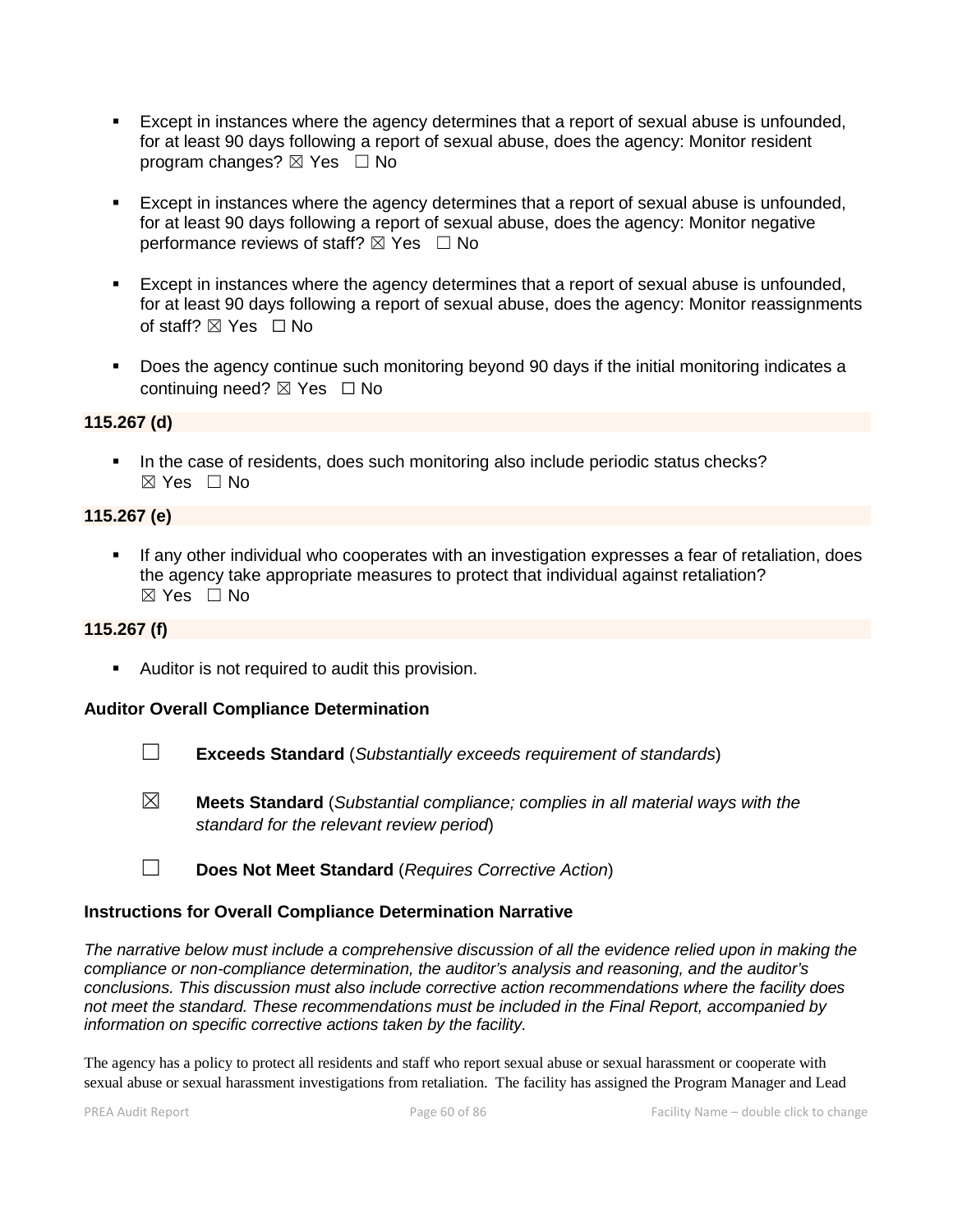- Except in instances where the agency determines that a report of sexual abuse is unfounded, for at least 90 days following a report of sexual abuse, does the agency: Monitor resident program changes?  $\boxtimes$  Yes  $\Box$  No
- Except in instances where the agency determines that a report of sexual abuse is unfounded, for at least 90 days following a report of sexual abuse, does the agency: Monitor negative performance reviews of staff?  $\boxtimes$  Yes  $\Box$  No
- Except in instances where the agency determines that a report of sexual abuse is unfounded, for at least 90 days following a report of sexual abuse, does the agency: Monitor reassignments of staff? ⊠ Yes □ No
- Does the agency continue such monitoring beyond 90 days if the initial monitoring indicates a continuing need? ⊠ Yes □ No

#### **115.267 (d)**

In the case of residents, does such monitoring also include periodic status checks?  $\boxtimes$  Yes  $\Box$  No

# **115.267 (e)**

 If any other individual who cooperates with an investigation expresses a fear of retaliation, does the agency take appropriate measures to protect that individual against retaliation?  $\boxtimes$  Yes  $\Box$  No

# **115.267 (f)**

Auditor is not required to audit this provision.

# **Auditor Overall Compliance Determination**

- ☐ **Exceeds Standard** (*Substantially exceeds requirement of standards*)
- ☒ **Meets Standard** (*Substantial compliance; complies in all material ways with the standard for the relevant review period*)
- ☐ **Does Not Meet Standard** (*Requires Corrective Action*)

#### **Instructions for Overall Compliance Determination Narrative**

*The narrative below must include a comprehensive discussion of all the evidence relied upon in making the compliance or non-compliance determination, the auditor's analysis and reasoning, and the auditor's conclusions. This discussion must also include corrective action recommendations where the facility does not meet the standard. These recommendations must be included in the Final Report, accompanied by information on specific corrective actions taken by the facility.*

The agency has a policy to protect all residents and staff who report sexual abuse or sexual harassment or cooperate with sexual abuse or sexual harassment investigations from retaliation. The facility has assigned the Program Manager and Lead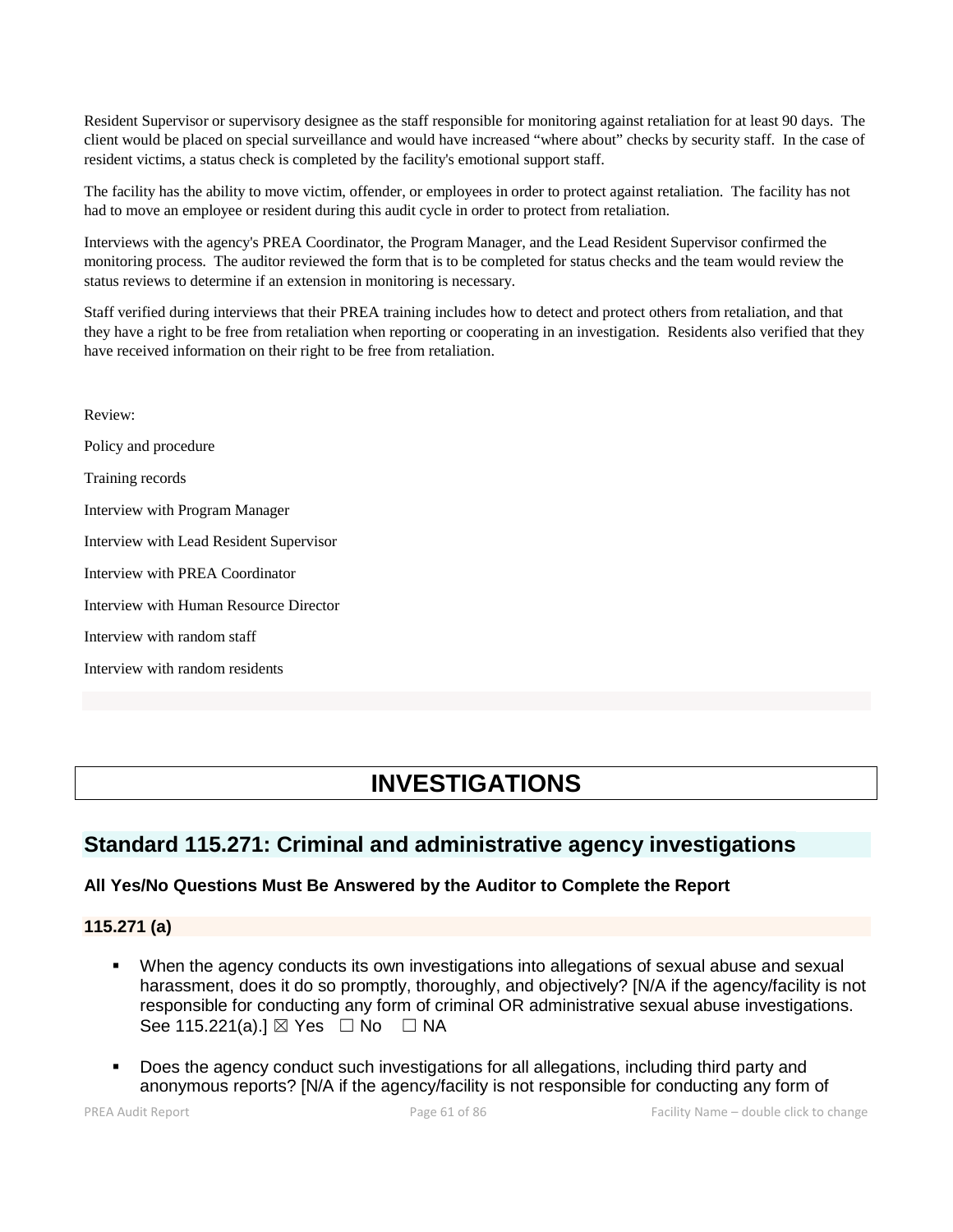Resident Supervisor or supervisory designee as the staff responsible for monitoring against retaliation for at least 90 days. The client would be placed on special surveillance and would have increased "where about" checks by security staff. In the case of resident victims, a status check is completed by the facility's emotional support staff.

The facility has the ability to move victim, offender, or employees in order to protect against retaliation. The facility has not had to move an employee or resident during this audit cycle in order to protect from retaliation.

Interviews with the agency's PREA Coordinator, the Program Manager, and the Lead Resident Supervisor confirmed the monitoring process. The auditor reviewed the form that is to be completed for status checks and the team would review the status reviews to determine if an extension in monitoring is necessary.

Staff verified during interviews that their PREA training includes how to detect and protect others from retaliation, and that they have a right to be free from retaliation when reporting or cooperating in an investigation. Residents also verified that they have received information on their right to be free from retaliation.

Review: Policy and procedure Training records Interview with Program Manager Interview with Lead Resident Supervisor Interview with PREA Coordinator Interview with Human Resource Director Interview with random staff Interview with random residents

# **INVESTIGATIONS**

# **Standard 115.271: Criminal and administrative agency investigations**

# **All Yes/No Questions Must Be Answered by the Auditor to Complete the Report**

# **115.271 (a)**

- When the agency conducts its own investigations into allegations of sexual abuse and sexual harassment, does it do so promptly, thoroughly, and objectively? [N/A if the agency/facility is not responsible for conducting any form of criminal OR administrative sexual abuse investigations. See 115.221(a).] ⊠ Yes □ No □ NA
- Does the agency conduct such investigations for all allegations, including third party and anonymous reports? [N/A if the agency/facility is not responsible for conducting any form of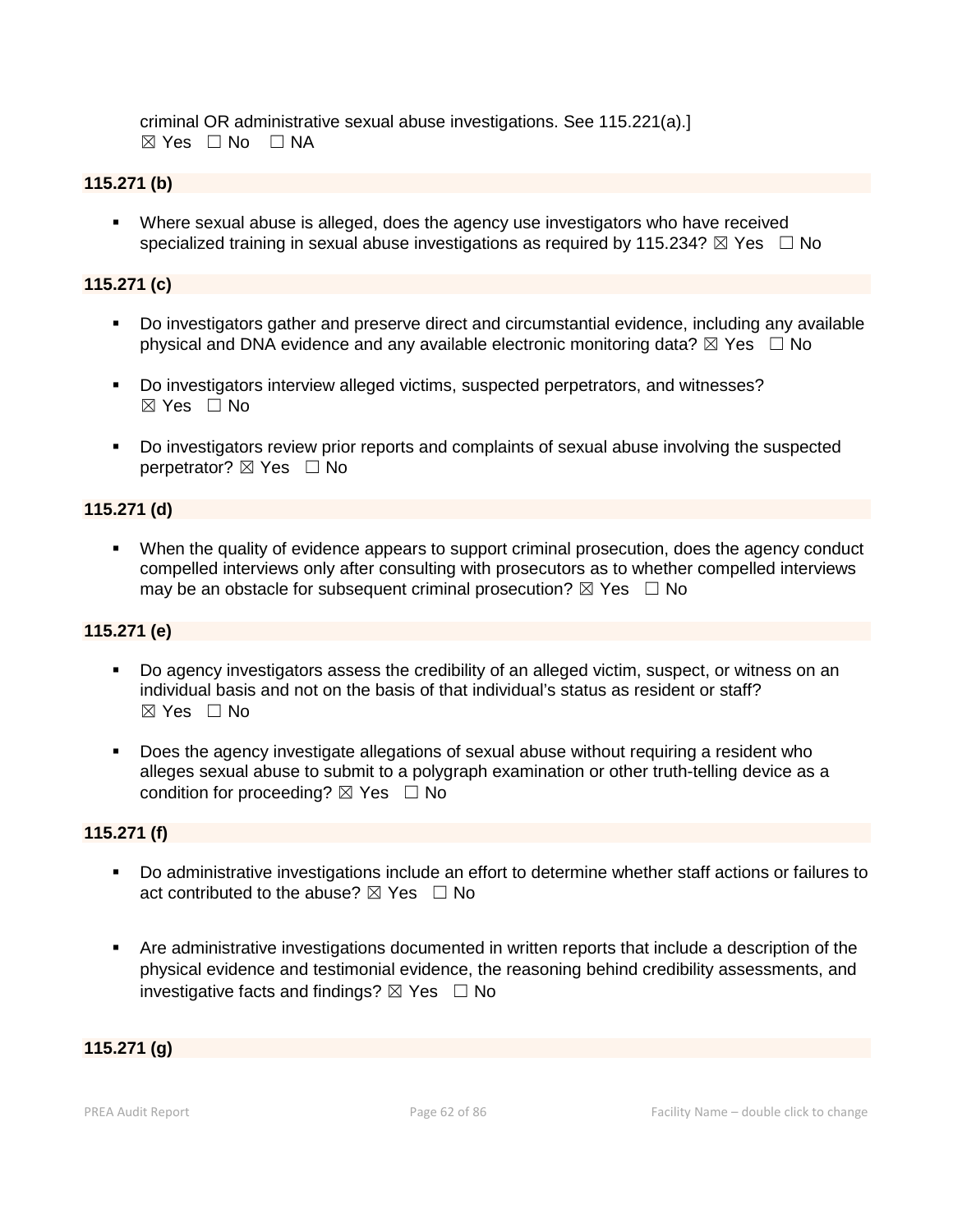criminal OR administrative sexual abuse investigations. See 115.221(a).]  $\boxtimes$  Yes  $\Box$  No  $\Box$  NA

# **115.271 (b)**

 Where sexual abuse is alleged, does the agency use investigators who have received specialized training in sexual abuse investigations as required by 115.234?  $\boxtimes$  Yes  $\Box$  No

# **115.271 (c)**

- Do investigators gather and preserve direct and circumstantial evidence, including any available physical and DNA evidence and any available electronic monitoring data?  $\boxtimes$  Yes  $\Box$  No
- Do investigators interview alleged victims, suspected perpetrators, and witnesses?  $\boxtimes$  Yes  $\Box$  No
- Do investigators review prior reports and complaints of sexual abuse involving the suspected perpetrator?  $\boxtimes$  Yes  $\Box$  No

# **115.271 (d)**

 When the quality of evidence appears to support criminal prosecution, does the agency conduct compelled interviews only after consulting with prosecutors as to whether compelled interviews may be an obstacle for subsequent criminal prosecution?  $\boxtimes$  Yes  $\Box$  No

# **115.271 (e)**

- Do agency investigators assess the credibility of an alleged victim, suspect, or witness on an individual basis and not on the basis of that individual's status as resident or staff?  $\boxtimes$  Yes  $\Box$  No
- Does the agency investigate allegations of sexual abuse without requiring a resident who alleges sexual abuse to submit to a polygraph examination or other truth-telling device as a condition for proceeding?  $\boxtimes$  Yes  $\Box$  No

# **115.271 (f)**

- Do administrative investigations include an effort to determine whether staff actions or failures to act contributed to the abuse?  $\boxtimes$  Yes  $\Box$  No
- Are administrative investigations documented in written reports that include a description of the physical evidence and testimonial evidence, the reasoning behind credibility assessments, and investigative facts and findings?  $\boxtimes$  Yes  $\Box$  No

# **115.271 (g)**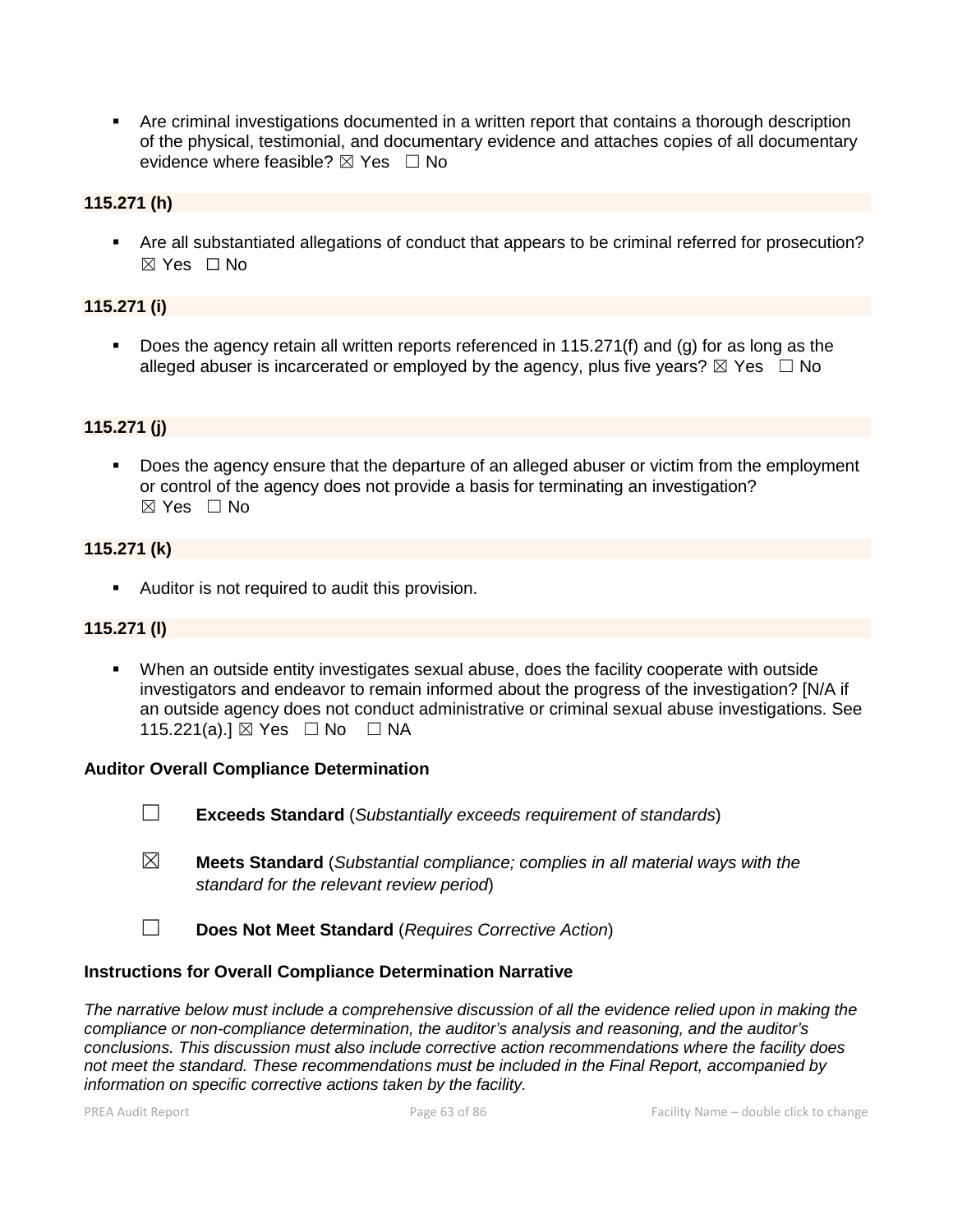Are criminal investigations documented in a written report that contains a thorough description of the physical, testimonial, and documentary evidence and attaches copies of all documentary evidence where feasible?  $\boxtimes$  Yes  $\Box$  No

# **115.271 (h)**

 Are all substantiated allegations of conduct that appears to be criminal referred for prosecution?  $\boxtimes$  Yes  $\Box$  No

# **115.271 (i)**

 Does the agency retain all written reports referenced in 115.271(f) and (g) for as long as the alleged abuser is incarcerated or employed by the agency, plus five years?  $\boxtimes$  Yes  $\Box$  No

# **115.271 (j)**

 Does the agency ensure that the departure of an alleged abuser or victim from the employment or control of the agency does not provide a basis for terminating an investigation? ☒ Yes ☐ No

## **115.271 (k)**

**Auditor is not required to audit this provision.** 

# **115.271 (l)**

 When an outside entity investigates sexual abuse, does the facility cooperate with outside investigators and endeavor to remain informed about the progress of the investigation? [N/A if an outside agency does not conduct administrative or criminal sexual abuse investigations. See 115.221(a).] ⊠ Yes □ No □ NA

#### **Auditor Overall Compliance Determination**

- ☐ **Exceeds Standard** (*Substantially exceeds requirement of standards*)
- ☒ **Meets Standard** (*Substantial compliance; complies in all material ways with the standard for the relevant review period*)
- ☐ **Does Not Meet Standard** (*Requires Corrective Action*)

#### **Instructions for Overall Compliance Determination Narrative**

*The narrative below must include a comprehensive discussion of all the evidence relied upon in making the compliance or non-compliance determination, the auditor's analysis and reasoning, and the auditor's conclusions. This discussion must also include corrective action recommendations where the facility does not meet the standard. These recommendations must be included in the Final Report, accompanied by information on specific corrective actions taken by the facility.*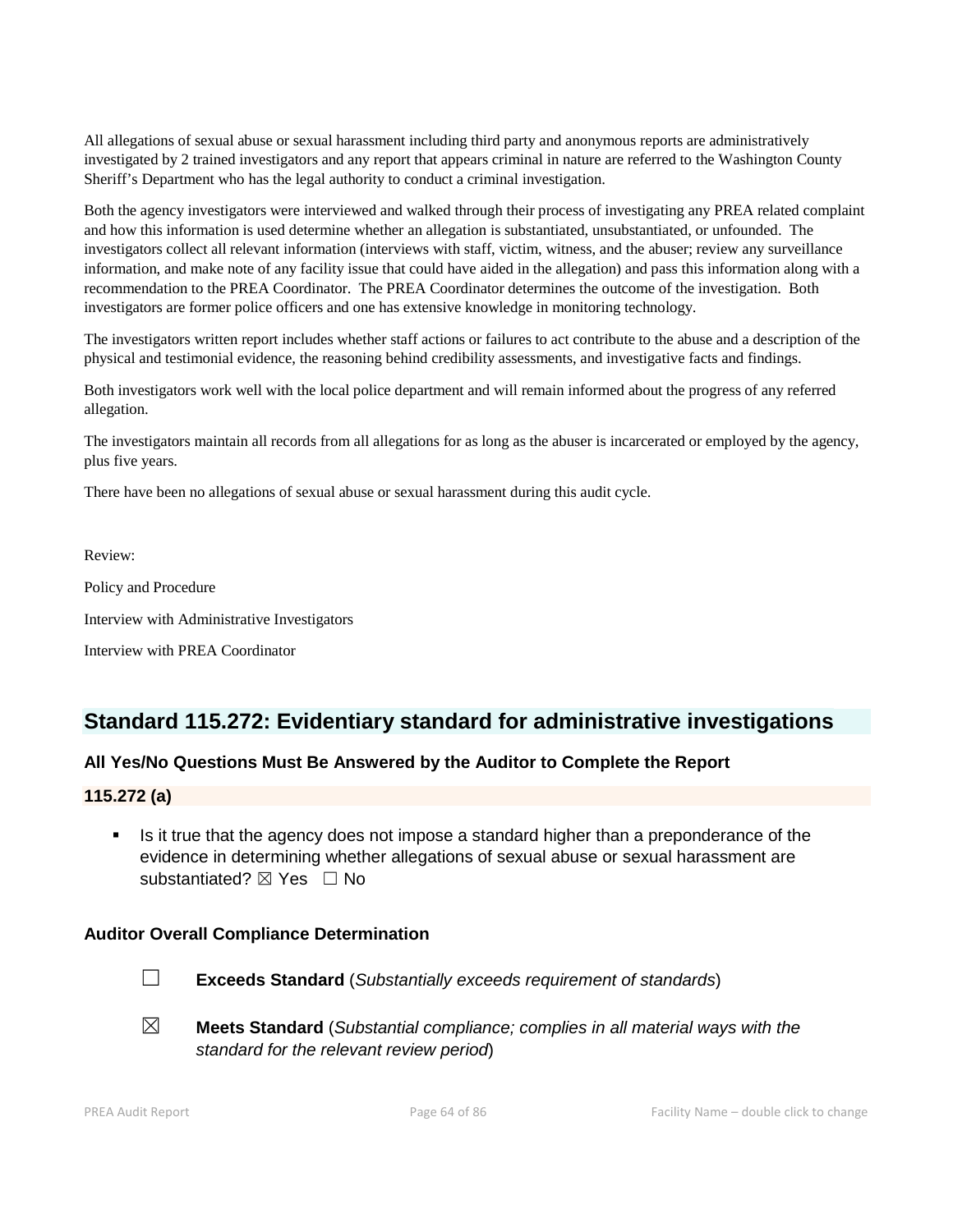All allegations of sexual abuse or sexual harassment including third party and anonymous reports are administratively investigated by 2 trained investigators and any report that appears criminal in nature are referred to the Washington County Sheriff's Department who has the legal authority to conduct a criminal investigation.

Both the agency investigators were interviewed and walked through their process of investigating any PREA related complaint and how this information is used determine whether an allegation is substantiated, unsubstantiated, or unfounded. The investigators collect all relevant information (interviews with staff, victim, witness, and the abuser; review any surveillance information, and make note of any facility issue that could have aided in the allegation) and pass this information along with a recommendation to the PREA Coordinator. The PREA Coordinator determines the outcome of the investigation. Both investigators are former police officers and one has extensive knowledge in monitoring technology.

The investigators written report includes whether staff actions or failures to act contribute to the abuse and a description of the physical and testimonial evidence, the reasoning behind credibility assessments, and investigative facts and findings.

Both investigators work well with the local police department and will remain informed about the progress of any referred allegation.

The investigators maintain all records from all allegations for as long as the abuser is incarcerated or employed by the agency, plus five years.

There have been no allegations of sexual abuse or sexual harassment during this audit cycle.

Review: Policy and Procedure Interview with Administrative Investigators Interview with PREA Coordinator

# **Standard 115.272: Evidentiary standard for administrative investigations**

# **All Yes/No Questions Must Be Answered by the Auditor to Complete the Report**

#### **115.272 (a)**

 Is it true that the agency does not impose a standard higher than a preponderance of the evidence in determining whether allegations of sexual abuse or sexual harassment are substantiated?  $⊠$  Yes  $□$  No

#### **Auditor Overall Compliance Determination**



- ☐ **Exceeds Standard** (*Substantially exceeds requirement of standards*)
- ☒ **Meets Standard** (*Substantial compliance; complies in all material ways with the standard for the relevant review period*)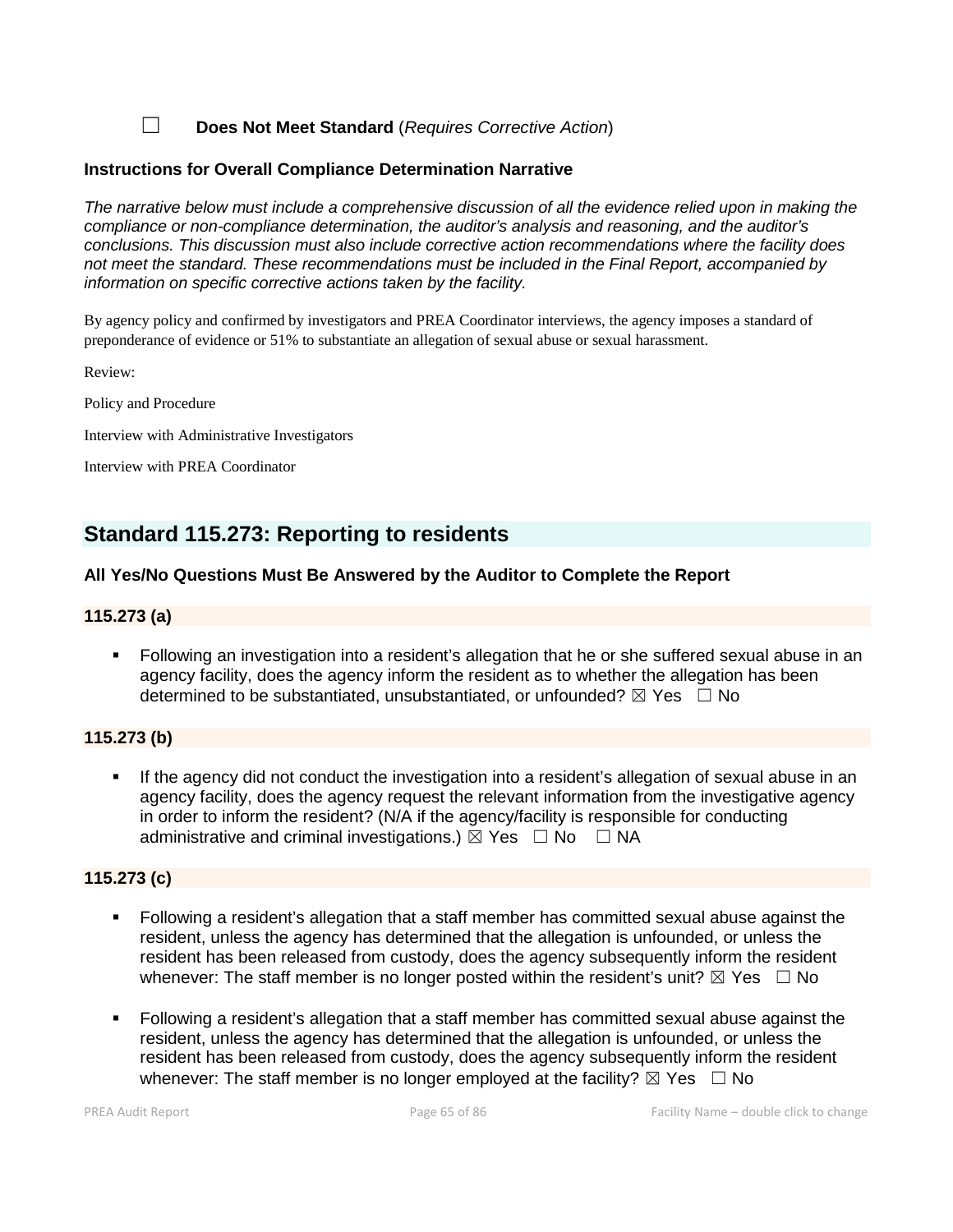☐ **Does Not Meet Standard** (*Requires Corrective Action*)

# **Instructions for Overall Compliance Determination Narrative**

*The narrative below must include a comprehensive discussion of all the evidence relied upon in making the compliance or non-compliance determination, the auditor's analysis and reasoning, and the auditor's conclusions. This discussion must also include corrective action recommendations where the facility does not meet the standard. These recommendations must be included in the Final Report, accompanied by information on specific corrective actions taken by the facility.*

By agency policy and confirmed by investigators and PREA Coordinator interviews, the agency imposes a standard of preponderance of evidence or 51% to substantiate an allegation of sexual abuse or sexual harassment.

Review:

Policy and Procedure

Interview with Administrative Investigators

Interview with PREA Coordinator

# **Standard 115.273: Reporting to residents**

# **All Yes/No Questions Must Be Answered by the Auditor to Complete the Report**

## **115.273 (a)**

 Following an investigation into a resident's allegation that he or she suffered sexual abuse in an agency facility, does the agency inform the resident as to whether the allegation has been determined to be substantiated, unsubstantiated, or unfounded?  $\boxtimes$  Yes  $\Box$  No

#### **115.273 (b)**

 If the agency did not conduct the investigation into a resident's allegation of sexual abuse in an agency facility, does the agency request the relevant information from the investigative agency in order to inform the resident? (N/A if the agency/facility is responsible for conducting administrative and criminal investigations.)  $\boxtimes$  Yes  $\Box$  No  $\Box$  NA

#### **115.273 (c)**

- Following a resident's allegation that a staff member has committed sexual abuse against the resident, unless the agency has determined that the allegation is unfounded, or unless the resident has been released from custody, does the agency subsequently inform the resident whenever: The staff member is no longer posted within the resident's unit?  $\boxtimes$  Yes  $\Box$  No
- Following a resident's allegation that a staff member has committed sexual abuse against the resident, unless the agency has determined that the allegation is unfounded, or unless the resident has been released from custody, does the agency subsequently inform the resident whenever: The staff member is no longer employed at the facility?  $\boxtimes$  Yes  $\Box$  No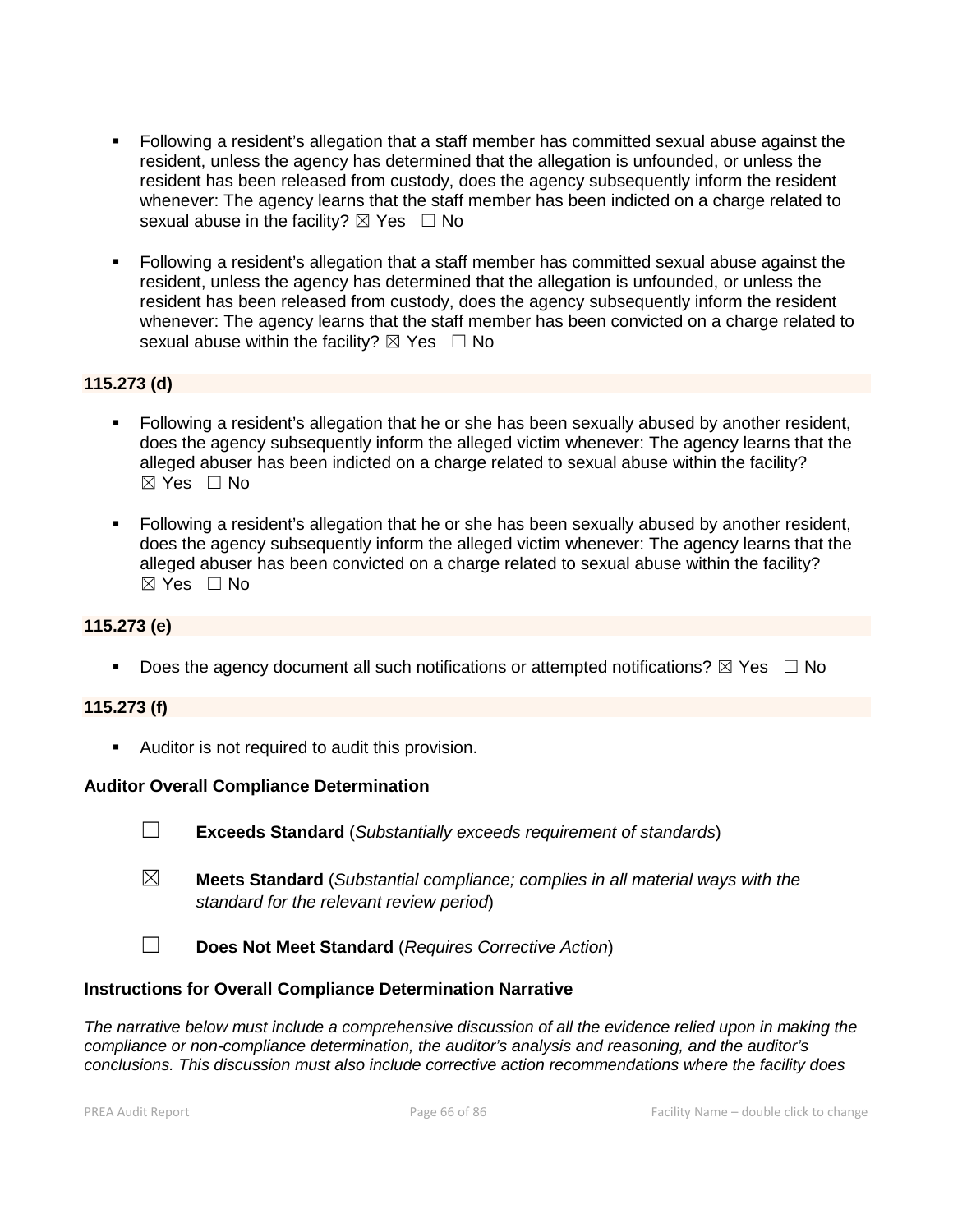- Following a resident's allegation that a staff member has committed sexual abuse against the resident, unless the agency has determined that the allegation is unfounded, or unless the resident has been released from custody, does the agency subsequently inform the resident whenever: The agency learns that the staff member has been indicted on a charge related to sexual abuse in the facility?  $\boxtimes$  Yes  $\Box$  No
- Following a resident's allegation that a staff member has committed sexual abuse against the resident, unless the agency has determined that the allegation is unfounded, or unless the resident has been released from custody, does the agency subsequently inform the resident whenever: The agency learns that the staff member has been convicted on a charge related to sexual abuse within the facility?  $\boxtimes$  Yes  $\Box$  No

# **115.273 (d)**

- Following a resident's allegation that he or she has been sexually abused by another resident, does the agency subsequently inform the alleged victim whenever: The agency learns that the alleged abuser has been indicted on a charge related to sexual abuse within the facility?  $\boxtimes$  Yes  $\Box$  No
- Following a resident's allegation that he or she has been sexually abused by another resident, does the agency subsequently inform the alleged victim whenever: The agency learns that the alleged abuser has been convicted on a charge related to sexual abuse within the facility?  $\boxtimes$  Yes  $\Box$  No

# **115.273 (e)**

Does the agency document all such notifications or attempted notifications?  $\boxtimes$  Yes  $\Box$  No

#### **115.273 (f)**

**Auditor is not required to audit this provision.** 

#### **Auditor Overall Compliance Determination**

- ☐ **Exceeds Standard** (*Substantially exceeds requirement of standards*)
- ☒ **Meets Standard** (*Substantial compliance; complies in all material ways with the standard for the relevant review period*)
- ☐ **Does Not Meet Standard** (*Requires Corrective Action*)

#### **Instructions for Overall Compliance Determination Narrative**

*The narrative below must include a comprehensive discussion of all the evidence relied upon in making the compliance or non-compliance determination, the auditor's analysis and reasoning, and the auditor's conclusions. This discussion must also include corrective action recommendations where the facility does*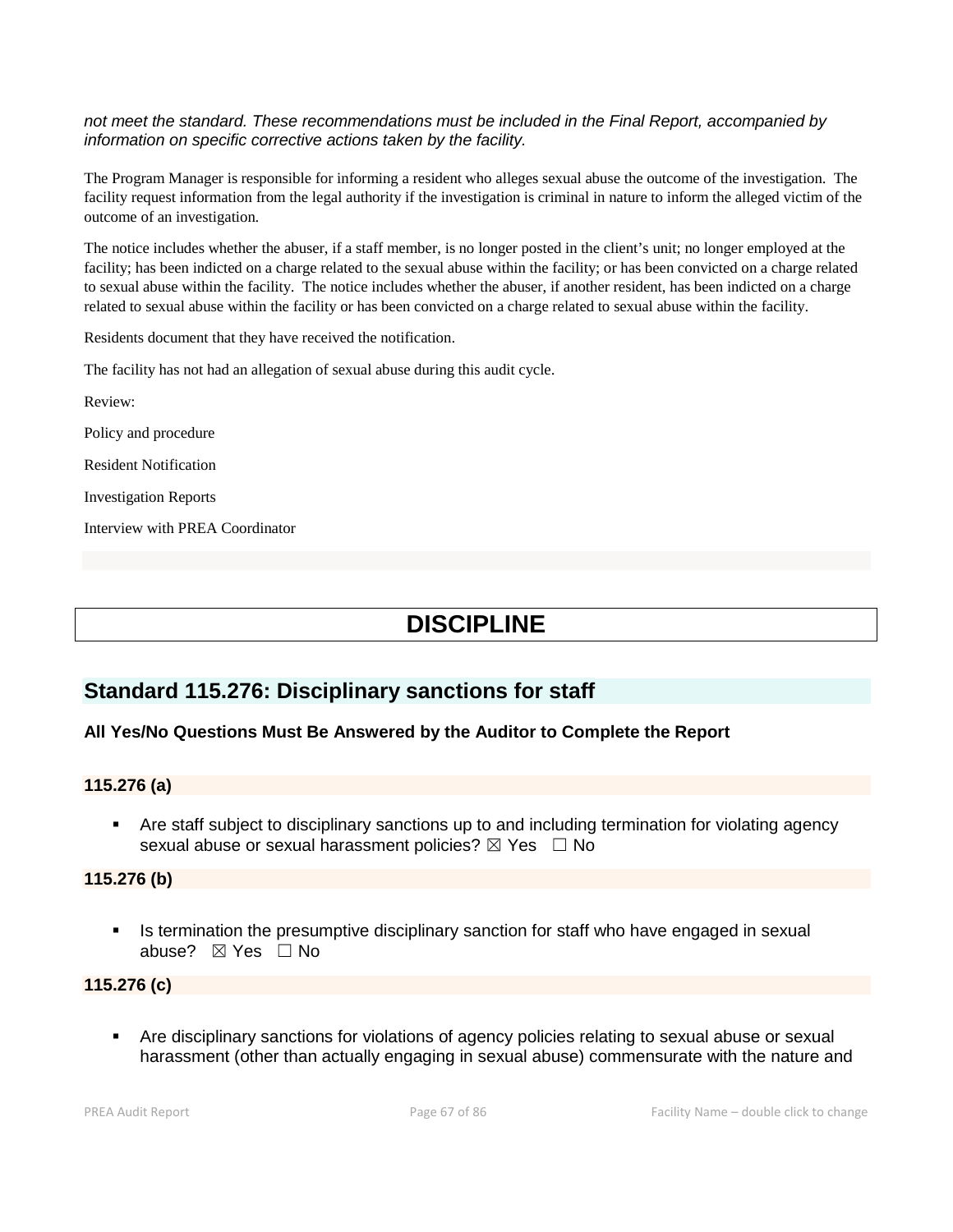#### *not meet the standard. These recommendations must be included in the Final Report, accompanied by information on specific corrective actions taken by the facility.*

The Program Manager is responsible for informing a resident who alleges sexual abuse the outcome of the investigation. The facility request information from the legal authority if the investigation is criminal in nature to inform the alleged victim of the outcome of an investigation.

The notice includes whether the abuser, if a staff member, is no longer posted in the client's unit; no longer employed at the facility; has been indicted on a charge related to the sexual abuse within the facility; or has been convicted on a charge related to sexual abuse within the facility. The notice includes whether the abuser, if another resident, has been indicted on a charge related to sexual abuse within the facility or has been convicted on a charge related to sexual abuse within the facility.

Residents document that they have received the notification.

The facility has not had an allegation of sexual abuse during this audit cycle.

Review:

Policy and procedure

Resident Notification

Investigation Reports

Interview with PREA Coordinator

# **DISCIPLINE**

# **Standard 115.276: Disciplinary sanctions for staff**

# **All Yes/No Questions Must Be Answered by the Auditor to Complete the Report**

# **115.276 (a)**

 Are staff subject to disciplinary sanctions up to and including termination for violating agency sexual abuse or sexual harassment policies?  $\boxtimes$  Yes  $\Box$  No

#### **115.276 (b)**

 Is termination the presumptive disciplinary sanction for staff who have engaged in sexual abuse? ☒ Yes ☐ No

# **115.276 (c)**

 Are disciplinary sanctions for violations of agency policies relating to sexual abuse or sexual harassment (other than actually engaging in sexual abuse) commensurate with the nature and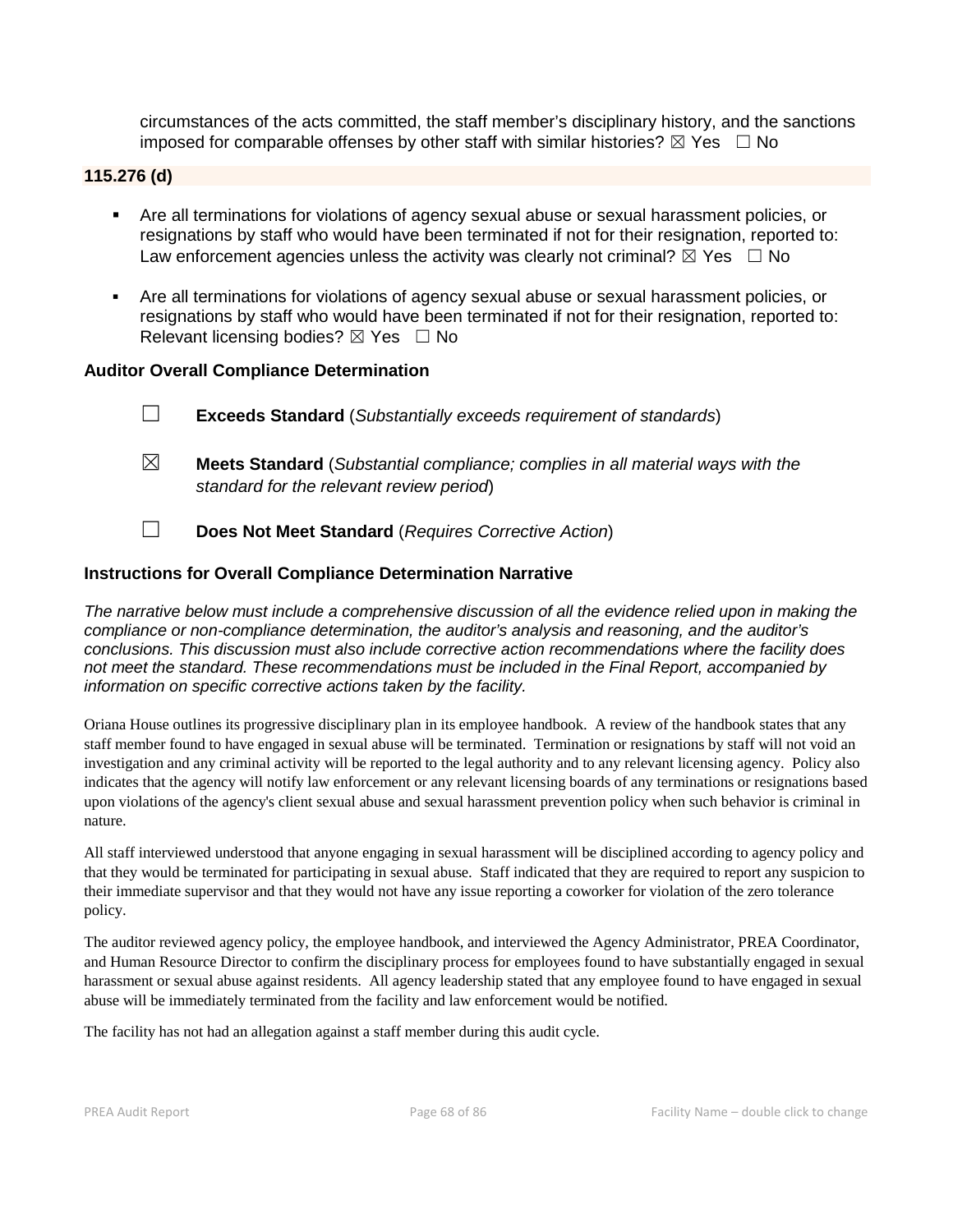circumstances of the acts committed, the staff member's disciplinary history, and the sanctions imposed for comparable offenses by other staff with similar histories?  $\boxtimes$  Yes  $\Box$  No

# **115.276 (d)**

- Are all terminations for violations of agency sexual abuse or sexual harassment policies, or resignations by staff who would have been terminated if not for their resignation, reported to: Law enforcement agencies unless the activity was clearly not criminal?  $\boxtimes$  Yes  $\Box$  No
- Are all terminations for violations of agency sexual abuse or sexual harassment policies, or resignations by staff who would have been terminated if not for their resignation, reported to: Relevant licensing bodies?  $\boxtimes$  Yes  $\Box$  No

#### **Auditor Overall Compliance Determination**

| $\Box$ |  | <b>Exceeds Standard</b> (Substantially exceeds requirement of standards) |
|--------|--|--------------------------------------------------------------------------|
|--------|--|--------------------------------------------------------------------------|

- ☒ **Meets Standard** (*Substantial compliance; complies in all material ways with the standard for the relevant review period*)
- ☐ **Does Not Meet Standard** (*Requires Corrective Action*)

#### **Instructions for Overall Compliance Determination Narrative**

*The narrative below must include a comprehensive discussion of all the evidence relied upon in making the compliance or non-compliance determination, the auditor's analysis and reasoning, and the auditor's conclusions. This discussion must also include corrective action recommendations where the facility does not meet the standard. These recommendations must be included in the Final Report, accompanied by information on specific corrective actions taken by the facility.*

Oriana House outlines its progressive disciplinary plan in its employee handbook. A review of the handbook states that any staff member found to have engaged in sexual abuse will be terminated. Termination or resignations by staff will not void an investigation and any criminal activity will be reported to the legal authority and to any relevant licensing agency. Policy also indicates that the agency will notify law enforcement or any relevant licensing boards of any terminations or resignations based upon violations of the agency's client sexual abuse and sexual harassment prevention policy when such behavior is criminal in nature.

All staff interviewed understood that anyone engaging in sexual harassment will be disciplined according to agency policy and that they would be terminated for participating in sexual abuse. Staff indicated that they are required to report any suspicion to their immediate supervisor and that they would not have any issue reporting a coworker for violation of the zero tolerance policy.

The auditor reviewed agency policy, the employee handbook, and interviewed the Agency Administrator, PREA Coordinator, and Human Resource Director to confirm the disciplinary process for employees found to have substantially engaged in sexual harassment or sexual abuse against residents. All agency leadership stated that any employee found to have engaged in sexual abuse will be immediately terminated from the facility and law enforcement would be notified.

The facility has not had an allegation against a staff member during this audit cycle.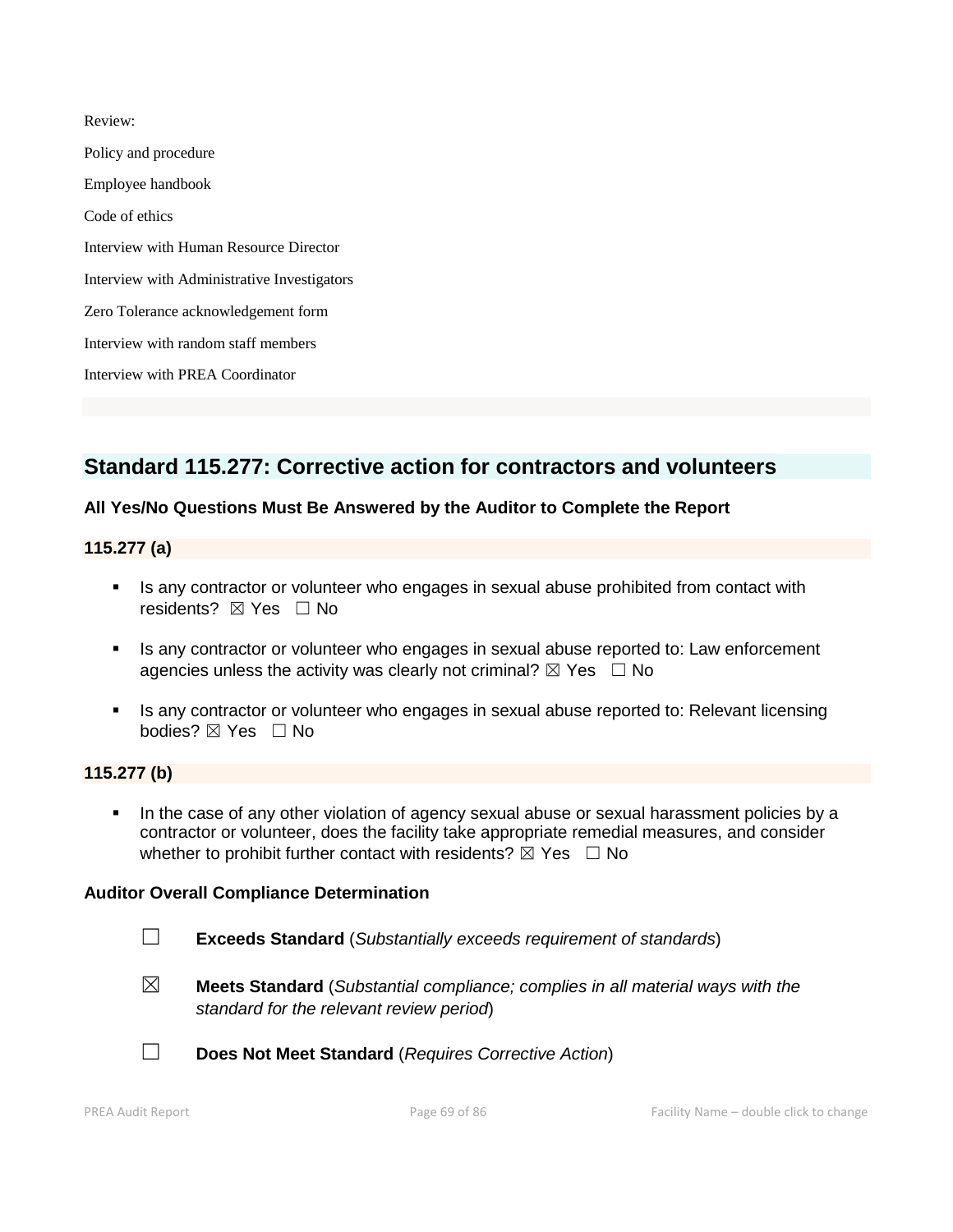Review: Policy and procedure Employee handbook Code of ethics Interview with Human Resource Director Interview with Administrative Investigators Zero Tolerance acknowledgement form Interview with random staff members Interview with PREA Coordinator

# **Standard 115.277: Corrective action for contractors and volunteers**

# **All Yes/No Questions Must Be Answered by the Auditor to Complete the Report**

## **115.277 (a)**

- Is any contractor or volunteer who engages in sexual abuse prohibited from contact with residents? ⊠ Yes □ No
- Is any contractor or volunteer who engages in sexual abuse reported to: Law enforcement agencies unless the activity was clearly not criminal?  $\boxtimes$  Yes  $\Box$  No
- Is any contractor or volunteer who engages in sexual abuse reported to: Relevant licensing bodies? ☒ Yes ☐ No

# **115.277 (b)**

 In the case of any other violation of agency sexual abuse or sexual harassment policies by a contractor or volunteer, does the facility take appropriate remedial measures, and consider whether to prohibit further contact with residents?  $\boxtimes$  Yes  $\Box$  No

#### **Auditor Overall Compliance Determination**

- 
- ☐ **Exceeds Standard** (*Substantially exceeds requirement of standards*)
- ☒ **Meets Standard** (*Substantial compliance; complies in all material ways with the standard for the relevant review period*)



☐ **Does Not Meet Standard** (*Requires Corrective Action*)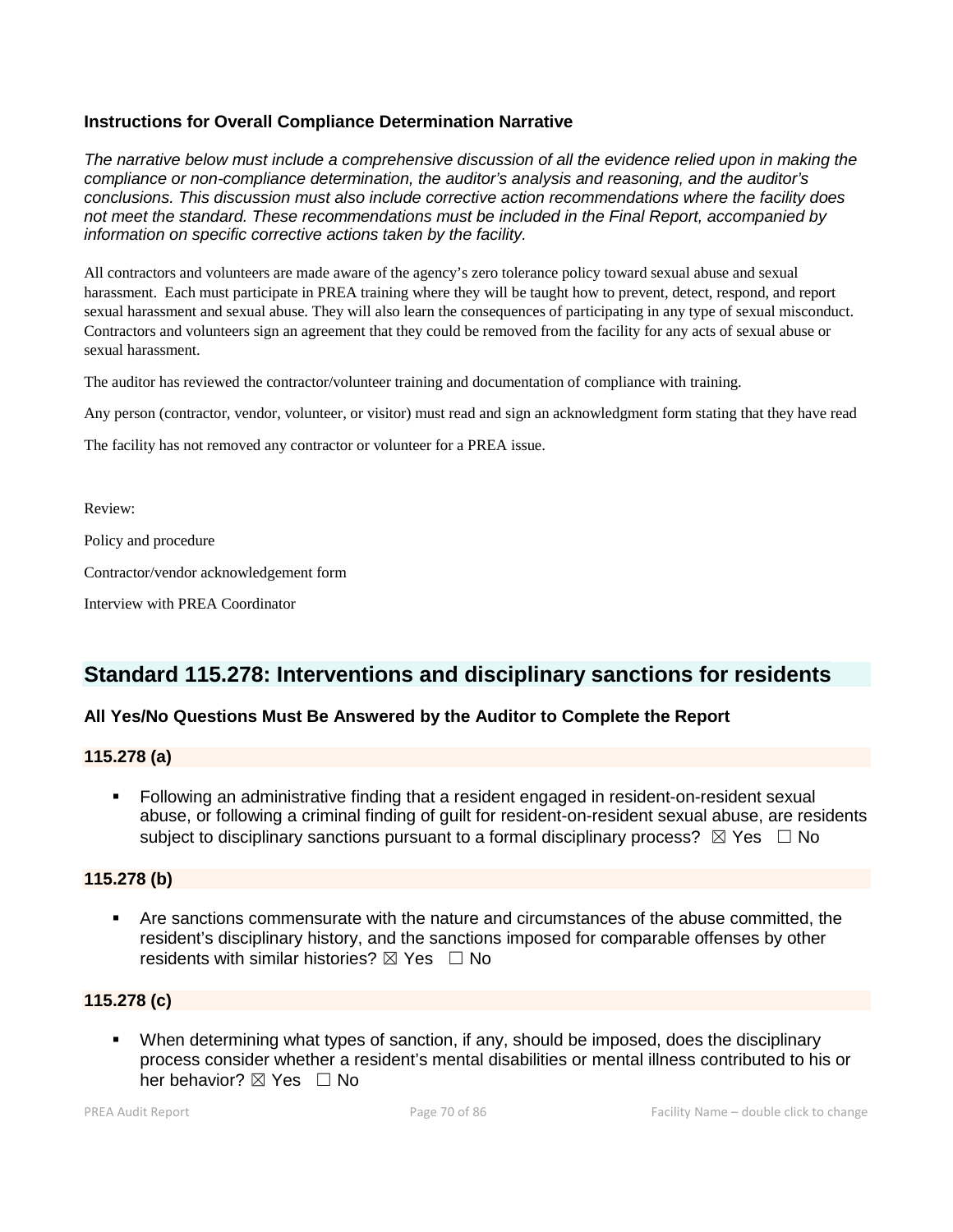# **Instructions for Overall Compliance Determination Narrative**

*The narrative below must include a comprehensive discussion of all the evidence relied upon in making the compliance or non-compliance determination, the auditor's analysis and reasoning, and the auditor's conclusions. This discussion must also include corrective action recommendations where the facility does not meet the standard. These recommendations must be included in the Final Report, accompanied by information on specific corrective actions taken by the facility.*

All contractors and volunteers are made aware of the agency's zero tolerance policy toward sexual abuse and sexual harassment. Each must participate in PREA training where they will be taught how to prevent, detect, respond, and report sexual harassment and sexual abuse. They will also learn the consequences of participating in any type of sexual misconduct. Contractors and volunteers sign an agreement that they could be removed from the facility for any acts of sexual abuse or sexual harassment.

The auditor has reviewed the contractor/volunteer training and documentation of compliance with training.

Any person (contractor, vendor, volunteer, or visitor) must read and sign an acknowledgment form stating that they have read

The facility has not removed any contractor or volunteer for a PREA issue.

Review:

Policy and procedure

Contractor/vendor acknowledgement form

Interview with PREA Coordinator

# **Standard 115.278: Interventions and disciplinary sanctions for residents**

# **All Yes/No Questions Must Be Answered by the Auditor to Complete the Report**

# **115.278 (a)**

 Following an administrative finding that a resident engaged in resident-on-resident sexual abuse, or following a criminal finding of guilt for resident-on-resident sexual abuse, are residents subject to disciplinary sanctions pursuant to a formal disciplinary process?  $\boxtimes$  Yes  $\Box$  No

# **115.278 (b)**

 Are sanctions commensurate with the nature and circumstances of the abuse committed, the resident's disciplinary history, and the sanctions imposed for comparable offenses by other residents with similar histories?  $\boxtimes$  Yes  $\Box$  No

# **115.278 (c)**

 When determining what types of sanction, if any, should be imposed, does the disciplinary process consider whether a resident's mental disabilities or mental illness contributed to his or her behavior? ⊠ Yes □ No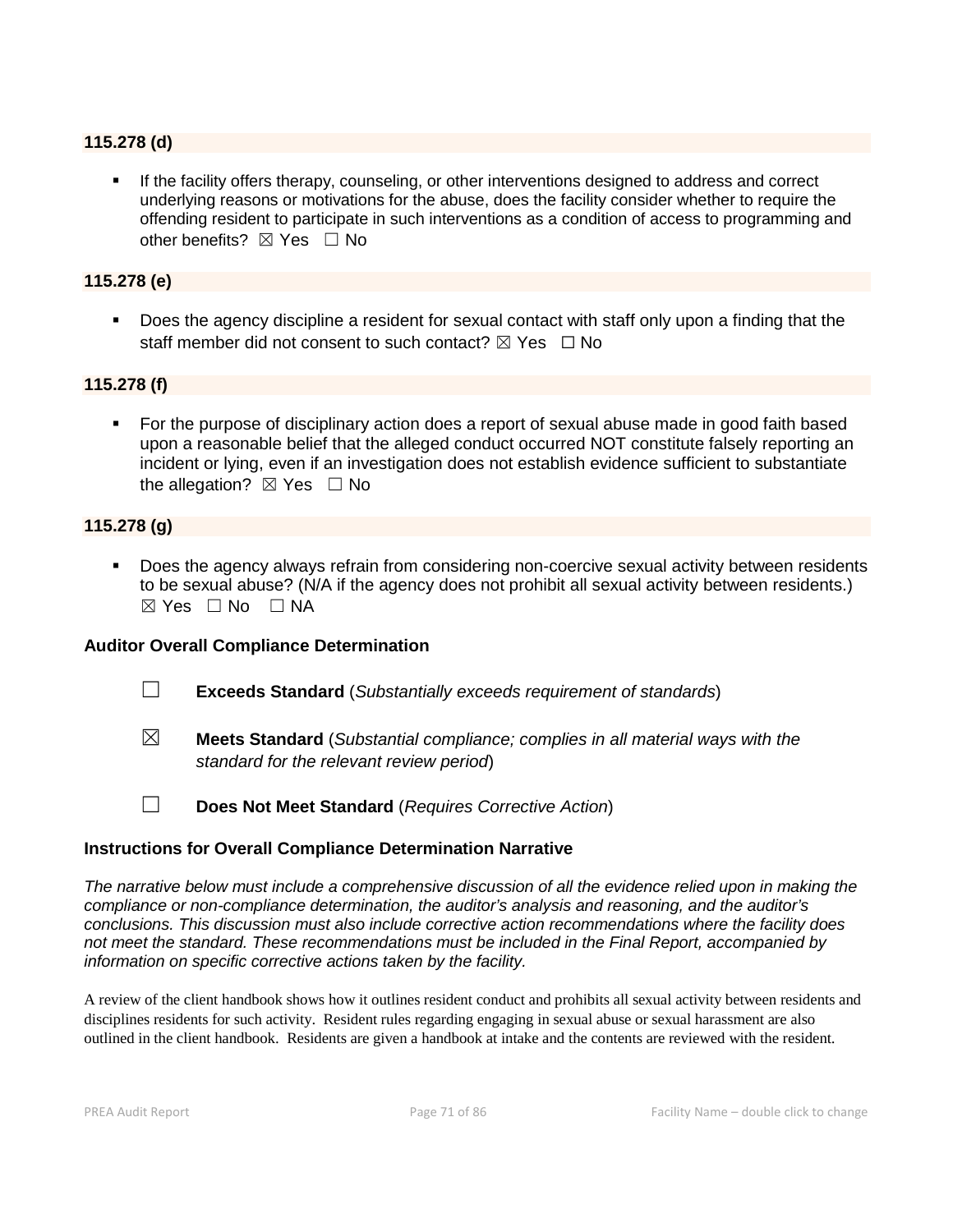### **115.278 (d)**

 If the facility offers therapy, counseling, or other interventions designed to address and correct underlying reasons or motivations for the abuse, does the facility consider whether to require the offending resident to participate in such interventions as a condition of access to programming and other benefits?  $\boxtimes$  Yes  $\Box$  No

## **115.278 (e)**

 Does the agency discipline a resident for sexual contact with staff only upon a finding that the staff member did not consent to such contact?  $\boxtimes$  Yes  $\Box$  No

# **115.278 (f)**

 For the purpose of disciplinary action does a report of sexual abuse made in good faith based upon a reasonable belief that the alleged conduct occurred NOT constitute falsely reporting an incident or lying, even if an investigation does not establish evidence sufficient to substantiate the allegation?  $\boxtimes$  Yes  $\Box$  No

#### **115.278 (g)**

 Does the agency always refrain from considering non-coercive sexual activity between residents to be sexual abuse? (N/A if the agency does not prohibit all sexual activity between residents.)  $⊠ Yes ⊡ No ⊡ NA$ 

#### **Auditor Overall Compliance Determination**

- ☐ **Exceeds Standard** (*Substantially exceeds requirement of standards*)
- 
- ☒ **Meets Standard** (*Substantial compliance; complies in all material ways with the standard for the relevant review period*)
- 
- ☐ **Does Not Meet Standard** (*Requires Corrective Action*)

#### **Instructions for Overall Compliance Determination Narrative**

*The narrative below must include a comprehensive discussion of all the evidence relied upon in making the compliance or non-compliance determination, the auditor's analysis and reasoning, and the auditor's conclusions. This discussion must also include corrective action recommendations where the facility does not meet the standard. These recommendations must be included in the Final Report, accompanied by information on specific corrective actions taken by the facility.*

A review of the client handbook shows how it outlines resident conduct and prohibits all sexual activity between residents and disciplines residents for such activity. Resident rules regarding engaging in sexual abuse or sexual harassment are also outlined in the client handbook. Residents are given a handbook at intake and the contents are reviewed with the resident.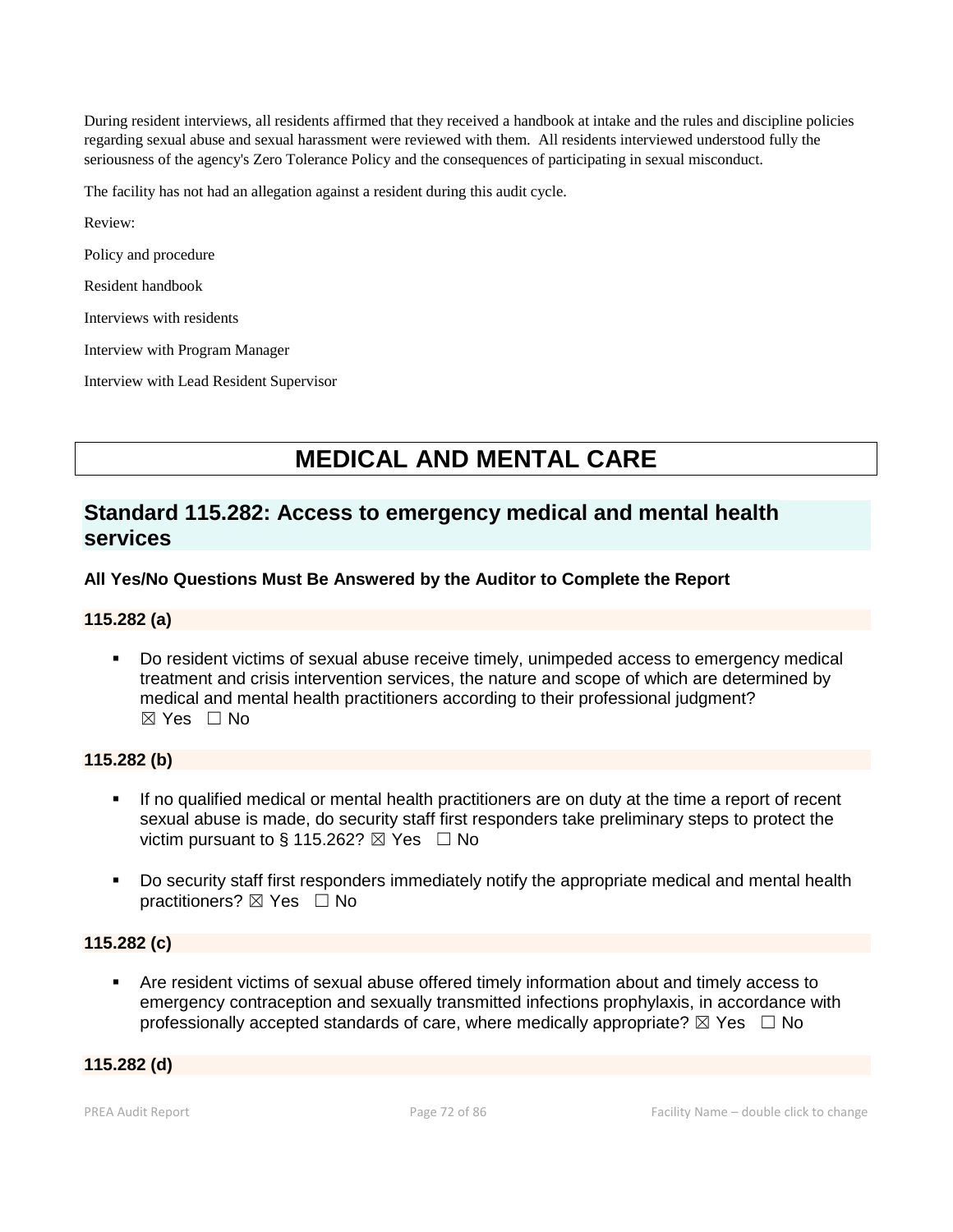During resident interviews, all residents affirmed that they received a handbook at intake and the rules and discipline policies regarding sexual abuse and sexual harassment were reviewed with them. All residents interviewed understood fully the seriousness of the agency's Zero Tolerance Policy and the consequences of participating in sexual misconduct.

The facility has not had an allegation against a resident during this audit cycle.

Review:

Policy and procedure

Resident handbook

Interviews with residents

Interview with Program Manager

Interview with Lead Resident Supervisor

# **MEDICAL AND MENTAL CARE**

# **Standard 115.282: Access to emergency medical and mental health services**

# **All Yes/No Questions Must Be Answered by the Auditor to Complete the Report**

#### **115.282 (a)**

 Do resident victims of sexual abuse receive timely, unimpeded access to emergency medical treatment and crisis intervention services, the nature and scope of which are determined by medical and mental health practitioners according to their professional judgment?  $\boxtimes$  Yes  $\Box$  No

#### **115.282 (b)**

- If no qualified medical or mental health practitioners are on duty at the time a report of recent sexual abuse is made, do security staff first responders take preliminary steps to protect the victim pursuant to § 115.262?  $\boxtimes$  Yes  $\Box$  No
- Do security staff first responders immediately notify the appropriate medical and mental health practitioners? ⊠ Yes □ No

# **115.282 (c)**

 Are resident victims of sexual abuse offered timely information about and timely access to emergency contraception and sexually transmitted infections prophylaxis, in accordance with professionally accepted standards of care, where medically appropriate?  $\boxtimes$  Yes  $\Box$  No

#### **115.282 (d)**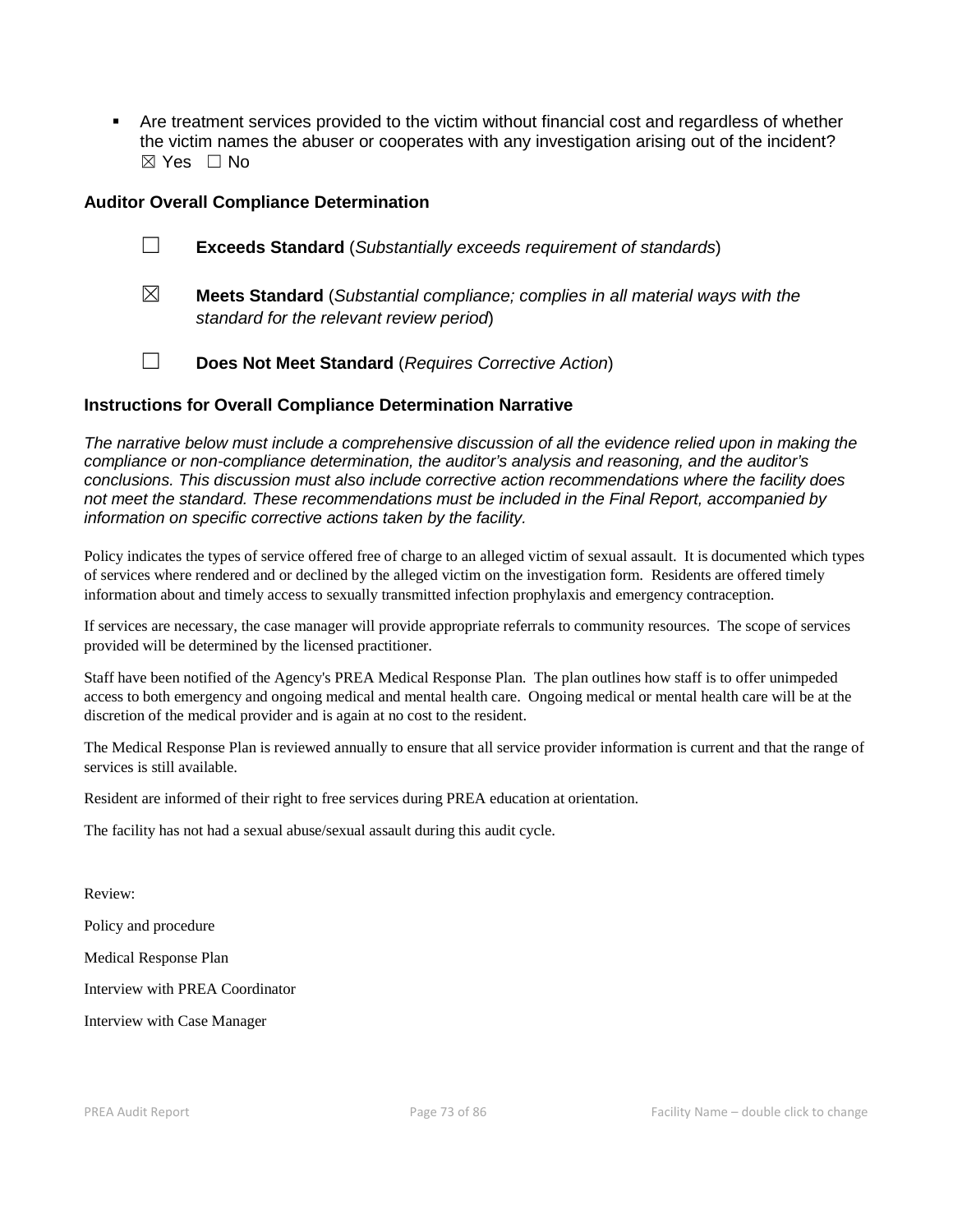Are treatment services provided to the victim without financial cost and regardless of whether the victim names the abuser or cooperates with any investigation arising out of the incident? ☒ Yes ☐ No

# **Auditor Overall Compliance Determination**

- ☐ **Exceeds Standard** (*Substantially exceeds requirement of standards*)
- ☒ **Meets Standard** (*Substantial compliance; complies in all material ways with the standard for the relevant review period*)
- ☐ **Does Not Meet Standard** (*Requires Corrective Action*)

# **Instructions for Overall Compliance Determination Narrative**

*The narrative below must include a comprehensive discussion of all the evidence relied upon in making the compliance or non-compliance determination, the auditor's analysis and reasoning, and the auditor's conclusions. This discussion must also include corrective action recommendations where the facility does not meet the standard. These recommendations must be included in the Final Report, accompanied by information on specific corrective actions taken by the facility.*

Policy indicates the types of service offered free of charge to an alleged victim of sexual assault. It is documented which types of services where rendered and or declined by the alleged victim on the investigation form. Residents are offered timely information about and timely access to sexually transmitted infection prophylaxis and emergency contraception.

If services are necessary, the case manager will provide appropriate referrals to community resources. The scope of services provided will be determined by the licensed practitioner.

Staff have been notified of the Agency's PREA Medical Response Plan. The plan outlines how staff is to offer unimpeded access to both emergency and ongoing medical and mental health care. Ongoing medical or mental health care will be at the discretion of the medical provider and is again at no cost to the resident.

The Medical Response Plan is reviewed annually to ensure that all service provider information is current and that the range of services is still available.

Resident are informed of their right to free services during PREA education at orientation.

The facility has not had a sexual abuse/sexual assault during this audit cycle.

Review: Policy and procedure Medical Response Plan Interview with PREA Coordinator Interview with Case Manager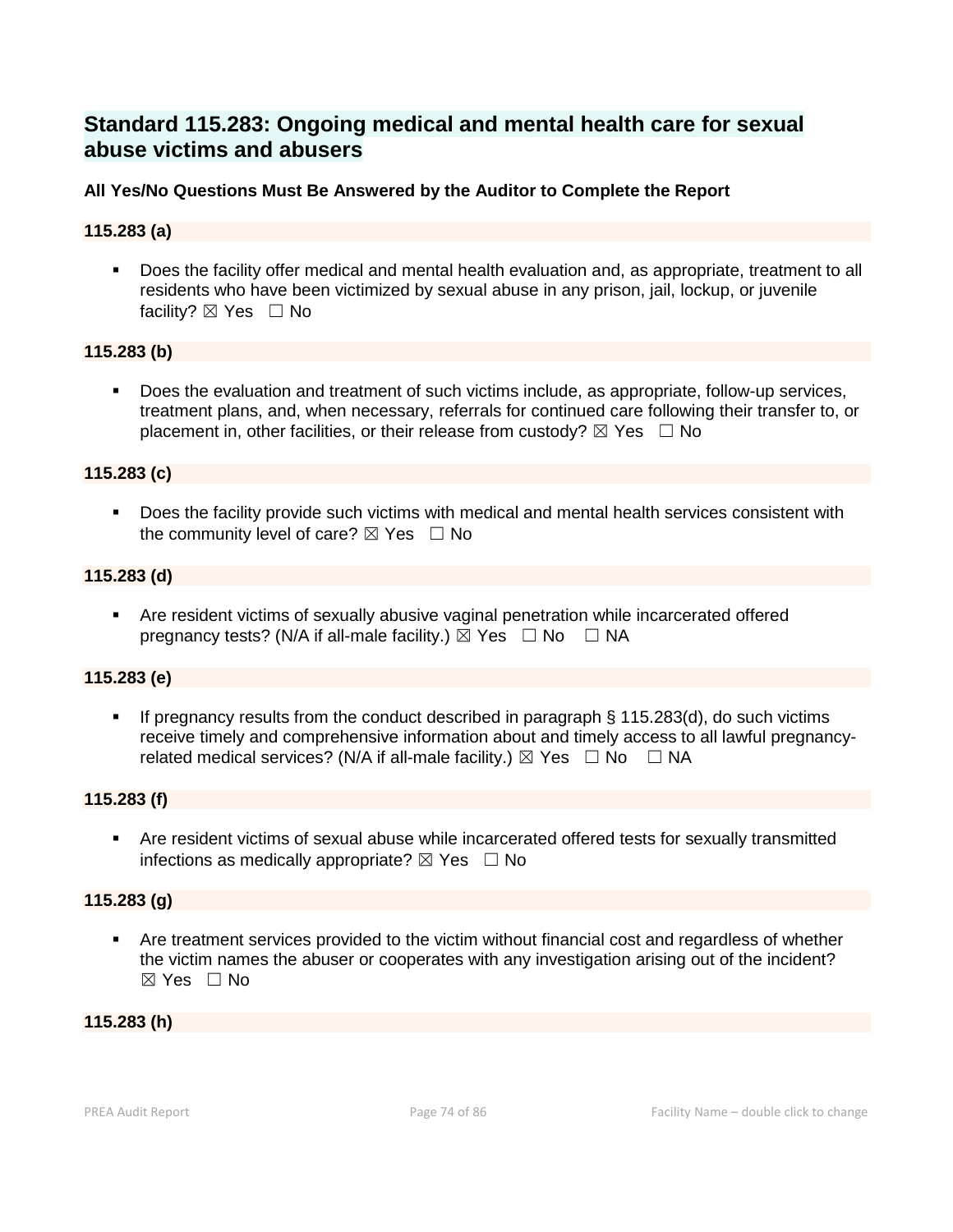# **Standard 115.283: Ongoing medical and mental health care for sexual abuse victims and abusers**

# **All Yes/No Questions Must Be Answered by the Auditor to Complete the Report**

# **115.283 (a)**

 Does the facility offer medical and mental health evaluation and, as appropriate, treatment to all residents who have been victimized by sexual abuse in any prison, jail, lockup, or juvenile facility? ⊠ Yes □ No

# **115.283 (b)**

 Does the evaluation and treatment of such victims include, as appropriate, follow-up services, treatment plans, and, when necessary, referrals for continued care following their transfer to, or placement in, other facilities, or their release from custody?  $\boxtimes$  Yes  $\Box$  No

# **115.283 (c)**

Does the facility provide such victims with medical and mental health services consistent with the community level of care?  $\boxtimes$  Yes  $\Box$  No

# **115.283 (d)**

 Are resident victims of sexually abusive vaginal penetration while incarcerated offered pregnancy tests? (N/A if all-male facility.)  $\boxtimes$  Yes  $\Box$  No  $\Box$  NA

# **115.283 (e)**

If pregnancy results from the conduct described in paragraph  $\S$  115.283(d), do such victims receive timely and comprehensive information about and timely access to all lawful pregnancyrelated medical services? (N/A if all-male facility.)  $\boxtimes$  Yes  $\Box$  No  $\Box$  NA

# **115.283 (f)**

 Are resident victims of sexual abuse while incarcerated offered tests for sexually transmitted infections as medically appropriate?  $\boxtimes$  Yes  $\Box$  No

# **115.283 (g)**

 Are treatment services provided to the victim without financial cost and regardless of whether the victim names the abuser or cooperates with any investigation arising out of the incident?  $\boxtimes$  Yes  $\Box$  No

#### **115.283 (h)**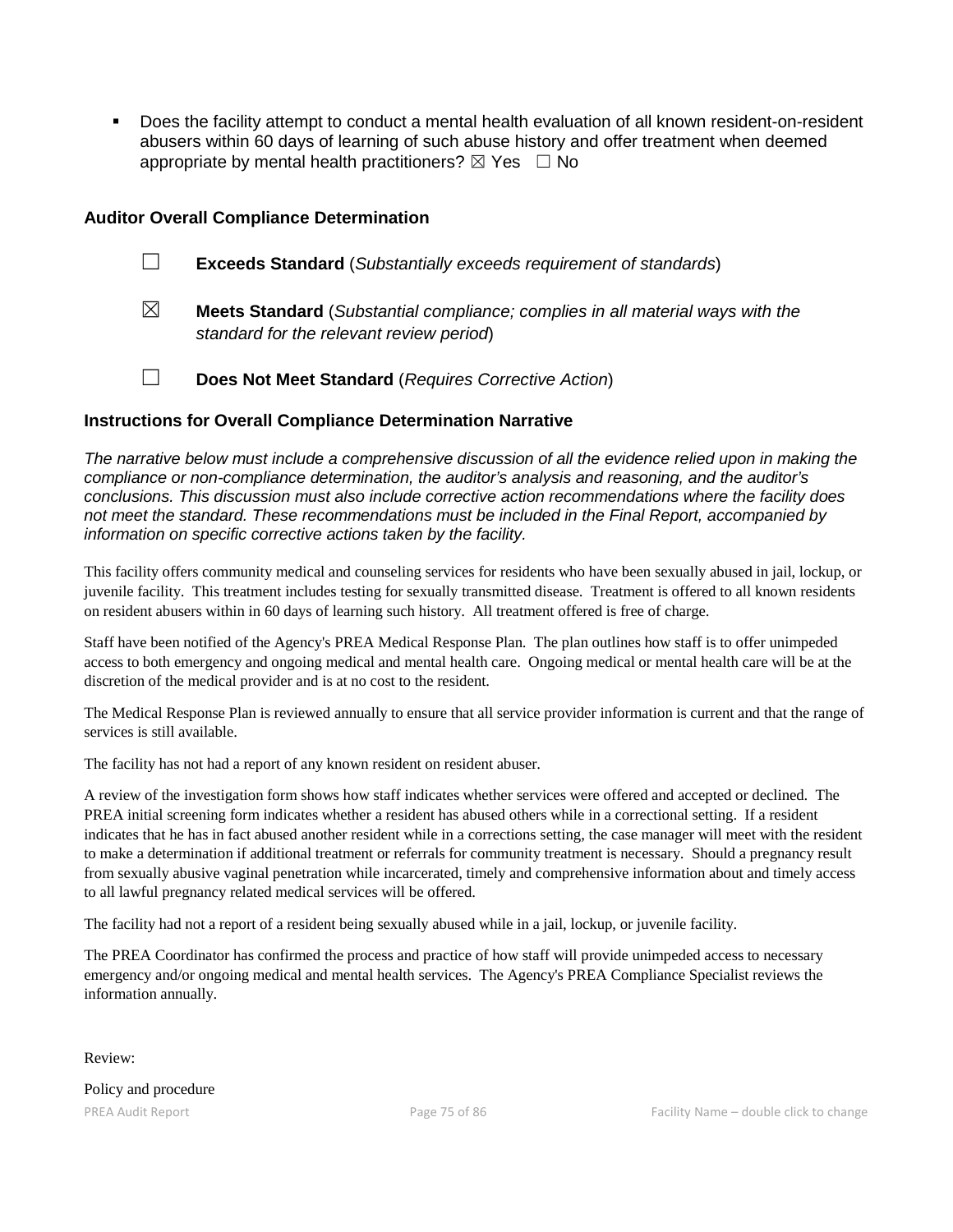Does the facility attempt to conduct a mental health evaluation of all known resident-on-resident abusers within 60 days of learning of such abuse history and offer treatment when deemed appropriate by mental health practitioners?  $\boxtimes$  Yes  $\Box$  No

# **Auditor Overall Compliance Determination**

- ☐ **Exceeds Standard** (*Substantially exceeds requirement of standards*)
- ☒ **Meets Standard** (*Substantial compliance; complies in all material ways with the standard for the relevant review period*)
- ☐ **Does Not Meet Standard** (*Requires Corrective Action*)

# **Instructions for Overall Compliance Determination Narrative**

*The narrative below must include a comprehensive discussion of all the evidence relied upon in making the compliance or non-compliance determination, the auditor's analysis and reasoning, and the auditor's conclusions. This discussion must also include corrective action recommendations where the facility does not meet the standard. These recommendations must be included in the Final Report, accompanied by information on specific corrective actions taken by the facility.*

This facility offers community medical and counseling services for residents who have been sexually abused in jail, lockup, or juvenile facility. This treatment includes testing for sexually transmitted disease. Treatment is offered to all known residents on resident abusers within in 60 days of learning such history. All treatment offered is free of charge.

Staff have been notified of the Agency's PREA Medical Response Plan. The plan outlines how staff is to offer unimpeded access to both emergency and ongoing medical and mental health care. Ongoing medical or mental health care will be at the discretion of the medical provider and is at no cost to the resident.

The Medical Response Plan is reviewed annually to ensure that all service provider information is current and that the range of services is still available.

The facility has not had a report of any known resident on resident abuser.

A review of the investigation form shows how staff indicates whether services were offered and accepted or declined. The PREA initial screening form indicates whether a resident has abused others while in a correctional setting. If a resident indicates that he has in fact abused another resident while in a corrections setting, the case manager will meet with the resident to make a determination if additional treatment or referrals for community treatment is necessary. Should a pregnancy result from sexually abusive vaginal penetration while incarcerated, timely and comprehensive information about and timely access to all lawful pregnancy related medical services will be offered.

The facility had not a report of a resident being sexually abused while in a jail, lockup, or juvenile facility.

The PREA Coordinator has confirmed the process and practice of how staff will provide unimpeded access to necessary emergency and/or ongoing medical and mental health services. The Agency's PREA Compliance Specialist reviews the information annually.

Review:

Policy and procedure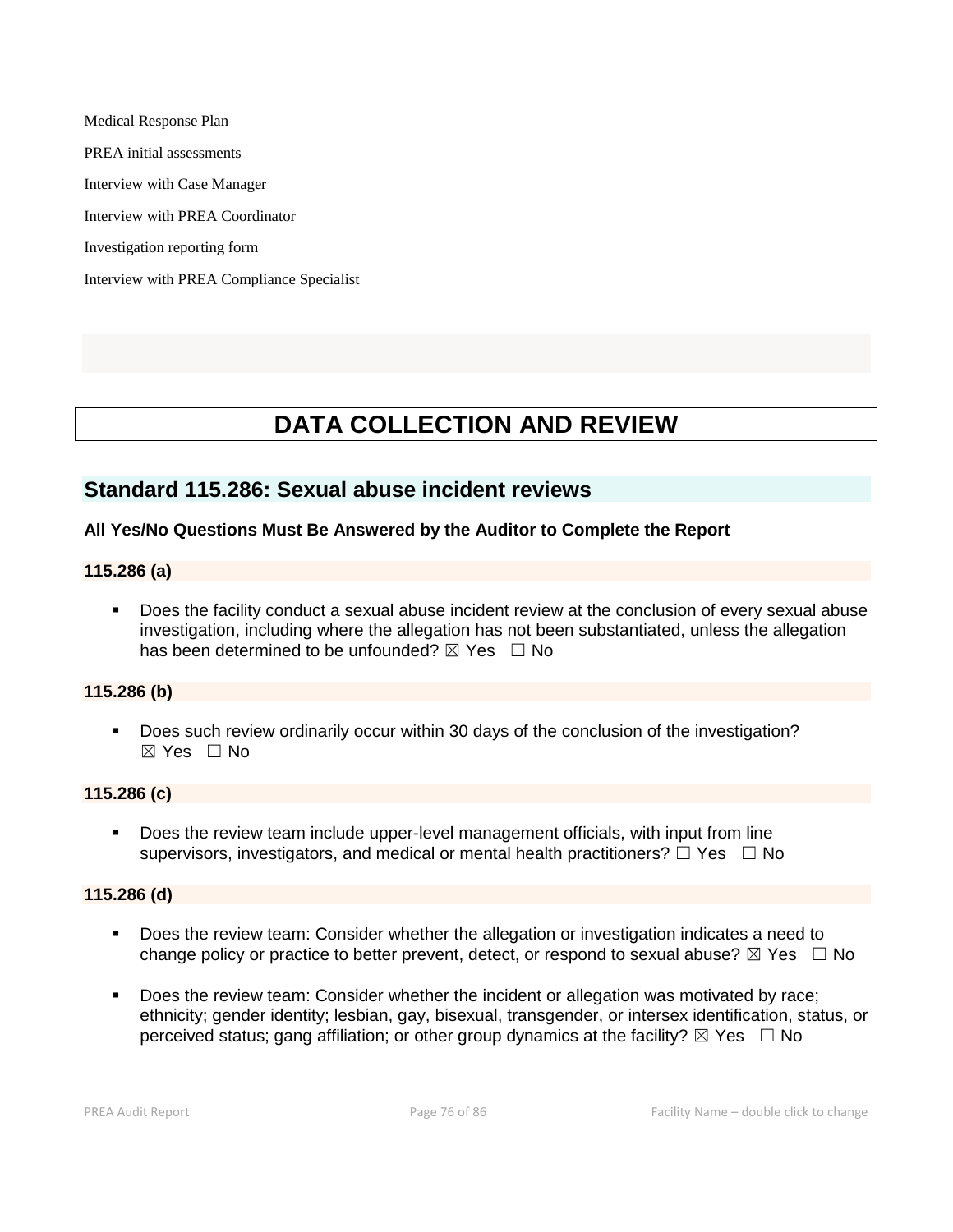Medical Response Plan PREA initial assessments Interview with Case Manager Interview with PREA Coordinator Investigation reporting form Interview with PREA Compliance Specialist

# **DATA COLLECTION AND REVIEW**

# **Standard 115.286: Sexual abuse incident reviews**

# **All Yes/No Questions Must Be Answered by the Auditor to Complete the Report**

#### **115.286 (a)**

 Does the facility conduct a sexual abuse incident review at the conclusion of every sexual abuse investigation, including where the allegation has not been substantiated, unless the allegation has been determined to be unfounded?  $\boxtimes$  Yes  $\Box$  No

# **115.286 (b)**

 Does such review ordinarily occur within 30 days of the conclusion of the investigation?  $\boxtimes$  Yes  $\Box$  No

#### **115.286 (c)**

 Does the review team include upper-level management officials, with input from line supervisors, investigators, and medical or mental health practitioners?  $\Box$  Yes  $\Box$  No

#### **115.286 (d)**

- Does the review team: Consider whether the allegation or investigation indicates a need to change policy or practice to better prevent, detect, or respond to sexual abuse?  $\boxtimes$  Yes  $\Box$  No
- Does the review team: Consider whether the incident or allegation was motivated by race; ethnicity; gender identity; lesbian, gay, bisexual, transgender, or intersex identification, status, or perceived status; gang affiliation; or other group dynamics at the facility?  $\boxtimes$  Yes  $\Box$  No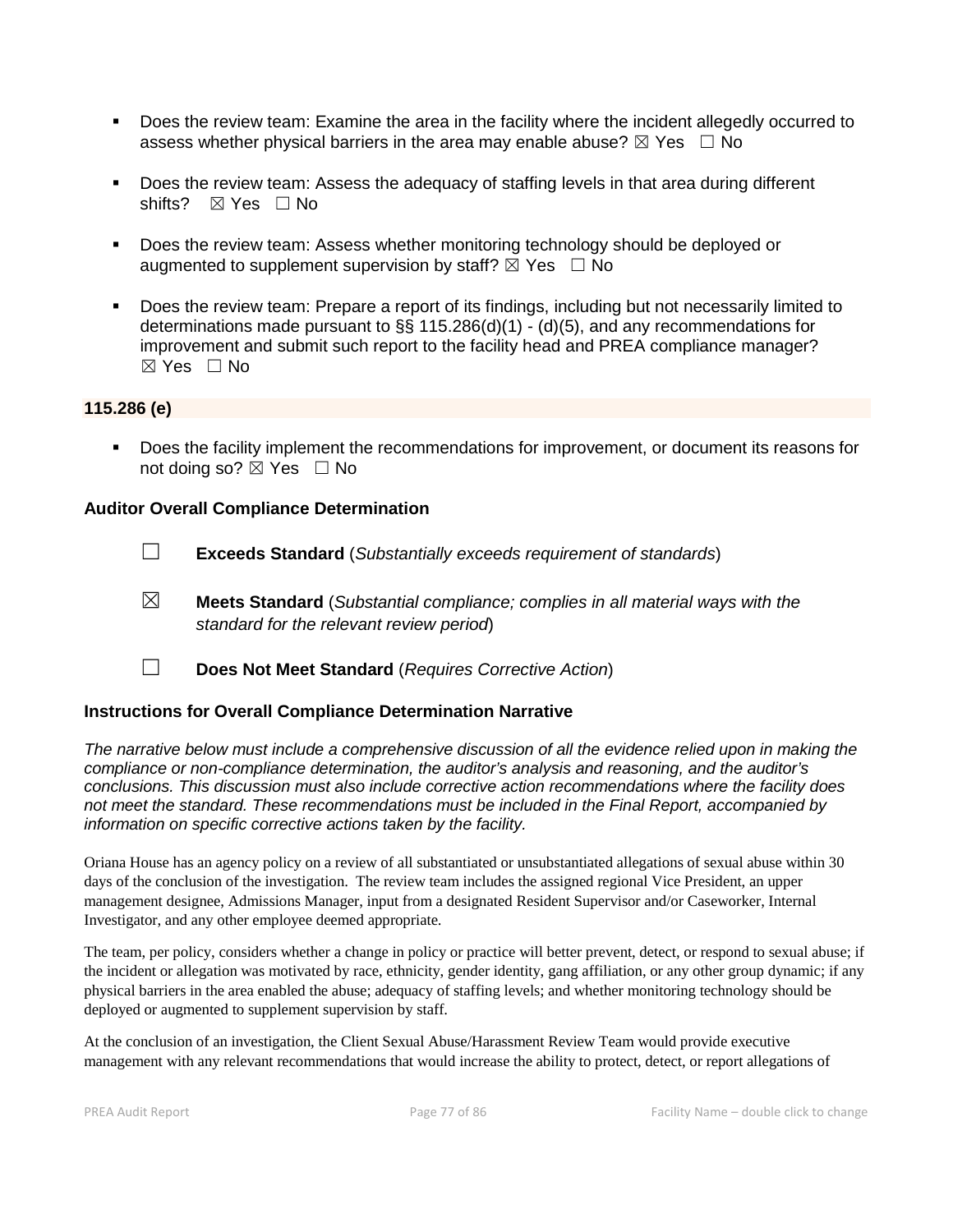- Does the review team: Examine the area in the facility where the incident allegedly occurred to assess whether physical barriers in the area may enable abuse?  $\boxtimes$  Yes  $\Box$  No
- Does the review team: Assess the adequacy of staffing levels in that area during different shifts? ⊠ Yes □ No
- Does the review team: Assess whether monitoring technology should be deployed or augmented to supplement supervision by staff?  $\boxtimes$  Yes  $\Box$  No
- Does the review team: Prepare a report of its findings, including but not necessarily limited to determinations made pursuant to §§ 115.286(d)(1) - (d)(5), and any recommendations for improvement and submit such report to the facility head and PREA compliance manager?  $\boxtimes$  Yes  $\Box$  No

#### **115.286 (e)**

 Does the facility implement the recommendations for improvement, or document its reasons for not doing so?  $\boxtimes$  Yes  $\Box$  No

# **Auditor Overall Compliance Determination**

- ☐ **Exceeds Standard** (*Substantially exceeds requirement of standards*)
- ☒ **Meets Standard** (*Substantial compliance; complies in all material ways with the standard for the relevant review period*)
- ☐ **Does Not Meet Standard** (*Requires Corrective Action*)

# **Instructions for Overall Compliance Determination Narrative**

*The narrative below must include a comprehensive discussion of all the evidence relied upon in making the compliance or non-compliance determination, the auditor's analysis and reasoning, and the auditor's conclusions. This discussion must also include corrective action recommendations where the facility does not meet the standard. These recommendations must be included in the Final Report, accompanied by information on specific corrective actions taken by the facility.*

Oriana House has an agency policy on a review of all substantiated or unsubstantiated allegations of sexual abuse within 30 days of the conclusion of the investigation. The review team includes the assigned regional Vice President, an upper management designee, Admissions Manager, input from a designated Resident Supervisor and/or Caseworker, Internal Investigator, and any other employee deemed appropriate.

The team, per policy, considers whether a change in policy or practice will better prevent, detect, or respond to sexual abuse; if the incident or allegation was motivated by race, ethnicity, gender identity, gang affiliation, or any other group dynamic; if any physical barriers in the area enabled the abuse; adequacy of staffing levels; and whether monitoring technology should be deployed or augmented to supplement supervision by staff.

At the conclusion of an investigation, the Client Sexual Abuse/Harassment Review Team would provide executive management with any relevant recommendations that would increase the ability to protect, detect, or report allegations of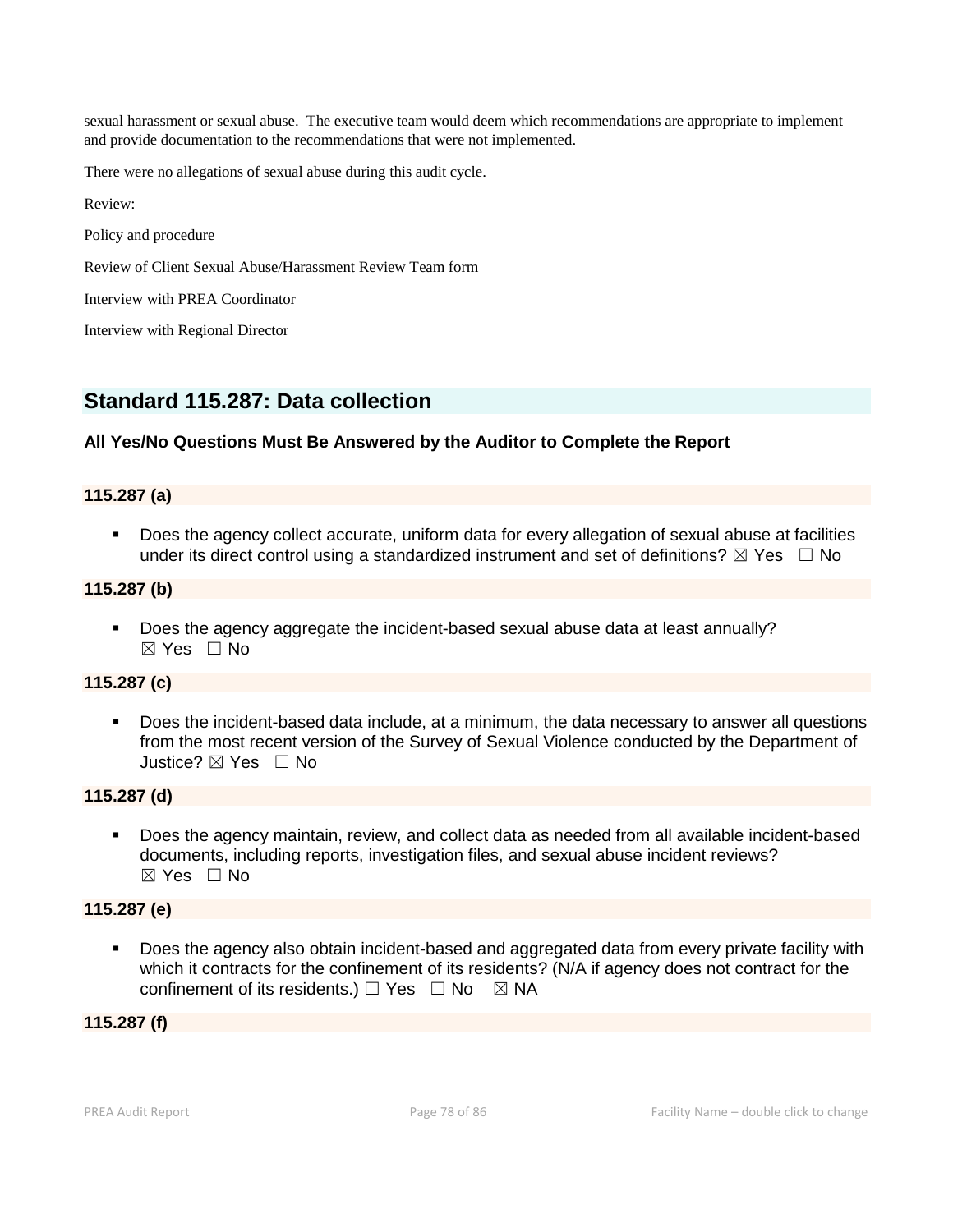sexual harassment or sexual abuse. The executive team would deem which recommendations are appropriate to implement and provide documentation to the recommendations that were not implemented.

There were no allegations of sexual abuse during this audit cycle.

Review:

Policy and procedure

Review of Client Sexual Abuse/Harassment Review Team form

Interview with PREA Coordinator

Interview with Regional Director

# **Standard 115.287: Data collection**

# **All Yes/No Questions Must Be Answered by the Auditor to Complete the Report**

#### **115.287 (a)**

 Does the agency collect accurate, uniform data for every allegation of sexual abuse at facilities under its direct control using a standardized instrument and set of definitions?  $\boxtimes$  Yes  $\Box$  No

#### **115.287 (b)**

 Does the agency aggregate the incident-based sexual abuse data at least annually? ☒ Yes ☐ No

#### **115.287 (c)**

 Does the incident-based data include, at a minimum, the data necessary to answer all questions from the most recent version of the Survey of Sexual Violence conducted by the Department of Justice? ⊠ Yes □ No

# **115.287 (d)**

 Does the agency maintain, review, and collect data as needed from all available incident-based documents, including reports, investigation files, and sexual abuse incident reviews?  $\boxtimes$  Yes  $\Box$  No

# **115.287 (e)**

 Does the agency also obtain incident-based and aggregated data from every private facility with which it contracts for the confinement of its residents? (N/A if agency does not contract for the confinement of its residents.)  $\Box$  Yes  $\Box$  No  $\boxtimes$  NA

**115.287 (f)**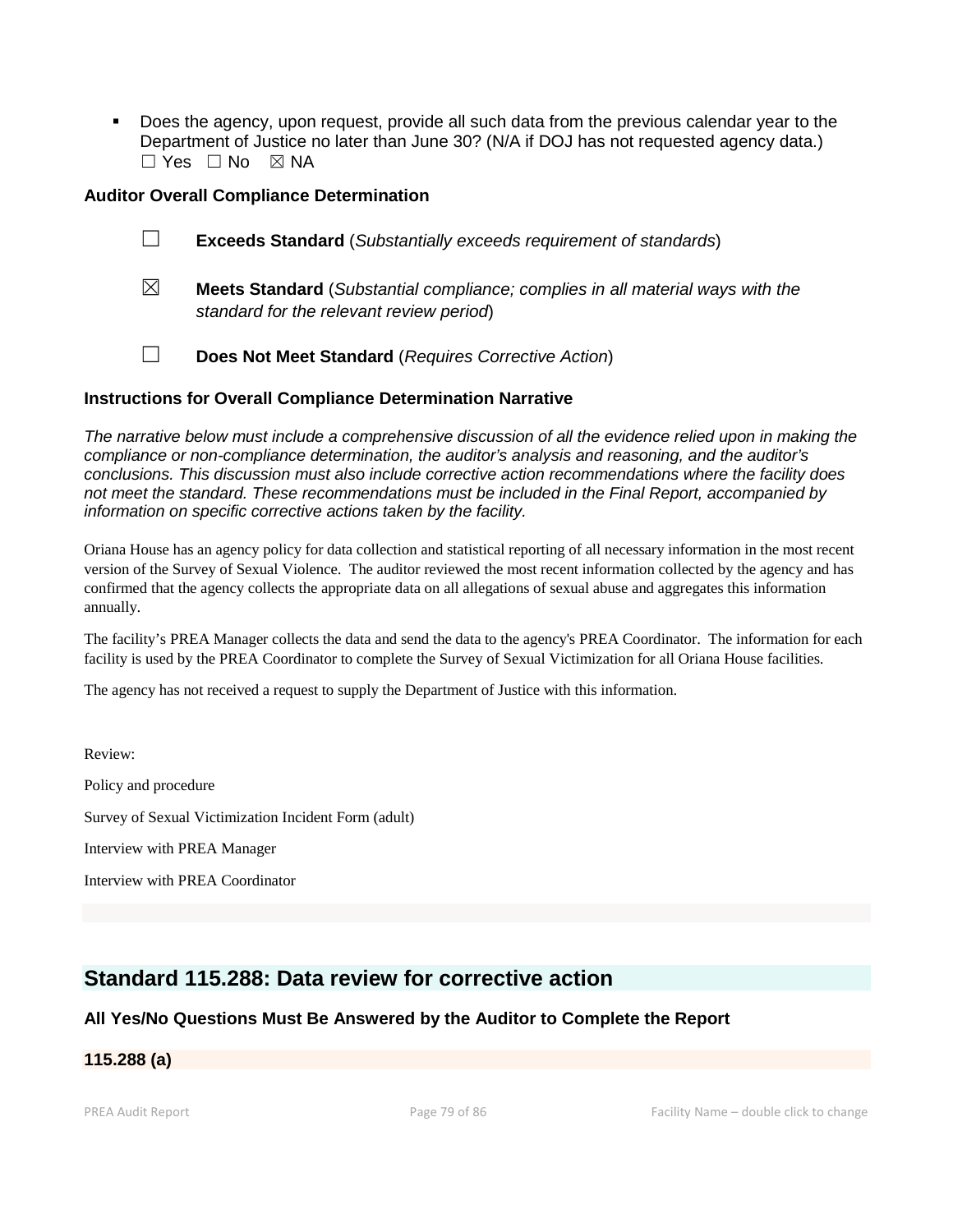Does the agency, upon request, provide all such data from the previous calendar year to the Department of Justice no later than June 30? (N/A if DOJ has not requested agency data.) ☐ Yes ☐ No ☒ NA

# **Auditor Overall Compliance Determination**

|             | <b>Exceeds Standard</b> (Substantially exceeds requirement of standards)              |
|-------------|---------------------------------------------------------------------------------------|
| $\boxtimes$ | <b>Meets Standard</b> (Substantial compliance; complies in all material ways with the |

- *standard for the relevant review period*)
- ☐ **Does Not Meet Standard** (*Requires Corrective Action*)

#### **Instructions for Overall Compliance Determination Narrative**

*The narrative below must include a comprehensive discussion of all the evidence relied upon in making the compliance or non-compliance determination, the auditor's analysis and reasoning, and the auditor's conclusions. This discussion must also include corrective action recommendations where the facility does not meet the standard. These recommendations must be included in the Final Report, accompanied by information on specific corrective actions taken by the facility.*

Oriana House has an agency policy for data collection and statistical reporting of all necessary information in the most recent version of the Survey of Sexual Violence. The auditor reviewed the most recent information collected by the agency and has confirmed that the agency collects the appropriate data on all allegations of sexual abuse and aggregates this information annually.

The facility's PREA Manager collects the data and send the data to the agency's PREA Coordinator. The information for each facility is used by the PREA Coordinator to complete the Survey of Sexual Victimization for all Oriana House facilities.

The agency has not received a request to supply the Department of Justice with this information.

Review: Policy and procedure Survey of Sexual Victimization Incident Form (adult) Interview with PREA Manager Interview with PREA Coordinator

# **Standard 115.288: Data review for corrective action**

# **All Yes/No Questions Must Be Answered by the Auditor to Complete the Report**

# **115.288 (a)**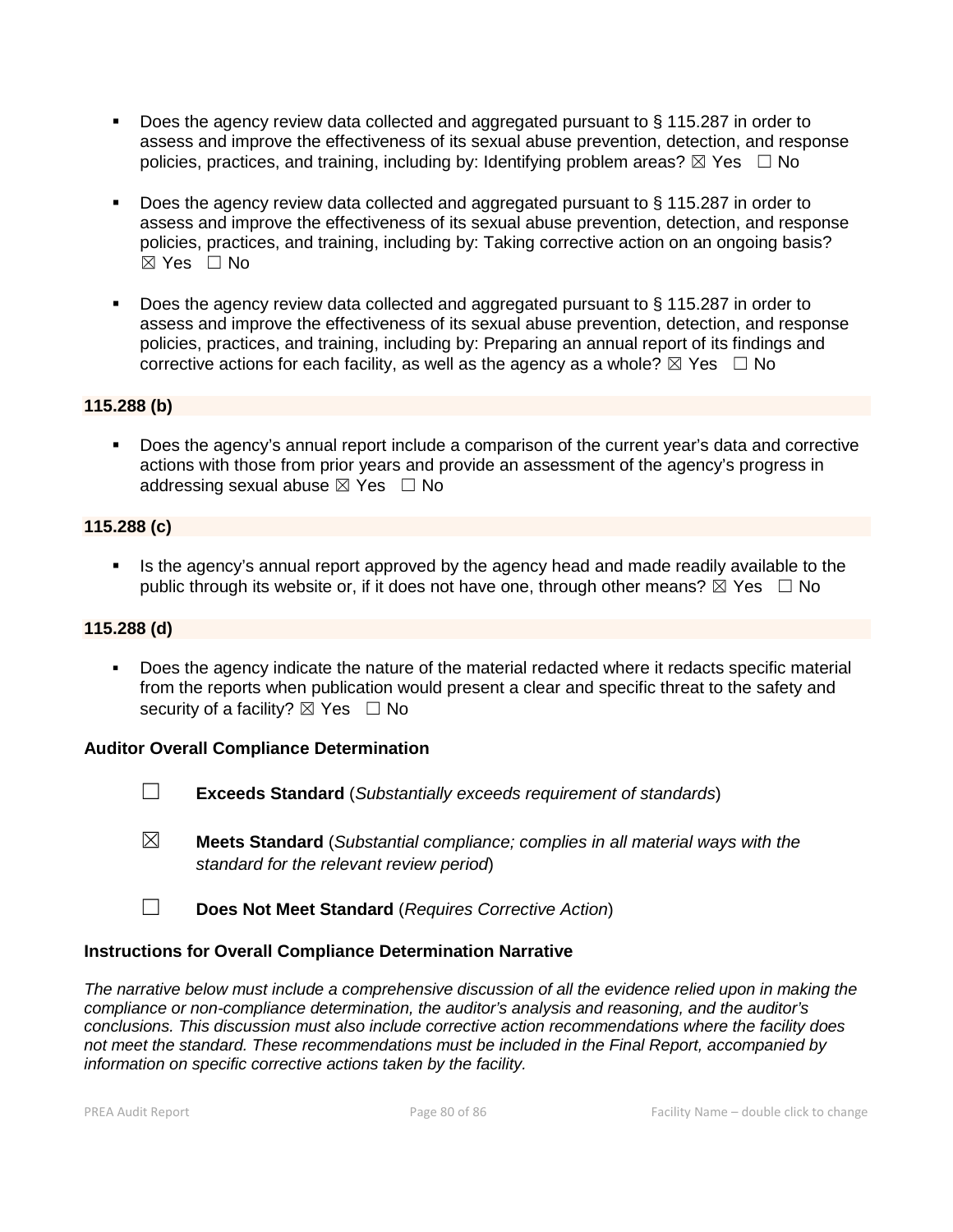- Does the agency review data collected and aggregated pursuant to § 115.287 in order to assess and improve the effectiveness of its sexual abuse prevention, detection, and response policies, practices, and training, including by: Identifying problem areas?  $\boxtimes$  Yes  $\Box$  No
- Does the agency review data collected and aggregated pursuant to § 115.287 in order to assess and improve the effectiveness of its sexual abuse prevention, detection, and response policies, practices, and training, including by: Taking corrective action on an ongoing basis?  $\boxtimes$  Yes  $\Box$  No
- Does the agency review data collected and aggregated pursuant to § 115.287 in order to assess and improve the effectiveness of its sexual abuse prevention, detection, and response policies, practices, and training, including by: Preparing an annual report of its findings and corrective actions for each facility, as well as the agency as a whole?  $\boxtimes$  Yes  $\Box$  No

# **115.288 (b)**

 Does the agency's annual report include a comparison of the current year's data and corrective actions with those from prior years and provide an assessment of the agency's progress in addressing sexual abuse  $\boxtimes$  Yes  $\Box$  No

# **115.288 (c)**

Is the agency's annual report approved by the agency head and made readily available to the public through its website or, if it does not have one, through other means?  $\boxtimes$  Yes  $\Box$  No

#### **115.288 (d)**

 Does the agency indicate the nature of the material redacted where it redacts specific material from the reports when publication would present a clear and specific threat to the safety and security of a facility?  $\boxtimes$  Yes  $\Box$  No

#### **Auditor Overall Compliance Determination**

- 
- ☐ **Exceeds Standard** (*Substantially exceeds requirement of standards*)
- ☒ **Meets Standard** (*Substantial compliance; complies in all material ways with the standard for the relevant review period*)
- ☐ **Does Not Meet Standard** (*Requires Corrective Action*)

#### **Instructions for Overall Compliance Determination Narrative**

*The narrative below must include a comprehensive discussion of all the evidence relied upon in making the compliance or non-compliance determination, the auditor's analysis and reasoning, and the auditor's conclusions. This discussion must also include corrective action recommendations where the facility does not meet the standard. These recommendations must be included in the Final Report, accompanied by information on specific corrective actions taken by the facility.*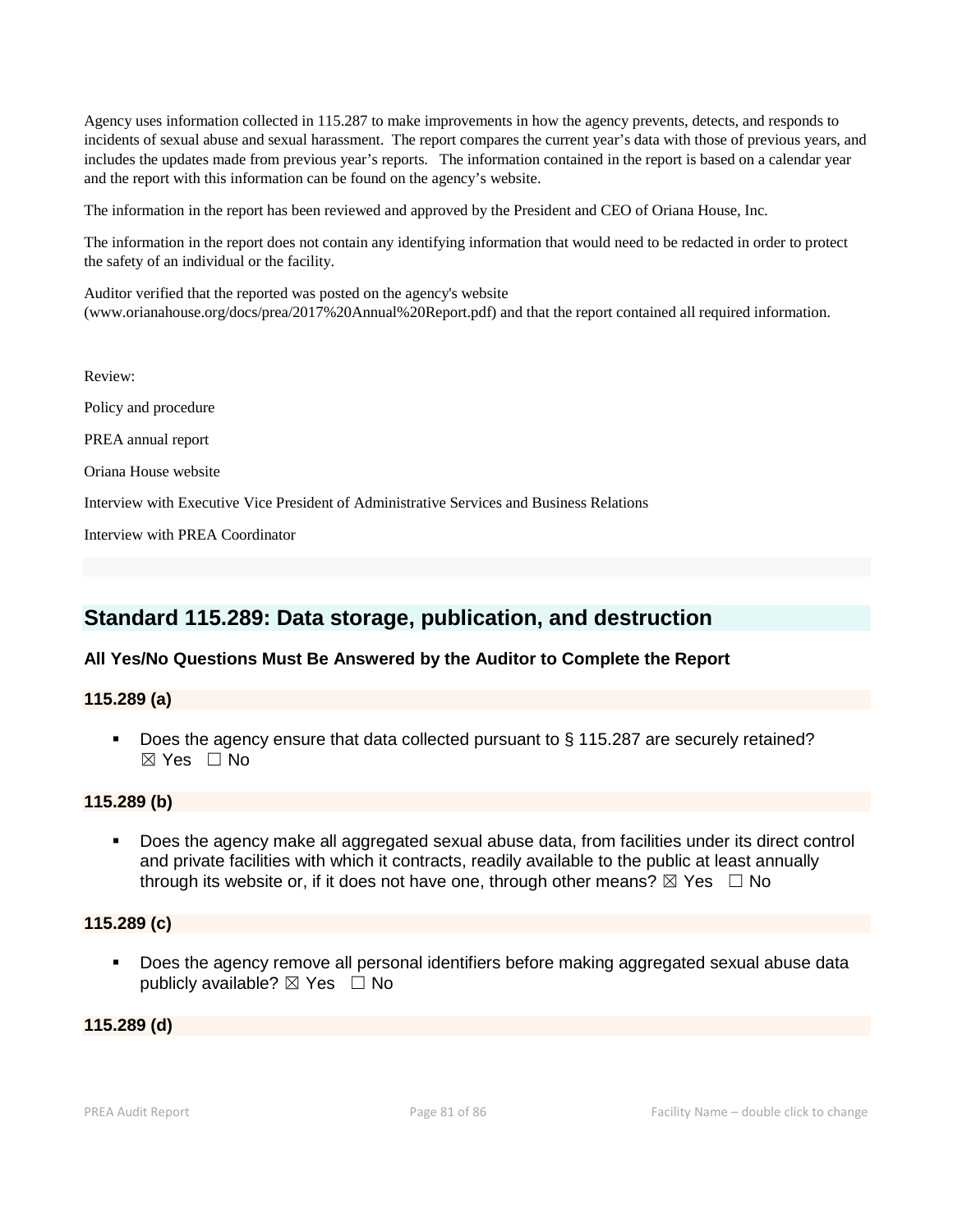Agency uses information collected in 115.287 to make improvements in how the agency prevents, detects, and responds to incidents of sexual abuse and sexual harassment. The report compares the current year's data with those of previous years, and includes the updates made from previous year's reports. The information contained in the report is based on a calendar year and the report with this information can be found on the agency's website.

The information in the report has been reviewed and approved by the President and CEO of Oriana House, Inc.

The information in the report does not contain any identifying information that would need to be redacted in order to protect the safety of an individual or the facility.

Auditor verified that the reported was posted on the agency's website (www.orianahouse.org/docs/prea/2017%20Annual%20Report.pdf) and that the report contained all required information.

Review: Policy and procedure PREA annual report Oriana House website Interview with Executive Vice President of Administrative Services and Business Relations Interview with PREA Coordinator

# **Standard 115.289: Data storage, publication, and destruction**

# **All Yes/No Questions Must Be Answered by the Auditor to Complete the Report**

# **115.289 (a)**

 Does the agency ensure that data collected pursuant to § 115.287 are securely retained? ☒ Yes ☐ No

#### **115.289 (b)**

 Does the agency make all aggregated sexual abuse data, from facilities under its direct control and private facilities with which it contracts, readily available to the public at least annually through its website or, if it does not have one, through other means?  $\boxtimes$  Yes  $\Box$  No

#### **115.289 (c)**

 Does the agency remove all personal identifiers before making aggregated sexual abuse data publicly available?  $\boxtimes$  Yes  $\Box$  No

#### **115.289 (d)**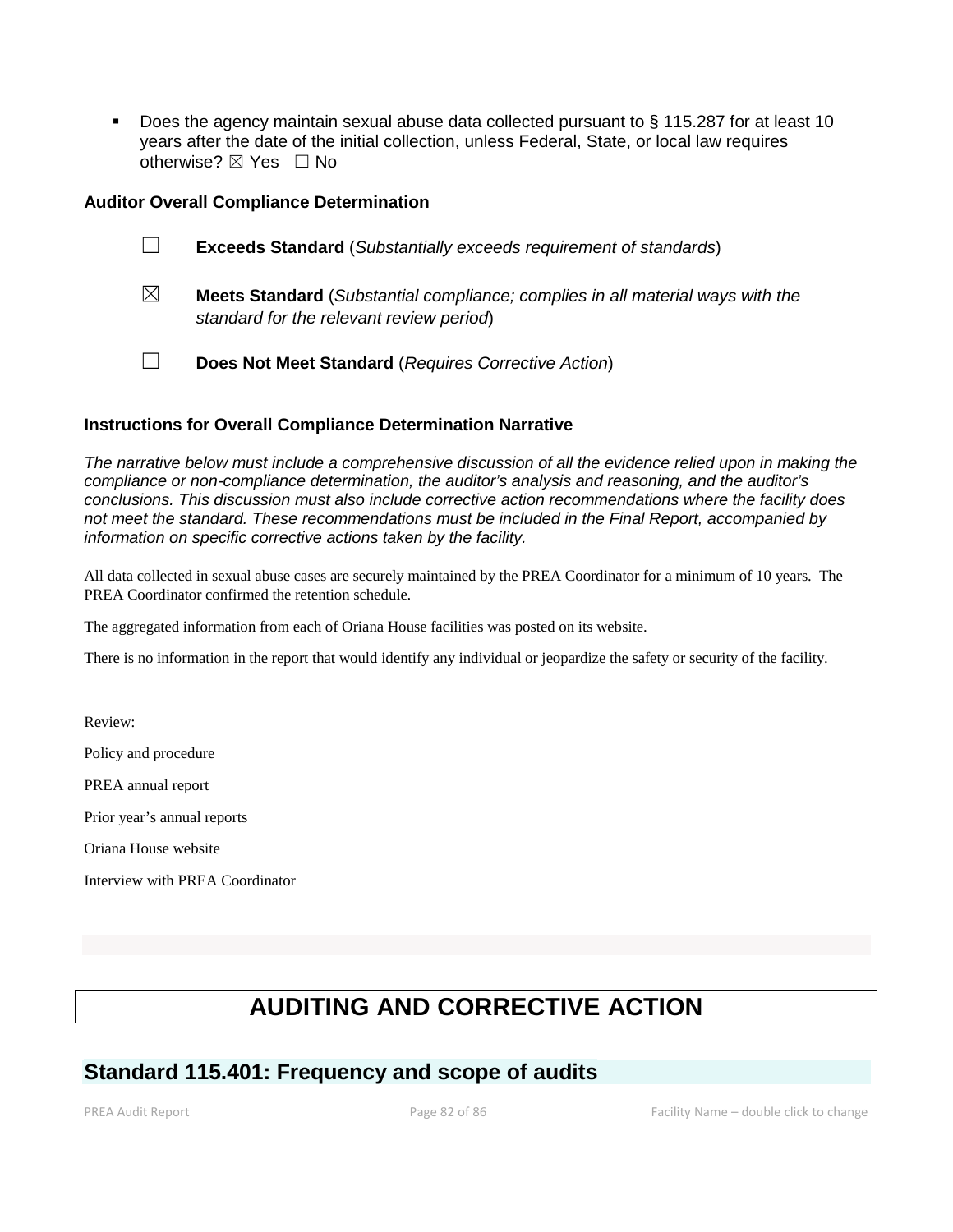Does the agency maintain sexual abuse data collected pursuant to § 115.287 for at least 10 years after the date of the initial collection, unless Federal, State, or local law requires otherwise? ⊠ Yes □ No

# **Auditor Overall Compliance Determination**

|             | <b>Exceeds Standard</b> (Substantially exceeds requirement of standards)              |
|-------------|---------------------------------------------------------------------------------------|
| $\boxtimes$ | <b>Meets Standard</b> (Substantial compliance; complies in all material ways with the |

☐ **Does Not Meet Standard** (*Requires Corrective Action*)

# **Instructions for Overall Compliance Determination Narrative**

*standard for the relevant review period*)

*The narrative below must include a comprehensive discussion of all the evidence relied upon in making the compliance or non-compliance determination, the auditor's analysis and reasoning, and the auditor's conclusions. This discussion must also include corrective action recommendations where the facility does not meet the standard. These recommendations must be included in the Final Report, accompanied by information on specific corrective actions taken by the facility.*

All data collected in sexual abuse cases are securely maintained by the PREA Coordinator for a minimum of 10 years. The PREA Coordinator confirmed the retention schedule.

The aggregated information from each of Oriana House facilities was posted on its website.

There is no information in the report that would identify any individual or jeopardize the safety or security of the facility.

Review: Policy and procedure PREA annual report Prior year's annual reports Oriana House website Interview with PREA Coordinator

# **AUDITING AND CORRECTIVE ACTION**

# **Standard 115.401: Frequency and scope of audits**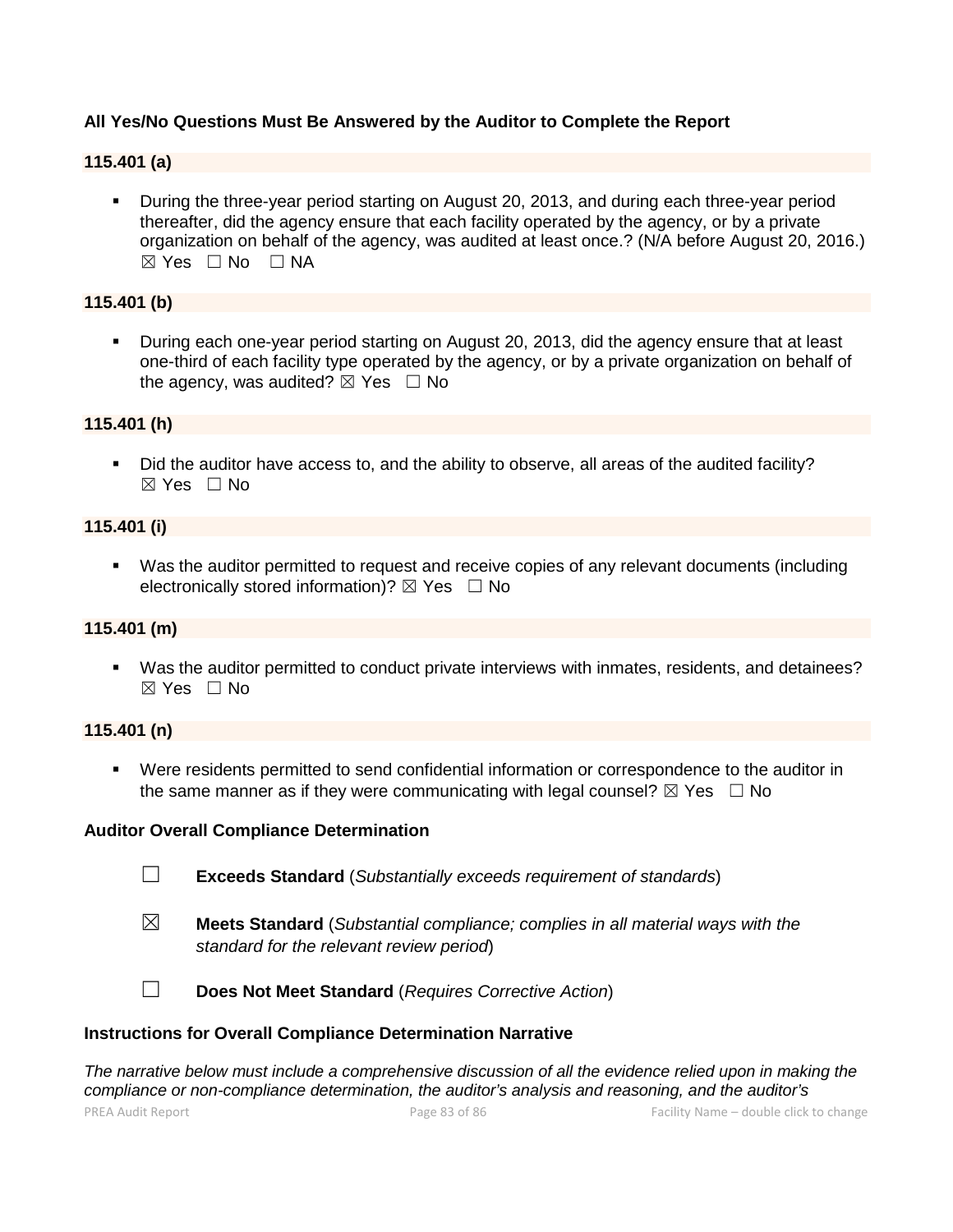# **All Yes/No Questions Must Be Answered by the Auditor to Complete the Report**

# **115.401 (a)**

 During the three-year period starting on August 20, 2013, and during each three-year period thereafter, did the agency ensure that each facility operated by the agency, or by a private organization on behalf of the agency, was audited at least once.? (N/A before August 20, 2016.)  $⊠ Yes ⊡ No ⊡ NA$ 

## **115.401 (b)**

 During each one-year period starting on August 20, 2013, did the agency ensure that at least one-third of each facility type operated by the agency, or by a private organization on behalf of the agency, was audited?  $\boxtimes$  Yes  $\Box$  No

#### **115.401 (h)**

 Did the auditor have access to, and the ability to observe, all areas of the audited facility?  $\boxtimes$  Yes  $\Box$  No

#### **115.401 (i)**

 Was the auditor permitted to request and receive copies of any relevant documents (including electronically stored information)?  $\boxtimes$  Yes  $\Box$  No

#### **115.401 (m)**

 Was the auditor permitted to conduct private interviews with inmates, residents, and detainees?  $\boxtimes$  Yes  $\Box$  No

## **115.401 (n)**

 Were residents permitted to send confidential information or correspondence to the auditor in the same manner as if they were communicating with legal counsel?  $\boxtimes$  Yes  $\Box$  No

#### **Auditor Overall Compliance Determination**

- ☐ **Exceeds Standard** (*Substantially exceeds requirement of standards*)
- ☒ **Meets Standard** (*Substantial compliance; complies in all material ways with the standard for the relevant review period*)



☐ **Does Not Meet Standard** (*Requires Corrective Action*)

#### **Instructions for Overall Compliance Determination Narrative**

*The narrative below must include a comprehensive discussion of all the evidence relied upon in making the compliance or non-compliance determination, the auditor's analysis and reasoning, and the auditor's*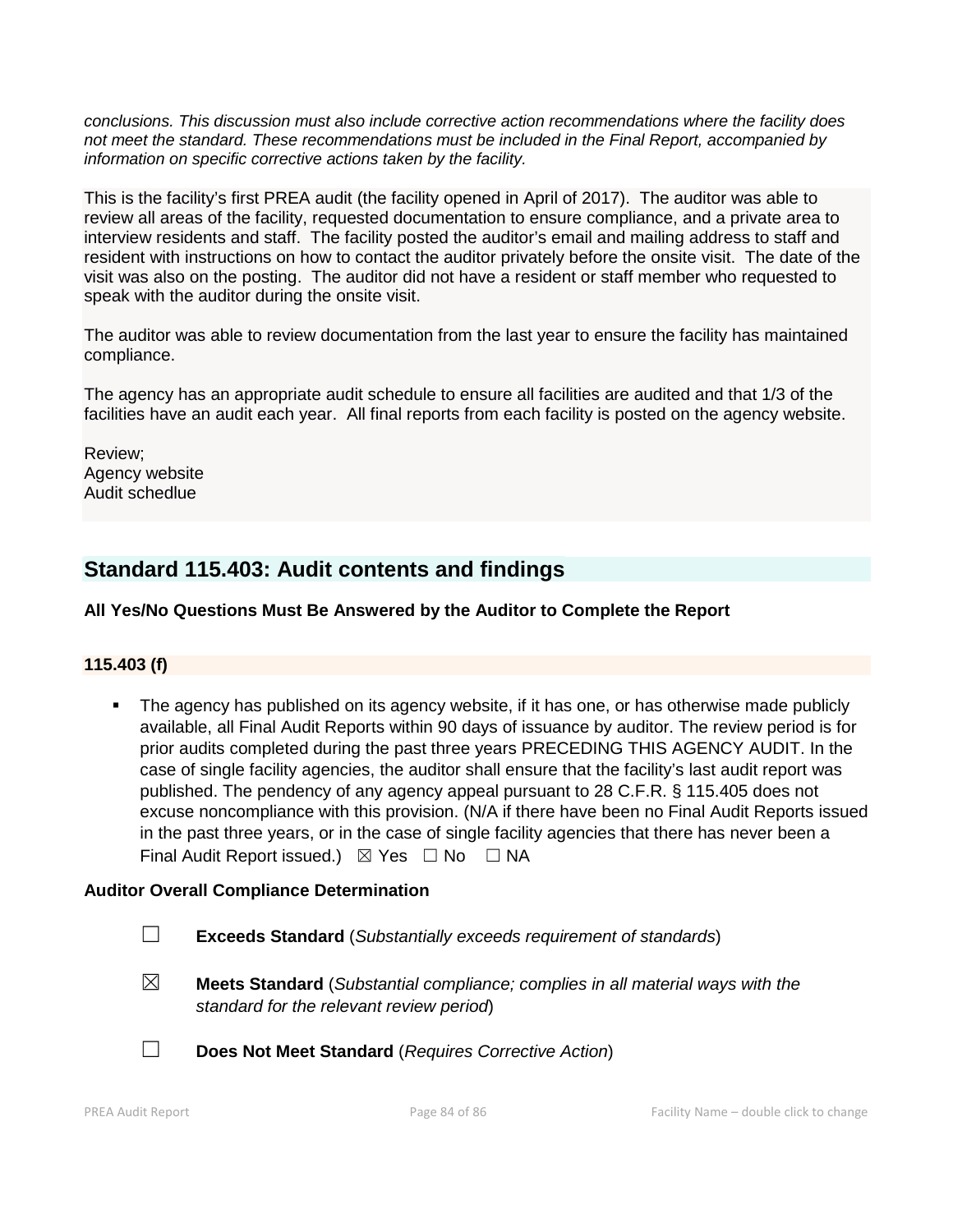*conclusions. This discussion must also include corrective action recommendations where the facility does not meet the standard. These recommendations must be included in the Final Report, accompanied by information on specific corrective actions taken by the facility.*

This is the facility's first PREA audit (the facility opened in April of 2017). The auditor was able to review all areas of the facility, requested documentation to ensure compliance, and a private area to interview residents and staff. The facility posted the auditor's email and mailing address to staff and resident with instructions on how to contact the auditor privately before the onsite visit. The date of the visit was also on the posting. The auditor did not have a resident or staff member who requested to speak with the auditor during the onsite visit.

The auditor was able to review documentation from the last year to ensure the facility has maintained compliance.

The agency has an appropriate audit schedule to ensure all facilities are audited and that 1/3 of the facilities have an audit each year. All final reports from each facility is posted on the agency website.

Review; Agency website Audit schedlue

# **Standard 115.403: Audit contents and findings**

# **All Yes/No Questions Must Be Answered by the Auditor to Complete the Report**

# **115.403 (f)**

 The agency has published on its agency website, if it has one, or has otherwise made publicly available, all Final Audit Reports within 90 days of issuance by auditor. The review period is for prior audits completed during the past three years PRECEDING THIS AGENCY AUDIT. In the case of single facility agencies, the auditor shall ensure that the facility's last audit report was published. The pendency of any agency appeal pursuant to 28 C.F.R. § 115.405 does not excuse noncompliance with this provision. (N/A if there have been no Final Audit Reports issued in the past three years, or in the case of single facility agencies that there has never been a Final Audit Report issued.)  $\boxtimes$  Yes  $\Box$  No  $\Box$  NA

# **Auditor Overall Compliance Determination**

- ☐ **Exceeds Standard** (*Substantially exceeds requirement of standards*)
- ☒ **Meets Standard** (*Substantial compliance; complies in all material ways with the standard for the relevant review period*)
- 
- ☐ **Does Not Meet Standard** (*Requires Corrective Action*)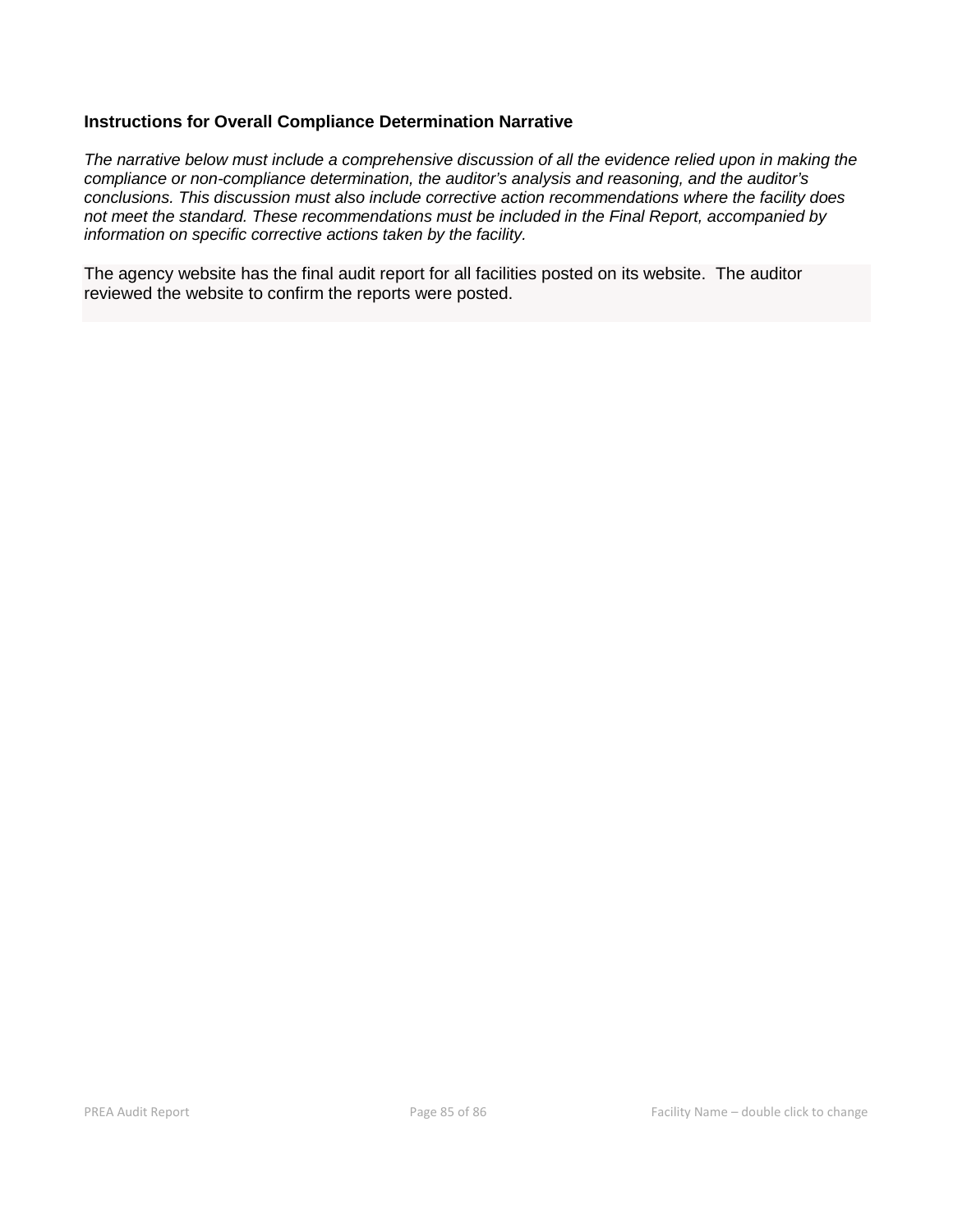# **Instructions for Overall Compliance Determination Narrative**

*The narrative below must include a comprehensive discussion of all the evidence relied upon in making the compliance or non-compliance determination, the auditor's analysis and reasoning, and the auditor's conclusions. This discussion must also include corrective action recommendations where the facility does not meet the standard. These recommendations must be included in the Final Report, accompanied by information on specific corrective actions taken by the facility.*

The agency website has the final audit report for all facilities posted on its website. The auditor reviewed the website to confirm the reports were posted.